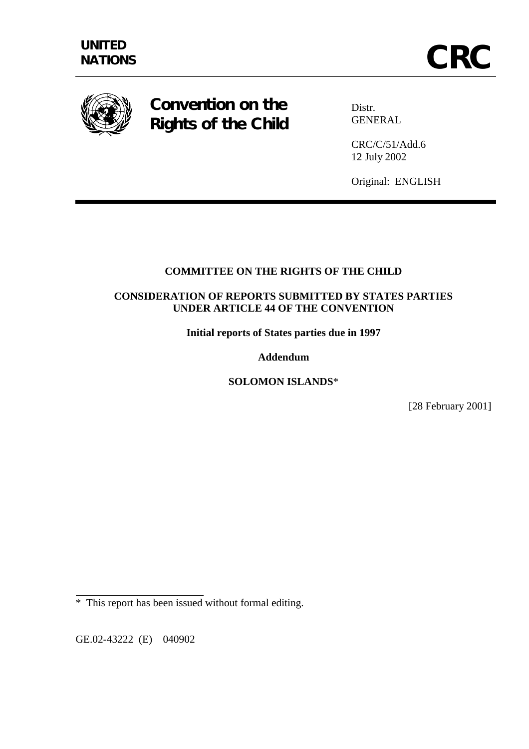

**Convention on the Rights of the Child** 

Distr. GENERAL

CRC/C/51/Add.6 12 July 2002

Original: ENGLISH

## **COMMITTEE ON THE RIGHTS OF THE CHILD**

## **CONSIDERATION OF REPORTS SUBMITTED BY STATES PARTIES UNDER ARTICLE 44 OF THE CONVENTION**

**Initial reports of States parties due in 1997** 

**Addendum** 

**SOLOMON ISLANDS**\*

[28 February 2001]

GE.02-43222 (E) 040902

 $\overline{a}$ 

<sup>\*</sup> This report has been issued without formal editing.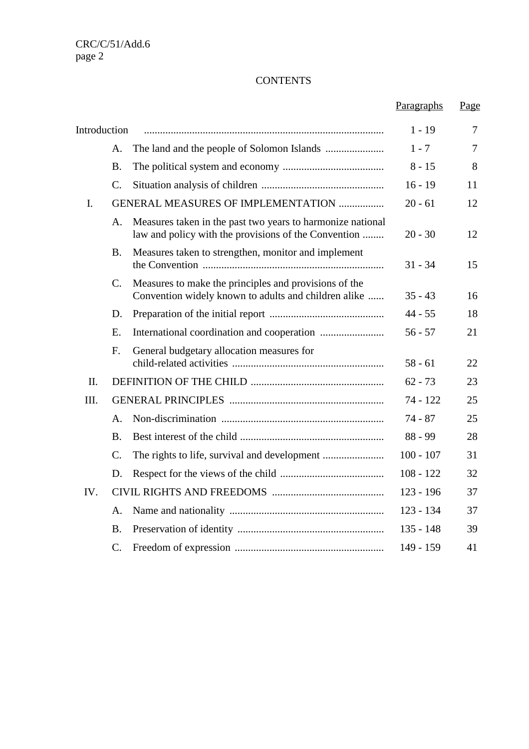## **CONTENTS**

|              |                 |                                                                                                                    | Paragraphs  | Page           |
|--------------|-----------------|--------------------------------------------------------------------------------------------------------------------|-------------|----------------|
| Introduction |                 |                                                                                                                    | $1 - 19$    | 7              |
|              | A.              |                                                                                                                    | $1 - 7$     | $\overline{7}$ |
|              | B.              |                                                                                                                    | $8 - 15$    | 8              |
|              | $\mathcal{C}$ . |                                                                                                                    | $16 - 19$   | 11             |
| I.           |                 | <b>GENERAL MEASURES OF IMPLEMENTATION </b>                                                                         | $20 - 61$   | 12             |
|              | A.              | Measures taken in the past two years to harmonize national<br>law and policy with the provisions of the Convention | $20 - 30$   | 12             |
|              | Β.              | Measures taken to strengthen, monitor and implement                                                                | $31 - 34$   | 15             |
|              | $\mathcal{C}$ . | Measures to make the principles and provisions of the<br>Convention widely known to adults and children alike      | $35 - 43$   | 16             |
|              | D.              |                                                                                                                    | $44 - 55$   | 18             |
|              | E.              |                                                                                                                    | $56 - 57$   | 21             |
|              | $F_{\cdot}$     | General budgetary allocation measures for                                                                          | $58 - 61$   | 22             |
| II.          |                 |                                                                                                                    | $62 - 73$   | 23             |
| III.         |                 |                                                                                                                    | 74 - 122    | 25             |
|              | A.              |                                                                                                                    | $74 - 87$   | 25             |
|              | <b>B.</b>       |                                                                                                                    | $88 - 99$   | 28             |
|              | $\mathcal{C}$ . |                                                                                                                    | $100 - 107$ | 31             |
|              | D.              |                                                                                                                    | $108 - 122$ | 32             |
| IV.          |                 |                                                                                                                    | $123 - 196$ | 37             |
|              | A.              |                                                                                                                    | $123 - 134$ | 37             |
|              | B.              |                                                                                                                    | $135 - 148$ | 39             |
|              | $C$ .           |                                                                                                                    | 149 - 159   | 41             |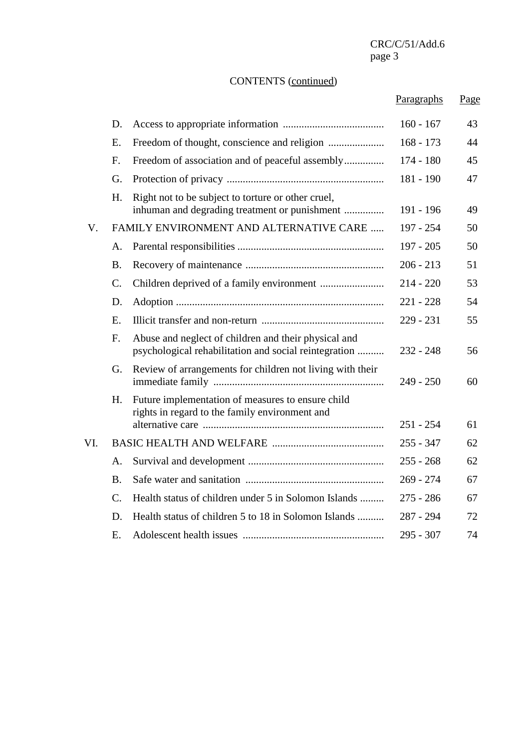# CONTENTS (continued)

|     |                 |                                                                                                               | Paragraphs  | Page |
|-----|-----------------|---------------------------------------------------------------------------------------------------------------|-------------|------|
|     | D.              |                                                                                                               | $160 - 167$ | 43   |
|     | E.              |                                                                                                               | $168 - 173$ | 44   |
|     | $F_{\cdot}$     | Freedom of association and of peaceful assembly                                                               | $174 - 180$ | 45   |
|     | G.              |                                                                                                               | 181 - 190   | 47   |
|     | H.              | Right not to be subject to torture or other cruel,<br>inhuman and degrading treatment or punishment           | 191 - 196   | 49   |
| V.  |                 | FAMILY ENVIRONMENT AND ALTERNATIVE CARE                                                                       | 197 - 254   | 50   |
|     | А.              |                                                                                                               | $197 - 205$ | 50   |
|     | <b>B.</b>       |                                                                                                               | $206 - 213$ | 51   |
|     | $\mathcal{C}$ . |                                                                                                               | $214 - 220$ | 53   |
|     | D.              |                                                                                                               | $221 - 228$ | 54   |
|     | E.              |                                                                                                               | $229 - 231$ | 55   |
|     | $F_{\cdot}$     | Abuse and neglect of children and their physical and<br>psychological rehabilitation and social reintegration | $232 - 248$ | 56   |
|     | G.              | Review of arrangements for children not living with their                                                     | $249 - 250$ | 60   |
|     | H.              | Future implementation of measures to ensure child<br>rights in regard to the family environment and           |             |      |
|     |                 |                                                                                                               | $251 - 254$ | 61   |
| VI. |                 |                                                                                                               | $255 - 347$ | 62   |
|     | А.              |                                                                                                               | $255 - 268$ | 62   |
|     | <b>B.</b>       |                                                                                                               | $269 - 274$ | 67   |
|     | C.              | Health status of children under 5 in Solomon Islands                                                          | $275 - 286$ | 67   |
|     | D.              | Health status of children 5 to 18 in Solomon Islands                                                          | $287 - 294$ | 72   |
|     | Е.              |                                                                                                               | 295 - 307   | 74   |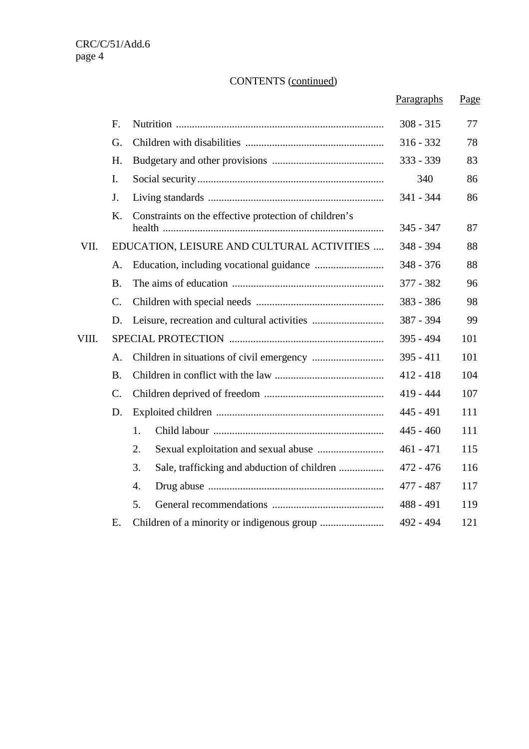# CONTENTS (continued)

|       |                |                                                       | Paragraphs  | Page |
|-------|----------------|-------------------------------------------------------|-------------|------|
|       | F.             |                                                       | $308 - 315$ | 77   |
|       | G.             |                                                       | $316 - 332$ | 78   |
|       | H.             |                                                       | 333 - 339   | 83   |
|       | $\mathbf{I}$ . |                                                       | 340         | 86   |
|       | J.             |                                                       | 341 - 344   | 86   |
|       | K.             | Constraints on the effective protection of children's | $345 - 347$ | 87   |
| VII.  |                | EDUCATION, LEISURE AND CULTURAL ACTIVITIES            | 348 - 394   | 88   |
|       | $\mathsf{A}$ . |                                                       | $348 - 376$ | 88   |
|       | <b>B.</b>      |                                                       | 377 - 382   | 96   |
|       | C.             |                                                       | $383 - 386$ | 98   |
|       | D.             |                                                       | 387 - 394   | 99   |
| VIII. |                |                                                       | 395 - 494   | 101  |
|       | A.             |                                                       | $395 - 411$ | 101  |
|       | <b>B.</b>      |                                                       | $412 - 418$ | 104  |
|       | $C$ .          |                                                       | $419 - 444$ | 107  |
|       | D.             |                                                       | $445 - 491$ | 111  |
|       |                | 1.                                                    | $445 - 460$ | 111  |
|       |                | 2.                                                    | $461 - 471$ | 115  |
|       |                | 3.                                                    | $472 - 476$ | 116  |
|       |                | 4.                                                    | 477 - 487   | 117  |
|       |                | 5.                                                    | $488 - 491$ | 119  |
|       | Ε.             |                                                       | 492 - 494   | 121  |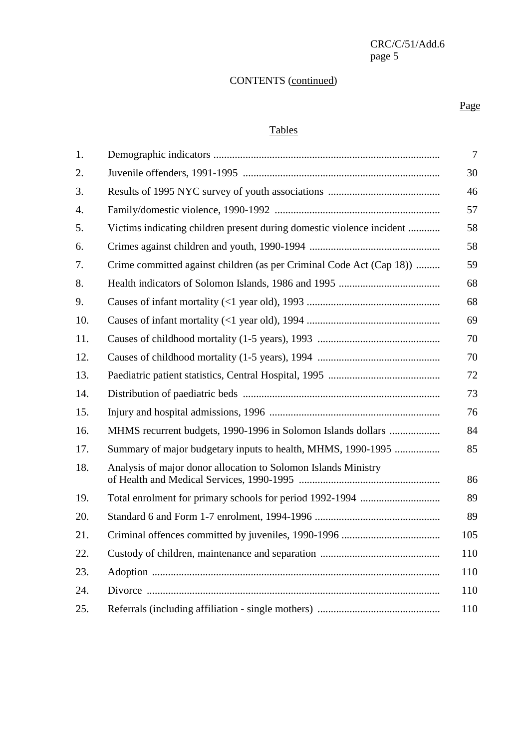# CONTENTS (continued)

#### Page **Page**

## Tables

| 1.  |                                                                       | $\tau$ |
|-----|-----------------------------------------------------------------------|--------|
| 2.  |                                                                       | 30     |
| 3.  |                                                                       | 46     |
| 4.  |                                                                       | 57     |
| 5.  | Victims indicating children present during domestic violence incident | 58     |
| 6.  |                                                                       | 58     |
| 7.  | Crime committed against children (as per Criminal Code Act (Cap 18))  | 59     |
| 8.  |                                                                       | 68     |
| 9.  |                                                                       | 68     |
| 10. |                                                                       | 69     |
| 11. |                                                                       | 70     |
| 12. |                                                                       | 70     |
| 13. |                                                                       | 72     |
| 14. |                                                                       | 73     |
| 15. |                                                                       | 76     |
| 16. | MHMS recurrent budgets, 1990-1996 in Solomon Islands dollars          | 84     |
| 17. | Summary of major budgetary inputs to health, MHMS, 1990-1995          | 85     |
| 18. | Analysis of major donor allocation to Solomon Islands Ministry        | 86     |
| 19. |                                                                       | 89     |
| 20. |                                                                       | 89     |
| 21. |                                                                       | 105    |
| 22. |                                                                       | 110    |
| 23. |                                                                       | 110    |
| 24. |                                                                       | 110    |
| 25. |                                                                       | 110    |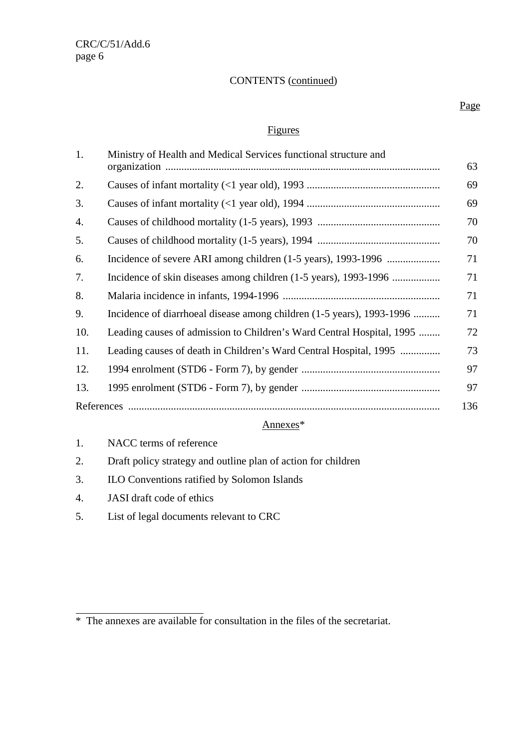## CONTENTS (continued)

## Figures

| 1.  | Ministry of Health and Medical Services functional structure and      | 63  |
|-----|-----------------------------------------------------------------------|-----|
| 2.  |                                                                       | 69  |
| 3.  |                                                                       | 69  |
| 4.  |                                                                       | 70  |
| 5.  |                                                                       | 70  |
| 6.  |                                                                       | 71  |
| 7.  |                                                                       | 71  |
| 8.  |                                                                       | 71  |
| 9.  | Incidence of diarrhoeal disease among children (1-5 years), 1993-1996 | 71  |
| 10. | Leading causes of admission to Children's Ward Central Hospital, 1995 | 72  |
| 11. | Leading causes of death in Children's Ward Central Hospital, 1995     | 73  |
| 12. |                                                                       | 97  |
| 13. |                                                                       | 97  |
|     |                                                                       | 136 |

## Annexes\*

- 1. NACC terms of reference
- 2. Draft policy strategy and outline plan of action for children
- 3. ILO Conventions ratified by Solomon Islands
- 4. JASI draft code of ethics

 $\overline{a}$ 

5. List of legal documents relevant to CRC

#### Page **Page**

<sup>\*</sup>The annexes are available for consultation in the files of the secretariat.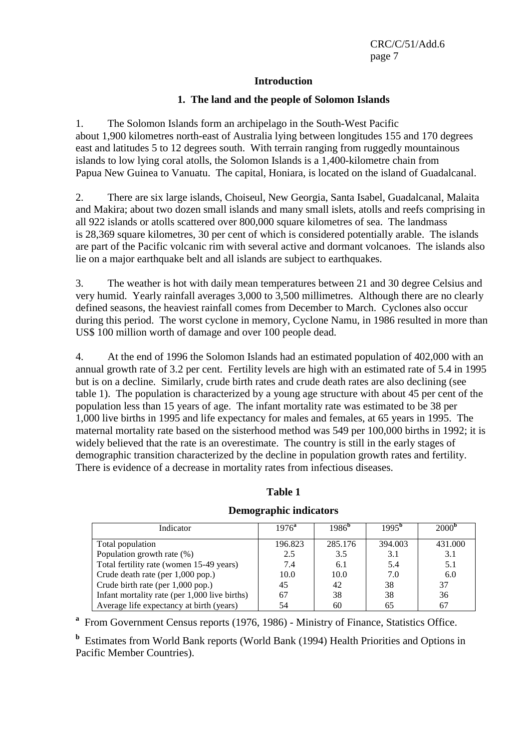#### **Introduction**

### **1. The land and the people of Solomon Islands**

1. The Solomon Islands form an archipelago in the South-West Pacific about 1,900 kilometres north-east of Australia lying between longitudes 155 and 170 degrees east and latitudes 5 to 12 degrees south. With terrain ranging from ruggedly mountainous islands to low lying coral atolls, the Solomon Islands is a 1,400-kilometre chain from Papua New Guinea to Vanuatu. The capital, Honiara, is located on the island of Guadalcanal.

2. There are six large islands, Choiseul, New Georgia, Santa Isabel, Guadalcanal, Malaita and Makira; about two dozen small islands and many small islets, atolls and reefs comprising in all 922 islands or atolls scattered over 800,000 square kilometres of sea. The landmass is 28,369 square kilometres, 30 per cent of which is considered potentially arable. The islands are part of the Pacific volcanic rim with several active and dormant volcanoes. The islands also lie on a major earthquake belt and all islands are subject to earthquakes.

3. The weather is hot with daily mean temperatures between 21 and 30 degree Celsius and very humid. Yearly rainfall averages 3,000 to 3,500 millimetres. Although there are no clearly defined seasons, the heaviest rainfall comes from December to March. Cyclones also occur during this period. The worst cyclone in memory, Cyclone Namu, in 1986 resulted in more than US\$ 100 million worth of damage and over 100 people dead.

4. At the end of 1996 the Solomon Islands had an estimated population of 402,000 with an annual growth rate of 3.2 per cent. Fertility levels are high with an estimated rate of 5.4 in 1995 but is on a decline. Similarly, crude birth rates and crude death rates are also declining (see table 1). The population is characterized by a young age structure with about 45 per cent of the population less than 15 years of age. The infant mortality rate was estimated to be 38 per 1,000 live births in 1995 and life expectancy for males and females, at 65 years in 1995. The maternal mortality rate based on the sisterhood method was 549 per 100,000 births in 1992; it is widely believed that the rate is an overestimate. The country is still in the early stages of demographic transition characterized by the decline in population growth rates and fertility. There is evidence of a decrease in mortality rates from infectious diseases.

| Indicator                                     | $1976^a$ | $1986^{6}$ | $1995^{\rm b}$ | $2000^{\circ}$ |
|-----------------------------------------------|----------|------------|----------------|----------------|
| Total population                              | 196.823  | 285.176    | 394.003        | 431.000        |
| Population growth rate (%)                    | 2.5      | 3.5        | 3.1            | 3.1            |
| Total fertility rate (women 15-49 years)      | 7.4      | 6.1        | 5.4            | 5.1            |
| Crude death rate (per 1,000 pop.)             | 10.0     | 10.0       | 7.0            | 6.0            |
| Crude birth rate (per 1,000 pop.)             | 45       | 42         | 38             | 37             |
| Infant mortality rate (per 1,000 live births) | 67       | 38         | 38             | 36             |
| Average life expectancy at birth (years)      | 54       | 60         | 65             | 67             |

## **Table 1 Demographic indicators**

<sup>a</sup> From Government Census reports (1976, 1986) - Ministry of Finance, Statistics Office.

**b** Estimates from World Bank reports (World Bank (1994) Health Priorities and Options in Pacific Member Countries).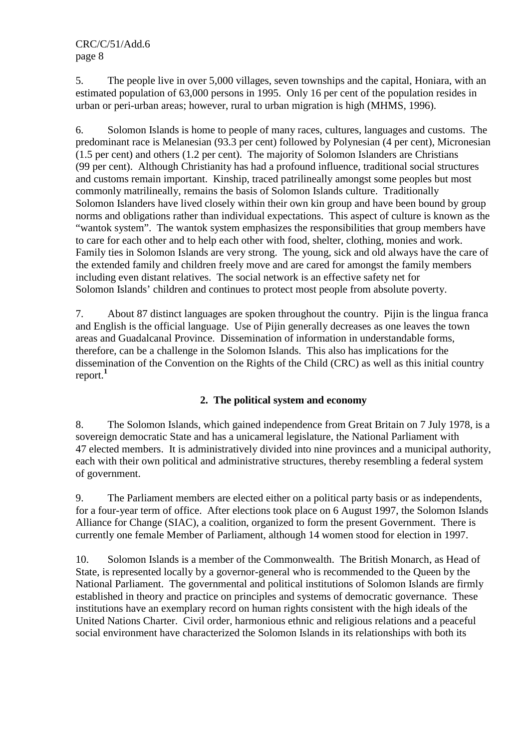5. The people live in over 5,000 villages, seven townships and the capital, Honiara, with an estimated population of 63,000 persons in 1995. Only 16 per cent of the population resides in urban or peri-urban areas; however, rural to urban migration is high (MHMS, 1996).

6. Solomon Islands is home to people of many races, cultures, languages and customs. The predominant race is Melanesian (93.3 per cent) followed by Polynesian (4 per cent), Micronesian (1.5 per cent) and others (1.2 per cent). The majority of Solomon Islanders are Christians (99 per cent). Although Christianity has had a profound influence, traditional social structures and customs remain important. Kinship, traced patrilineally amongst some peoples but most commonly matrilineally, remains the basis of Solomon Islands culture. Traditionally Solomon Islanders have lived closely within their own kin group and have been bound by group norms and obligations rather than individual expectations. This aspect of culture is known as the "wantok system". The wantok system emphasizes the responsibilities that group members have to care for each other and to help each other with food, shelter, clothing, monies and work. Family ties in Solomon Islands are very strong. The young, sick and old always have the care of the extended family and children freely move and are cared for amongst the family members including even distant relatives. The social network is an effective safety net for Solomon Islands' children and continues to protect most people from absolute poverty.

7. About 87 distinct languages are spoken throughout the country. Pijin is the lingua franca and English is the official language. Use of Pijin generally decreases as one leaves the town areas and Guadalcanal Province. Dissemination of information in understandable forms, therefore, can be a challenge in the Solomon Islands. This also has implications for the dissemination of the Convention on the Rights of the Child (CRC) as well as this initial country report.**<sup>1</sup>**

## **2. The political system and economy**

8. The Solomon Islands, which gained independence from Great Britain on 7 July 1978, is a sovereign democratic State and has a unicameral legislature, the National Parliament with 47 elected members. It is administratively divided into nine provinces and a municipal authority, each with their own political and administrative structures, thereby resembling a federal system of government.

9. The Parliament members are elected either on a political party basis or as independents, for a four-year term of office. After elections took place on 6 August 1997, the Solomon Islands Alliance for Change (SIAC), a coalition, organized to form the present Government. There is currently one female Member of Parliament, although 14 women stood for election in 1997.

10. Solomon Islands is a member of the Commonwealth. The British Monarch, as Head of State, is represented locally by a governor-general who is recommended to the Queen by the National Parliament. The governmental and political institutions of Solomon Islands are firmly established in theory and practice on principles and systems of democratic governance. These institutions have an exemplary record on human rights consistent with the high ideals of the United Nations Charter. Civil order, harmonious ethnic and religious relations and a peaceful social environment have characterized the Solomon Islands in its relationships with both its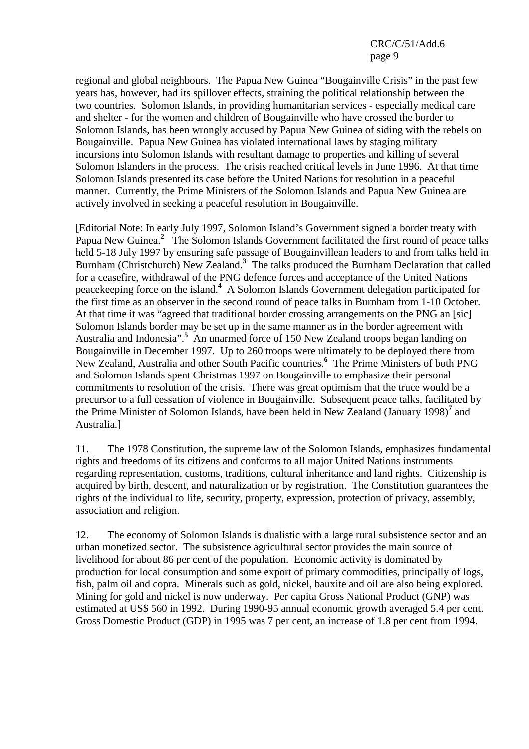regional and global neighbours. The Papua New Guinea "Bougainville Crisis" in the past few years has, however, had its spillover effects, straining the political relationship between the two countries. Solomon Islands, in providing humanitarian services - especially medical care and shelter - for the women and children of Bougainville who have crossed the border to Solomon Islands, has been wrongly accused by Papua New Guinea of siding with the rebels on Bougainville. Papua New Guinea has violated international laws by staging military incursions into Solomon Islands with resultant damage to properties and killing of several Solomon Islanders in the process. The crisis reached critical levels in June 1996. At that time Solomon Islands presented its case before the United Nations for resolution in a peaceful manner. Currently, the Prime Ministers of the Solomon Islands and Papua New Guinea are actively involved in seeking a peaceful resolution in Bougainville.

[Editorial Note: In early July 1997, Solomon Island's Government signed a border treaty with Papua New Guinea.<sup>2</sup> The Solomon Islands Government facilitated the first round of peace talks held 5-18 July 1997 by ensuring safe passage of Bougainvillean leaders to and from talks held in Burnham (Christchurch) New Zealand.**<sup>3</sup>** The talks produced the Burnham Declaration that called for a ceasefire, withdrawal of the PNG defence forces and acceptance of the United Nations peacekeeping force on the island.**<sup>4</sup>** A Solomon Islands Government delegation participated for the first time as an observer in the second round of peace talks in Burnham from 1-10 October. At that time it was "agreed that traditional border crossing arrangements on the PNG an [sic] Solomon Islands border may be set up in the same manner as in the border agreement with Australia and Indonesia".**<sup>5</sup>** An unarmed force of 150 New Zealand troops began landing on Bougainville in December 1997. Up to 260 troops were ultimately to be deployed there from New Zealand, Australia and other South Pacific countries.**<sup>6</sup>** The Prime Ministers of both PNG and Solomon Islands spent Christmas 1997 on Bougainville to emphasize their personal commitments to resolution of the crisis. There was great optimism that the truce would be a precursor to a full cessation of violence in Bougainville. Subsequent peace talks, facilitated by the Prime Minister of Solomon Islands, have been held in New Zealand (January 1998)**<sup>7</sup>** and Australia.]

11. The 1978 Constitution, the supreme law of the Solomon Islands, emphasizes fundamental rights and freedoms of its citizens and conforms to all major United Nations instruments regarding representation, customs, traditions, cultural inheritance and land rights. Citizenship is acquired by birth, descent, and naturalization or by registration. The Constitution guarantees the rights of the individual to life, security, property, expression, protection of privacy, assembly, association and religion.

12. The economy of Solomon Islands is dualistic with a large rural subsistence sector and an urban monetized sector. The subsistence agricultural sector provides the main source of livelihood for about 86 per cent of the population. Economic activity is dominated by production for local consumption and some export of primary commodities, principally of logs, fish, palm oil and copra. Minerals such as gold, nickel, bauxite and oil are also being explored. Mining for gold and nickel is now underway. Per capita Gross National Product (GNP) was estimated at US\$ 560 in 1992. During 1990-95 annual economic growth averaged 5.4 per cent. Gross Domestic Product (GDP) in 1995 was 7 per cent, an increase of 1.8 per cent from 1994.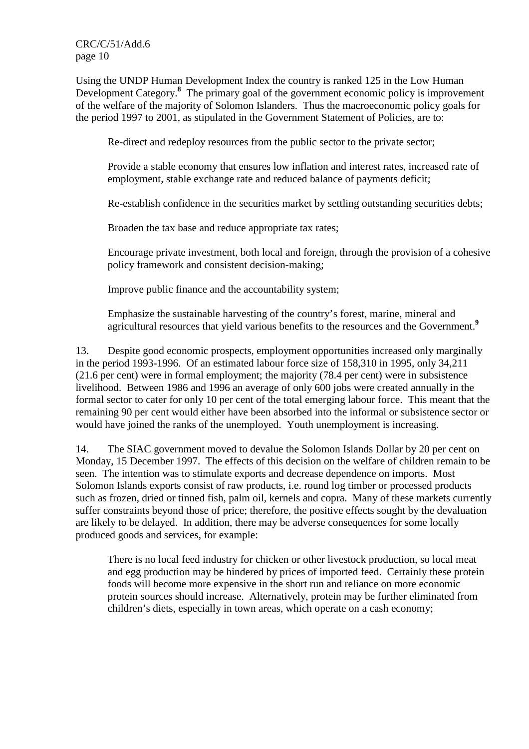Using the UNDP Human Development Index the country is ranked 125 in the Low Human Development Category.<sup>8</sup> The primary goal of the government economic policy is improvement of the welfare of the majority of Solomon Islanders. Thus the macroeconomic policy goals for the period 1997 to 2001, as stipulated in the Government Statement of Policies, are to:

Re-direct and redeploy resources from the public sector to the private sector;

Provide a stable economy that ensures low inflation and interest rates, increased rate of employment, stable exchange rate and reduced balance of payments deficit;

Re-establish confidence in the securities market by settling outstanding securities debts;

Broaden the tax base and reduce appropriate tax rates;

Encourage private investment, both local and foreign, through the provision of a cohesive policy framework and consistent decision-making;

Improve public finance and the accountability system;

Emphasize the sustainable harvesting of the country's forest, marine, mineral and agricultural resources that yield various benefits to the resources and the Government.**<sup>9</sup>**

13. Despite good economic prospects, employment opportunities increased only marginally in the period 1993-1996. Of an estimated labour force size of 158,310 in 1995, only 34,211 (21.6 per cent) were in formal employment; the majority (78.4 per cent) were in subsistence livelihood. Between 1986 and 1996 an average of only 600 jobs were created annually in the formal sector to cater for only 10 per cent of the total emerging labour force. This meant that the remaining 90 per cent would either have been absorbed into the informal or subsistence sector or would have joined the ranks of the unemployed. Youth unemployment is increasing.

14. The SIAC government moved to devalue the Solomon Islands Dollar by 20 per cent on Monday, 15 December 1997. The effects of this decision on the welfare of children remain to be seen. The intention was to stimulate exports and decrease dependence on imports. Most Solomon Islands exports consist of raw products, i.e. round log timber or processed products such as frozen, dried or tinned fish, palm oil, kernels and copra. Many of these markets currently suffer constraints beyond those of price; therefore, the positive effects sought by the devaluation are likely to be delayed. In addition, there may be adverse consequences for some locally produced goods and services, for example:

There is no local feed industry for chicken or other livestock production, so local meat and egg production may be hindered by prices of imported feed. Certainly these protein foods will become more expensive in the short run and reliance on more economic protein sources should increase. Alternatively, protein may be further eliminated from children's diets, especially in town areas, which operate on a cash economy;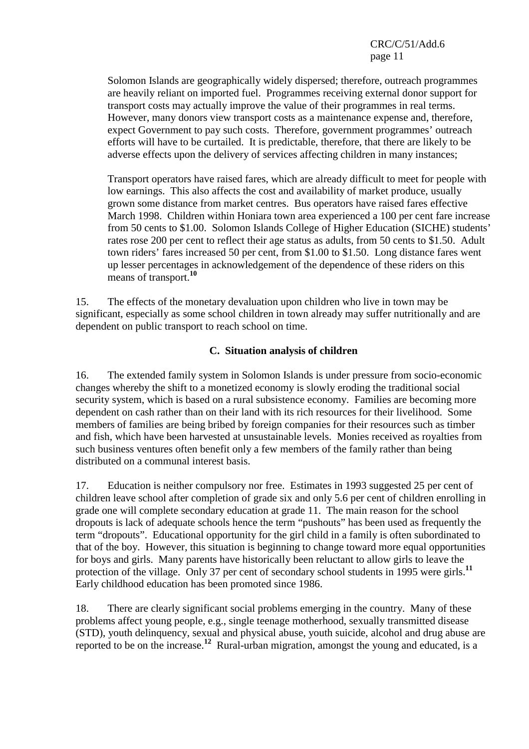Solomon Islands are geographically widely dispersed; therefore, outreach programmes are heavily reliant on imported fuel. Programmes receiving external donor support for transport costs may actually improve the value of their programmes in real terms. However, many donors view transport costs as a maintenance expense and, therefore, expect Government to pay such costs. Therefore, government programmes' outreach efforts will have to be curtailed. It is predictable, therefore, that there are likely to be adverse effects upon the delivery of services affecting children in many instances;

Transport operators have raised fares, which are already difficult to meet for people with low earnings. This also affects the cost and availability of market produce, usually grown some distance from market centres. Bus operators have raised fares effective March 1998. Children within Honiara town area experienced a 100 per cent fare increase from 50 cents to \$1.00. Solomon Islands College of Higher Education (SICHE) students' rates rose 200 per cent to reflect their age status as adults, from 50 cents to \$1.50. Adult town riders' fares increased 50 per cent, from \$1.00 to \$1.50. Long distance fares went up lesser percentages in acknowledgement of the dependence of these riders on this means of transport.**<sup>10</sup>**

15. The effects of the monetary devaluation upon children who live in town may be significant, especially as some school children in town already may suffer nutritionally and are dependent on public transport to reach school on time.

### **C. Situation analysis of children**

16. The extended family system in Solomon Islands is under pressure from socio-economic changes whereby the shift to a monetized economy is slowly eroding the traditional social security system, which is based on a rural subsistence economy. Families are becoming more dependent on cash rather than on their land with its rich resources for their livelihood. Some members of families are being bribed by foreign companies for their resources such as timber and fish, which have been harvested at unsustainable levels. Monies received as royalties from such business ventures often benefit only a few members of the family rather than being distributed on a communal interest basis.

17. Education is neither compulsory nor free. Estimates in 1993 suggested 25 per cent of children leave school after completion of grade six and only 5.6 per cent of children enrolling in grade one will complete secondary education at grade 11. The main reason for the school dropouts is lack of adequate schools hence the term "pushouts" has been used as frequently the term "dropouts". Educational opportunity for the girl child in a family is often subordinated to that of the boy. However, this situation is beginning to change toward more equal opportunities for boys and girls. Many parents have historically been reluctant to allow girls to leave the protection of the village. Only 37 per cent of secondary school students in 1995 were girls.<sup>11</sup> Early childhood education has been promoted since 1986.

18. There are clearly significant social problems emerging in the country. Many of these problems affect young people, e.g., single teenage motherhood, sexually transmitted disease (STD), youth delinquency, sexual and physical abuse, youth suicide, alcohol and drug abuse are reported to be on the increase.**<sup>12</sup>** Rural-urban migration, amongst the young and educated, is a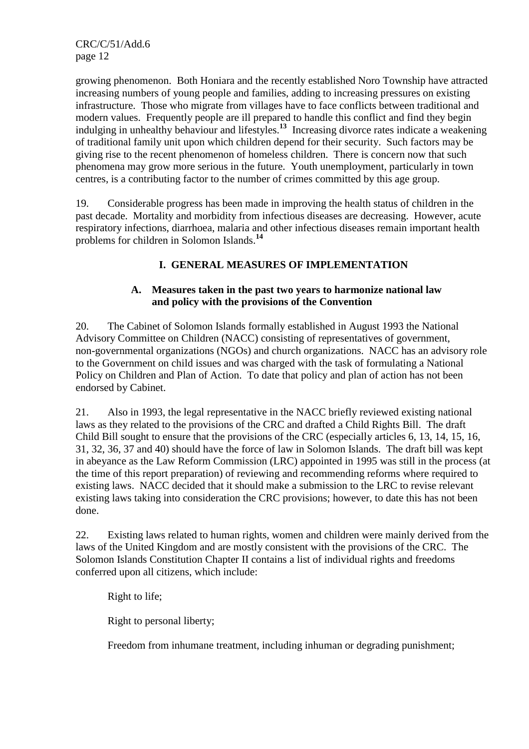growing phenomenon. Both Honiara and the recently established Noro Township have attracted increasing numbers of young people and families, adding to increasing pressures on existing infrastructure. Those who migrate from villages have to face conflicts between traditional and modern values. Frequently people are ill prepared to handle this conflict and find they begin indulging in unhealthy behaviour and lifestyles.**<sup>13</sup>** Increasing divorce rates indicate a weakening of traditional family unit upon which children depend for their security. Such factors may be giving rise to the recent phenomenon of homeless children. There is concern now that such phenomena may grow more serious in the future. Youth unemployment, particularly in town centres, is a contributing factor to the number of crimes committed by this age group.

19. Considerable progress has been made in improving the health status of children in the past decade. Mortality and morbidity from infectious diseases are decreasing. However, acute respiratory infections, diarrhoea, malaria and other infectious diseases remain important health problems for children in Solomon Islands.**<sup>14</sup>**

## **I. GENERAL MEASURES OF IMPLEMENTATION**

## **A. Measures taken in the past two years to harmonize national law and policy with the provisions of the Convention**

20. The Cabinet of Solomon Islands formally established in August 1993 the National Advisory Committee on Children (NACC) consisting of representatives of government, non-governmental organizations (NGOs) and church organizations. NACC has an advisory role to the Government on child issues and was charged with the task of formulating a National Policy on Children and Plan of Action. To date that policy and plan of action has not been endorsed by Cabinet.

21. Also in 1993, the legal representative in the NACC briefly reviewed existing national laws as they related to the provisions of the CRC and drafted a Child Rights Bill. The draft Child Bill sought to ensure that the provisions of the CRC (especially articles 6, 13, 14, 15, 16, 31, 32, 36, 37 and 40) should have the force of law in Solomon Islands. The draft bill was kept in abeyance as the Law Reform Commission (LRC) appointed in 1995 was still in the process (at the time of this report preparation) of reviewing and recommending reforms where required to existing laws. NACC decided that it should make a submission to the LRC to revise relevant existing laws taking into consideration the CRC provisions; however, to date this has not been done.

22. Existing laws related to human rights, women and children were mainly derived from the laws of the United Kingdom and are mostly consistent with the provisions of the CRC. The Solomon Islands Constitution Chapter II contains a list of individual rights and freedoms conferred upon all citizens, which include:

Right to life;

Right to personal liberty;

Freedom from inhumane treatment, including inhuman or degrading punishment;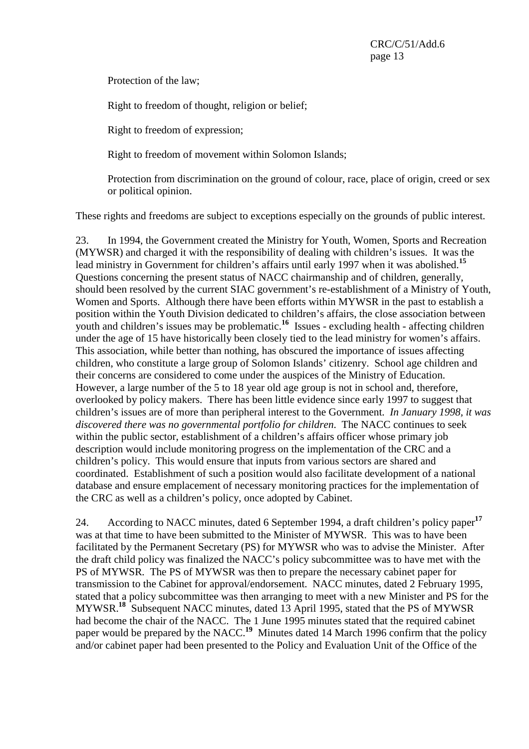Protection of the law;

Right to freedom of thought, religion or belief;

Right to freedom of expression;

Right to freedom of movement within Solomon Islands;

 Protection from discrimination on the ground of colour, race, place of origin, creed or sex or political opinion.

These rights and freedoms are subject to exceptions especially on the grounds of public interest.

23. In 1994, the Government created the Ministry for Youth, Women, Sports and Recreation (MYWSR) and charged it with the responsibility of dealing with children's issues. It was the lead ministry in Government for children's affairs until early 1997 when it was abolished.**<sup>15</sup>** Questions concerning the present status of NACC chairmanship and of children, generally, should been resolved by the current SIAC government's re-establishment of a Ministry of Youth, Women and Sports. Although there have been efforts within MYWSR in the past to establish a position within the Youth Division dedicated to children's affairs, the close association between youth and children's issues may be problematic.**<sup>16</sup>** Issues - excluding health - affecting children under the age of 15 have historically been closely tied to the lead ministry for women's affairs. This association, while better than nothing, has obscured the importance of issues affecting children, who constitute a large group of Solomon Islands' citizenry. School age children and their concerns are considered to come under the auspices of the Ministry of Education. However, a large number of the 5 to 18 year old age group is not in school and, therefore, overlooked by policy makers. There has been little evidence since early 1997 to suggest that children's issues are of more than peripheral interest to the Government. *In January 1998, it was discovered there was no governmental portfolio for children*. The NACC continues to seek within the public sector, establishment of a children's affairs officer whose primary job description would include monitoring progress on the implementation of the CRC and a children's policy. This would ensure that inputs from various sectors are shared and coordinated. Establishment of such a position would also facilitate development of a national database and ensure emplacement of necessary monitoring practices for the implementation of the CRC as well as a children's policy, once adopted by Cabinet.

24. According to NACC minutes, dated 6 September 1994, a draft children's policy paper**<sup>17</sup>** was at that time to have been submitted to the Minister of MYWSR. This was to have been facilitated by the Permanent Secretary (PS) for MYWSR who was to advise the Minister. After the draft child policy was finalized the NACC's policy subcommittee was to have met with the PS of MYWSR. The PS of MYWSR was then to prepare the necessary cabinet paper for transmission to the Cabinet for approval/endorsement. NACC minutes, dated 2 February 1995, stated that a policy subcommittee was then arranging to meet with a new Minister and PS for the MYWSR.**<sup>18</sup>** Subsequent NACC minutes, dated 13 April 1995, stated that the PS of MYWSR had become the chair of the NACC. The 1 June 1995 minutes stated that the required cabinet paper would be prepared by the NACC.<sup>19</sup> Minutes dated 14 March 1996 confirm that the policy and/or cabinet paper had been presented to the Policy and Evaluation Unit of the Office of the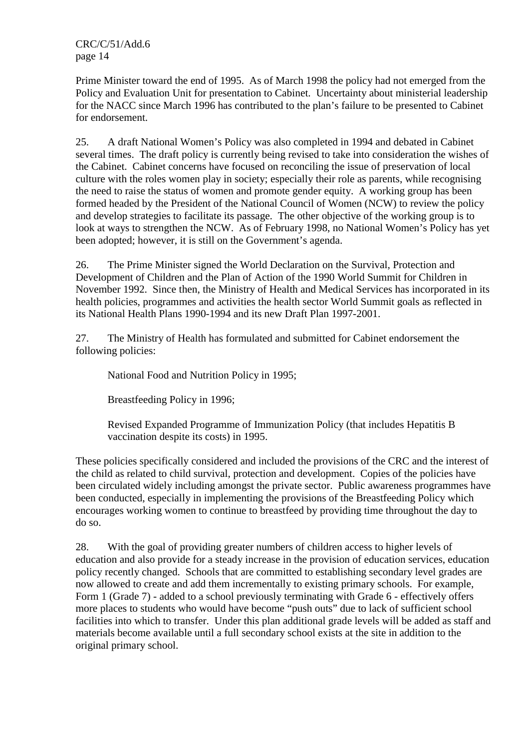Prime Minister toward the end of 1995. As of March 1998 the policy had not emerged from the Policy and Evaluation Unit for presentation to Cabinet. Uncertainty about ministerial leadership for the NACC since March 1996 has contributed to the plan's failure to be presented to Cabinet for endorsement.

25. A draft National Women's Policy was also completed in 1994 and debated in Cabinet several times. The draft policy is currently being revised to take into consideration the wishes of the Cabinet. Cabinet concerns have focused on reconciling the issue of preservation of local culture with the roles women play in society; especially their role as parents, while recognising the need to raise the status of women and promote gender equity. A working group has been formed headed by the President of the National Council of Women (NCW) to review the policy and develop strategies to facilitate its passage. The other objective of the working group is to look at ways to strengthen the NCW. As of February 1998, no National Women's Policy has yet been adopted; however, it is still on the Government's agenda.

26. The Prime Minister signed the World Declaration on the Survival, Protection and Development of Children and the Plan of Action of the 1990 World Summit for Children in November 1992. Since then, the Ministry of Health and Medical Services has incorporated in its health policies, programmes and activities the health sector World Summit goals as reflected in its National Health Plans 1990-1994 and its new Draft Plan 1997-2001.

27. The Ministry of Health has formulated and submitted for Cabinet endorsement the following policies:

National Food and Nutrition Policy in 1995;

Breastfeeding Policy in 1996;

 Revised Expanded Programme of Immunization Policy (that includes Hepatitis B vaccination despite its costs) in 1995.

These policies specifically considered and included the provisions of the CRC and the interest of the child as related to child survival, protection and development. Copies of the policies have been circulated widely including amongst the private sector. Public awareness programmes have been conducted, especially in implementing the provisions of the Breastfeeding Policy which encourages working women to continue to breastfeed by providing time throughout the day to do so.

28. With the goal of providing greater numbers of children access to higher levels of education and also provide for a steady increase in the provision of education services, education policy recently changed. Schools that are committed to establishing secondary level grades are now allowed to create and add them incrementally to existing primary schools. For example, Form 1 (Grade 7) - added to a school previously terminating with Grade 6 - effectively offers more places to students who would have become "push outs" due to lack of sufficient school facilities into which to transfer. Under this plan additional grade levels will be added as staff and materials become available until a full secondary school exists at the site in addition to the original primary school.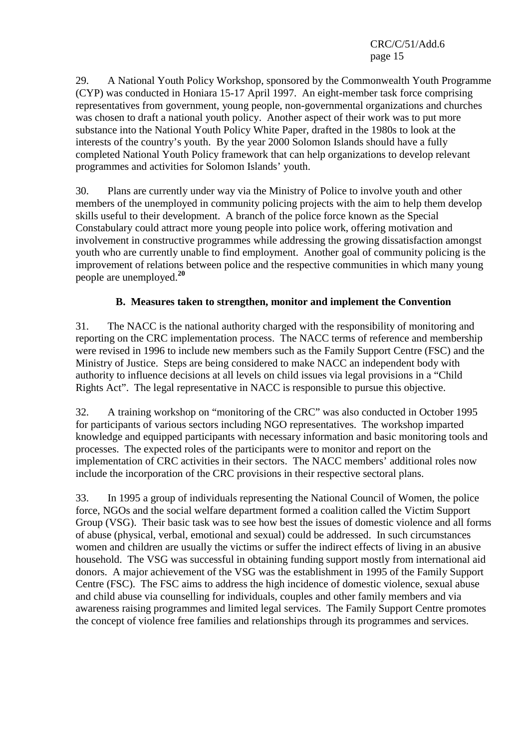29. A National Youth Policy Workshop, sponsored by the Commonwealth Youth Programme (CYP) was conducted in Honiara 15-17 April 1997. An eight-member task force comprising representatives from government, young people, non-governmental organizations and churches was chosen to draft a national youth policy. Another aspect of their work was to put more substance into the National Youth Policy White Paper, drafted in the 1980s to look at the interests of the country's youth. By the year 2000 Solomon Islands should have a fully completed National Youth Policy framework that can help organizations to develop relevant programmes and activities for Solomon Islands' youth.

30. Plans are currently under way via the Ministry of Police to involve youth and other members of the unemployed in community policing projects with the aim to help them develop skills useful to their development. A branch of the police force known as the Special Constabulary could attract more young people into police work, offering motivation and involvement in constructive programmes while addressing the growing dissatisfaction amongst youth who are currently unable to find employment. Another goal of community policing is the improvement of relations between police and the respective communities in which many young people are unemployed.**<sup>20</sup>**

## **B. Measures taken to strengthen, monitor and implement the Convention**

31. The NACC is the national authority charged with the responsibility of monitoring and reporting on the CRC implementation process. The NACC terms of reference and membership were revised in 1996 to include new members such as the Family Support Centre (FSC) and the Ministry of Justice. Steps are being considered to make NACC an independent body with authority to influence decisions at all levels on child issues via legal provisions in a "Child Rights Act". The legal representative in NACC is responsible to pursue this objective.

32. A training workshop on "monitoring of the CRC" was also conducted in October 1995 for participants of various sectors including NGO representatives. The workshop imparted knowledge and equipped participants with necessary information and basic monitoring tools and processes. The expected roles of the participants were to monitor and report on the implementation of CRC activities in their sectors. The NACC members' additional roles now include the incorporation of the CRC provisions in their respective sectoral plans.

33. In 1995 a group of individuals representing the National Council of Women, the police force, NGOs and the social welfare department formed a coalition called the Victim Support Group (VSG). Their basic task was to see how best the issues of domestic violence and all forms of abuse (physical, verbal, emotional and sexual) could be addressed. In such circumstances women and children are usually the victims or suffer the indirect effects of living in an abusive household. The VSG was successful in obtaining funding support mostly from international aid donors. A major achievement of the VSG was the establishment in 1995 of the Family Support Centre (FSC). The FSC aims to address the high incidence of domestic violence, sexual abuse and child abuse via counselling for individuals, couples and other family members and via awareness raising programmes and limited legal services. The Family Support Centre promotes the concept of violence free families and relationships through its programmes and services.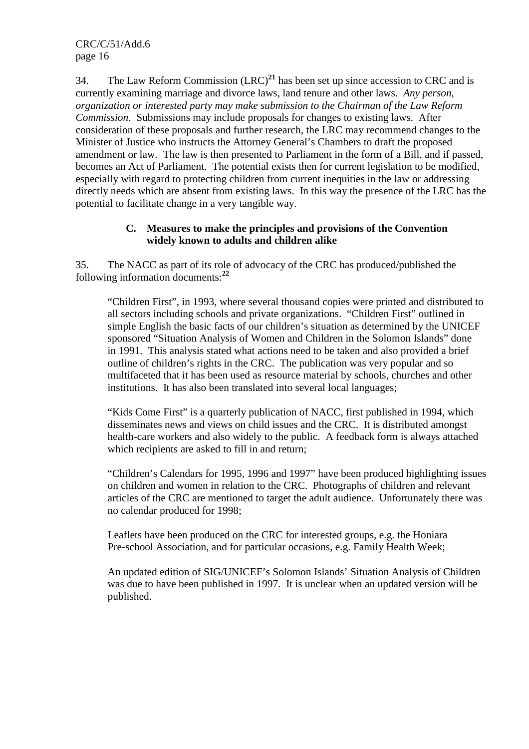34. The Law Reform Commission (LRC)**<sup>21</sup>** has been set up since accession to CRC and is currently examining marriage and divorce laws, land tenure and other laws. *Any person, organization or interested party may make submission to the Chairman of the Law Reform Commission*. Submissions may include proposals for changes to existing laws. After consideration of these proposals and further research, the LRC may recommend changes to the Minister of Justice who instructs the Attorney General's Chambers to draft the proposed amendment or law. The law is then presented to Parliament in the form of a Bill, and if passed, becomes an Act of Parliament. The potential exists then for current legislation to be modified, especially with regard to protecting children from current inequities in the law or addressing directly needs which are absent from existing laws. In this way the presence of the LRC has the potential to facilitate change in a very tangible way.

### **C. Measures to make the principles and provisions of the Convention widely known to adults and children alike**

35. The NACC as part of its role of advocacy of the CRC has produced/published the following information documents:**<sup>22</sup>**

 "Children First", in 1993, where several thousand copies were printed and distributed to all sectors including schools and private organizations. "Children First" outlined in simple English the basic facts of our children's situation as determined by the UNICEF sponsored "Situation Analysis of Women and Children in the Solomon Islands" done in 1991. This analysis stated what actions need to be taken and also provided a brief outline of children's rights in the CRC. The publication was very popular and so multifaceted that it has been used as resource material by schools, churches and other institutions. It has also been translated into several local languages;

 "Kids Come First" is a quarterly publication of NACC, first published in 1994, which disseminates news and views on child issues and the CRC. It is distributed amongst health-care workers and also widely to the public. A feedback form is always attached which recipients are asked to fill in and return;

 "Children's Calendars for 1995, 1996 and 1997" have been produced highlighting issues on children and women in relation to the CRC. Photographs of children and relevant articles of the CRC are mentioned to target the adult audience. Unfortunately there was no calendar produced for 1998;

 Leaflets have been produced on the CRC for interested groups, e.g. the Honiara Pre-school Association, and for particular occasions, e.g. Family Health Week;

 An updated edition of SIG/UNICEF's Solomon Islands' Situation Analysis of Children was due to have been published in 1997. It is unclear when an updated version will be published.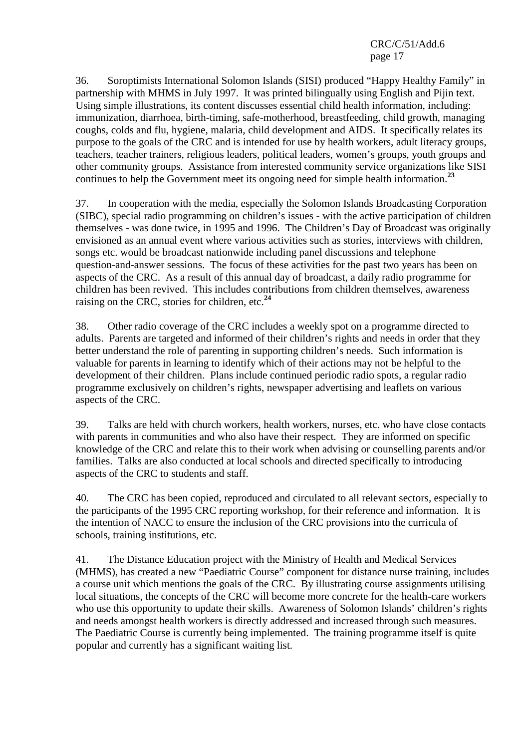36. Soroptimists International Solomon Islands (SISI) produced "Happy Healthy Family" in partnership with MHMS in July 1997. It was printed bilingually using English and Pijin text. Using simple illustrations, its content discusses essential child health information, including: immunization, diarrhoea, birth-timing, safe-motherhood, breastfeeding, child growth, managing coughs, colds and flu, hygiene, malaria, child development and AIDS. It specifically relates its purpose to the goals of the CRC and is intended for use by health workers, adult literacy groups, teachers, teacher trainers, religious leaders, political leaders, women's groups, youth groups and other community groups. Assistance from interested community service organizations like SISI continues to help the Government meet its ongoing need for simple health information.**<sup>23</sup>**

37. In cooperation with the media, especially the Solomon Islands Broadcasting Corporation (SIBC), special radio programming on children's issues - with the active participation of children themselves - was done twice, in 1995 and 1996. The Children's Day of Broadcast was originally envisioned as an annual event where various activities such as stories, interviews with children, songs etc. would be broadcast nationwide including panel discussions and telephone question-and-answer sessions. The focus of these activities for the past two years has been on aspects of the CRC. As a result of this annual day of broadcast, a daily radio programme for children has been revived. This includes contributions from children themselves, awareness raising on the CRC, stories for children, etc.**<sup>24</sup>**

38. Other radio coverage of the CRC includes a weekly spot on a programme directed to adults. Parents are targeted and informed of their children's rights and needs in order that they better understand the role of parenting in supporting children's needs. Such information is valuable for parents in learning to identify which of their actions may not be helpful to the development of their children. Plans include continued periodic radio spots, a regular radio programme exclusively on children's rights, newspaper advertising and leaflets on various aspects of the CRC.

39. Talks are held with church workers, health workers, nurses, etc. who have close contacts with parents in communities and who also have their respect. They are informed on specific knowledge of the CRC and relate this to their work when advising or counselling parents and/or families. Talks are also conducted at local schools and directed specifically to introducing aspects of the CRC to students and staff.

40. The CRC has been copied, reproduced and circulated to all relevant sectors, especially to the participants of the 1995 CRC reporting workshop, for their reference and information. It is the intention of NACC to ensure the inclusion of the CRC provisions into the curricula of schools, training institutions, etc.

41. The Distance Education project with the Ministry of Health and Medical Services (MHMS), has created a new "Paediatric Course" component for distance nurse training, includes a course unit which mentions the goals of the CRC. By illustrating course assignments utilising local situations, the concepts of the CRC will become more concrete for the health-care workers who use this opportunity to update their skills. Awareness of Solomon Islands' children's rights and needs amongst health workers is directly addressed and increased through such measures. The Paediatric Course is currently being implemented. The training programme itself is quite popular and currently has a significant waiting list.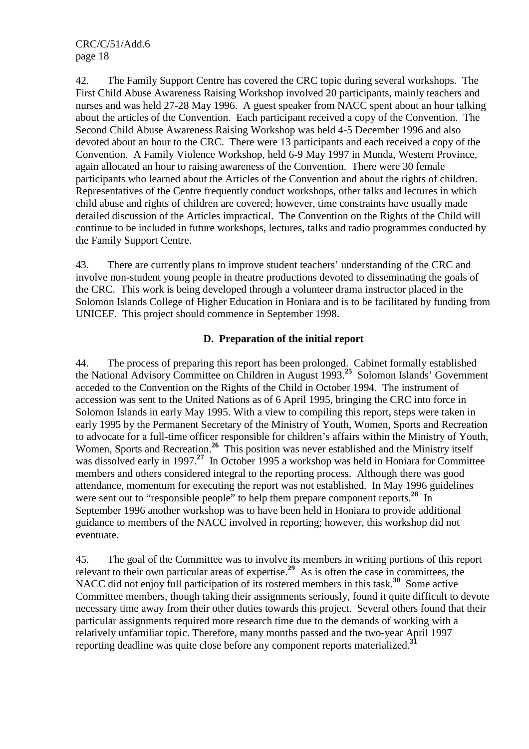42. The Family Support Centre has covered the CRC topic during several workshops. The First Child Abuse Awareness Raising Workshop involved 20 participants, mainly teachers and nurses and was held 27-28 May 1996. A guest speaker from NACC spent about an hour talking about the articles of the Convention. Each participant received a copy of the Convention. The Second Child Abuse Awareness Raising Workshop was held 4-5 December 1996 and also devoted about an hour to the CRC. There were 13 participants and each received a copy of the Convention. A Family Violence Workshop, held 6-9 May 1997 in Munda, Western Province, again allocated an hour to raising awareness of the Convention. There were 30 female participants who learned about the Articles of the Convention and about the rights of children. Representatives of the Centre frequently conduct workshops, other talks and lectures in which child abuse and rights of children are covered; however, time constraints have usually made detailed discussion of the Articles impractical. The Convention on the Rights of the Child will continue to be included in future workshops, lectures, talks and radio programmes conducted by the Family Support Centre.

43. There are currently plans to improve student teachers' understanding of the CRC and involve non-student young people in theatre productions devoted to disseminating the goals of the CRC. This work is being developed through a volunteer drama instructor placed in the Solomon Islands College of Higher Education in Honiara and is to be facilitated by funding from UNICEF. This project should commence in September 1998.

## **D. Preparation of the initial report**

44. The process of preparing this report has been prolonged. Cabinet formally established the National Advisory Committee on Children in August 1993.**<sup>25</sup>** Solomon Islands' Government acceded to the Convention on the Rights of the Child in October 1994. The instrument of accession was sent to the United Nations as of 6 April 1995, bringing the CRC into force in Solomon Islands in early May 1995. With a view to compiling this report, steps were taken in early 1995 by the Permanent Secretary of the Ministry of Youth, Women, Sports and Recreation to advocate for a full-time officer responsible for children's affairs within the Ministry of Youth, Women, Sports and Recreation.**<sup>26</sup>** This position was never established and the Ministry itself was dissolved early in 1997.<sup>27</sup> In October 1995 a workshop was held in Honiara for Committee members and others considered integral to the reporting process. Although there was good attendance, momentum for executing the report was not established. In May 1996 guidelines were sent out to "responsible people" to help them prepare component reports.<sup>28</sup> In September 1996 another workshop was to have been held in Honiara to provide additional guidance to members of the NACC involved in reporting; however, this workshop did not eventuate.

45. The goal of the Committee was to involve its members in writing portions of this report relevant to their own particular areas of expertise.**<sup>29</sup>** As is often the case in committees, the NACC did not enjoy full participation of its rostered members in this task.**<sup>30</sup>** Some active Committee members, though taking their assignments seriously, found it quite difficult to devote necessary time away from their other duties towards this project. Several others found that their particular assignments required more research time due to the demands of working with a relatively unfamiliar topic. Therefore, many months passed and the two-year April 1997 reporting deadline was quite close before any component reports materialized.**<sup>31</sup>**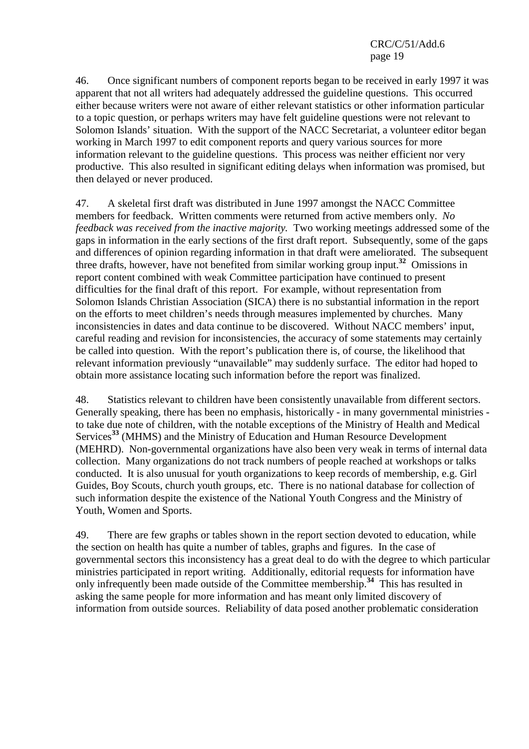46. Once significant numbers of component reports began to be received in early 1997 it was apparent that not all writers had adequately addressed the guideline questions. This occurred either because writers were not aware of either relevant statistics or other information particular to a topic question, or perhaps writers may have felt guideline questions were not relevant to Solomon Islands' situation. With the support of the NACC Secretariat, a volunteer editor began working in March 1997 to edit component reports and query various sources for more information relevant to the guideline questions. This process was neither efficient nor very productive. This also resulted in significant editing delays when information was promised, but then delayed or never produced.

47. A skeletal first draft was distributed in June 1997 amongst the NACC Committee members for feedback. Written comments were returned from active members only. *No feedback was received from the inactive majority.* Two working meetings addressed some of the gaps in information in the early sections of the first draft report. Subsequently, some of the gaps and differences of opinion regarding information in that draft were ameliorated. The subsequent three drafts, however, have not benefited from similar working group input.**<sup>32</sup>** Omissions in report content combined with weak Committee participation have continued to present difficulties for the final draft of this report. For example, without representation from Solomon Islands Christian Association (SICA) there is no substantial information in the report on the efforts to meet children's needs through measures implemented by churches. Many inconsistencies in dates and data continue to be discovered. Without NACC members' input, careful reading and revision for inconsistencies, the accuracy of some statements may certainly be called into question. With the report's publication there is, of course, the likelihood that relevant information previously "unavailable" may suddenly surface. The editor had hoped to obtain more assistance locating such information before the report was finalized.

48. Statistics relevant to children have been consistently unavailable from different sectors. Generally speaking, there has been no emphasis, historically - in many governmental ministries to take due note of children, with the notable exceptions of the Ministry of Health and Medical Services**<sup>33</sup>** (MHMS) and the Ministry of Education and Human Resource Development (MEHRD). Non-governmental organizations have also been very weak in terms of internal data collection. Many organizations do not track numbers of people reached at workshops or talks conducted. It is also unusual for youth organizations to keep records of membership, e.g. Girl Guides, Boy Scouts, church youth groups, etc. There is no national database for collection of such information despite the existence of the National Youth Congress and the Ministry of Youth, Women and Sports.

49. There are few graphs or tables shown in the report section devoted to education, while the section on health has quite a number of tables, graphs and figures. In the case of governmental sectors this inconsistency has a great deal to do with the degree to which particular ministries participated in report writing. Additionally, editorial requests for information have only infrequently been made outside of the Committee membership.**<sup>34</sup>** This has resulted in asking the same people for more information and has meant only limited discovery of information from outside sources. Reliability of data posed another problematic consideration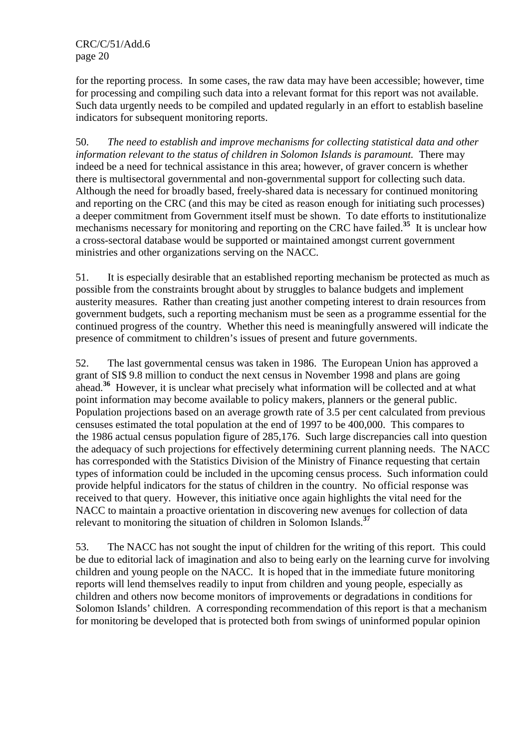for the reporting process. In some cases, the raw data may have been accessible; however, time for processing and compiling such data into a relevant format for this report was not available. Such data urgently needs to be compiled and updated regularly in an effort to establish baseline indicators for subsequent monitoring reports.

50. *The need to establish and improve mechanisms for collecting statistical data and other information relevant to the status of children in Solomon Islands is paramount.* There may indeed be a need for technical assistance in this area; however, of graver concern is whether there is multisectoral governmental and non-governmental support for collecting such data. Although the need for broadly based, freely-shared data is necessary for continued monitoring and reporting on the CRC (and this may be cited as reason enough for initiating such processes) a deeper commitment from Government itself must be shown. To date efforts to institutionalize mechanisms necessary for monitoring and reporting on the CRC have failed.**<sup>35</sup>** It is unclear how a cross-sectoral database would be supported or maintained amongst current government ministries and other organizations serving on the NACC.

51. It is especially desirable that an established reporting mechanism be protected as much as possible from the constraints brought about by struggles to balance budgets and implement austerity measures. Rather than creating just another competing interest to drain resources from government budgets, such a reporting mechanism must be seen as a programme essential for the continued progress of the country. Whether this need is meaningfully answered will indicate the presence of commitment to children's issues of present and future governments.

52. The last governmental census was taken in 1986. The European Union has approved a grant of SI\$ 9.8 million to conduct the next census in November 1998 and plans are going ahead.**<sup>36</sup>** However, it is unclear what precisely what information will be collected and at what point information may become available to policy makers, planners or the general public. Population projections based on an average growth rate of 3.5 per cent calculated from previous censuses estimated the total population at the end of 1997 to be 400,000. This compares to the 1986 actual census population figure of 285,176. Such large discrepancies call into question the adequacy of such projections for effectively determining current planning needs. The NACC has corresponded with the Statistics Division of the Ministry of Finance requesting that certain types of information could be included in the upcoming census process. Such information could provide helpful indicators for the status of children in the country. No official response was received to that query. However, this initiative once again highlights the vital need for the NACC to maintain a proactive orientation in discovering new avenues for collection of data relevant to monitoring the situation of children in Solomon Islands.**<sup>37</sup>**

53. The NACC has not sought the input of children for the writing of this report. This could be due to editorial lack of imagination and also to being early on the learning curve for involving children and young people on the NACC. It is hoped that in the immediate future monitoring reports will lend themselves readily to input from children and young people, especially as children and others now become monitors of improvements or degradations in conditions for Solomon Islands' children. A corresponding recommendation of this report is that a mechanism for monitoring be developed that is protected both from swings of uninformed popular opinion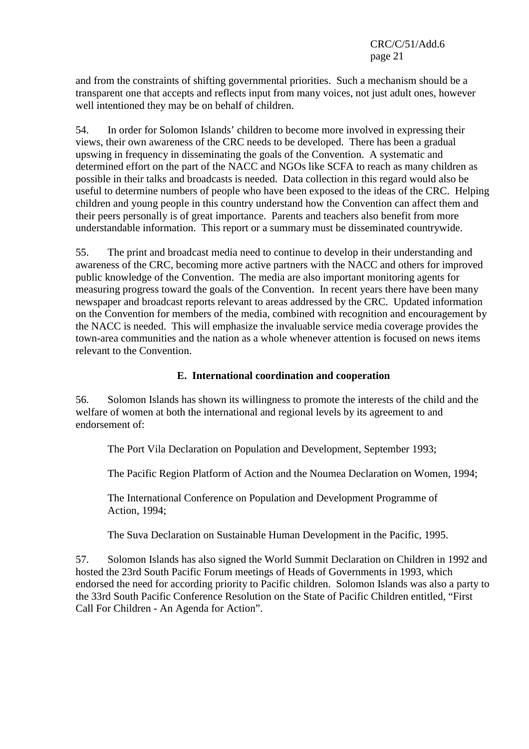and from the constraints of shifting governmental priorities. Such a mechanism should be a transparent one that accepts and reflects input from many voices, not just adult ones, however well intentioned they may be on behalf of children.

54. In order for Solomon Islands' children to become more involved in expressing their views, their own awareness of the CRC needs to be developed. There has been a gradual upswing in frequency in disseminating the goals of the Convention. A systematic and determined effort on the part of the NACC and NGOs like SCFA to reach as many children as possible in their talks and broadcasts is needed. Data collection in this regard would also be useful to determine numbers of people who have been exposed to the ideas of the CRC. Helping children and young people in this country understand how the Convention can affect them and their peers personally is of great importance. Parents and teachers also benefit from more understandable information. This report or a summary must be disseminated countrywide.

55. The print and broadcast media need to continue to develop in their understanding and awareness of the CRC, becoming more active partners with the NACC and others for improved public knowledge of the Convention. The media are also important monitoring agents for measuring progress toward the goals of the Convention. In recent years there have been many newspaper and broadcast reports relevant to areas addressed by the CRC. Updated information on the Convention for members of the media, combined with recognition and encouragement by the NACC is needed. This will emphasize the invaluable service media coverage provides the town-area communities and the nation as a whole whenever attention is focused on news items relevant to the Convention.

### **E. International coordination and cooperation**

56. Solomon Islands has shown its willingness to promote the interests of the child and the welfare of women at both the international and regional levels by its agreement to and endorsement of:

The Port Vila Declaration on Population and Development, September 1993;

The Pacific Region Platform of Action and the Noumea Declaration on Women, 1994;

The International Conference on Population and Development Programme of Action, 1994;

The Suva Declaration on Sustainable Human Development in the Pacific, 1995.

57. Solomon Islands has also signed the World Summit Declaration on Children in 1992 and hosted the 23rd South Pacific Forum meetings of Heads of Governments in 1993, which endorsed the need for according priority to Pacific children. Solomon Islands was also a party to the 33rd South Pacific Conference Resolution on the State of Pacific Children entitled, "First Call For Children - An Agenda for Action".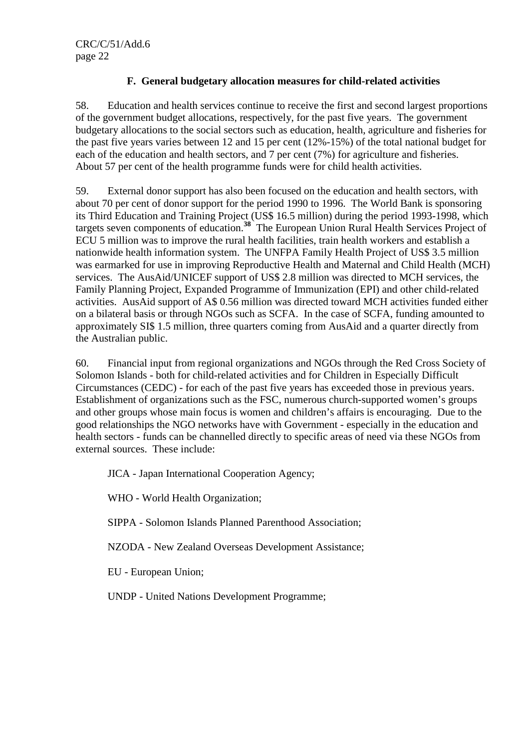## **F. General budgetary allocation measures for child-related activities**

58. Education and health services continue to receive the first and second largest proportions of the government budget allocations, respectively, for the past five years. The government budgetary allocations to the social sectors such as education, health, agriculture and fisheries for the past five years varies between 12 and 15 per cent (12%-15%) of the total national budget for each of the education and health sectors, and 7 per cent (7%) for agriculture and fisheries. About 57 per cent of the health programme funds were for child health activities.

59. External donor support has also been focused on the education and health sectors, with about 70 per cent of donor support for the period 1990 to 1996. The World Bank is sponsoring its Third Education and Training Project (US\$ 16.5 million) during the period 1993-1998, which targets seven components of education.**<sup>38</sup>** The European Union Rural Health Services Project of ECU 5 million was to improve the rural health facilities, train health workers and establish a nationwide health information system. The UNFPA Family Health Project of US\$ 3.5 million was earmarked for use in improving Reproductive Health and Maternal and Child Health (MCH) services. The AusAid/UNICEF support of US\$ 2.8 million was directed to MCH services, the Family Planning Project, Expanded Programme of Immunization (EPI) and other child-related activities. AusAid support of A\$ 0.56 million was directed toward MCH activities funded either on a bilateral basis or through NGOs such as SCFA. In the case of SCFA, funding amounted to approximately SI\$ 1.5 million, three quarters coming from AusAid and a quarter directly from the Australian public.

60. Financial input from regional organizations and NGOs through the Red Cross Society of Solomon Islands - both for child-related activities and for Children in Especially Difficult Circumstances (CEDC) - for each of the past five years has exceeded those in previous years. Establishment of organizations such as the FSC, numerous church-supported women's groups and other groups whose main focus is women and children's affairs is encouraging. Due to the good relationships the NGO networks have with Government - especially in the education and health sectors - funds can be channelled directly to specific areas of need via these NGOs from external sources. These include:

JICA - Japan International Cooperation Agency;

WHO - World Health Organization;

SIPPA - Solomon Islands Planned Parenthood Association;

NZODA - New Zealand Overseas Development Assistance;

EU - European Union;

UNDP - United Nations Development Programme;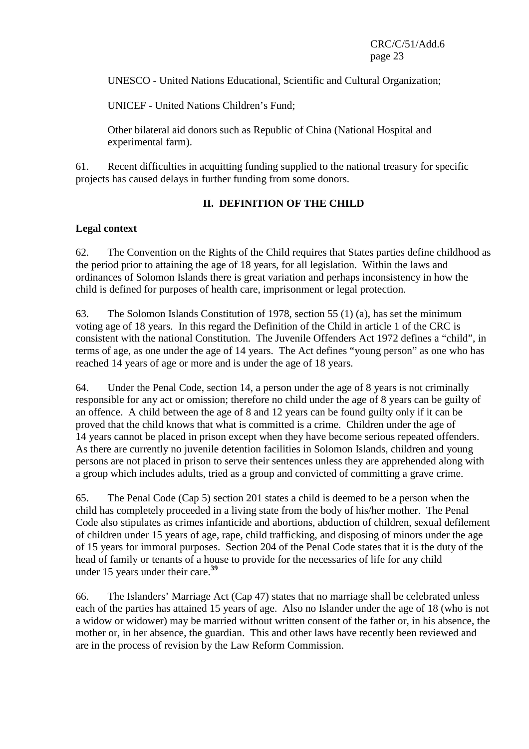UNESCO - United Nations Educational, Scientific and Cultural Organization;

UNICEF - United Nations Children's Fund;

Other bilateral aid donors such as Republic of China (National Hospital and experimental farm).

61. Recent difficulties in acquitting funding supplied to the national treasury for specific projects has caused delays in further funding from some donors.

## **II. DEFINITION OF THE CHILD**

## **Legal context**

62. The Convention on the Rights of the Child requires that States parties define childhood as the period prior to attaining the age of 18 years, for all legislation. Within the laws and ordinances of Solomon Islands there is great variation and perhaps inconsistency in how the child is defined for purposes of health care, imprisonment or legal protection.

63. The Solomon Islands Constitution of 1978, section 55 (1) (a), has set the minimum voting age of 18 years. In this regard the Definition of the Child in article 1 of the CRC is consistent with the national Constitution. The Juvenile Offenders Act 1972 defines a "child", in terms of age, as one under the age of 14 years. The Act defines "young person" as one who has reached 14 years of age or more and is under the age of 18 years.

64. Under the Penal Code, section 14, a person under the age of 8 years is not criminally responsible for any act or omission; therefore no child under the age of 8 years can be guilty of an offence. A child between the age of 8 and 12 years can be found guilty only if it can be proved that the child knows that what is committed is a crime. Children under the age of 14 years cannot be placed in prison except when they have become serious repeated offenders. As there are currently no juvenile detention facilities in Solomon Islands, children and young persons are not placed in prison to serve their sentences unless they are apprehended along with a group which includes adults, tried as a group and convicted of committing a grave crime.

65. The Penal Code (Cap 5) section 201 states a child is deemed to be a person when the child has completely proceeded in a living state from the body of his/her mother. The Penal Code also stipulates as crimes infanticide and abortions, abduction of children, sexual defilement of children under 15 years of age, rape, child trafficking, and disposing of minors under the age of 15 years for immoral purposes. Section 204 of the Penal Code states that it is the duty of the head of family or tenants of a house to provide for the necessaries of life for any child under 15 years under their care.**<sup>39</sup>**

66. The Islanders' Marriage Act (Cap 47) states that no marriage shall be celebrated unless each of the parties has attained 15 years of age. Also no Islander under the age of 18 (who is not a widow or widower) may be married without written consent of the father or, in his absence, the mother or, in her absence, the guardian. This and other laws have recently been reviewed and are in the process of revision by the Law Reform Commission.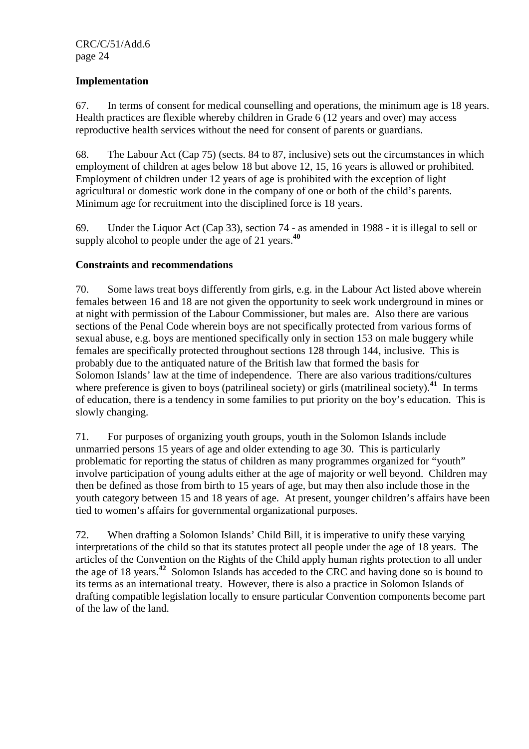## **Implementation**

67. In terms of consent for medical counselling and operations, the minimum age is 18 years. Health practices are flexible whereby children in Grade 6 (12 years and over) may access reproductive health services without the need for consent of parents or guardians.

68. The Labour Act (Cap 75) (sects. 84 to 87, inclusive) sets out the circumstances in which employment of children at ages below 18 but above 12, 15, 16 years is allowed or prohibited. Employment of children under 12 years of age is prohibited with the exception of light agricultural or domestic work done in the company of one or both of the child's parents. Minimum age for recruitment into the disciplined force is 18 years.

69. Under the Liquor Act (Cap 33), section 74 - as amended in 1988 - it is illegal to sell or supply alcohol to people under the age of 21 years.**<sup>40</sup>**

### **Constraints and recommendations**

70. Some laws treat boys differently from girls, e.g. in the Labour Act listed above wherein females between 16 and 18 are not given the opportunity to seek work underground in mines or at night with permission of the Labour Commissioner, but males are. Also there are various sections of the Penal Code wherein boys are not specifically protected from various forms of sexual abuse, e.g. boys are mentioned specifically only in section 153 on male buggery while females are specifically protected throughout sections 128 through 144, inclusive. This is probably due to the antiquated nature of the British law that formed the basis for Solomon Islands' law at the time of independence. There are also various traditions/cultures where preference is given to boys (patrilineal society) or girls (matrilineal society).<sup>41</sup> In terms of education, there is a tendency in some families to put priority on the boy's education. This is slowly changing.

71. For purposes of organizing youth groups, youth in the Solomon Islands include unmarried persons 15 years of age and older extending to age 30. This is particularly problematic for reporting the status of children as many programmes organized for "youth" involve participation of young adults either at the age of majority or well beyond. Children may then be defined as those from birth to 15 years of age, but may then also include those in the youth category between 15 and 18 years of age. At present, younger children's affairs have been tied to women's affairs for governmental organizational purposes.

72. When drafting a Solomon Islands' Child Bill, it is imperative to unify these varying interpretations of the child so that its statutes protect all people under the age of 18 years. The articles of the Convention on the Rights of the Child apply human rights protection to all under the age of 18 years.**<sup>42</sup>** Solomon Islands has acceded to the CRC and having done so is bound to its terms as an international treaty. However, there is also a practice in Solomon Islands of drafting compatible legislation locally to ensure particular Convention components become part of the law of the land.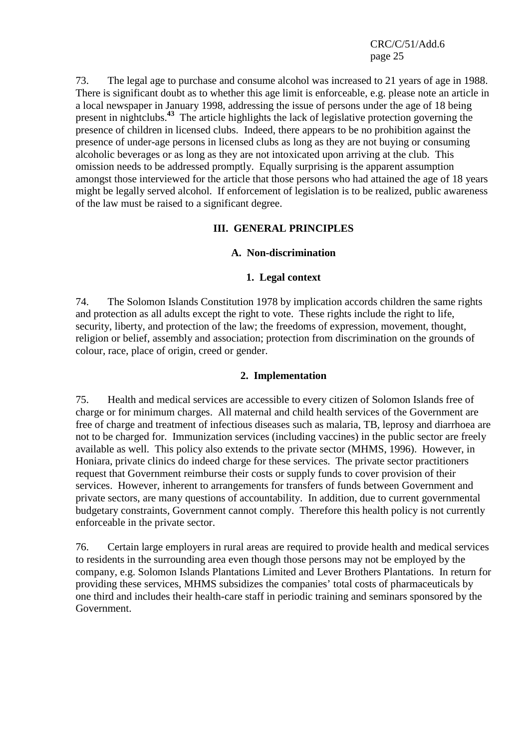73. The legal age to purchase and consume alcohol was increased to 21 years of age in 1988. There is significant doubt as to whether this age limit is enforceable, e.g. please note an article in a local newspaper in January 1998, addressing the issue of persons under the age of 18 being present in nightclubs.**<sup>43</sup>** The article highlights the lack of legislative protection governing the presence of children in licensed clubs. Indeed, there appears to be no prohibition against the presence of under-age persons in licensed clubs as long as they are not buying or consuming alcoholic beverages or as long as they are not intoxicated upon arriving at the club. This omission needs to be addressed promptly. Equally surprising is the apparent assumption amongst those interviewed for the article that those persons who had attained the age of 18 years might be legally served alcohol. If enforcement of legislation is to be realized, public awareness of the law must be raised to a significant degree.

### **III. GENERAL PRINCIPLES**

### **A. Non-discrimination**

#### **1. Legal context**

74. The Solomon Islands Constitution 1978 by implication accords children the same rights and protection as all adults except the right to vote. These rights include the right to life, security, liberty, and protection of the law; the freedoms of expression, movement, thought, religion or belief, assembly and association; protection from discrimination on the grounds of colour, race, place of origin, creed or gender.

#### **2. Implementation**

75. Health and medical services are accessible to every citizen of Solomon Islands free of charge or for minimum charges. All maternal and child health services of the Government are free of charge and treatment of infectious diseases such as malaria, TB, leprosy and diarrhoea are not to be charged for. Immunization services (including vaccines) in the public sector are freely available as well. This policy also extends to the private sector (MHMS, 1996). However, in Honiara, private clinics do indeed charge for these services. The private sector practitioners request that Government reimburse their costs or supply funds to cover provision of their services. However, inherent to arrangements for transfers of funds between Government and private sectors, are many questions of accountability. In addition, due to current governmental budgetary constraints, Government cannot comply. Therefore this health policy is not currently enforceable in the private sector.

76. Certain large employers in rural areas are required to provide health and medical services to residents in the surrounding area even though those persons may not be employed by the company, e.g. Solomon Islands Plantations Limited and Lever Brothers Plantations. In return for providing these services, MHMS subsidizes the companies' total costs of pharmaceuticals by one third and includes their health-care staff in periodic training and seminars sponsored by the Government.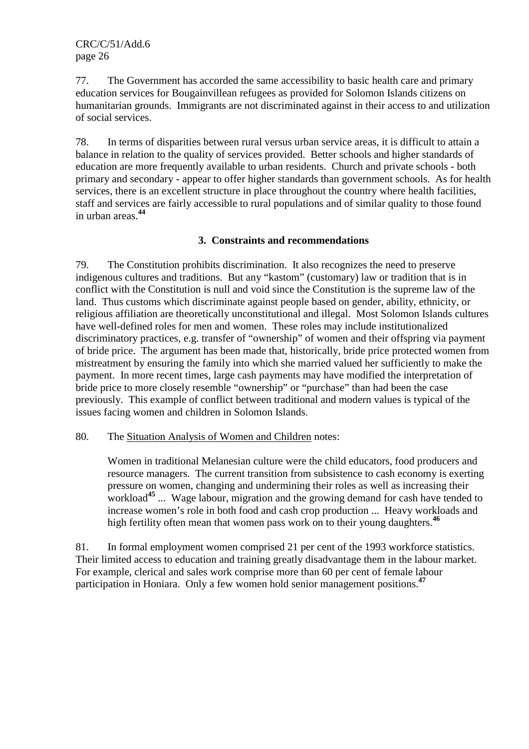77. The Government has accorded the same accessibility to basic health care and primary education services for Bougainvillean refugees as provided for Solomon Islands citizens on humanitarian grounds. Immigrants are not discriminated against in their access to and utilization of social services.

78. In terms of disparities between rural versus urban service areas, it is difficult to attain a balance in relation to the quality of services provided. Better schools and higher standards of education are more frequently available to urban residents. Church and private schools - both primary and secondary - appear to offer higher standards than government schools. As for health services, there is an excellent structure in place throughout the country where health facilities, staff and services are fairly accessible to rural populations and of similar quality to those found in urban areas.**<sup>44</sup>**

## **3. Constraints and recommendations**

79. The Constitution prohibits discrimination. It also recognizes the need to preserve indigenous cultures and traditions. But any "kastom" (customary) law or tradition that is in conflict with the Constitution is null and void since the Constitution is the supreme law of the land. Thus customs which discriminate against people based on gender, ability, ethnicity, or religious affiliation are theoretically unconstitutional and illegal. Most Solomon Islands cultures have well-defined roles for men and women. These roles may include institutionalized discriminatory practices, e.g. transfer of "ownership" of women and their offspring via payment of bride price. The argument has been made that, historically, bride price protected women from mistreatment by ensuring the family into which she married valued her sufficiently to make the payment. In more recent times, large cash payments may have modified the interpretation of bride price to more closely resemble "ownership" or "purchase" than had been the case previously. This example of conflict between traditional and modern values is typical of the issues facing women and children in Solomon Islands.

#### 80. The Situation Analysis of Women and Children notes:

Women in traditional Melanesian culture were the child educators, food producers and resource managers. The current transition from subsistence to cash economy is exerting pressure on women, changing and undermining their roles as well as increasing their workload**<sup>45</sup>** ... Wage labour, migration and the growing demand for cash have tended to increase women's role in both food and cash crop production ... Heavy workloads and high fertility often mean that women pass work on to their young daughters.<sup>46</sup>

81. In formal employment women comprised 21 per cent of the 1993 workforce statistics. Their limited access to education and training greatly disadvantage them in the labour market. For example, clerical and sales work comprise more than 60 per cent of female labour participation in Honiara. Only a few women hold senior management positions.**<sup>47</sup>**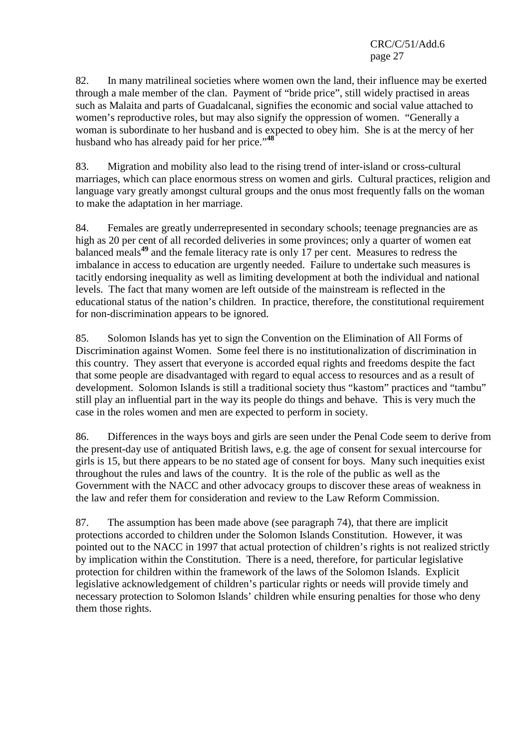82. In many matrilineal societies where women own the land, their influence may be exerted through a male member of the clan. Payment of "bride price", still widely practised in areas such as Malaita and parts of Guadalcanal, signifies the economic and social value attached to women's reproductive roles, but may also signify the oppression of women. "Generally a woman is subordinate to her husband and is expected to obey him. She is at the mercy of her husband who has already paid for her price."**<sup>48</sup>**

83. Migration and mobility also lead to the rising trend of inter-island or cross-cultural marriages, which can place enormous stress on women and girls. Cultural practices, religion and language vary greatly amongst cultural groups and the onus most frequently falls on the woman to make the adaptation in her marriage.

84. Females are greatly underrepresented in secondary schools; teenage pregnancies are as high as 20 per cent of all recorded deliveries in some provinces; only a quarter of women eat balanced meals**<sup>49</sup>** and the female literacy rate is only 17 per cent. Measures to redress the imbalance in access to education are urgently needed. Failure to undertake such measures is tacitly endorsing inequality as well as limiting development at both the individual and national levels. The fact that many women are left outside of the mainstream is reflected in the educational status of the nation's children. In practice, therefore, the constitutional requirement for non-discrimination appears to be ignored.

85. Solomon Islands has yet to sign the Convention on the Elimination of All Forms of Discrimination against Women. Some feel there is no institutionalization of discrimination in this country. They assert that everyone is accorded equal rights and freedoms despite the fact that some people are disadvantaged with regard to equal access to resources and as a result of development. Solomon Islands is still a traditional society thus "kastom" practices and "tambu" still play an influential part in the way its people do things and behave. This is very much the case in the roles women and men are expected to perform in society.

86. Differences in the ways boys and girls are seen under the Penal Code seem to derive from the present-day use of antiquated British laws, e.g. the age of consent for sexual intercourse for girls is 15, but there appears to be no stated age of consent for boys. Many such inequities exist throughout the rules and laws of the country. It is the role of the public as well as the Government with the NACC and other advocacy groups to discover these areas of weakness in the law and refer them for consideration and review to the Law Reform Commission.

87. The assumption has been made above (see paragraph 74), that there are implicit protections accorded to children under the Solomon Islands Constitution. However, it was pointed out to the NACC in 1997 that actual protection of children's rights is not realized strictly by implication within the Constitution. There is a need, therefore, for particular legislative protection for children within the framework of the laws of the Solomon Islands. Explicit legislative acknowledgement of children's particular rights or needs will provide timely and necessary protection to Solomon Islands' children while ensuring penalties for those who deny them those rights.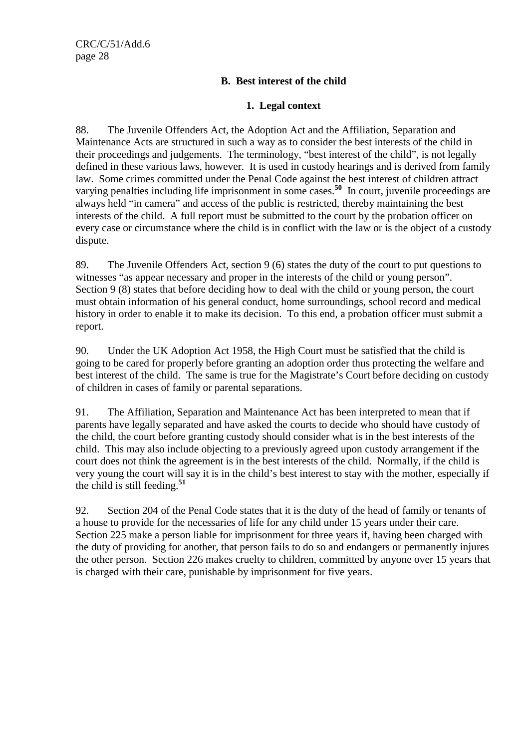## **B. Best interest of the child**

## **1. Legal context**

88. The Juvenile Offenders Act, the Adoption Act and the Affiliation, Separation and Maintenance Acts are structured in such a way as to consider the best interests of the child in their proceedings and judgements. The terminology, "best interest of the child", is not legally defined in these various laws, however. It is used in custody hearings and is derived from family law. Some crimes committed under the Penal Code against the best interest of children attract varying penalties including life imprisonment in some cases.**<sup>50</sup>** In court, juvenile proceedings are always held "in camera" and access of the public is restricted, thereby maintaining the best interests of the child. A full report must be submitted to the court by the probation officer on every case or circumstance where the child is in conflict with the law or is the object of a custody dispute.

89. The Juvenile Offenders Act, section 9 (6) states the duty of the court to put questions to witnesses "as appear necessary and proper in the interests of the child or young person". Section 9 (8) states that before deciding how to deal with the child or young person, the court must obtain information of his general conduct, home surroundings, school record and medical history in order to enable it to make its decision. To this end, a probation officer must submit a report.

90. Under the UK Adoption Act 1958, the High Court must be satisfied that the child is going to be cared for properly before granting an adoption order thus protecting the welfare and best interest of the child. The same is true for the Magistrate's Court before deciding on custody of children in cases of family or parental separations.

91. The Affiliation, Separation and Maintenance Act has been interpreted to mean that if parents have legally separated and have asked the courts to decide who should have custody of the child, the court before granting custody should consider what is in the best interests of the child. This may also include objecting to a previously agreed upon custody arrangement if the court does not think the agreement is in the best interests of the child. Normally, if the child is very young the court will say it is in the child's best interest to stay with the mother, especially if the child is still feeding.**<sup>51</sup>**

92. Section 204 of the Penal Code states that it is the duty of the head of family or tenants of a house to provide for the necessaries of life for any child under 15 years under their care. Section 225 make a person liable for imprisonment for three years if, having been charged with the duty of providing for another, that person fails to do so and endangers or permanently injures the other person. Section 226 makes cruelty to children, committed by anyone over 15 years that is charged with their care, punishable by imprisonment for five years.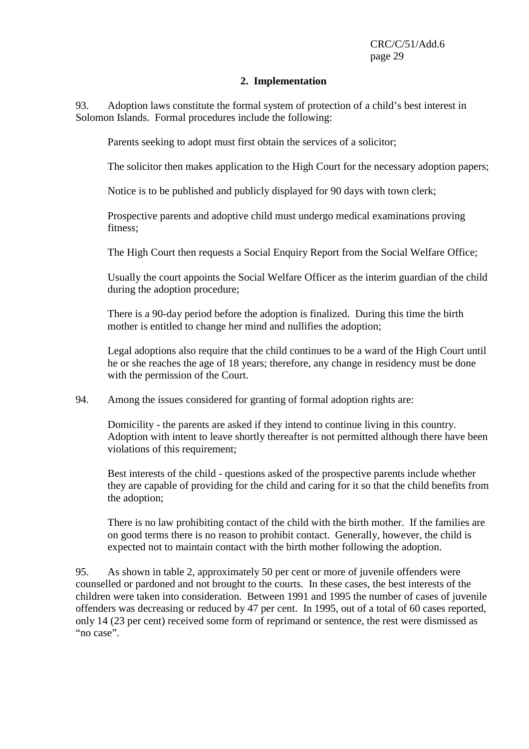### **2. Implementation**

93. Adoption laws constitute the formal system of protection of a child's best interest in Solomon Islands. Formal procedures include the following:

Parents seeking to adopt must first obtain the services of a solicitor;

The solicitor then makes application to the High Court for the necessary adoption papers;

Notice is to be published and publicly displayed for 90 days with town clerk;

Prospective parents and adoptive child must undergo medical examinations proving fitness;

The High Court then requests a Social Enquiry Report from the Social Welfare Office;

Usually the court appoints the Social Welfare Officer as the interim guardian of the child during the adoption procedure;

There is a 90-day period before the adoption is finalized. During this time the birth mother is entitled to change her mind and nullifies the adoption;

Legal adoptions also require that the child continues to be a ward of the High Court until he or she reaches the age of 18 years; therefore, any change in residency must be done with the permission of the Court.

94. Among the issues considered for granting of formal adoption rights are:

Domicility - the parents are asked if they intend to continue living in this country. Adoption with intent to leave shortly thereafter is not permitted although there have been violations of this requirement;

Best interests of the child - questions asked of the prospective parents include whether they are capable of providing for the child and caring for it so that the child benefits from the adoption;

There is no law prohibiting contact of the child with the birth mother. If the families are on good terms there is no reason to prohibit contact. Generally, however, the child is expected not to maintain contact with the birth mother following the adoption.

95. As shown in table 2, approximately 50 per cent or more of juvenile offenders were counselled or pardoned and not brought to the courts. In these cases, the best interests of the children were taken into consideration. Between 1991 and 1995 the number of cases of juvenile offenders was decreasing or reduced by 47 per cent. In 1995, out of a total of 60 cases reported, only 14 (23 per cent) received some form of reprimand or sentence, the rest were dismissed as "no case".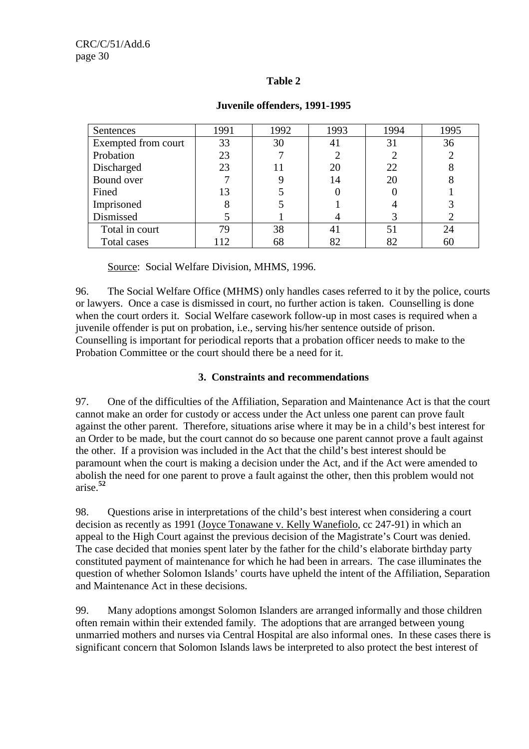## **Table 2**

| Sentences           | 1991 | 1992 | 1993 | 1994 | 1995 |
|---------------------|------|------|------|------|------|
| Exempted from court | 33   | 30   | 41   | 31   | 36   |
| Probation           | 23   |      |      | 2    |      |
| Discharged          | 23   | 11   | 20   | 22   |      |
| Bound over          |      |      | 14   | 20   |      |
| Fined               | 13   |      |      |      |      |
| Imprisoned          | 8    |      |      |      |      |
| Dismissed           |      |      |      | 3    |      |
| Total in court      | 79   | 38   | 41   | 51   | 24   |
| Total cases         | 112  | 68   | 82   | 82   | 60   |

### **Juvenile offenders, 1991-1995**

Source: Social Welfare Division, MHMS, 1996.

96. The Social Welfare Office (MHMS) only handles cases referred to it by the police, courts or lawyers. Once a case is dismissed in court, no further action is taken. Counselling is done when the court orders it. Social Welfare casework follow-up in most cases is required when a juvenile offender is put on probation, i.e., serving his/her sentence outside of prison. Counselling is important for periodical reports that a probation officer needs to make to the Probation Committee or the court should there be a need for it.

## **3. Constraints and recommendations**

97. One of the difficulties of the Affiliation, Separation and Maintenance Act is that the court cannot make an order for custody or access under the Act unless one parent can prove fault against the other parent. Therefore, situations arise where it may be in a child's best interest for an Order to be made, but the court cannot do so because one parent cannot prove a fault against the other. If a provision was included in the Act that the child's best interest should be paramount when the court is making a decision under the Act, and if the Act were amended to abolish the need for one parent to prove a fault against the other, then this problem would not arise.**<sup>52</sup>**

98. Questions arise in interpretations of the child's best interest when considering a court decision as recently as 1991 (Joyce Tonawane v. Kelly Wanefiolo, cc 247-91) in which an appeal to the High Court against the previous decision of the Magistrate's Court was denied. The case decided that monies spent later by the father for the child's elaborate birthday party constituted payment of maintenance for which he had been in arrears. The case illuminates the question of whether Solomon Islands' courts have upheld the intent of the Affiliation, Separation and Maintenance Act in these decisions.

99. Many adoptions amongst Solomon Islanders are arranged informally and those children often remain within their extended family. The adoptions that are arranged between young unmarried mothers and nurses via Central Hospital are also informal ones. In these cases there is significant concern that Solomon Islands laws be interpreted to also protect the best interest of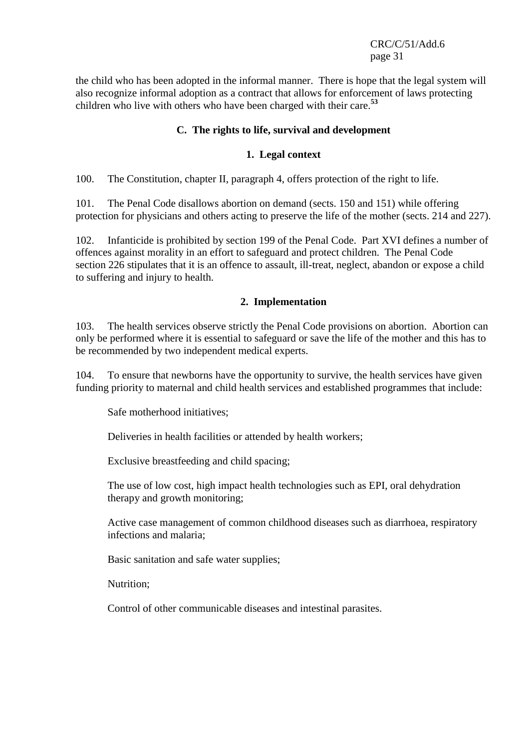the child who has been adopted in the informal manner. There is hope that the legal system will also recognize informal adoption as a contract that allows for enforcement of laws protecting children who live with others who have been charged with their care.**<sup>53</sup>**

### **C. The rights to life, survival and development**

### **1. Legal context**

100. The Constitution, chapter II, paragraph 4, offers protection of the right to life.

101. The Penal Code disallows abortion on demand (sects. 150 and 151) while offering protection for physicians and others acting to preserve the life of the mother (sects. 214 and 227).

102. Infanticide is prohibited by section 199 of the Penal Code. Part XVI defines a number of offences against morality in an effort to safeguard and protect children. The Penal Code section 226 stipulates that it is an offence to assault, ill-treat, neglect, abandon or expose a child to suffering and injury to health.

### **2. Implementation**

103. The health services observe strictly the Penal Code provisions on abortion. Abortion can only be performed where it is essential to safeguard or save the life of the mother and this has to be recommended by two independent medical experts.

104. To ensure that newborns have the opportunity to survive, the health services have given funding priority to maternal and child health services and established programmes that include:

Safe motherhood initiatives;

Deliveries in health facilities or attended by health workers;

Exclusive breastfeeding and child spacing;

The use of low cost, high impact health technologies such as EPI, oral dehydration therapy and growth monitoring;

Active case management of common childhood diseases such as diarrhoea, respiratory infections and malaria;

Basic sanitation and safe water supplies;

Nutrition;

Control of other communicable diseases and intestinal parasites.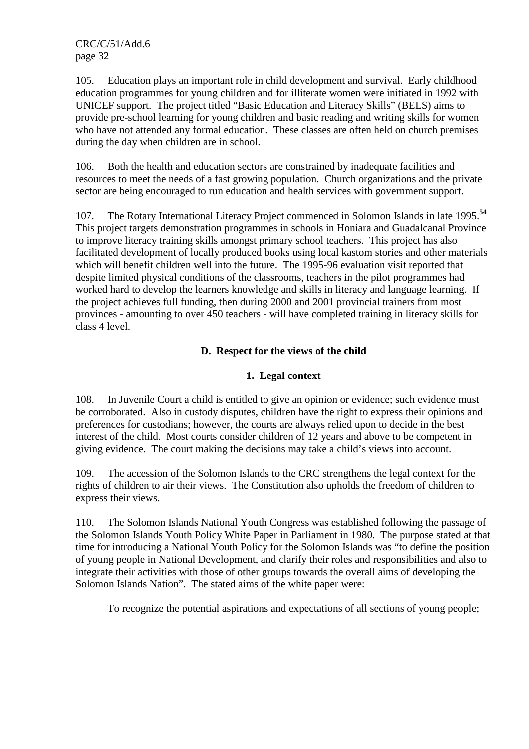105. Education plays an important role in child development and survival. Early childhood education programmes for young children and for illiterate women were initiated in 1992 with UNICEF support. The project titled "Basic Education and Literacy Skills" (BELS) aims to provide pre-school learning for young children and basic reading and writing skills for women who have not attended any formal education. These classes are often held on church premises during the day when children are in school.

106. Both the health and education sectors are constrained by inadequate facilities and resources to meet the needs of a fast growing population. Church organizations and the private sector are being encouraged to run education and health services with government support.

107. The Rotary International Literacy Project commenced in Solomon Islands in late 1995.**<sup>54</sup>** This project targets demonstration programmes in schools in Honiara and Guadalcanal Province to improve literacy training skills amongst primary school teachers. This project has also facilitated development of locally produced books using local kastom stories and other materials which will benefit children well into the future. The 1995-96 evaluation visit reported that despite limited physical conditions of the classrooms, teachers in the pilot programmes had worked hard to develop the learners knowledge and skills in literacy and language learning. If the project achieves full funding, then during 2000 and 2001 provincial trainers from most provinces - amounting to over 450 teachers - will have completed training in literacy skills for class 4 level.

## **D. Respect for the views of the child**

### **1. Legal context**

108. In Juvenile Court a child is entitled to give an opinion or evidence; such evidence must be corroborated. Also in custody disputes, children have the right to express their opinions and preferences for custodians; however, the courts are always relied upon to decide in the best interest of the child. Most courts consider children of 12 years and above to be competent in giving evidence. The court making the decisions may take a child's views into account.

109. The accession of the Solomon Islands to the CRC strengthens the legal context for the rights of children to air their views. The Constitution also upholds the freedom of children to express their views.

110. The Solomon Islands National Youth Congress was established following the passage of the Solomon Islands Youth Policy White Paper in Parliament in 1980. The purpose stated at that time for introducing a National Youth Policy for the Solomon Islands was "to define the position of young people in National Development, and clarify their roles and responsibilities and also to integrate their activities with those of other groups towards the overall aims of developing the Solomon Islands Nation". The stated aims of the white paper were:

To recognize the potential aspirations and expectations of all sections of young people;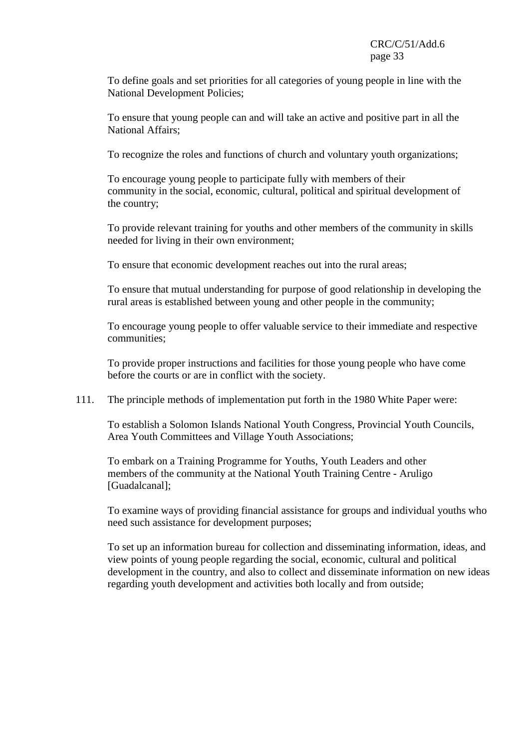To define goals and set priorities for all categories of young people in line with the National Development Policies;

To ensure that young people can and will take an active and positive part in all the National Affairs;

To recognize the roles and functions of church and voluntary youth organizations;

To encourage young people to participate fully with members of their community in the social, economic, cultural, political and spiritual development of the country;

To provide relevant training for youths and other members of the community in skills needed for living in their own environment;

To ensure that economic development reaches out into the rural areas;

To ensure that mutual understanding for purpose of good relationship in developing the rural areas is established between young and other people in the community;

To encourage young people to offer valuable service to their immediate and respective communities;

To provide proper instructions and facilities for those young people who have come before the courts or are in conflict with the society.

111. The principle methods of implementation put forth in the 1980 White Paper were:

To establish a Solomon Islands National Youth Congress, Provincial Youth Councils, Area Youth Committees and Village Youth Associations;

To embark on a Training Programme for Youths, Youth Leaders and other members of the community at the National Youth Training Centre - Aruligo [Guadalcanal];

To examine ways of providing financial assistance for groups and individual youths who need such assistance for development purposes;

To set up an information bureau for collection and disseminating information, ideas, and view points of young people regarding the social, economic, cultural and political development in the country, and also to collect and disseminate information on new ideas regarding youth development and activities both locally and from outside;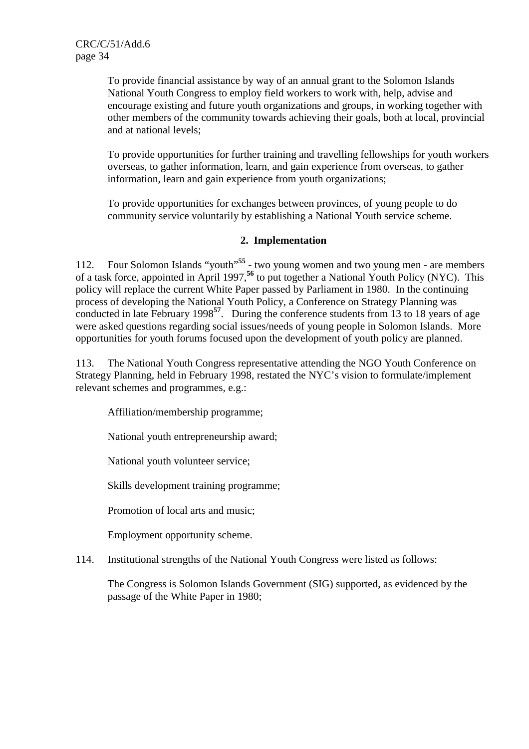To provide financial assistance by way of an annual grant to the Solomon Islands National Youth Congress to employ field workers to work with, help, advise and encourage existing and future youth organizations and groups, in working together with other members of the community towards achieving their goals, both at local, provincial and at national levels;

To provide opportunities for further training and travelling fellowships for youth workers overseas, to gather information, learn, and gain experience from overseas, to gather information, learn and gain experience from youth organizations;

To provide opportunities for exchanges between provinces, of young people to do community service voluntarily by establishing a National Youth service scheme.

### **2. Implementation**

112. Four Solomon Islands "youth"**<sup>55</sup>** - two young women and two young men - are members of a task force, appointed in April 1997,**<sup>56</sup>** to put together a National Youth Policy (NYC). This policy will replace the current White Paper passed by Parliament in 1980. In the continuing process of developing the National Youth Policy, a Conference on Strategy Planning was conducted in late February 1998**<sup>57</sup>**. During the conference students from 13 to 18 years of age were asked questions regarding social issues/needs of young people in Solomon Islands. More opportunities for youth forums focused upon the development of youth policy are planned.

113. The National Youth Congress representative attending the NGO Youth Conference on Strategy Planning, held in February 1998, restated the NYC's vision to formulate/implement relevant schemes and programmes, e.g.:

Affiliation/membership programme;

National youth entrepreneurship award;

National youth volunteer service;

Skills development training programme;

Promotion of local arts and music;

Employment opportunity scheme.

114. Institutional strengths of the National Youth Congress were listed as follows:

The Congress is Solomon Islands Government (SIG) supported, as evidenced by the passage of the White Paper in 1980;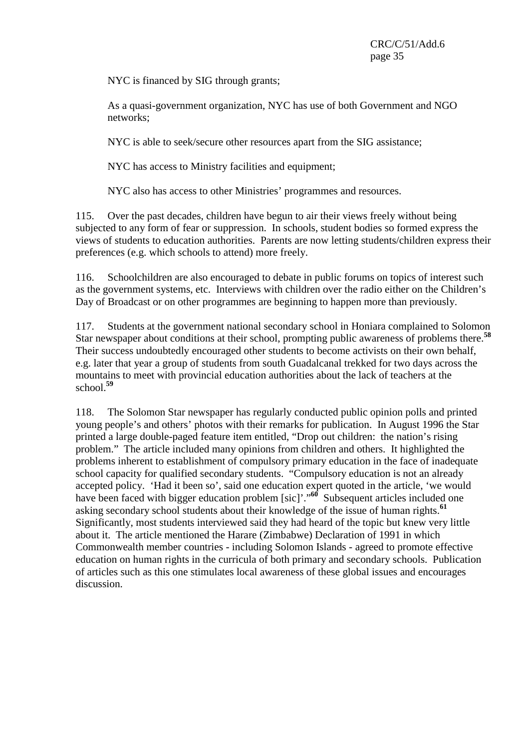NYC is financed by SIG through grants;

As a quasi-government organization, NYC has use of both Government and NGO networks;

NYC is able to seek/secure other resources apart from the SIG assistance;

NYC has access to Ministry facilities and equipment;

NYC also has access to other Ministries' programmes and resources.

115. Over the past decades, children have begun to air their views freely without being subjected to any form of fear or suppression. In schools, student bodies so formed express the views of students to education authorities. Parents are now letting students/children express their preferences (e.g. which schools to attend) more freely.

116. Schoolchildren are also encouraged to debate in public forums on topics of interest such as the government systems, etc. Interviews with children over the radio either on the Children's Day of Broadcast or on other programmes are beginning to happen more than previously.

117. Students at the government national secondary school in Honiara complained to Solomon Star newspaper about conditions at their school, prompting public awareness of problems there.**<sup>58</sup>** Their success undoubtedly encouraged other students to become activists on their own behalf, e.g. later that year a group of students from south Guadalcanal trekked for two days across the mountains to meet with provincial education authorities about the lack of teachers at the school.**<sup>59</sup>**

118. The Solomon Star newspaper has regularly conducted public opinion polls and printed young people's and others' photos with their remarks for publication. In August 1996 the Star printed a large double-paged feature item entitled, "Drop out children: the nation's rising problem." The article included many opinions from children and others. It highlighted the problems inherent to establishment of compulsory primary education in the face of inadequate school capacity for qualified secondary students. "Compulsory education is not an already accepted policy. 'Had it been so', said one education expert quoted in the article, 'we would have been faced with bigger education problem [sic]'."<sup>60</sup> Subsequent articles included one asking secondary school students about their knowledge of the issue of human rights.**<sup>61</sup>** Significantly, most students interviewed said they had heard of the topic but knew very little about it. The article mentioned the Harare (Zimbabwe) Declaration of 1991 in which Commonwealth member countries - including Solomon Islands - agreed to promote effective education on human rights in the curricula of both primary and secondary schools. Publication of articles such as this one stimulates local awareness of these global issues and encourages discussion.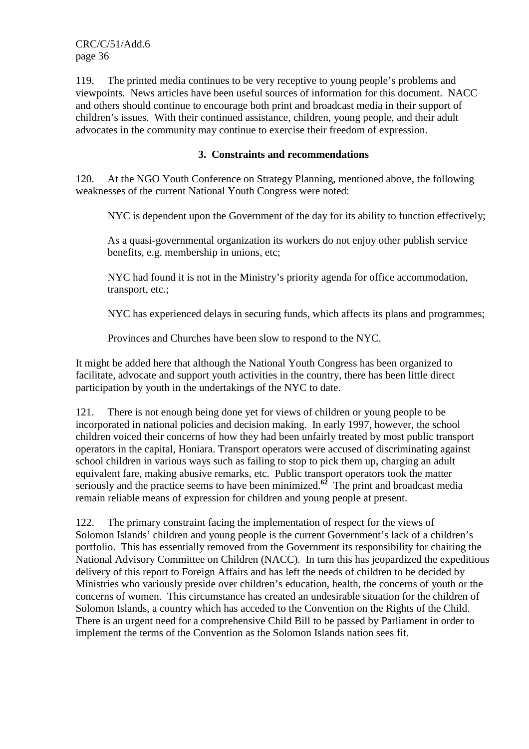119. The printed media continues to be very receptive to young people's problems and viewpoints. News articles have been useful sources of information for this document. NACC and others should continue to encourage both print and broadcast media in their support of children's issues. With their continued assistance, children, young people, and their adult advocates in the community may continue to exercise their freedom of expression.

### **3. Constraints and recommendations**

120. At the NGO Youth Conference on Strategy Planning, mentioned above, the following weaknesses of the current National Youth Congress were noted:

NYC is dependent upon the Government of the day for its ability to function effectively;

As a quasi-governmental organization its workers do not enjoy other publish service benefits, e.g. membership in unions, etc;

NYC had found it is not in the Ministry's priority agenda for office accommodation, transport, etc.;

NYC has experienced delays in securing funds, which affects its plans and programmes;

Provinces and Churches have been slow to respond to the NYC.

It might be added here that although the National Youth Congress has been organized to facilitate, advocate and support youth activities in the country, there has been little direct participation by youth in the undertakings of the NYC to date.

121. There is not enough being done yet for views of children or young people to be incorporated in national policies and decision making. In early 1997, however, the school children voiced their concerns of how they had been unfairly treated by most public transport operators in the capital, Honiara. Transport operators were accused of discriminating against school children in various ways such as failing to stop to pick them up, charging an adult equivalent fare, making abusive remarks, etc. Public transport operators took the matter seriously and the practice seems to have been minimized.<sup>62</sup> The print and broadcast media remain reliable means of expression for children and young people at present.

122. The primary constraint facing the implementation of respect for the views of Solomon Islands' children and young people is the current Government's lack of a children's portfolio. This has essentially removed from the Government its responsibility for chairing the National Advisory Committee on Children (NACC). In turn this has jeopardized the expeditious delivery of this report to Foreign Affairs and has left the needs of children to be decided by Ministries who variously preside over children's education, health, the concerns of youth or the concerns of women. This circumstance has created an undesirable situation for the children of Solomon Islands, a country which has acceded to the Convention on the Rights of the Child. There is an urgent need for a comprehensive Child Bill to be passed by Parliament in order to implement the terms of the Convention as the Solomon Islands nation sees fit.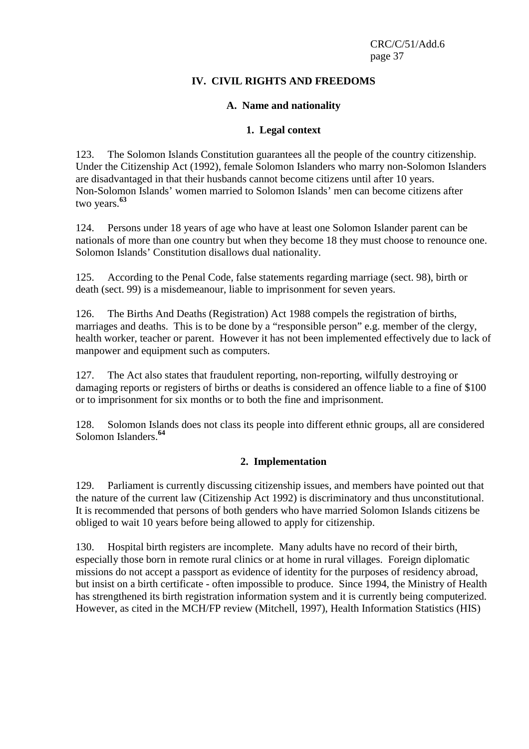## **IV. CIVIL RIGHTS AND FREEDOMS**

### **A. Name and nationality**

#### **1. Legal context**

123. The Solomon Islands Constitution guarantees all the people of the country citizenship. Under the Citizenship Act (1992), female Solomon Islanders who marry non-Solomon Islanders are disadvantaged in that their husbands cannot become citizens until after 10 years. Non-Solomon Islands' women married to Solomon Islands' men can become citizens after two years.**<sup>63</sup>**

124. Persons under 18 years of age who have at least one Solomon Islander parent can be nationals of more than one country but when they become 18 they must choose to renounce one. Solomon Islands' Constitution disallows dual nationality.

125. According to the Penal Code, false statements regarding marriage (sect. 98), birth or death (sect. 99) is a misdemeanour, liable to imprisonment for seven years.

126. The Births And Deaths (Registration) Act 1988 compels the registration of births, marriages and deaths. This is to be done by a "responsible person" e.g. member of the clergy, health worker, teacher or parent. However it has not been implemented effectively due to lack of manpower and equipment such as computers.

127. The Act also states that fraudulent reporting, non-reporting, wilfully destroying or damaging reports or registers of births or deaths is considered an offence liable to a fine of \$100 or to imprisonment for six months or to both the fine and imprisonment.

128. Solomon Islands does not class its people into different ethnic groups, all are considered Solomon Islanders.**<sup>64</sup>**

## **2. Implementation**

129. Parliament is currently discussing citizenship issues, and members have pointed out that the nature of the current law (Citizenship Act 1992) is discriminatory and thus unconstitutional. It is recommended that persons of both genders who have married Solomon Islands citizens be obliged to wait 10 years before being allowed to apply for citizenship.

130. Hospital birth registers are incomplete. Many adults have no record of their birth, especially those born in remote rural clinics or at home in rural villages. Foreign diplomatic missions do not accept a passport as evidence of identity for the purposes of residency abroad, but insist on a birth certificate - often impossible to produce. Since 1994, the Ministry of Health has strengthened its birth registration information system and it is currently being computerized. However, as cited in the MCH/FP review (Mitchell, 1997), Health Information Statistics (HIS)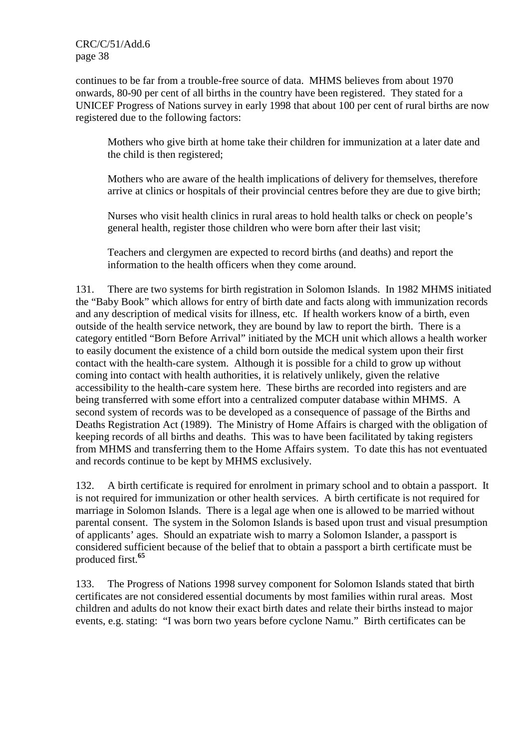continues to be far from a trouble-free source of data. MHMS believes from about 1970 onwards, 80-90 per cent of all births in the country have been registered. They stated for a UNICEF Progress of Nations survey in early 1998 that about 100 per cent of rural births are now registered due to the following factors:

Mothers who give birth at home take their children for immunization at a later date and the child is then registered;

Mothers who are aware of the health implications of delivery for themselves, therefore arrive at clinics or hospitals of their provincial centres before they are due to give birth;

Nurses who visit health clinics in rural areas to hold health talks or check on people's general health, register those children who were born after their last visit;

Teachers and clergymen are expected to record births (and deaths) and report the information to the health officers when they come around.

131. There are two systems for birth registration in Solomon Islands. In 1982 MHMS initiated the "Baby Book" which allows for entry of birth date and facts along with immunization records and any description of medical visits for illness, etc. If health workers know of a birth, even outside of the health service network, they are bound by law to report the birth. There is a category entitled "Born Before Arrival" initiated by the MCH unit which allows a health worker to easily document the existence of a child born outside the medical system upon their first contact with the health-care system. Although it is possible for a child to grow up without coming into contact with health authorities, it is relatively unlikely, given the relative accessibility to the health-care system here. These births are recorded into registers and are being transferred with some effort into a centralized computer database within MHMS. A second system of records was to be developed as a consequence of passage of the Births and Deaths Registration Act (1989). The Ministry of Home Affairs is charged with the obligation of keeping records of all births and deaths. This was to have been facilitated by taking registers from MHMS and transferring them to the Home Affairs system. To date this has not eventuated and records continue to be kept by MHMS exclusively.

132. A birth certificate is required for enrolment in primary school and to obtain a passport. It is not required for immunization or other health services. A birth certificate is not required for marriage in Solomon Islands. There is a legal age when one is allowed to be married without parental consent. The system in the Solomon Islands is based upon trust and visual presumption of applicants' ages. Should an expatriate wish to marry a Solomon Islander, a passport is considered sufficient because of the belief that to obtain a passport a birth certificate must be produced first.**<sup>65</sup>**

133. The Progress of Nations 1998 survey component for Solomon Islands stated that birth certificates are not considered essential documents by most families within rural areas. Most children and adults do not know their exact birth dates and relate their births instead to major events, e.g. stating: "I was born two years before cyclone Namu." Birth certificates can be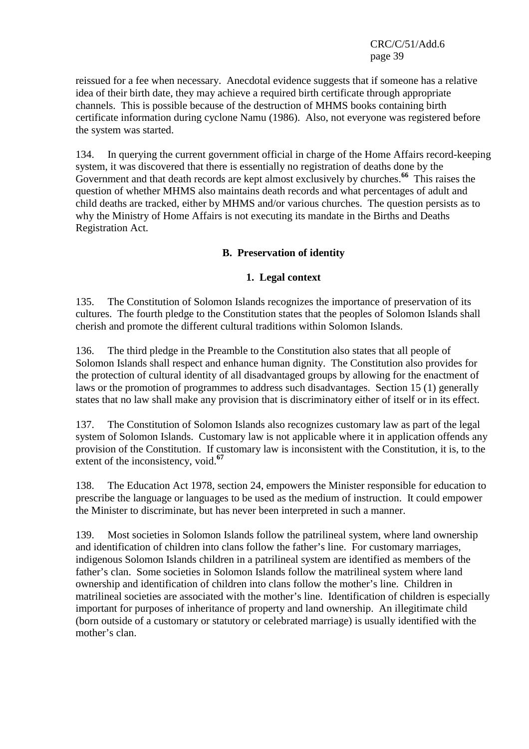reissued for a fee when necessary. Anecdotal evidence suggests that if someone has a relative idea of their birth date, they may achieve a required birth certificate through appropriate channels. This is possible because of the destruction of MHMS books containing birth certificate information during cyclone Namu (1986). Also, not everyone was registered before the system was started.

134. In querying the current government official in charge of the Home Affairs record-keeping system, it was discovered that there is essentially no registration of deaths done by the Government and that death records are kept almost exclusively by churches.**<sup>66</sup>** This raises the question of whether MHMS also maintains death records and what percentages of adult and child deaths are tracked, either by MHMS and/or various churches. The question persists as to why the Ministry of Home Affairs is not executing its mandate in the Births and Deaths Registration Act.

# **B. Preservation of identity**

## **1. Legal context**

135. The Constitution of Solomon Islands recognizes the importance of preservation of its cultures. The fourth pledge to the Constitution states that the peoples of Solomon Islands shall cherish and promote the different cultural traditions within Solomon Islands.

136. The third pledge in the Preamble to the Constitution also states that all people of Solomon Islands shall respect and enhance human dignity. The Constitution also provides for the protection of cultural identity of all disadvantaged groups by allowing for the enactment of laws or the promotion of programmes to address such disadvantages. Section 15 (1) generally states that no law shall make any provision that is discriminatory either of itself or in its effect.

137. The Constitution of Solomon Islands also recognizes customary law as part of the legal system of Solomon Islands. Customary law is not applicable where it in application offends any provision of the Constitution. If customary law is inconsistent with the Constitution, it is, to the extent of the inconsistency, void.**<sup>67</sup>**

138. The Education Act 1978, section 24, empowers the Minister responsible for education to prescribe the language or languages to be used as the medium of instruction. It could empower the Minister to discriminate, but has never been interpreted in such a manner.

139. Most societies in Solomon Islands follow the patrilineal system, where land ownership and identification of children into clans follow the father's line. For customary marriages, indigenous Solomon Islands children in a patrilineal system are identified as members of the father's clan. Some societies in Solomon Islands follow the matrilineal system where land ownership and identification of children into clans follow the mother's line. Children in matrilineal societies are associated with the mother's line. Identification of children is especially important for purposes of inheritance of property and land ownership. An illegitimate child (born outside of a customary or statutory or celebrated marriage) is usually identified with the mother's clan.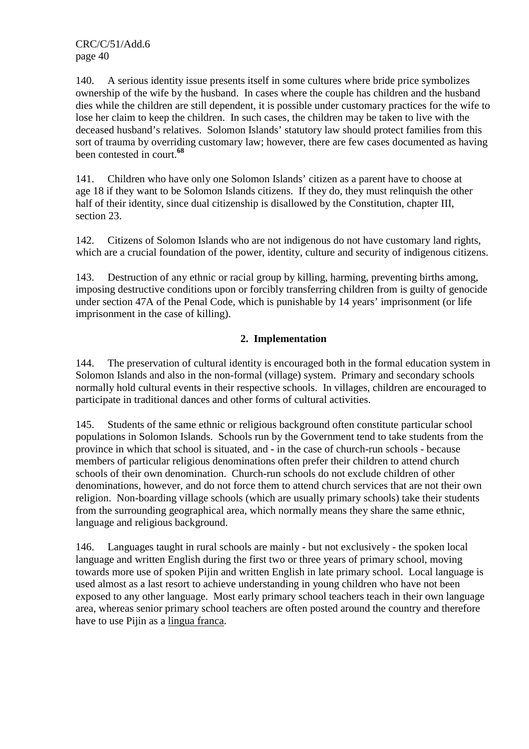140. A serious identity issue presents itself in some cultures where bride price symbolizes ownership of the wife by the husband. In cases where the couple has children and the husband dies while the children are still dependent, it is possible under customary practices for the wife to lose her claim to keep the children. In such cases, the children may be taken to live with the deceased husband's relatives. Solomon Islands' statutory law should protect families from this sort of trauma by overriding customary law; however, there are few cases documented as having been contested in court.**<sup>68</sup>**

141. Children who have only one Solomon Islands' citizen as a parent have to choose at age 18 if they want to be Solomon Islands citizens. If they do, they must relinquish the other half of their identity, since dual citizenship is disallowed by the Constitution, chapter III, section 23.

142. Citizens of Solomon Islands who are not indigenous do not have customary land rights, which are a crucial foundation of the power, identity, culture and security of indigenous citizens.

143. Destruction of any ethnic or racial group by killing, harming, preventing births among, imposing destructive conditions upon or forcibly transferring children from is guilty of genocide under section 47A of the Penal Code, which is punishable by 14 years' imprisonment (or life imprisonment in the case of killing).

# **2. Implementation**

144. The preservation of cultural identity is encouraged both in the formal education system in Solomon Islands and also in the non-formal (village) system. Primary and secondary schools normally hold cultural events in their respective schools. In villages, children are encouraged to participate in traditional dances and other forms of cultural activities.

145. Students of the same ethnic or religious background often constitute particular school populations in Solomon Islands. Schools run by the Government tend to take students from the province in which that school is situated, and - in the case of church-run schools - because members of particular religious denominations often prefer their children to attend church schools of their own denomination. Church-run schools do not exclude children of other denominations, however, and do not force them to attend church services that are not their own religion. Non-boarding village schools (which are usually primary schools) take their students from the surrounding geographical area, which normally means they share the same ethnic, language and religious background.

146. Languages taught in rural schools are mainly - but not exclusively - the spoken local language and written English during the first two or three years of primary school, moving towards more use of spoken Pijin and written English in late primary school. Local language is used almost as a last resort to achieve understanding in young children who have not been exposed to any other language. Most early primary school teachers teach in their own language area, whereas senior primary school teachers are often posted around the country and therefore have to use Pijin as a lingua franca.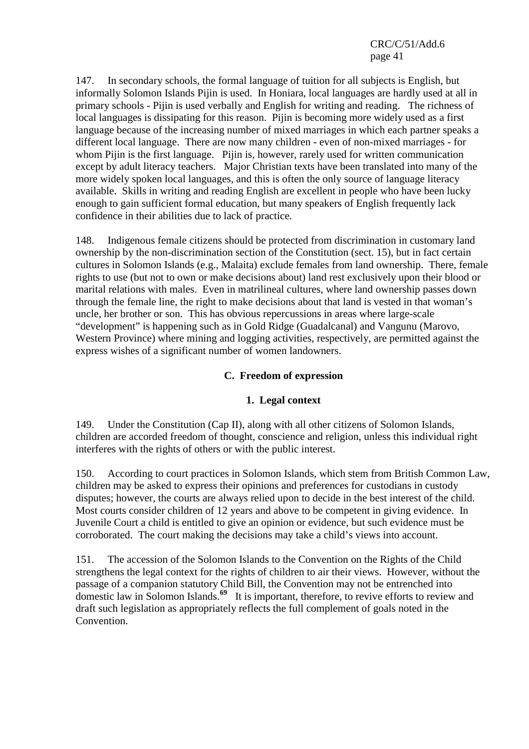147. In secondary schools, the formal language of tuition for all subjects is English, but informally Solomon Islands Pijin is used. In Honiara, local languages are hardly used at all in primary schools - Pijin is used verbally and English for writing and reading. The richness of local languages is dissipating for this reason. Pijin is becoming more widely used as a first language because of the increasing number of mixed marriages in which each partner speaks a different local language. There are now many children - even of non-mixed marriages - for whom Pijin is the first language. Pijin is, however, rarely used for written communication except by adult literacy teachers. Major Christian texts have been translated into many of the more widely spoken local languages, and this is often the only source of language literacy available. Skills in writing and reading English are excellent in people who have been lucky enough to gain sufficient formal education, but many speakers of English frequently lack confidence in their abilities due to lack of practice.

148. Indigenous female citizens should be protected from discrimination in customary land ownership by the non-discrimination section of the Constitution (sect. 15), but in fact certain cultures in Solomon Islands (e.g., Malaita) exclude females from land ownership. There, female rights to use (but not to own or make decisions about) land rest exclusively upon their blood or marital relations with males. Even in matrilineal cultures, where land ownership passes down through the female line, the right to make decisions about that land is vested in that woman's uncle, her brother or son. This has obvious repercussions in areas where large-scale "development" is happening such as in Gold Ridge (Guadalcanal) and Vangunu (Marovo, Western Province) where mining and logging activities, respectively, are permitted against the express wishes of a significant number of women landowners.

### **C. Freedom of expression**

#### **1. Legal context**

149. Under the Constitution (Cap II), along with all other citizens of Solomon Islands, children are accorded freedom of thought, conscience and religion, unless this individual right interferes with the rights of others or with the public interest.

150. According to court practices in Solomon Islands, which stem from British Common Law, children may be asked to express their opinions and preferences for custodians in custody disputes; however, the courts are always relied upon to decide in the best interest of the child. Most courts consider children of 12 years and above to be competent in giving evidence. In Juvenile Court a child is entitled to give an opinion or evidence, but such evidence must be corroborated. The court making the decisions may take a child's views into account.

151. The accession of the Solomon Islands to the Convention on the Rights of the Child strengthens the legal context for the rights of children to air their views. However, without the passage of a companion statutory Child Bill, the Convention may not be entrenched into domestic law in Solomon Islands.**<sup>69</sup>** It is important, therefore, to revive efforts to review and draft such legislation as appropriately reflects the full complement of goals noted in the Convention.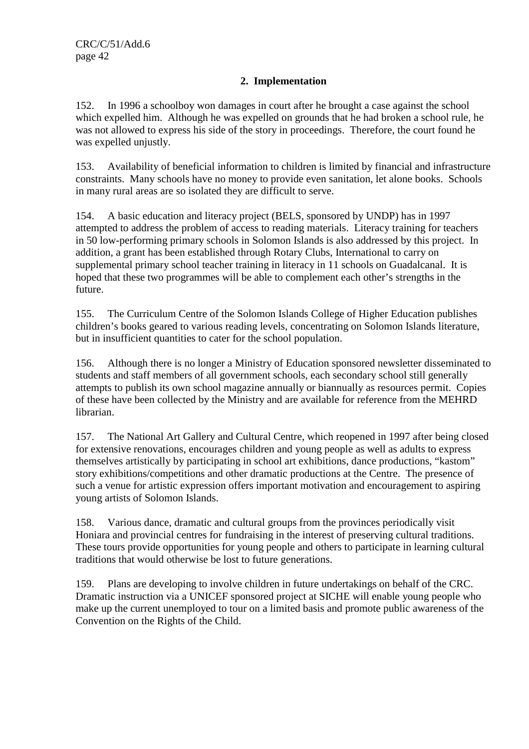# **2. Implementation**

152. In 1996 a schoolboy won damages in court after he brought a case against the school which expelled him. Although he was expelled on grounds that he had broken a school rule, he was not allowed to express his side of the story in proceedings. Therefore, the court found he was expelled unjustly.

153. Availability of beneficial information to children is limited by financial and infrastructure constraints. Many schools have no money to provide even sanitation, let alone books. Schools in many rural areas are so isolated they are difficult to serve.

154. A basic education and literacy project (BELS, sponsored by UNDP) has in 1997 attempted to address the problem of access to reading materials. Literacy training for teachers in 50 low-performing primary schools in Solomon Islands is also addressed by this project. In addition, a grant has been established through Rotary Clubs, International to carry on supplemental primary school teacher training in literacy in 11 schools on Guadalcanal. It is hoped that these two programmes will be able to complement each other's strengths in the future.

155. The Curriculum Centre of the Solomon Islands College of Higher Education publishes children's books geared to various reading levels, concentrating on Solomon Islands literature, but in insufficient quantities to cater for the school population.

156. Although there is no longer a Ministry of Education sponsored newsletter disseminated to students and staff members of all government schools, each secondary school still generally attempts to publish its own school magazine annually or biannually as resources permit. Copies of these have been collected by the Ministry and are available for reference from the MEHRD librarian.

157. The National Art Gallery and Cultural Centre, which reopened in 1997 after being closed for extensive renovations, encourages children and young people as well as adults to express themselves artistically by participating in school art exhibitions, dance productions, "kastom" story exhibitions/competitions and other dramatic productions at the Centre. The presence of such a venue for artistic expression offers important motivation and encouragement to aspiring young artists of Solomon Islands.

158. Various dance, dramatic and cultural groups from the provinces periodically visit Honiara and provincial centres for fundraising in the interest of preserving cultural traditions. These tours provide opportunities for young people and others to participate in learning cultural traditions that would otherwise be lost to future generations.

159. Plans are developing to involve children in future undertakings on behalf of the CRC. Dramatic instruction via a UNICEF sponsored project at SICHE will enable young people who make up the current unemployed to tour on a limited basis and promote public awareness of the Convention on the Rights of the Child.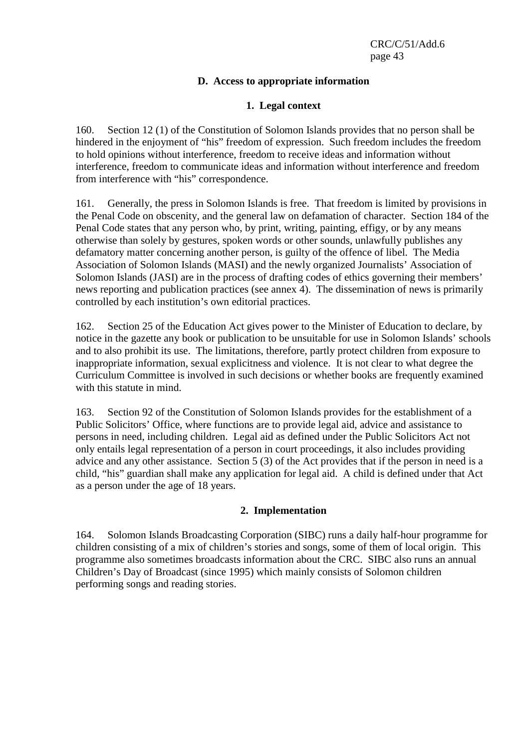## **D. Access to appropriate information**

### **1. Legal context**

160. Section 12 (1) of the Constitution of Solomon Islands provides that no person shall be hindered in the enjoyment of "his" freedom of expression. Such freedom includes the freedom to hold opinions without interference, freedom to receive ideas and information without interference, freedom to communicate ideas and information without interference and freedom from interference with "his" correspondence.

161. Generally, the press in Solomon Islands is free. That freedom is limited by provisions in the Penal Code on obscenity, and the general law on defamation of character. Section 184 of the Penal Code states that any person who, by print, writing, painting, effigy, or by any means otherwise than solely by gestures, spoken words or other sounds, unlawfully publishes any defamatory matter concerning another person, is guilty of the offence of libel. The Media Association of Solomon Islands (MASI) and the newly organized Journalists' Association of Solomon Islands (JASI) are in the process of drafting codes of ethics governing their members' news reporting and publication practices (see annex 4). The dissemination of news is primarily controlled by each institution's own editorial practices.

162. Section 25 of the Education Act gives power to the Minister of Education to declare, by notice in the gazette any book or publication to be unsuitable for use in Solomon Islands' schools and to also prohibit its use. The limitations, therefore, partly protect children from exposure to inappropriate information, sexual explicitness and violence. It is not clear to what degree the Curriculum Committee is involved in such decisions or whether books are frequently examined with this statute in mind.

163. Section 92 of the Constitution of Solomon Islands provides for the establishment of a Public Solicitors' Office, where functions are to provide legal aid, advice and assistance to persons in need, including children. Legal aid as defined under the Public Solicitors Act not only entails legal representation of a person in court proceedings, it also includes providing advice and any other assistance. Section 5 (3) of the Act provides that if the person in need is a child, "his" guardian shall make any application for legal aid. A child is defined under that Act as a person under the age of 18 years.

## **2. Implementation**

164. Solomon Islands Broadcasting Corporation (SIBC) runs a daily half-hour programme for children consisting of a mix of children's stories and songs, some of them of local origin. This programme also sometimes broadcasts information about the CRC. SIBC also runs an annual Children's Day of Broadcast (since 1995) which mainly consists of Solomon children performing songs and reading stories.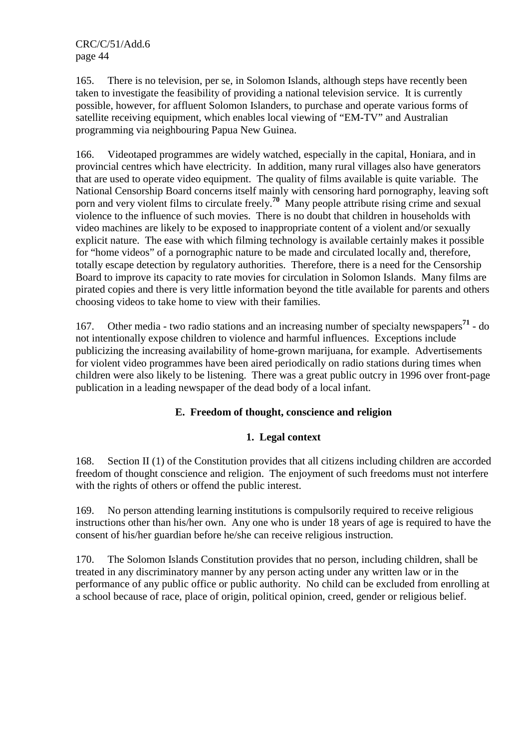165. There is no television, per se, in Solomon Islands, although steps have recently been taken to investigate the feasibility of providing a national television service. It is currently possible, however, for affluent Solomon Islanders, to purchase and operate various forms of satellite receiving equipment, which enables local viewing of "EM-TV" and Australian programming via neighbouring Papua New Guinea.

166. Videotaped programmes are widely watched, especially in the capital, Honiara, and in provincial centres which have electricity. In addition, many rural villages also have generators that are used to operate video equipment. The quality of films available is quite variable. The National Censorship Board concerns itself mainly with censoring hard pornography, leaving soft porn and very violent films to circulate freely.**<sup>70</sup>** Many people attribute rising crime and sexual violence to the influence of such movies. There is no doubt that children in households with video machines are likely to be exposed to inappropriate content of a violent and/or sexually explicit nature. The ease with which filming technology is available certainly makes it possible for "home videos" of a pornographic nature to be made and circulated locally and, therefore, totally escape detection by regulatory authorities. Therefore, there is a need for the Censorship Board to improve its capacity to rate movies for circulation in Solomon Islands. Many films are pirated copies and there is very little information beyond the title available for parents and others choosing videos to take home to view with their families.

167. Other media - two radio stations and an increasing number of specialty newspapers**<sup>71</sup>** - do not intentionally expose children to violence and harmful influences. Exceptions include publicizing the increasing availability of home-grown marijuana, for example. Advertisements for violent video programmes have been aired periodically on radio stations during times when children were also likely to be listening. There was a great public outcry in 1996 over front-page publication in a leading newspaper of the dead body of a local infant.

# **E. Freedom of thought, conscience and religion**

## **1. Legal context**

168. Section II (1) of the Constitution provides that all citizens including children are accorded freedom of thought conscience and religion. The enjoyment of such freedoms must not interfere with the rights of others or offend the public interest.

169. No person attending learning institutions is compulsorily required to receive religious instructions other than his/her own. Any one who is under 18 years of age is required to have the consent of his/her guardian before he/she can receive religious instruction.

170. The Solomon Islands Constitution provides that no person, including children, shall be treated in any discriminatory manner by any person acting under any written law or in the performance of any public office or public authority. No child can be excluded from enrolling at a school because of race, place of origin, political opinion, creed, gender or religious belief.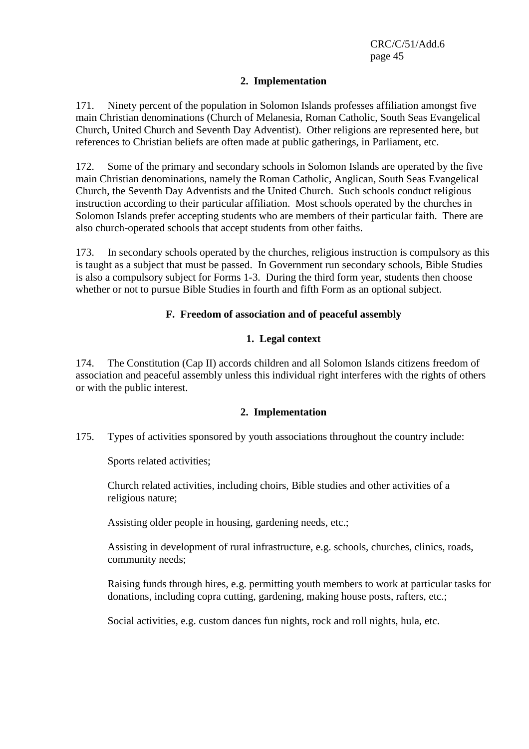#### **2. Implementation**

171. Ninety percent of the population in Solomon Islands professes affiliation amongst five main Christian denominations (Church of Melanesia, Roman Catholic, South Seas Evangelical Church, United Church and Seventh Day Adventist). Other religions are represented here, but references to Christian beliefs are often made at public gatherings, in Parliament, etc.

172. Some of the primary and secondary schools in Solomon Islands are operated by the five main Christian denominations, namely the Roman Catholic, Anglican, South Seas Evangelical Church, the Seventh Day Adventists and the United Church. Such schools conduct religious instruction according to their particular affiliation. Most schools operated by the churches in Solomon Islands prefer accepting students who are members of their particular faith. There are also church-operated schools that accept students from other faiths.

173. In secondary schools operated by the churches, religious instruction is compulsory as this is taught as a subject that must be passed. In Government run secondary schools, Bible Studies is also a compulsory subject for Forms 1-3. During the third form year, students then choose whether or not to pursue Bible Studies in fourth and fifth Form as an optional subject.

#### **F. Freedom of association and of peaceful assembly**

#### **1. Legal context**

174. The Constitution (Cap II) accords children and all Solomon Islands citizens freedom of association and peaceful assembly unless this individual right interferes with the rights of others or with the public interest.

#### **2. Implementation**

175. Types of activities sponsored by youth associations throughout the country include:

Sports related activities;

 Church related activities, including choirs, Bible studies and other activities of a religious nature;

Assisting older people in housing, gardening needs, etc.;

 Assisting in development of rural infrastructure, e.g. schools, churches, clinics, roads, community needs;

 Raising funds through hires, e.g. permitting youth members to work at particular tasks for donations, including copra cutting, gardening, making house posts, rafters, etc.;

Social activities, e.g. custom dances fun nights, rock and roll nights, hula, etc.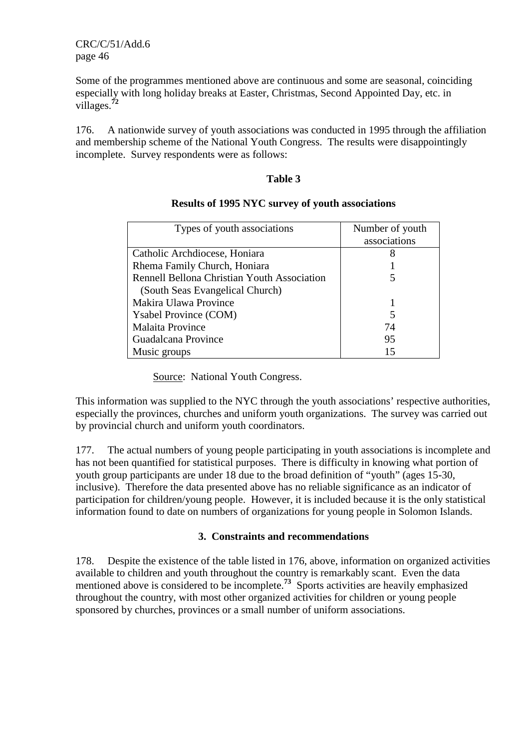Some of the programmes mentioned above are continuous and some are seasonal, coinciding especially with long holiday breaks at Easter, Christmas, Second Appointed Day, etc. in villages.**<sup>72</sup>**

176. A nationwide survey of youth associations was conducted in 1995 through the affiliation and membership scheme of the National Youth Congress. The results were disappointingly incomplete. Survey respondents were as follows:

#### **Table 3**

| Types of youth associations                 | Number of youth<br>associations |
|---------------------------------------------|---------------------------------|
| Catholic Archdiocese, Honiara               |                                 |
| Rhema Family Church, Honiara                |                                 |
| Rennell Bellona Christian Youth Association |                                 |
| (South Seas Evangelical Church)             |                                 |
| Makira Ulawa Province                       |                                 |
| <b>Y</b> sabel Province (COM)               |                                 |
| <b>Malaita Province</b>                     | 74                              |
| Guadalcana Province                         | 95                              |
| Music groups                                |                                 |

#### **Results of 1995 NYC survey of youth associations**

Source: National Youth Congress.

This information was supplied to the NYC through the youth associations' respective authorities, especially the provinces, churches and uniform youth organizations. The survey was carried out by provincial church and uniform youth coordinators.

177. The actual numbers of young people participating in youth associations is incomplete and has not been quantified for statistical purposes. There is difficulty in knowing what portion of youth group participants are under 18 due to the broad definition of "youth" (ages 15-30, inclusive). Therefore the data presented above has no reliable significance as an indicator of participation for children/young people. However, it is included because it is the only statistical information found to date on numbers of organizations for young people in Solomon Islands.

## **3. Constraints and recommendations**

178. Despite the existence of the table listed in 176, above, information on organized activities available to children and youth throughout the country is remarkably scant. Even the data mentioned above is considered to be incomplete.<sup>73</sup> Sports activities are heavily emphasized throughout the country, with most other organized activities for children or young people sponsored by churches, provinces or a small number of uniform associations.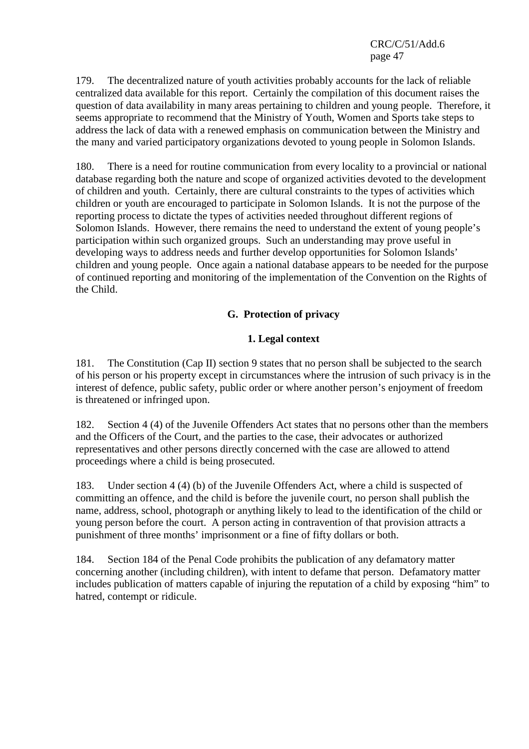179. The decentralized nature of youth activities probably accounts for the lack of reliable centralized data available for this report. Certainly the compilation of this document raises the question of data availability in many areas pertaining to children and young people. Therefore, it seems appropriate to recommend that the Ministry of Youth, Women and Sports take steps to address the lack of data with a renewed emphasis on communication between the Ministry and the many and varied participatory organizations devoted to young people in Solomon Islands.

180. There is a need for routine communication from every locality to a provincial or national database regarding both the nature and scope of organized activities devoted to the development of children and youth. Certainly, there are cultural constraints to the types of activities which children or youth are encouraged to participate in Solomon Islands. It is not the purpose of the reporting process to dictate the types of activities needed throughout different regions of Solomon Islands. However, there remains the need to understand the extent of young people's participation within such organized groups. Such an understanding may prove useful in developing ways to address needs and further develop opportunities for Solomon Islands' children and young people. Once again a national database appears to be needed for the purpose of continued reporting and monitoring of the implementation of the Convention on the Rights of the Child.

# **G. Protection of privacy**

# **1. Legal context**

181. The Constitution (Cap II) section 9 states that no person shall be subjected to the search of his person or his property except in circumstances where the intrusion of such privacy is in the interest of defence, public safety, public order or where another person's enjoyment of freedom is threatened or infringed upon.

182. Section 4 (4) of the Juvenile Offenders Act states that no persons other than the members and the Officers of the Court, and the parties to the case, their advocates or authorized representatives and other persons directly concerned with the case are allowed to attend proceedings where a child is being prosecuted.

183. Under section 4 (4) (b) of the Juvenile Offenders Act, where a child is suspected of committing an offence, and the child is before the juvenile court, no person shall publish the name, address, school, photograph or anything likely to lead to the identification of the child or young person before the court. A person acting in contravention of that provision attracts a punishment of three months' imprisonment or a fine of fifty dollars or both.

184. Section 184 of the Penal Code prohibits the publication of any defamatory matter concerning another (including children), with intent to defame that person. Defamatory matter includes publication of matters capable of injuring the reputation of a child by exposing "him" to hatred, contempt or ridicule.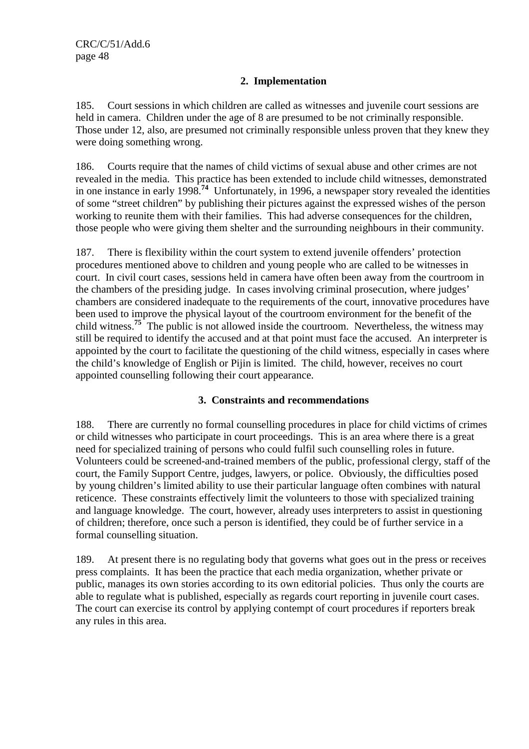# **2. Implementation**

185. Court sessions in which children are called as witnesses and juvenile court sessions are held in camera. Children under the age of 8 are presumed to be not criminally responsible. Those under 12, also, are presumed not criminally responsible unless proven that they knew they were doing something wrong.

186. Courts require that the names of child victims of sexual abuse and other crimes are not revealed in the media. This practice has been extended to include child witnesses, demonstrated in one instance in early 1998.**<sup>74</sup>** Unfortunately, in 1996, a newspaper story revealed the identities of some "street children" by publishing their pictures against the expressed wishes of the person working to reunite them with their families. This had adverse consequences for the children, those people who were giving them shelter and the surrounding neighbours in their community.

187. There is flexibility within the court system to extend juvenile offenders' protection procedures mentioned above to children and young people who are called to be witnesses in court. In civil court cases, sessions held in camera have often been away from the courtroom in the chambers of the presiding judge. In cases involving criminal prosecution, where judges' chambers are considered inadequate to the requirements of the court, innovative procedures have been used to improve the physical layout of the courtroom environment for the benefit of the child witness.**<sup>75</sup>** The public is not allowed inside the courtroom. Nevertheless, the witness may still be required to identify the accused and at that point must face the accused. An interpreter is appointed by the court to facilitate the questioning of the child witness, especially in cases where the child's knowledge of English or Pijin is limited. The child, however, receives no court appointed counselling following their court appearance.

# **3. Constraints and recommendations**

188. There are currently no formal counselling procedures in place for child victims of crimes or child witnesses who participate in court proceedings. This is an area where there is a great need for specialized training of persons who could fulfil such counselling roles in future. Volunteers could be screened-and-trained members of the public, professional clergy, staff of the court, the Family Support Centre, judges, lawyers, or police. Obviously, the difficulties posed by young children's limited ability to use their particular language often combines with natural reticence. These constraints effectively limit the volunteers to those with specialized training and language knowledge. The court, however, already uses interpreters to assist in questioning of children; therefore, once such a person is identified, they could be of further service in a formal counselling situation.

189. At present there is no regulating body that governs what goes out in the press or receives press complaints. It has been the practice that each media organization, whether private or public, manages its own stories according to its own editorial policies. Thus only the courts are able to regulate what is published, especially as regards court reporting in juvenile court cases. The court can exercise its control by applying contempt of court procedures if reporters break any rules in this area.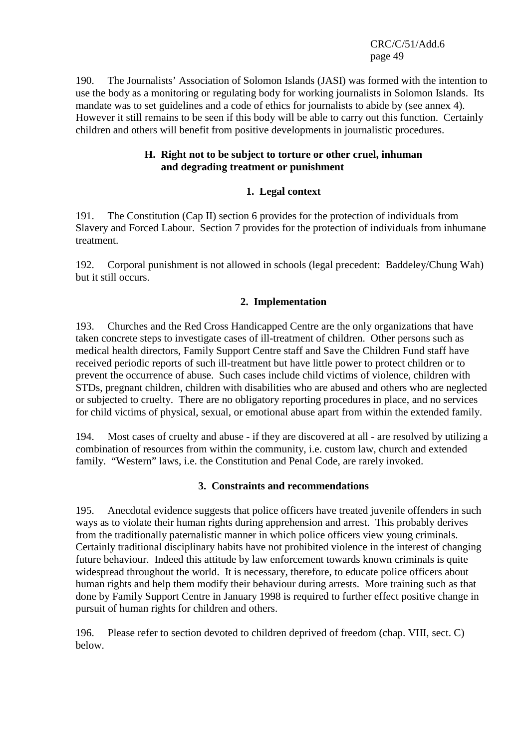190. The Journalists' Association of Solomon Islands (JASI) was formed with the intention to use the body as a monitoring or regulating body for working journalists in Solomon Islands. Its mandate was to set guidelines and a code of ethics for journalists to abide by (see annex 4). However it still remains to be seen if this body will be able to carry out this function. Certainly children and others will benefit from positive developments in journalistic procedures.

### **H. Right not to be subject to torture or other cruel, inhuman and degrading treatment or punishment**

# **1. Legal context**

191. The Constitution (Cap II) section 6 provides for the protection of individuals from Slavery and Forced Labour. Section 7 provides for the protection of individuals from inhumane treatment.

192. Corporal punishment is not allowed in schools (legal precedent: Baddeley/Chung Wah) but it still occurs.

## **2. Implementation**

193. Churches and the Red Cross Handicapped Centre are the only organizations that have taken concrete steps to investigate cases of ill-treatment of children. Other persons such as medical health directors, Family Support Centre staff and Save the Children Fund staff have received periodic reports of such ill-treatment but have little power to protect children or to prevent the occurrence of abuse. Such cases include child victims of violence, children with STDs, pregnant children, children with disabilities who are abused and others who are neglected or subjected to cruelty. There are no obligatory reporting procedures in place, and no services for child victims of physical, sexual, or emotional abuse apart from within the extended family.

194. Most cases of cruelty and abuse - if they are discovered at all - are resolved by utilizing a combination of resources from within the community, i.e. custom law, church and extended family. "Western" laws, i.e. the Constitution and Penal Code, are rarely invoked.

## **3. Constraints and recommendations**

195. Anecdotal evidence suggests that police officers have treated juvenile offenders in such ways as to violate their human rights during apprehension and arrest. This probably derives from the traditionally paternalistic manner in which police officers view young criminals. Certainly traditional disciplinary habits have not prohibited violence in the interest of changing future behaviour. Indeed this attitude by law enforcement towards known criminals is quite widespread throughout the world. It is necessary, therefore, to educate police officers about human rights and help them modify their behaviour during arrests. More training such as that done by Family Support Centre in January 1998 is required to further effect positive change in pursuit of human rights for children and others.

196. Please refer to section devoted to children deprived of freedom (chap. VIII, sect. C) below.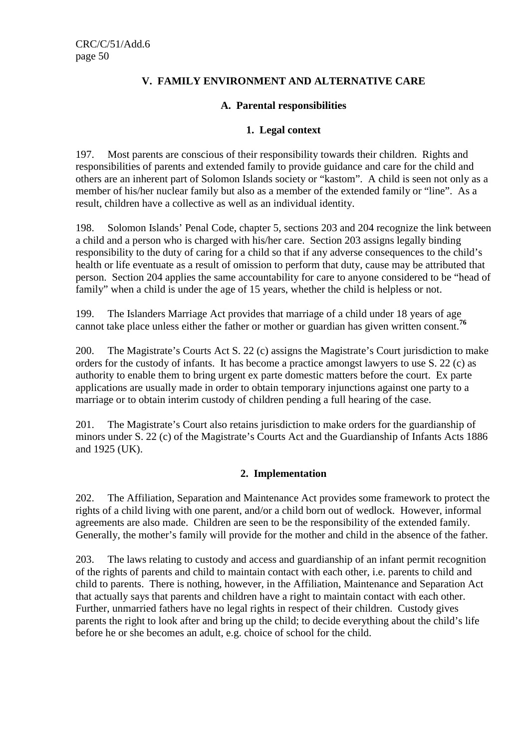# **V. FAMILY ENVIRONMENT AND ALTERNATIVE CARE**

#### **A. Parental responsibilities**

### **1. Legal context**

197. Most parents are conscious of their responsibility towards their children. Rights and responsibilities of parents and extended family to provide guidance and care for the child and others are an inherent part of Solomon Islands society or "kastom". A child is seen not only as a member of his/her nuclear family but also as a member of the extended family or "line". As a result, children have a collective as well as an individual identity.

198. Solomon Islands' Penal Code, chapter 5, sections 203 and 204 recognize the link between a child and a person who is charged with his/her care. Section 203 assigns legally binding responsibility to the duty of caring for a child so that if any adverse consequences to the child's health or life eventuate as a result of omission to perform that duty, cause may be attributed that person. Section 204 applies the same accountability for care to anyone considered to be "head of family" when a child is under the age of 15 years, whether the child is helpless or not.

199. The Islanders Marriage Act provides that marriage of a child under 18 years of age cannot take place unless either the father or mother or guardian has given written consent.<sup>76</sup>

200. The Magistrate's Courts Act S. 22 (c) assigns the Magistrate's Court jurisdiction to make orders for the custody of infants. It has become a practice amongst lawyers to use S. 22 (c) as authority to enable them to bring urgent ex parte domestic matters before the court. Ex parte applications are usually made in order to obtain temporary injunctions against one party to a marriage or to obtain interim custody of children pending a full hearing of the case.

201. The Magistrate's Court also retains jurisdiction to make orders for the guardianship of minors under S. 22 (c) of the Magistrate's Courts Act and the Guardianship of Infants Acts 1886 and 1925 (UK).

## **2. Implementation**

202. The Affiliation, Separation and Maintenance Act provides some framework to protect the rights of a child living with one parent, and/or a child born out of wedlock. However, informal agreements are also made. Children are seen to be the responsibility of the extended family. Generally, the mother's family will provide for the mother and child in the absence of the father.

203. The laws relating to custody and access and guardianship of an infant permit recognition of the rights of parents and child to maintain contact with each other, i.e. parents to child and child to parents. There is nothing, however, in the Affiliation, Maintenance and Separation Act that actually says that parents and children have a right to maintain contact with each other. Further, unmarried fathers have no legal rights in respect of their children. Custody gives parents the right to look after and bring up the child; to decide everything about the child's life before he or she becomes an adult, e.g. choice of school for the child.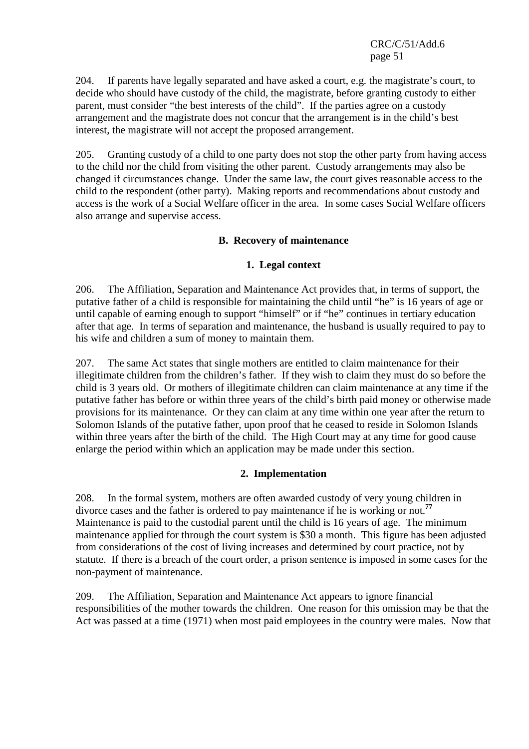204. If parents have legally separated and have asked a court, e.g. the magistrate's court, to decide who should have custody of the child, the magistrate, before granting custody to either parent, must consider "the best interests of the child". If the parties agree on a custody arrangement and the magistrate does not concur that the arrangement is in the child's best interest, the magistrate will not accept the proposed arrangement.

205. Granting custody of a child to one party does not stop the other party from having access to the child nor the child from visiting the other parent. Custody arrangements may also be changed if circumstances change. Under the same law, the court gives reasonable access to the child to the respondent (other party). Making reports and recommendations about custody and access is the work of a Social Welfare officer in the area. In some cases Social Welfare officers also arrange and supervise access.

#### **B. Recovery of maintenance**

#### **1. Legal context**

206. The Affiliation, Separation and Maintenance Act provides that, in terms of support, the putative father of a child is responsible for maintaining the child until "he" is 16 years of age or until capable of earning enough to support "himself" or if "he" continues in tertiary education after that age. In terms of separation and maintenance, the husband is usually required to pay to his wife and children a sum of money to maintain them.

207. The same Act states that single mothers are entitled to claim maintenance for their illegitimate children from the children's father. If they wish to claim they must do so before the child is 3 years old. Or mothers of illegitimate children can claim maintenance at any time if the putative father has before or within three years of the child's birth paid money or otherwise made provisions for its maintenance. Or they can claim at any time within one year after the return to Solomon Islands of the putative father, upon proof that he ceased to reside in Solomon Islands within three years after the birth of the child. The High Court may at any time for good cause enlarge the period within which an application may be made under this section.

## **2. Implementation**

208. In the formal system, mothers are often awarded custody of very young children in divorce cases and the father is ordered to pay maintenance if he is working or not.**<sup>77</sup>** Maintenance is paid to the custodial parent until the child is 16 years of age. The minimum maintenance applied for through the court system is \$30 a month. This figure has been adjusted from considerations of the cost of living increases and determined by court practice, not by statute. If there is a breach of the court order, a prison sentence is imposed in some cases for the non-payment of maintenance.

209. The Affiliation, Separation and Maintenance Act appears to ignore financial responsibilities of the mother towards the children. One reason for this omission may be that the Act was passed at a time (1971) when most paid employees in the country were males. Now that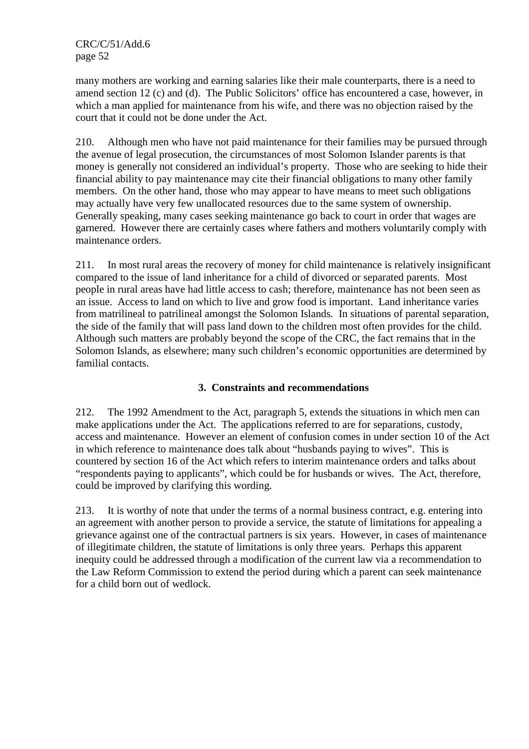many mothers are working and earning salaries like their male counterparts, there is a need to amend section 12 (c) and (d). The Public Solicitors' office has encountered a case, however, in which a man applied for maintenance from his wife, and there was no objection raised by the court that it could not be done under the Act.

210. Although men who have not paid maintenance for their families may be pursued through the avenue of legal prosecution, the circumstances of most Solomon Islander parents is that money is generally not considered an individual's property. Those who are seeking to hide their financial ability to pay maintenance may cite their financial obligations to many other family members. On the other hand, those who may appear to have means to meet such obligations may actually have very few unallocated resources due to the same system of ownership. Generally speaking, many cases seeking maintenance go back to court in order that wages are garnered. However there are certainly cases where fathers and mothers voluntarily comply with maintenance orders.

211. In most rural areas the recovery of money for child maintenance is relatively insignificant compared to the issue of land inheritance for a child of divorced or separated parents. Most people in rural areas have had little access to cash; therefore, maintenance has not been seen as an issue. Access to land on which to live and grow food is important. Land inheritance varies from matrilineal to patrilineal amongst the Solomon Islands. In situations of parental separation, the side of the family that will pass land down to the children most often provides for the child. Although such matters are probably beyond the scope of the CRC, the fact remains that in the Solomon Islands, as elsewhere; many such children's economic opportunities are determined by familial contacts.

# **3. Constraints and recommendations**

212. The 1992 Amendment to the Act, paragraph 5, extends the situations in which men can make applications under the Act. The applications referred to are for separations, custody, access and maintenance. However an element of confusion comes in under section 10 of the Act in which reference to maintenance does talk about "husbands paying to wives". This is countered by section 16 of the Act which refers to interim maintenance orders and talks about "respondents paying to applicants", which could be for husbands or wives. The Act, therefore, could be improved by clarifying this wording.

213. It is worthy of note that under the terms of a normal business contract, e.g. entering into an agreement with another person to provide a service, the statute of limitations for appealing a grievance against one of the contractual partners is six years. However, in cases of maintenance of illegitimate children, the statute of limitations is only three years. Perhaps this apparent inequity could be addressed through a modification of the current law via a recommendation to the Law Reform Commission to extend the period during which a parent can seek maintenance for a child born out of wedlock.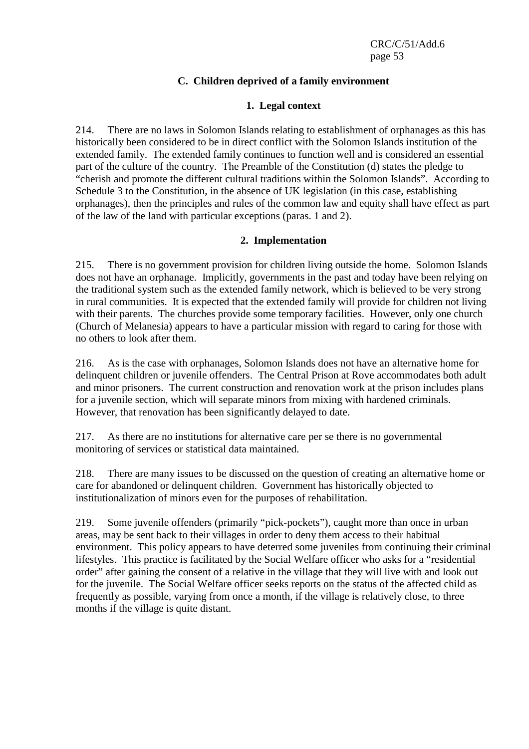# **C. Children deprived of a family environment**

### **1. Legal context**

214. There are no laws in Solomon Islands relating to establishment of orphanages as this has historically been considered to be in direct conflict with the Solomon Islands institution of the extended family. The extended family continues to function well and is considered an essential part of the culture of the country. The Preamble of the Constitution (d) states the pledge to "cherish and promote the different cultural traditions within the Solomon Islands". According to Schedule 3 to the Constitution, in the absence of UK legislation (in this case, establishing orphanages), then the principles and rules of the common law and equity shall have effect as part of the law of the land with particular exceptions (paras. 1 and 2).

#### **2. Implementation**

215. There is no government provision for children living outside the home. Solomon Islands does not have an orphanage. Implicitly, governments in the past and today have been relying on the traditional system such as the extended family network, which is believed to be very strong in rural communities. It is expected that the extended family will provide for children not living with their parents. The churches provide some temporary facilities. However, only one church (Church of Melanesia) appears to have a particular mission with regard to caring for those with no others to look after them.

216. As is the case with orphanages, Solomon Islands does not have an alternative home for delinquent children or juvenile offenders. The Central Prison at Rove accommodates both adult and minor prisoners. The current construction and renovation work at the prison includes plans for a juvenile section, which will separate minors from mixing with hardened criminals. However, that renovation has been significantly delayed to date.

217. As there are no institutions for alternative care per se there is no governmental monitoring of services or statistical data maintained.

218. There are many issues to be discussed on the question of creating an alternative home or care for abandoned or delinquent children. Government has historically objected to institutionalization of minors even for the purposes of rehabilitation.

219. Some juvenile offenders (primarily "pick-pockets"), caught more than once in urban areas, may be sent back to their villages in order to deny them access to their habitual environment. This policy appears to have deterred some juveniles from continuing their criminal lifestyles. This practice is facilitated by the Social Welfare officer who asks for a "residential order" after gaining the consent of a relative in the village that they will live with and look out for the juvenile. The Social Welfare officer seeks reports on the status of the affected child as frequently as possible, varying from once a month, if the village is relatively close, to three months if the village is quite distant.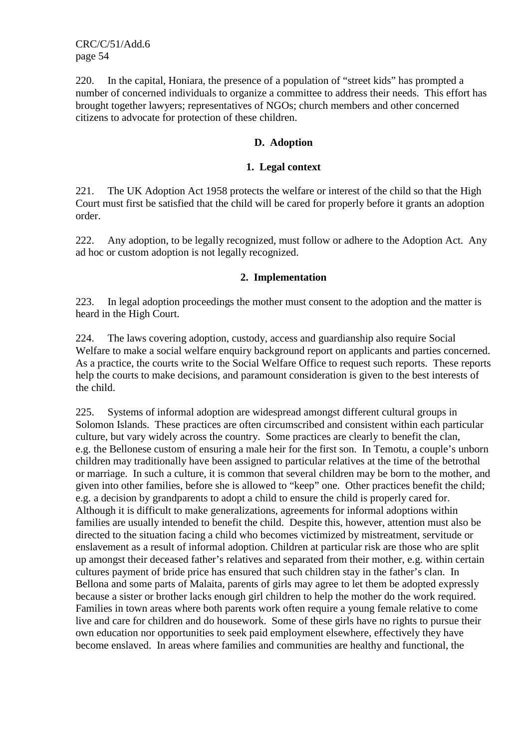220. In the capital, Honiara, the presence of a population of "street kids" has prompted a number of concerned individuals to organize a committee to address their needs. This effort has brought together lawyers; representatives of NGOs; church members and other concerned citizens to advocate for protection of these children.

### **D. Adoption**

#### **1. Legal context**

221. The UK Adoption Act 1958 protects the welfare or interest of the child so that the High Court must first be satisfied that the child will be cared for properly before it grants an adoption order.

222. Any adoption, to be legally recognized, must follow or adhere to the Adoption Act. Any ad hoc or custom adoption is not legally recognized.

#### **2. Implementation**

223. In legal adoption proceedings the mother must consent to the adoption and the matter is heard in the High Court.

224. The laws covering adoption, custody, access and guardianship also require Social Welfare to make a social welfare enquiry background report on applicants and parties concerned. As a practice, the courts write to the Social Welfare Office to request such reports. These reports help the courts to make decisions, and paramount consideration is given to the best interests of the child.

225. Systems of informal adoption are widespread amongst different cultural groups in Solomon Islands. These practices are often circumscribed and consistent within each particular culture, but vary widely across the country. Some practices are clearly to benefit the clan, e.g. the Bellonese custom of ensuring a male heir for the first son. In Temotu, a couple's unborn children may traditionally have been assigned to particular relatives at the time of the betrothal or marriage. In such a culture, it is common that several children may be born to the mother, and given into other families, before she is allowed to "keep" one. Other practices benefit the child; e.g. a decision by grandparents to adopt a child to ensure the child is properly cared for. Although it is difficult to make generalizations, agreements for informal adoptions within families are usually intended to benefit the child. Despite this, however, attention must also be directed to the situation facing a child who becomes victimized by mistreatment, servitude or enslavement as a result of informal adoption. Children at particular risk are those who are split up amongst their deceased father's relatives and separated from their mother, e.g. within certain cultures payment of bride price has ensured that such children stay in the father's clan. In Bellona and some parts of Malaita, parents of girls may agree to let them be adopted expressly because a sister or brother lacks enough girl children to help the mother do the work required. Families in town areas where both parents work often require a young female relative to come live and care for children and do housework. Some of these girls have no rights to pursue their own education nor opportunities to seek paid employment elsewhere, effectively they have become enslaved. In areas where families and communities are healthy and functional, the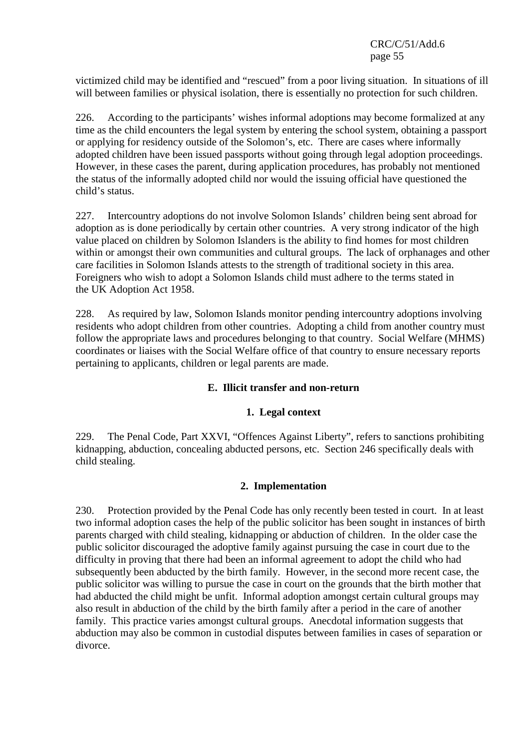victimized child may be identified and "rescued" from a poor living situation. In situations of ill will between families or physical isolation, there is essentially no protection for such children.

226. According to the participants' wishes informal adoptions may become formalized at any time as the child encounters the legal system by entering the school system, obtaining a passport or applying for residency outside of the Solomon's, etc. There are cases where informally adopted children have been issued passports without going through legal adoption proceedings. However, in these cases the parent, during application procedures, has probably not mentioned the status of the informally adopted child nor would the issuing official have questioned the child's status.

227. Intercountry adoptions do not involve Solomon Islands' children being sent abroad for adoption as is done periodically by certain other countries. A very strong indicator of the high value placed on children by Solomon Islanders is the ability to find homes for most children within or amongst their own communities and cultural groups. The lack of orphanages and other care facilities in Solomon Islands attests to the strength of traditional society in this area. Foreigners who wish to adopt a Solomon Islands child must adhere to the terms stated in the UK Adoption Act 1958.

228. As required by law, Solomon Islands monitor pending intercountry adoptions involving residents who adopt children from other countries. Adopting a child from another country must follow the appropriate laws and procedures belonging to that country. Social Welfare (MHMS) coordinates or liaises with the Social Welfare office of that country to ensure necessary reports pertaining to applicants, children or legal parents are made.

## **E. Illicit transfer and non-return**

## **1. Legal context**

229. The Penal Code, Part XXVI, "Offences Against Liberty", refers to sanctions prohibiting kidnapping, abduction, concealing abducted persons, etc. Section 246 specifically deals with child stealing.

#### **2. Implementation**

230. Protection provided by the Penal Code has only recently been tested in court. In at least two informal adoption cases the help of the public solicitor has been sought in instances of birth parents charged with child stealing, kidnapping or abduction of children. In the older case the public solicitor discouraged the adoptive family against pursuing the case in court due to the difficulty in proving that there had been an informal agreement to adopt the child who had subsequently been abducted by the birth family. However, in the second more recent case, the public solicitor was willing to pursue the case in court on the grounds that the birth mother that had abducted the child might be unfit. Informal adoption amongst certain cultural groups may also result in abduction of the child by the birth family after a period in the care of another family. This practice varies amongst cultural groups. Anecdotal information suggests that abduction may also be common in custodial disputes between families in cases of separation or divorce.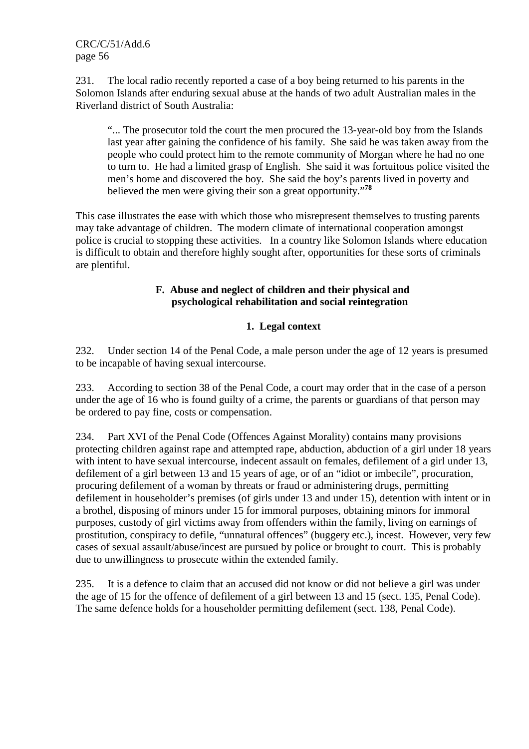231. The local radio recently reported a case of a boy being returned to his parents in the Solomon Islands after enduring sexual abuse at the hands of two adult Australian males in the Riverland district of South Australia:

"... The prosecutor told the court the men procured the 13-year-old boy from the Islands last year after gaining the confidence of his family. She said he was taken away from the people who could protect him to the remote community of Morgan where he had no one to turn to. He had a limited grasp of English. She said it was fortuitous police visited the men's home and discovered the boy. She said the boy's parents lived in poverty and believed the men were giving their son a great opportunity."**<sup>78</sup>**

This case illustrates the ease with which those who misrepresent themselves to trusting parents may take advantage of children. The modern climate of international cooperation amongst police is crucial to stopping these activities. In a country like Solomon Islands where education is difficult to obtain and therefore highly sought after, opportunities for these sorts of criminals are plentiful.

# **F. Abuse and neglect of children and their physical and psychological rehabilitation and social reintegration**

# **1. Legal context**

232. Under section 14 of the Penal Code, a male person under the age of 12 years is presumed to be incapable of having sexual intercourse.

233. According to section 38 of the Penal Code, a court may order that in the case of a person under the age of 16 who is found guilty of a crime, the parents or guardians of that person may be ordered to pay fine, costs or compensation.

234. Part XVI of the Penal Code (Offences Against Morality) contains many provisions protecting children against rape and attempted rape, abduction, abduction of a girl under 18 years with intent to have sexual intercourse, indecent assault on females, defilement of a girl under 13, defilement of a girl between 13 and 15 years of age, or of an "idiot or imbecile", procuration, procuring defilement of a woman by threats or fraud or administering drugs, permitting defilement in householder's premises (of girls under 13 and under 15), detention with intent or in a brothel, disposing of minors under 15 for immoral purposes, obtaining minors for immoral purposes, custody of girl victims away from offenders within the family, living on earnings of prostitution, conspiracy to defile, "unnatural offences" (buggery etc.), incest. However, very few cases of sexual assault/abuse/incest are pursued by police or brought to court. This is probably due to unwillingness to prosecute within the extended family.

235. It is a defence to claim that an accused did not know or did not believe a girl was under the age of 15 for the offence of defilement of a girl between 13 and 15 (sect. 135, Penal Code). The same defence holds for a householder permitting defilement (sect. 138, Penal Code).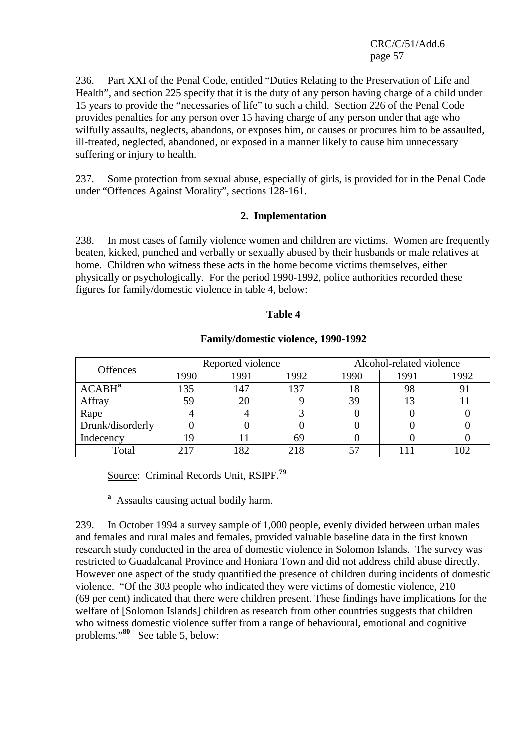236. Part XXI of the Penal Code, entitled "Duties Relating to the Preservation of Life and Health", and section 225 specify that it is the duty of any person having charge of a child under 15 years to provide the "necessaries of life" to such a child. Section 226 of the Penal Code provides penalties for any person over 15 having charge of any person under that age who wilfully assaults, neglects, abandons, or exposes him, or causes or procures him to be assaulted, ill-treated, neglected, abandoned, or exposed in a manner likely to cause him unnecessary suffering or injury to health.

237. Some protection from sexual abuse, especially of girls, is provided for in the Penal Code under "Offences Against Morality", sections 128-161.

#### **2. Implementation**

238. In most cases of family violence women and children are victims. Women are frequently beaten, kicked, punched and verbally or sexually abused by their husbands or male relatives at home. Children who witness these acts in the home become victims themselves, either physically or psychologically. For the period 1990-1992, police authorities recorded these figures for family/domestic violence in table 4, below:

#### **Table 4**

| <b>Offences</b>    |      | Reported violence |      | Alcohol-related violence |      |      |
|--------------------|------|-------------------|------|--------------------------|------|------|
|                    | 1990 | 1991              | 1992 | 1990                     | 1991 | 1992 |
| ACABH <sup>a</sup> | 135  | 147               | 137  | 18                       | 98   |      |
| Affray             | 59   | 20                |      | 39                       | 13   |      |
| Rape               |      |                   |      |                          |      |      |
| Drunk/disorderly   |      |                   |      |                          |      |      |
| Indecency          | 19   |                   | 69   |                          |      |      |
| Total              | 217  | 182               | 218  | 57                       |      | 102  |

#### **Family/domestic violence, 1990-1992**

Source: Criminal Records Unit, RSIPF.**<sup>79</sup>**

**<sup>a</sup>** Assaults causing actual bodily harm.

239. In October 1994 a survey sample of 1,000 people, evenly divided between urban males and females and rural males and females, provided valuable baseline data in the first known research study conducted in the area of domestic violence in Solomon Islands. The survey was restricted to Guadalcanal Province and Honiara Town and did not address child abuse directly. However one aspect of the study quantified the presence of children during incidents of domestic violence. "Of the 303 people who indicated they were victims of domestic violence, 210 (69 per cent) indicated that there were children present. These findings have implications for the welfare of [Solomon Islands] children as research from other countries suggests that children who witness domestic violence suffer from a range of behavioural, emotional and cognitive problems."**<sup>80</sup>** See table 5, below: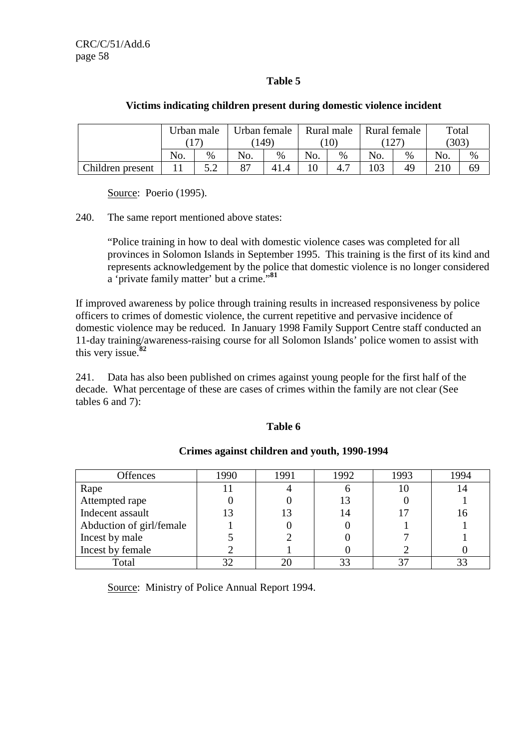# **Table 5**

|                  | Urban male |    | Urban female |       | Rural male |                 | Rural female |                | Total |      |
|------------------|------------|----|--------------|-------|------------|-----------------|--------------|----------------|-------|------|
|                  |            |    |              | (149) |            | 10 <sup>°</sup> |              | $\overline{a}$ | (303) |      |
|                  | No.        | %  | No.          | $\%$  | No.        | %               | No.          | $\%$           | No.   | $\%$ |
| Children present |            | ເາ | 87           | 41    | 1 $\Omega$ | 4.              | 03           | 49             | 210   | 69   |

#### **Victims indicating children present during domestic violence incident**

Source: Poerio (1995).

240. The same report mentioned above states:

"Police training in how to deal with domestic violence cases was completed for all provinces in Solomon Islands in September 1995. This training is the first of its kind and represents acknowledgement by the police that domestic violence is no longer considered a 'private family matter' but a crime."**<sup>81</sup>**

If improved awareness by police through training results in increased responsiveness by police officers to crimes of domestic violence, the current repetitive and pervasive incidence of domestic violence may be reduced. In January 1998 Family Support Centre staff conducted an 11-day training/awareness-raising course for all Solomon Islands' police women to assist with this very issue.**<sup>82</sup>**

241. Data has also been published on crimes against young people for the first half of the decade. What percentage of these are cases of crimes within the family are not clear (See tables 6 and 7):

#### **Table 6**

| <b>Offences</b>          | 1990 | 1991 | 1992 | 1993 | 1994 |
|--------------------------|------|------|------|------|------|
|                          |      |      |      |      |      |
| Rape                     |      |      |      |      |      |
| Attempted rape           |      |      | 13   |      |      |
| Indecent assault         |      |      | 14   |      |      |
| Abduction of girl/female |      |      |      |      |      |
| Incest by male           |      |      |      |      |      |
| Incest by female         |      |      |      |      |      |
| Total                    |      |      | 33   |      |      |

## **Crimes against children and youth, 1990-1994**

Source: Ministry of Police Annual Report 1994.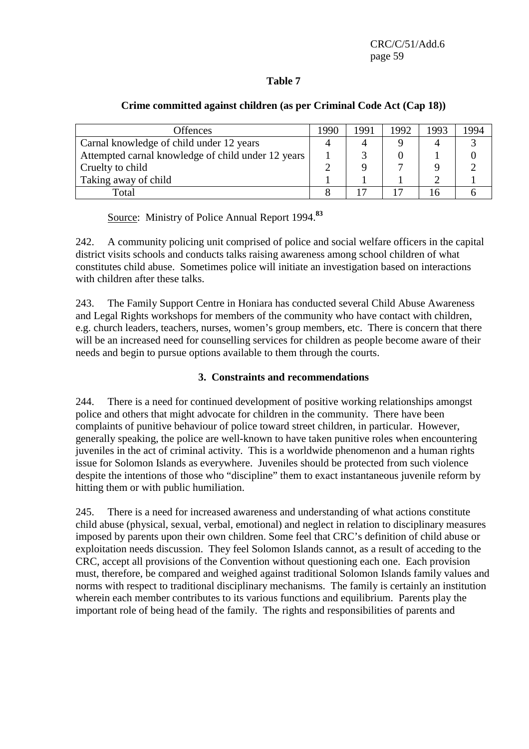## **Table 7**

| <b>Offences</b>                                    | 1990 | 1991 | 1992 | 1993 | 1994 |
|----------------------------------------------------|------|------|------|------|------|
| Carnal knowledge of child under 12 years           |      |      |      |      |      |
| Attempted carnal knowledge of child under 12 years |      |      |      |      |      |
| Cruelty to child                                   |      |      |      |      |      |
| Taking away of child                               |      |      |      |      |      |
| Total                                              |      |      |      |      |      |

#### **Crime committed against children (as per Criminal Code Act (Cap 18))**

Source: Ministry of Police Annual Report 1994.**<sup>83</sup>**

242. A community policing unit comprised of police and social welfare officers in the capital district visits schools and conducts talks raising awareness among school children of what constitutes child abuse. Sometimes police will initiate an investigation based on interactions with children after these talks.

243. The Family Support Centre in Honiara has conducted several Child Abuse Awareness and Legal Rights workshops for members of the community who have contact with children, e.g. church leaders, teachers, nurses, women's group members, etc. There is concern that there will be an increased need for counselling services for children as people become aware of their needs and begin to pursue options available to them through the courts.

## **3. Constraints and recommendations**

244. There is a need for continued development of positive working relationships amongst police and others that might advocate for children in the community. There have been complaints of punitive behaviour of police toward street children, in particular. However, generally speaking, the police are well-known to have taken punitive roles when encountering juveniles in the act of criminal activity. This is a worldwide phenomenon and a human rights issue for Solomon Islands as everywhere. Juveniles should be protected from such violence despite the intentions of those who "discipline" them to exact instantaneous juvenile reform by hitting them or with public humiliation.

245. There is a need for increased awareness and understanding of what actions constitute child abuse (physical, sexual, verbal, emotional) and neglect in relation to disciplinary measures imposed by parents upon their own children. Some feel that CRC's definition of child abuse or exploitation needs discussion. They feel Solomon Islands cannot, as a result of acceding to the CRC, accept all provisions of the Convention without questioning each one. Each provision must, therefore, be compared and weighed against traditional Solomon Islands family values and norms with respect to traditional disciplinary mechanisms. The family is certainly an institution wherein each member contributes to its various functions and equilibrium. Parents play the important role of being head of the family. The rights and responsibilities of parents and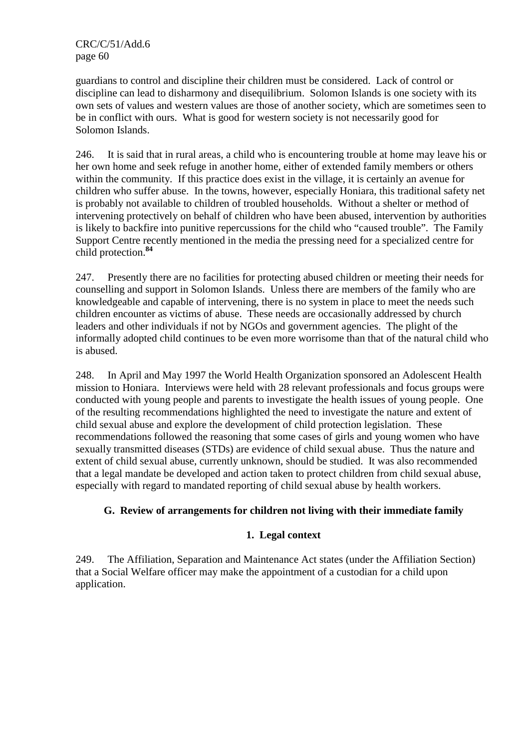guardians to control and discipline their children must be considered. Lack of control or discipline can lead to disharmony and disequilibrium. Solomon Islands is one society with its own sets of values and western values are those of another society, which are sometimes seen to be in conflict with ours. What is good for western society is not necessarily good for Solomon Islands.

246. It is said that in rural areas, a child who is encountering trouble at home may leave his or her own home and seek refuge in another home, either of extended family members or others within the community. If this practice does exist in the village, it is certainly an avenue for children who suffer abuse. In the towns, however, especially Honiara, this traditional safety net is probably not available to children of troubled households. Without a shelter or method of intervening protectively on behalf of children who have been abused, intervention by authorities is likely to backfire into punitive repercussions for the child who "caused trouble". The Family Support Centre recently mentioned in the media the pressing need for a specialized centre for child protection.**<sup>84</sup>**

247. Presently there are no facilities for protecting abused children or meeting their needs for counselling and support in Solomon Islands. Unless there are members of the family who are knowledgeable and capable of intervening, there is no system in place to meet the needs such children encounter as victims of abuse. These needs are occasionally addressed by church leaders and other individuals if not by NGOs and government agencies. The plight of the informally adopted child continues to be even more worrisome than that of the natural child who is abused.

248. In April and May 1997 the World Health Organization sponsored an Adolescent Health mission to Honiara. Interviews were held with 28 relevant professionals and focus groups were conducted with young people and parents to investigate the health issues of young people. One of the resulting recommendations highlighted the need to investigate the nature and extent of child sexual abuse and explore the development of child protection legislation. These recommendations followed the reasoning that some cases of girls and young women who have sexually transmitted diseases (STDs) are evidence of child sexual abuse. Thus the nature and extent of child sexual abuse, currently unknown, should be studied. It was also recommended that a legal mandate be developed and action taken to protect children from child sexual abuse, especially with regard to mandated reporting of child sexual abuse by health workers.

## **G. Review of arrangements for children not living with their immediate family**

# **1. Legal context**

249. The Affiliation, Separation and Maintenance Act states (under the Affiliation Section) that a Social Welfare officer may make the appointment of a custodian for a child upon application.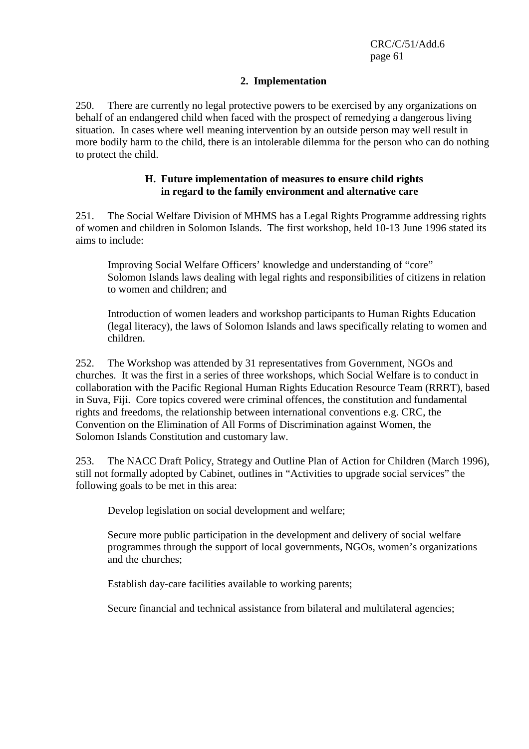#### **2. Implementation**

250. There are currently no legal protective powers to be exercised by any organizations on behalf of an endangered child when faced with the prospect of remedying a dangerous living situation. In cases where well meaning intervention by an outside person may well result in more bodily harm to the child, there is an intolerable dilemma for the person who can do nothing to protect the child.

#### **H. Future implementation of measures to ensure child rights in regard to the family environment and alternative care**

251. The Social Welfare Division of MHMS has a Legal Rights Programme addressing rights of women and children in Solomon Islands. The first workshop, held 10-13 June 1996 stated its aims to include:

Improving Social Welfare Officers' knowledge and understanding of "core" Solomon Islands laws dealing with legal rights and responsibilities of citizens in relation to women and children; and

Introduction of women leaders and workshop participants to Human Rights Education (legal literacy), the laws of Solomon Islands and laws specifically relating to women and children.

252. The Workshop was attended by 31 representatives from Government, NGOs and churches. It was the first in a series of three workshops, which Social Welfare is to conduct in collaboration with the Pacific Regional Human Rights Education Resource Team (RRRT), based in Suva, Fiji. Core topics covered were criminal offences, the constitution and fundamental rights and freedoms, the relationship between international conventions e.g. CRC, the Convention on the Elimination of All Forms of Discrimination against Women, the Solomon Islands Constitution and customary law.

253. The NACC Draft Policy, Strategy and Outline Plan of Action for Children (March 1996), still not formally adopted by Cabinet, outlines in "Activities to upgrade social services" the following goals to be met in this area:

Develop legislation on social development and welfare;

Secure more public participation in the development and delivery of social welfare programmes through the support of local governments, NGOs, women's organizations and the churches;

Establish day-care facilities available to working parents;

Secure financial and technical assistance from bilateral and multilateral agencies;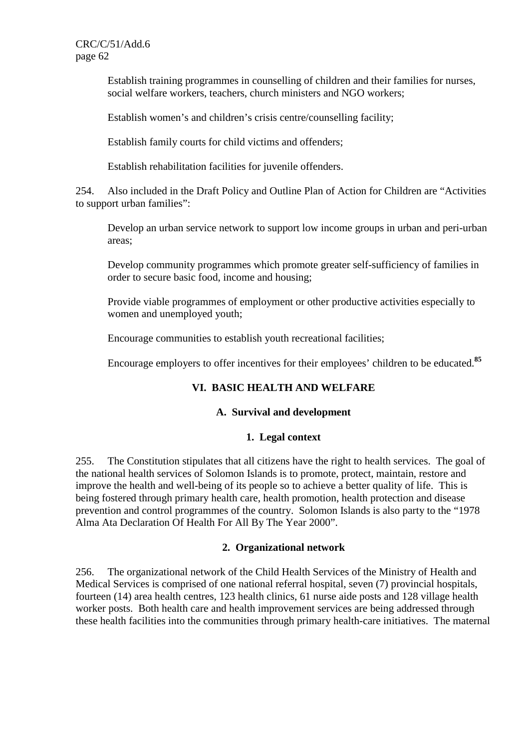Establish training programmes in counselling of children and their families for nurses, social welfare workers, teachers, church ministers and NGO workers;

Establish women's and children's crisis centre/counselling facility;

Establish family courts for child victims and offenders;

Establish rehabilitation facilities for juvenile offenders.

254. Also included in the Draft Policy and Outline Plan of Action for Children are "Activities to support urban families":

Develop an urban service network to support low income groups in urban and peri-urban areas;

Develop community programmes which promote greater self-sufficiency of families in order to secure basic food, income and housing;

Provide viable programmes of employment or other productive activities especially to women and unemployed youth;

Encourage communities to establish youth recreational facilities;

Encourage employers to offer incentives for their employees' children to be educated.**<sup>85</sup>**

## **VI. BASIC HEALTH AND WELFARE**

## **A. Survival and development**

## **1. Legal context**

255. The Constitution stipulates that all citizens have the right to health services. The goal of the national health services of Solomon Islands is to promote, protect, maintain, restore and improve the health and well-being of its people so to achieve a better quality of life. This is being fostered through primary health care, health promotion, health protection and disease prevention and control programmes of the country. Solomon Islands is also party to the "1978 Alma Ata Declaration Of Health For All By The Year 2000".

#### **2. Organizational network**

256. The organizational network of the Child Health Services of the Ministry of Health and Medical Services is comprised of one national referral hospital, seven (7) provincial hospitals, fourteen (14) area health centres, 123 health clinics, 61 nurse aide posts and 128 village health worker posts. Both health care and health improvement services are being addressed through these health facilities into the communities through primary health-care initiatives. The maternal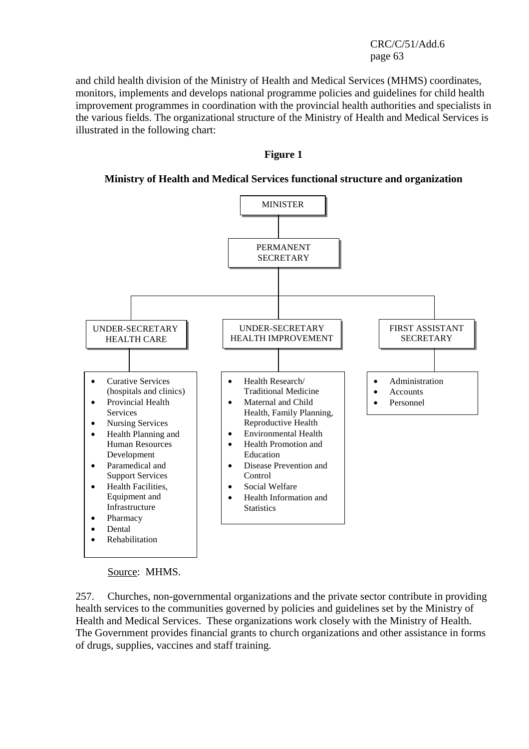and child health division of the Ministry of Health and Medical Services (MHMS) coordinates, monitors, implements and develops national programme policies and guidelines for child health improvement programmes in coordination with the provincial health authorities and specialists in the various fields. The organizational structure of the Ministry of Health and Medical Services is illustrated in the following chart:

#### **Figure 1**

**Ministry of Health and Medical Services functional structure and organization** 



Source: MHMS.

257. Churches, non-governmental organizations and the private sector contribute in providing health services to the communities governed by policies and guidelines set by the Ministry of Health and Medical Services. These organizations work closely with the Ministry of Health. The Government provides financial grants to church organizations and other assistance in forms of drugs, supplies, vaccines and staff training.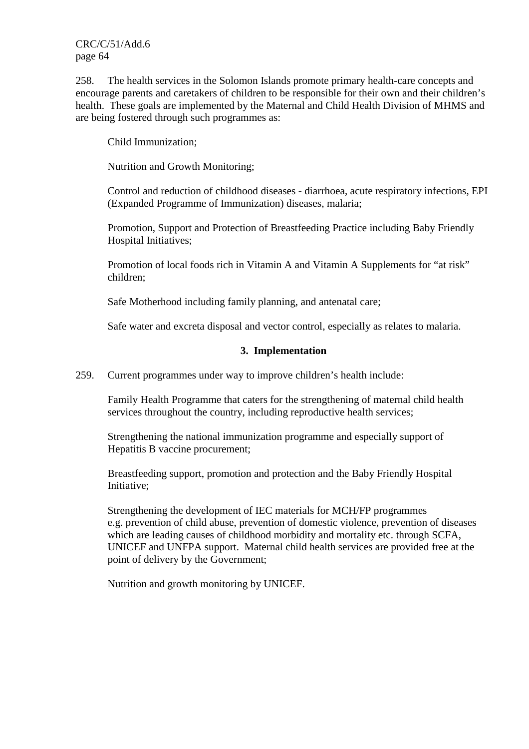258. The health services in the Solomon Islands promote primary health-care concepts and encourage parents and caretakers of children to be responsible for their own and their children's health. These goals are implemented by the Maternal and Child Health Division of MHMS and are being fostered through such programmes as:

Child Immunization;

Nutrition and Growth Monitoring;

Control and reduction of childhood diseases - diarrhoea, acute respiratory infections, EPI (Expanded Programme of Immunization) diseases, malaria;

Promotion, Support and Protection of Breastfeeding Practice including Baby Friendly Hospital Initiatives;

Promotion of local foods rich in Vitamin A and Vitamin A Supplements for "at risk" children;

Safe Motherhood including family planning, and antenatal care;

Safe water and excreta disposal and vector control, especially as relates to malaria.

## **3. Implementation**

259. Current programmes under way to improve children's health include:

Family Health Programme that caters for the strengthening of maternal child health services throughout the country, including reproductive health services;

Strengthening the national immunization programme and especially support of Hepatitis B vaccine procurement;

Breastfeeding support, promotion and protection and the Baby Friendly Hospital Initiative;

Strengthening the development of IEC materials for MCH/FP programmes e.g. prevention of child abuse, prevention of domestic violence, prevention of diseases which are leading causes of childhood morbidity and mortality etc. through SCFA, UNICEF and UNFPA support. Maternal child health services are provided free at the point of delivery by the Government;

Nutrition and growth monitoring by UNICEF.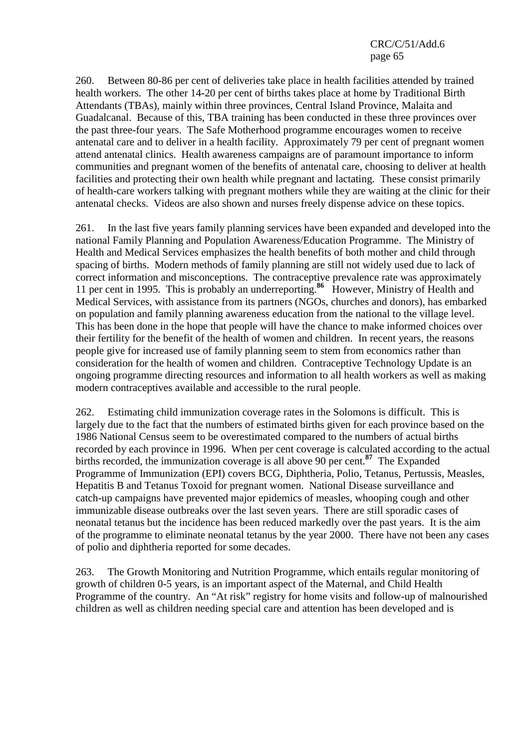260. Between 80-86 per cent of deliveries take place in health facilities attended by trained health workers. The other 14-20 per cent of births takes place at home by Traditional Birth Attendants (TBAs), mainly within three provinces, Central Island Province, Malaita and Guadalcanal. Because of this, TBA training has been conducted in these three provinces over the past three-four years. The Safe Motherhood programme encourages women to receive antenatal care and to deliver in a health facility. Approximately 79 per cent of pregnant women attend antenatal clinics. Health awareness campaigns are of paramount importance to inform communities and pregnant women of the benefits of antenatal care, choosing to deliver at health facilities and protecting their own health while pregnant and lactating. These consist primarily of health-care workers talking with pregnant mothers while they are waiting at the clinic for their antenatal checks. Videos are also shown and nurses freely dispense advice on these topics.

261. In the last five years family planning services have been expanded and developed into the national Family Planning and Population Awareness/Education Programme. The Ministry of Health and Medical Services emphasizes the health benefits of both mother and child through spacing of births. Modern methods of family planning are still not widely used due to lack of correct information and misconceptions. The contraceptive prevalence rate was approximately 11 per cent in 1995. This is probably an underreporting.**<sup>86</sup>** However, Ministry of Health and Medical Services, with assistance from its partners (NGOs, churches and donors), has embarked on population and family planning awareness education from the national to the village level. This has been done in the hope that people will have the chance to make informed choices over their fertility for the benefit of the health of women and children. In recent years, the reasons people give for increased use of family planning seem to stem from economics rather than consideration for the health of women and children. Contraceptive Technology Update is an ongoing programme directing resources and information to all health workers as well as making modern contraceptives available and accessible to the rural people.

262. Estimating child immunization coverage rates in the Solomons is difficult. This is largely due to the fact that the numbers of estimated births given for each province based on the 1986 National Census seem to be overestimated compared to the numbers of actual births recorded by each province in 1996. When per cent coverage is calculated according to the actual births recorded, the immunization coverage is all above 90 per cent.**<sup>87</sup>** The Expanded Programme of Immunization (EPI) covers BCG, Diphtheria, Polio, Tetanus, Pertussis, Measles, Hepatitis B and Tetanus Toxoid for pregnant women. National Disease surveillance and catch-up campaigns have prevented major epidemics of measles, whooping cough and other immunizable disease outbreaks over the last seven years. There are still sporadic cases of neonatal tetanus but the incidence has been reduced markedly over the past years. It is the aim of the programme to eliminate neonatal tetanus by the year 2000. There have not been any cases of polio and diphtheria reported for some decades.

263. The Growth Monitoring and Nutrition Programme, which entails regular monitoring of growth of children 0-5 years, is an important aspect of the Maternal, and Child Health Programme of the country. An "At risk" registry for home visits and follow-up of malnourished children as well as children needing special care and attention has been developed and is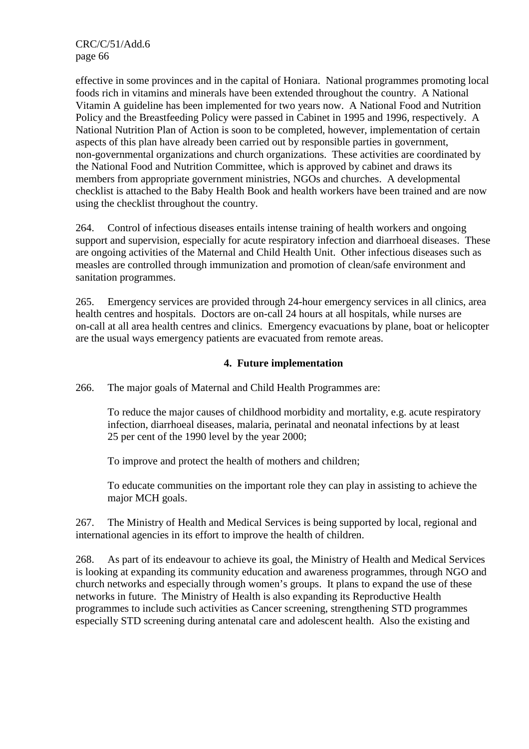effective in some provinces and in the capital of Honiara. National programmes promoting local foods rich in vitamins and minerals have been extended throughout the country. A National Vitamin A guideline has been implemented for two years now. A National Food and Nutrition Policy and the Breastfeeding Policy were passed in Cabinet in 1995 and 1996, respectively. A National Nutrition Plan of Action is soon to be completed, however, implementation of certain aspects of this plan have already been carried out by responsible parties in government, non-governmental organizations and church organizations. These activities are coordinated by the National Food and Nutrition Committee, which is approved by cabinet and draws its members from appropriate government ministries, NGOs and churches. A developmental checklist is attached to the Baby Health Book and health workers have been trained and are now using the checklist throughout the country.

264. Control of infectious diseases entails intense training of health workers and ongoing support and supervision, especially for acute respiratory infection and diarrhoeal diseases. These are ongoing activities of the Maternal and Child Health Unit. Other infectious diseases such as measles are controlled through immunization and promotion of clean/safe environment and sanitation programmes.

265. Emergency services are provided through 24-hour emergency services in all clinics, area health centres and hospitals. Doctors are on-call 24 hours at all hospitals, while nurses are on-call at all area health centres and clinics. Emergency evacuations by plane, boat or helicopter are the usual ways emergency patients are evacuated from remote areas.

#### **4. Future implementation**

266. The major goals of Maternal and Child Health Programmes are:

To reduce the major causes of childhood morbidity and mortality, e.g. acute respiratory infection, diarrhoeal diseases, malaria, perinatal and neonatal infections by at least 25 per cent of the 1990 level by the year 2000;

To improve and protect the health of mothers and children;

To educate communities on the important role they can play in assisting to achieve the major MCH goals.

267. The Ministry of Health and Medical Services is being supported by local, regional and international agencies in its effort to improve the health of children.

268. As part of its endeavour to achieve its goal, the Ministry of Health and Medical Services is looking at expanding its community education and awareness programmes, through NGO and church networks and especially through women's groups. It plans to expand the use of these networks in future. The Ministry of Health is also expanding its Reproductive Health programmes to include such activities as Cancer screening, strengthening STD programmes especially STD screening during antenatal care and adolescent health. Also the existing and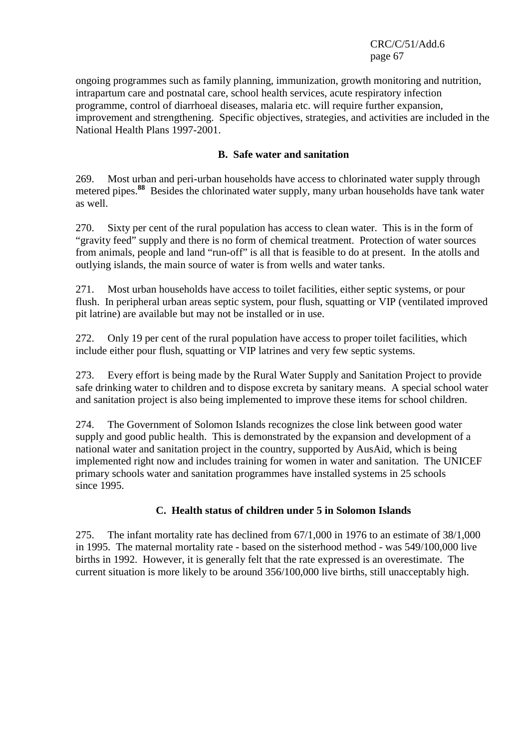ongoing programmes such as family planning, immunization, growth monitoring and nutrition, intrapartum care and postnatal care, school health services, acute respiratory infection programme, control of diarrhoeal diseases, malaria etc. will require further expansion, improvement and strengthening. Specific objectives, strategies, and activities are included in the National Health Plans 1997-2001.

### **B. Safe water and sanitation**

269. Most urban and peri-urban households have access to chlorinated water supply through metered pipes.**<sup>88</sup>** Besides the chlorinated water supply, many urban households have tank water as well.

270. Sixty per cent of the rural population has access to clean water. This is in the form of "gravity feed" supply and there is no form of chemical treatment. Protection of water sources from animals, people and land "run-off" is all that is feasible to do at present. In the atolls and outlying islands, the main source of water is from wells and water tanks.

271. Most urban households have access to toilet facilities, either septic systems, or pour flush. In peripheral urban areas septic system, pour flush, squatting or VIP (ventilated improved pit latrine) are available but may not be installed or in use.

272. Only 19 per cent of the rural population have access to proper toilet facilities, which include either pour flush, squatting or VIP latrines and very few septic systems.

273. Every effort is being made by the Rural Water Supply and Sanitation Project to provide safe drinking water to children and to dispose excreta by sanitary means. A special school water and sanitation project is also being implemented to improve these items for school children.

274. The Government of Solomon Islands recognizes the close link between good water supply and good public health. This is demonstrated by the expansion and development of a national water and sanitation project in the country, supported by AusAid, which is being implemented right now and includes training for women in water and sanitation. The UNICEF primary schools water and sanitation programmes have installed systems in 25 schools since 1995.

## **C. Health status of children under 5 in Solomon Islands**

275. The infant mortality rate has declined from 67/1,000 in 1976 to an estimate of 38/1,000 in 1995. The maternal mortality rate - based on the sisterhood method - was 549/100,000 live births in 1992. However, it is generally felt that the rate expressed is an overestimate. The current situation is more likely to be around 356/100,000 live births, still unacceptably high.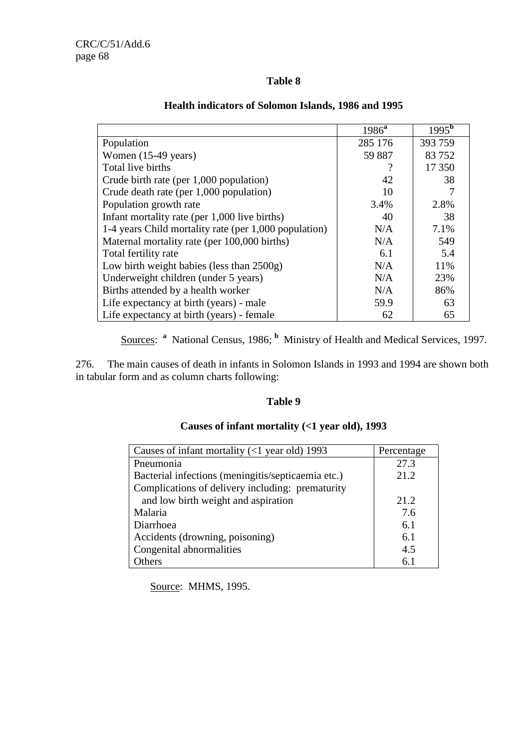# **Table 8**

|                                                       | 1986 <sup>a</sup> | $1995^{\overline{b}}$ |
|-------------------------------------------------------|-------------------|-----------------------|
| Population                                            | 285 176           | 393 759               |
| Women $(15-49 \text{ years})$                         | 59 887            | 83752                 |
| Total live births                                     | ?                 | 17 350                |
| Crude birth rate (per 1,000 population)               | 42                | 38                    |
| Crude death rate (per 1,000 population)               | 10                |                       |
| Population growth rate                                | 3.4%              | 2.8%                  |
| Infant mortality rate (per $1,000$ live births)       | 40                | 38                    |
| 1-4 years Child mortality rate (per 1,000 population) | N/A               | 7.1%                  |
| Maternal mortality rate (per 100,000 births)          | N/A               | 549                   |
| Total fertility rate                                  | 6.1               | 5.4                   |
| Low birth weight babies (less than 2500g)             | N/A               | 11%                   |
| Underweight children (under 5 years)                  | N/A               | 23%                   |
| Births attended by a health worker                    | N/A               | 86%                   |
| Life expectancy at birth (years) - male               | 59.9              | 63                    |
| Life expectancy at birth (years) - female             | 62                | 65                    |

# **Health indicators of Solomon Islands, 1986 and 1995**

Sources: <sup>a</sup> National Census, 1986; <sup>b</sup> Ministry of Health and Medical Services, 1997.

276. The main causes of death in infants in Solomon Islands in 1993 and 1994 are shown both in tabular form and as column charts following:

#### **Table 9**

# **Causes of infant mortality (<1 year old), 1993**

| Causes of infant mortality $(<1$ year old) 1993    | Percentage |
|----------------------------------------------------|------------|
| Pneumonia                                          | 27.3       |
| Bacterial infections (meningitis/septicaemia etc.) | 21.2       |
| Complications of delivery including: prematurity   |            |
| and low birth weight and aspiration                | 21.2       |
| Malaria                                            | 7.6        |
| Diarrhoea                                          | 6.1        |
| Accidents (drowning, poisoning)                    | 6.1        |
| Congenital abnormalities                           | 4.5        |
| <b>Others</b>                                      | հ 1        |

Source: MHMS, 1995.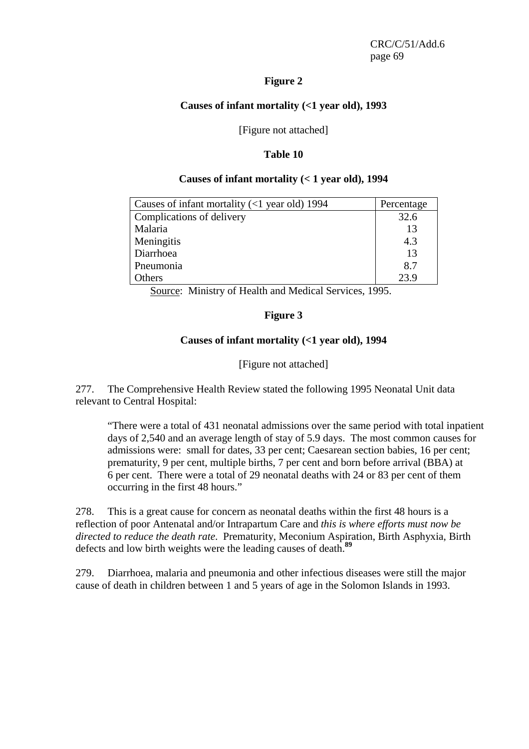#### **Figure 2**

#### **Causes of infant mortality (<1 year old), 1993**

[Figure not attached]

#### **Table 10**

#### **Causes of infant mortality (< 1 year old), 1994**

| Causes of infant mortality $(<1$ year old) 1994 | Percentage |
|-------------------------------------------------|------------|
| Complications of delivery                       | 32.6       |
| Malaria                                         | 13         |
| Meningitis                                      | 4.3        |
| Diarrhoea                                       | 13         |
| Pneumonia                                       | 8.7        |
| Others                                          | 239        |

Source: Ministry of Health and Medical Services, 1995.

## **Figure 3**

## **Causes of infant mortality (<1 year old), 1994**

## [Figure not attached]

277. The Comprehensive Health Review stated the following 1995 Neonatal Unit data relevant to Central Hospital:

"There were a total of 431 neonatal admissions over the same period with total inpatient days of 2,540 and an average length of stay of 5.9 days. The most common causes for admissions were: small for dates, 33 per cent; Caesarean section babies, 16 per cent; prematurity, 9 per cent, multiple births, 7 per cent and born before arrival (BBA) at 6 per cent. There were a total of 29 neonatal deaths with 24 or 83 per cent of them occurring in the first 48 hours."

278. This is a great cause for concern as neonatal deaths within the first 48 hours is a reflection of poor Antenatal and/or Intrapartum Care and *this is where efforts must now be directed to reduce the death rate*. Prematurity, Meconium Aspiration, Birth Asphyxia, Birth defects and low birth weights were the leading causes of death.**<sup>89</sup>**

279. Diarrhoea, malaria and pneumonia and other infectious diseases were still the major cause of death in children between 1 and 5 years of age in the Solomon Islands in 1993.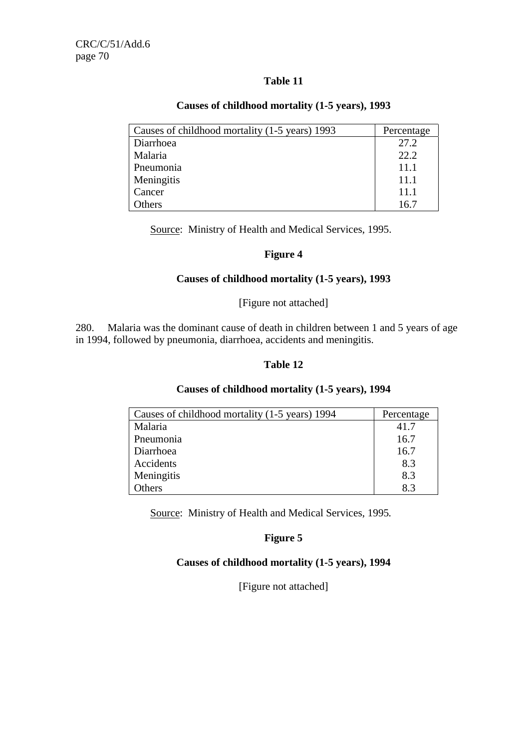# **Table 11**

| Causes of childhood mortality (1-5 years) 1993 | Percentage |
|------------------------------------------------|------------|
| Diarrhoea                                      | 27.2       |
| Malaria                                        | 22.2       |
| Pneumonia                                      | 11.1       |
| Meningitis                                     | 11.1       |
| Cancer                                         | 11.1       |
| Others                                         | 16.7       |

#### **Causes of childhood mortality (1-5 years), 1993**

Source: Ministry of Health and Medical Services, 1995.

## **Figure 4**

#### **Causes of childhood mortality (1-5 years), 1993**

#### [Figure not attached]

280. Malaria was the dominant cause of death in children between 1 and 5 years of age in 1994, followed by pneumonia, diarrhoea, accidents and meningitis.

## **Table 12**

#### **Causes of childhood mortality (1-5 years), 1994**

| Causes of childhood mortality (1-5 years) 1994 | Percentage |
|------------------------------------------------|------------|
| Malaria                                        | 41.7       |
| Pneumonia                                      | 16.7       |
| Diarrhoea                                      | 16.7       |
| Accidents                                      | 8.3        |
| Meningitis                                     | 8.3        |
| Others                                         | 8.3        |

Source: Ministry of Health and Medical Services, 1995*.*

## **Figure 5**

## **Causes of childhood mortality (1-5 years), 1994**

[Figure not attached]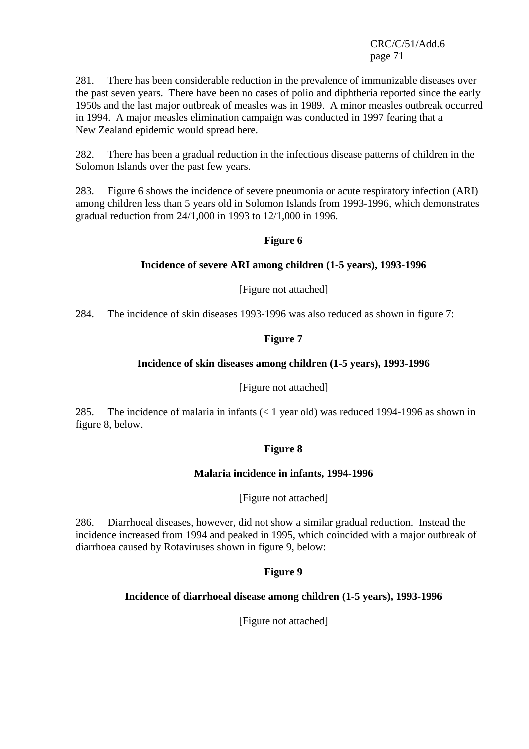281. There has been considerable reduction in the prevalence of immunizable diseases over the past seven years. There have been no cases of polio and diphtheria reported since the early 1950s and the last major outbreak of measles was in 1989. A minor measles outbreak occurred in 1994. A major measles elimination campaign was conducted in 1997 fearing that a New Zealand epidemic would spread here.

282. There has been a gradual reduction in the infectious disease patterns of children in the Solomon Islands over the past few years.

283. Figure 6 shows the incidence of severe pneumonia or acute respiratory infection (ARI) among children less than 5 years old in Solomon Islands from 1993-1996, which demonstrates gradual reduction from 24/1,000 in 1993 to 12/1,000 in 1996.

#### **Figure 6**

## **Incidence of severe ARI among children (1-5 years), 1993-1996**

[Figure not attached]

284. The incidence of skin diseases 1993-1996 was also reduced as shown in figure 7:

## **Figure 7**

#### **Incidence of skin diseases among children (1-5 years), 1993-1996**

[Figure not attached]

285. The incidence of malaria in infants (< 1 year old) was reduced 1994-1996 as shown in figure 8, below.

#### **Figure 8**

#### **Malaria incidence in infants, 1994-1996**

[Figure not attached]

286. Diarrhoeal diseases, however, did not show a similar gradual reduction. Instead the incidence increased from 1994 and peaked in 1995, which coincided with a major outbreak of diarrhoea caused by Rotaviruses shown in figure 9, below:

## **Figure 9**

## **Incidence of diarrhoeal disease among children (1-5 years), 1993-1996**

[Figure not attached]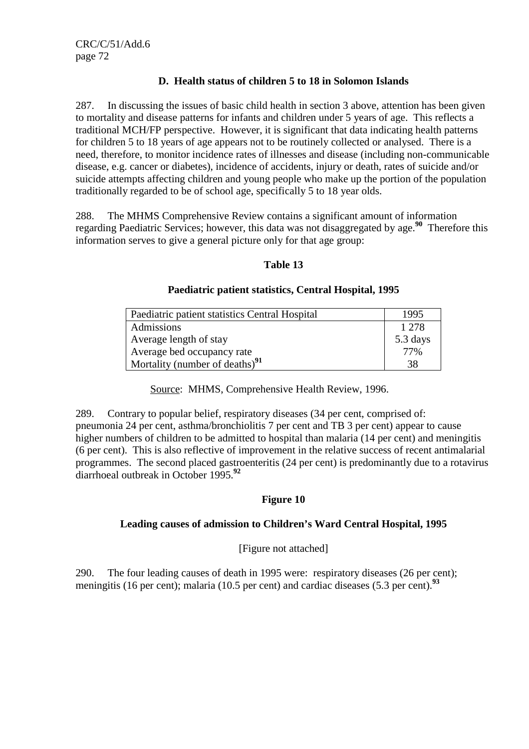# **D. Health status of children 5 to 18 in Solomon Islands**

287. In discussing the issues of basic child health in section 3 above, attention has been given to mortality and disease patterns for infants and children under 5 years of age. This reflects a traditional MCH/FP perspective. However, it is significant that data indicating health patterns for children 5 to 18 years of age appears not to be routinely collected or analysed. There is a need, therefore, to monitor incidence rates of illnesses and disease (including non-communicable disease, e.g. cancer or diabetes), incidence of accidents, injury or death, rates of suicide and/or suicide attempts affecting children and young people who make up the portion of the population traditionally regarded to be of school age, specifically 5 to 18 year olds.

288. The MHMS Comprehensive Review contains a significant amount of information regarding Paediatric Services; however, this data was not disaggregated by age.**<sup>90</sup>** Therefore this information serves to give a general picture only for that age group:

## **Table 13**

#### **Paediatric patient statistics, Central Hospital, 1995**

| Paediatric patient statistics Central Hospital | 1995     |
|------------------------------------------------|----------|
| Admissions                                     | 1 2 7 8  |
| Average length of stay                         | 5.3 days |
| Average bed occupancy rate                     | 77%      |
| Mortality (number of deaths) <sup>91</sup>     | 38       |

Source: MHMS, Comprehensive Health Review, 1996.

289. Contrary to popular belief, respiratory diseases (34 per cent, comprised of: pneumonia 24 per cent, asthma/bronchiolitis 7 per cent and TB 3 per cent) appear to cause higher numbers of children to be admitted to hospital than malaria (14 per cent) and meningitis (6 per cent). This is also reflective of improvement in the relative success of recent antimalarial programmes. The second placed gastroenteritis (24 per cent) is predominantly due to a rotavirus diarrhoeal outbreak in October 1995.**<sup>92</sup>**

# **Figure 10**

## **Leading causes of admission to Children's Ward Central Hospital, 1995**

[Figure not attached]

290. The four leading causes of death in 1995 were: respiratory diseases (26 per cent); meningitis (16 per cent); malaria (10.5 per cent) and cardiac diseases (5.3 per cent).**<sup>93</sup>**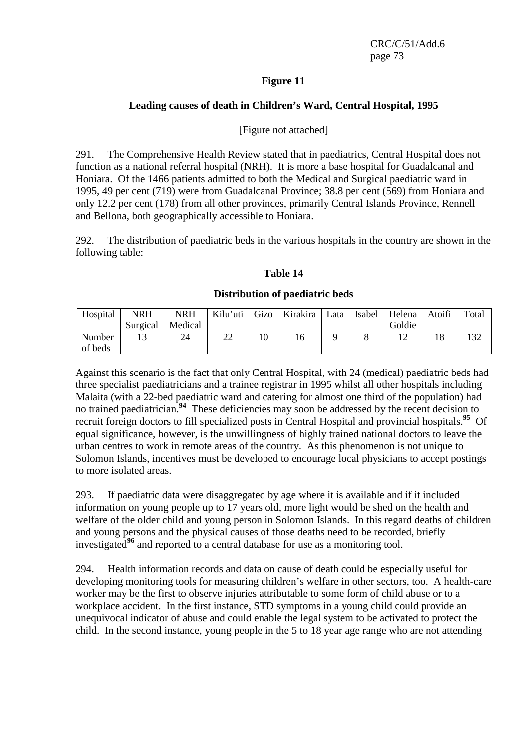## **Figure 11**

#### **Leading causes of death in Children's Ward, Central Hospital, 1995**

### [Figure not attached]

291. The Comprehensive Health Review stated that in paediatrics, Central Hospital does not function as a national referral hospital (NRH). It is more a base hospital for Guadalcanal and Honiara. Of the 1466 patients admitted to both the Medical and Surgical paediatric ward in 1995, 49 per cent (719) were from Guadalcanal Province; 38.8 per cent (569) from Honiara and only 12.2 per cent (178) from all other provinces, primarily Central Islands Province, Rennell and Bellona, both geographically accessible to Honiara.

292. The distribution of paediatric beds in the various hospitals in the country are shown in the following table:

#### **Table 14**

#### **Distribution of paediatric beds**

| Hospital | NRH      | NRH     | Kilu'uti | <b>Gizo</b> | Kirakira | Lata | Isabel | Helena | Atoifi | Total |
|----------|----------|---------|----------|-------------|----------|------|--------|--------|--------|-------|
|          | Surgical | Medical |          |             |          |      |        | Goldie |        |       |
| Number   |          | 24      | າາ<br>∠∠ |             | I h      |      |        |        |        | 132   |
| of beds  |          |         |          |             |          |      |        |        |        |       |

Against this scenario is the fact that only Central Hospital, with 24 (medical) paediatric beds had three specialist paediatricians and a trainee registrar in 1995 whilst all other hospitals including Malaita (with a 22-bed paediatric ward and catering for almost one third of the population) had no trained paediatrician.<sup>94</sup> These deficiencies may soon be addressed by the recent decision to recruit foreign doctors to fill specialized posts in Central Hospital and provincial hospitals.**<sup>95</sup>** Of equal significance, however, is the unwillingness of highly trained national doctors to leave the urban centres to work in remote areas of the country. As this phenomenon is not unique to Solomon Islands, incentives must be developed to encourage local physicians to accept postings to more isolated areas.

293. If paediatric data were disaggregated by age where it is available and if it included information on young people up to 17 years old, more light would be shed on the health and welfare of the older child and young person in Solomon Islands. In this regard deaths of children and young persons and the physical causes of those deaths need to be recorded, briefly investigated**<sup>96</sup>** and reported to a central database for use as a monitoring tool.

294. Health information records and data on cause of death could be especially useful for developing monitoring tools for measuring children's welfare in other sectors, too. A health-care worker may be the first to observe injuries attributable to some form of child abuse or to a workplace accident. In the first instance, STD symptoms in a young child could provide an unequivocal indicator of abuse and could enable the legal system to be activated to protect the child. In the second instance, young people in the 5 to 18 year age range who are not attending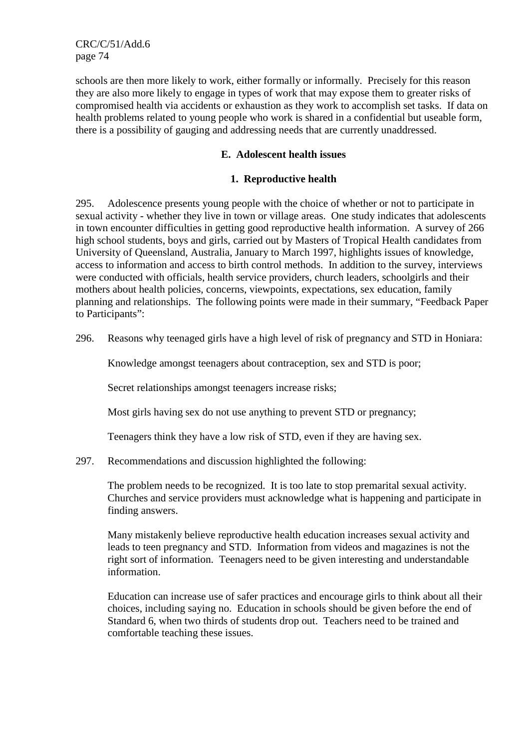schools are then more likely to work, either formally or informally. Precisely for this reason they are also more likely to engage in types of work that may expose them to greater risks of compromised health via accidents or exhaustion as they work to accomplish set tasks. If data on health problems related to young people who work is shared in a confidential but useable form, there is a possibility of gauging and addressing needs that are currently unaddressed.

#### **E. Adolescent health issues**

#### **1. Reproductive health**

295. Adolescence presents young people with the choice of whether or not to participate in sexual activity - whether they live in town or village areas. One study indicates that adolescents in town encounter difficulties in getting good reproductive health information. A survey of 266 high school students, boys and girls, carried out by Masters of Tropical Health candidates from University of Queensland, Australia, January to March 1997, highlights issues of knowledge, access to information and access to birth control methods. In addition to the survey, interviews were conducted with officials, health service providers, church leaders, schoolgirls and their mothers about health policies, concerns, viewpoints, expectations, sex education, family planning and relationships. The following points were made in their summary, "Feedback Paper to Participants":

296. Reasons why teenaged girls have a high level of risk of pregnancy and STD in Honiara:

Knowledge amongst teenagers about contraception, sex and STD is poor;

Secret relationships amongst teenagers increase risks;

Most girls having sex do not use anything to prevent STD or pregnancy;

Teenagers think they have a low risk of STD, even if they are having sex.

297. Recommendations and discussion highlighted the following:

The problem needs to be recognized. It is too late to stop premarital sexual activity. Churches and service providers must acknowledge what is happening and participate in finding answers.

Many mistakenly believe reproductive health education increases sexual activity and leads to teen pregnancy and STD. Information from videos and magazines is not the right sort of information. Teenagers need to be given interesting and understandable information.

Education can increase use of safer practices and encourage girls to think about all their choices, including saying no. Education in schools should be given before the end of Standard 6, when two thirds of students drop out. Teachers need to be trained and comfortable teaching these issues.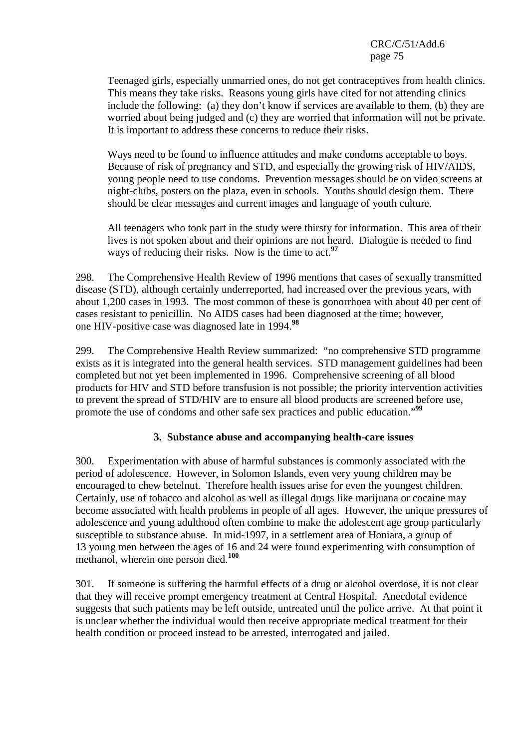Teenaged girls, especially unmarried ones, do not get contraceptives from health clinics. This means they take risks. Reasons young girls have cited for not attending clinics include the following: (a) they don't know if services are available to them, (b) they are worried about being judged and (c) they are worried that information will not be private. It is important to address these concerns to reduce their risks.

Ways need to be found to influence attitudes and make condoms acceptable to boys. Because of risk of pregnancy and STD, and especially the growing risk of HIV/AIDS, young people need to use condoms. Prevention messages should be on video screens at night-clubs, posters on the plaza, even in schools. Youths should design them. There should be clear messages and current images and language of youth culture.

All teenagers who took part in the study were thirsty for information. This area of their lives is not spoken about and their opinions are not heard. Dialogue is needed to find ways of reducing their risks. Now is the time to act.**<sup>97</sup>**

298. The Comprehensive Health Review of 1996 mentions that cases of sexually transmitted disease (STD), although certainly underreported, had increased over the previous years, with about 1,200 cases in 1993. The most common of these is gonorrhoea with about 40 per cent of cases resistant to penicillin. No AIDS cases had been diagnosed at the time; however, one HIV-positive case was diagnosed late in 1994.**<sup>98</sup>**

299. The Comprehensive Health Review summarized: "no comprehensive STD programme exists as it is integrated into the general health services. STD management guidelines had been completed but not yet been implemented in 1996. Comprehensive screening of all blood products for HIV and STD before transfusion is not possible; the priority intervention activities to prevent the spread of STD/HIV are to ensure all blood products are screened before use, promote the use of condoms and other safe sex practices and public education."**<sup>99</sup>**

## **3. Substance abuse and accompanying health-care issues**

300. Experimentation with abuse of harmful substances is commonly associated with the period of adolescence. However, in Solomon Islands, even very young children may be encouraged to chew betelnut. Therefore health issues arise for even the youngest children. Certainly, use of tobacco and alcohol as well as illegal drugs like marijuana or cocaine may become associated with health problems in people of all ages. However, the unique pressures of adolescence and young adulthood often combine to make the adolescent age group particularly susceptible to substance abuse. In mid-1997, in a settlement area of Honiara, a group of 13 young men between the ages of 16 and 24 were found experimenting with consumption of methanol, wherein one person died.**<sup>100</sup>**

301. If someone is suffering the harmful effects of a drug or alcohol overdose, it is not clear that they will receive prompt emergency treatment at Central Hospital. Anecdotal evidence suggests that such patients may be left outside, untreated until the police arrive. At that point it is unclear whether the individual would then receive appropriate medical treatment for their health condition or proceed instead to be arrested, interrogated and jailed.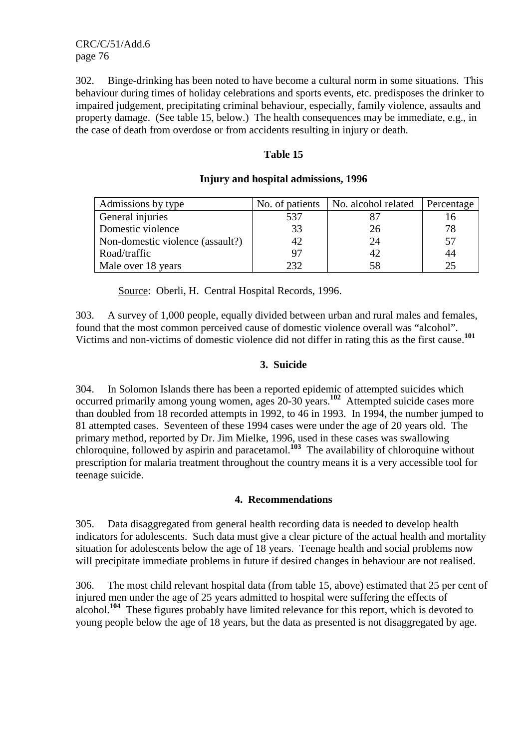302. Binge-drinking has been noted to have become a cultural norm in some situations. This behaviour during times of holiday celebrations and sports events, etc. predisposes the drinker to impaired judgement, precipitating criminal behaviour, especially, family violence, assaults and property damage. (See table 15, below.) The health consequences may be immediate, e.g., in the case of death from overdose or from accidents resulting in injury or death.

#### **Table 15**

| Admissions by type               | No. of patients | No. alcohol related | Percentage |
|----------------------------------|-----------------|---------------------|------------|
| General injuries                 | 537             |                     |            |
| Domestic violence                | 33              | 26                  | 78         |
| Non-domestic violence (assault?) | 42              | 24                  | 57         |
| Road/traffic                     | 97              | 42                  | 44         |
| Male over 18 years               | 232             | 58                  |            |

#### **Injury and hospital admissions, 1996**

Source: Oberli, H. Central Hospital Records, 1996.

303. A survey of 1,000 people, equally divided between urban and rural males and females, found that the most common perceived cause of domestic violence overall was "alcohol". Victims and non-victims of domestic violence did not differ in rating this as the first cause.**<sup>101</sup>**

#### **3. Suicide**

304. In Solomon Islands there has been a reported epidemic of attempted suicides which occurred primarily among young women, ages 20-30 years.**<sup>102</sup>** Attempted suicide cases more than doubled from 18 recorded attempts in 1992, to 46 in 1993. In 1994, the number jumped to 81 attempted cases. Seventeen of these 1994 cases were under the age of 20 years old. The primary method, reported by Dr. Jim Mielke, 1996, used in these cases was swallowing chloroquine, followed by aspirin and paracetamol.<sup>103</sup> The availability of chloroquine without prescription for malaria treatment throughout the country means it is a very accessible tool for teenage suicide.

#### **4. Recommendations**

305. Data disaggregated from general health recording data is needed to develop health indicators for adolescents. Such data must give a clear picture of the actual health and mortality situation for adolescents below the age of 18 years. Teenage health and social problems now will precipitate immediate problems in future if desired changes in behaviour are not realised.

306. The most child relevant hospital data (from table 15, above) estimated that 25 per cent of injured men under the age of 25 years admitted to hospital were suffering the effects of alcohol.<sup>104</sup> These figures probably have limited relevance for this report, which is devoted to young people below the age of 18 years, but the data as presented is not disaggregated by age.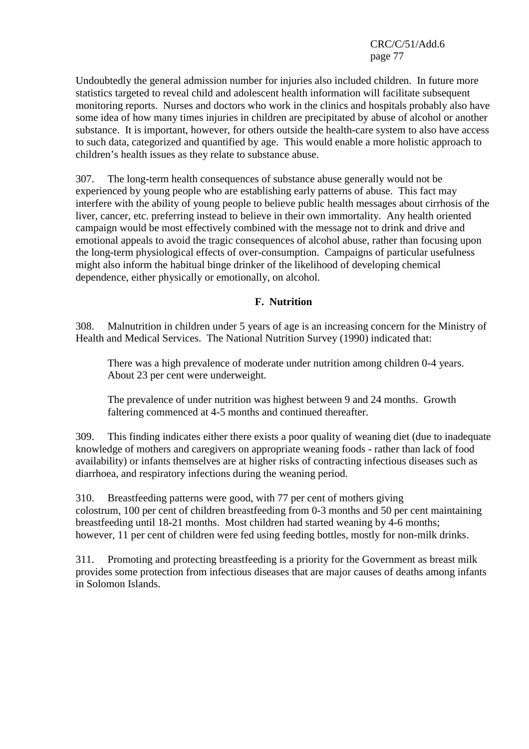Undoubtedly the general admission number for injuries also included children. In future more statistics targeted to reveal child and adolescent health information will facilitate subsequent monitoring reports. Nurses and doctors who work in the clinics and hospitals probably also have some idea of how many times injuries in children are precipitated by abuse of alcohol or another substance. It is important, however, for others outside the health-care system to also have access to such data, categorized and quantified by age. This would enable a more holistic approach to children's health issues as they relate to substance abuse.

307. The long-term health consequences of substance abuse generally would not be experienced by young people who are establishing early patterns of abuse. This fact may interfere with the ability of young people to believe public health messages about cirrhosis of the liver, cancer, etc. preferring instead to believe in their own immortality. Any health oriented campaign would be most effectively combined with the message not to drink and drive and emotional appeals to avoid the tragic consequences of alcohol abuse, rather than focusing upon the long-term physiological effects of over-consumption. Campaigns of particular usefulness might also inform the habitual binge drinker of the likelihood of developing chemical dependence, either physically or emotionally, on alcohol.

#### **F. Nutrition**

308. Malnutrition in children under 5 years of age is an increasing concern for the Ministry of Health and Medical Services. The National Nutrition Survey (1990) indicated that:

There was a high prevalence of moderate under nutrition among children 0-4 years. About 23 per cent were underweight.

The prevalence of under nutrition was highest between 9 and 24 months. Growth faltering commenced at 4-5 months and continued thereafter.

309. This finding indicates either there exists a poor quality of weaning diet (due to inadequate knowledge of mothers and caregivers on appropriate weaning foods - rather than lack of food availability) or infants themselves are at higher risks of contracting infectious diseases such as diarrhoea, and respiratory infections during the weaning period.

310. Breastfeeding patterns were good, with 77 per cent of mothers giving colostrum, 100 per cent of children breastfeeding from 0-3 months and 50 per cent maintaining breastfeeding until 18-21 months. Most children had started weaning by 4-6 months; however, 11 per cent of children were fed using feeding bottles, mostly for non-milk drinks.

311. Promoting and protecting breastfeeding is a priority for the Government as breast milk provides some protection from infectious diseases that are major causes of deaths among infants in Solomon Islands.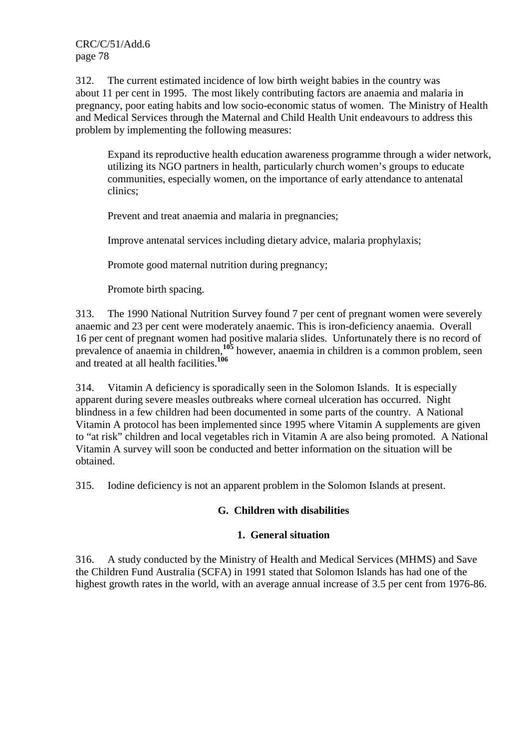312. The current estimated incidence of low birth weight babies in the country was about 11 per cent in 1995. The most likely contributing factors are anaemia and malaria in pregnancy, poor eating habits and low socio-economic status of women. The Ministry of Health and Medical Services through the Maternal and Child Health Unit endeavours to address this problem by implementing the following measures:

Expand its reproductive health education awareness programme through a wider network, utilizing its NGO partners in health, particularly church women's groups to educate communities, especially women, on the importance of early attendance to antenatal clinics;

Prevent and treat anaemia and malaria in pregnancies;

Improve antenatal services including dietary advice, malaria prophylaxis;

Promote good maternal nutrition during pregnancy;

Promote birth spacing.

313. The 1990 National Nutrition Survey found 7 per cent of pregnant women were severely anaemic and 23 per cent were moderately anaemic. This is iron-deficiency anaemia. Overall 16 per cent of pregnant women had positive malaria slides. Unfortunately there is no record of prevalence of anaemia in children,**<sup>105</sup>** however, anaemia in children is a common problem, seen and treated at all health facilities.**<sup>106</sup>**

314. Vitamin A deficiency is sporadically seen in the Solomon Islands. It is especially apparent during severe measles outbreaks where corneal ulceration has occurred. Night blindness in a few children had been documented in some parts of the country. A National Vitamin A protocol has been implemented since 1995 where Vitamin A supplements are given to "at risk" children and local vegetables rich in Vitamin A are also being promoted. A National Vitamin A survey will soon be conducted and better information on the situation will be obtained.

315. Iodine deficiency is not an apparent problem in the Solomon Islands at present.

#### **G. Children with disabilities**

## **1. General situation**

316. A study conducted by the Ministry of Health and Medical Services (MHMS) and Save the Children Fund Australia (SCFA) in 1991 stated that Solomon Islands has had one of the highest growth rates in the world, with an average annual increase of 3.5 per cent from 1976-86.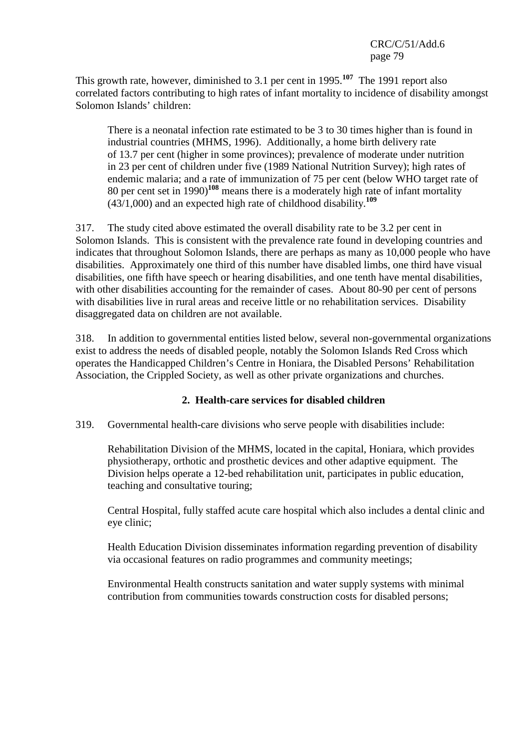This growth rate, however, diminished to 3.1 per cent in 1995.**<sup>107</sup>** The 1991 report also correlated factors contributing to high rates of infant mortality to incidence of disability amongst Solomon Islands' children:

There is a neonatal infection rate estimated to be 3 to 30 times higher than is found in industrial countries (MHMS, 1996). Additionally, a home birth delivery rate of 13.7 per cent (higher in some provinces); prevalence of moderate under nutrition in 23 per cent of children under five (1989 National Nutrition Survey); high rates of endemic malaria; and a rate of immunization of 75 per cent (below WHO target rate of 80 per cent set in 1990)**<sup>108</sup>** means there is a moderately high rate of infant mortality (43/1,000) and an expected high rate of childhood disability.**<sup>109</sup>**

317. The study cited above estimated the overall disability rate to be 3.2 per cent in Solomon Islands. This is consistent with the prevalence rate found in developing countries and indicates that throughout Solomon Islands, there are perhaps as many as 10,000 people who have disabilities. Approximately one third of this number have disabled limbs, one third have visual disabilities, one fifth have speech or hearing disabilities, and one tenth have mental disabilities, with other disabilities accounting for the remainder of cases. About 80-90 per cent of persons with disabilities live in rural areas and receive little or no rehabilitation services. Disability disaggregated data on children are not available.

318. In addition to governmental entities listed below, several non-governmental organizations exist to address the needs of disabled people, notably the Solomon Islands Red Cross which operates the Handicapped Children's Centre in Honiara, the Disabled Persons' Rehabilitation Association, the Crippled Society, as well as other private organizations and churches.

# **2. Health-care services for disabled children**

319. Governmental health-care divisions who serve people with disabilities include:

Rehabilitation Division of the MHMS, located in the capital, Honiara, which provides physiotherapy, orthotic and prosthetic devices and other adaptive equipment. The Division helps operate a 12-bed rehabilitation unit, participates in public education, teaching and consultative touring;

Central Hospital, fully staffed acute care hospital which also includes a dental clinic and eye clinic;

Health Education Division disseminates information regarding prevention of disability via occasional features on radio programmes and community meetings;

Environmental Health constructs sanitation and water supply systems with minimal contribution from communities towards construction costs for disabled persons;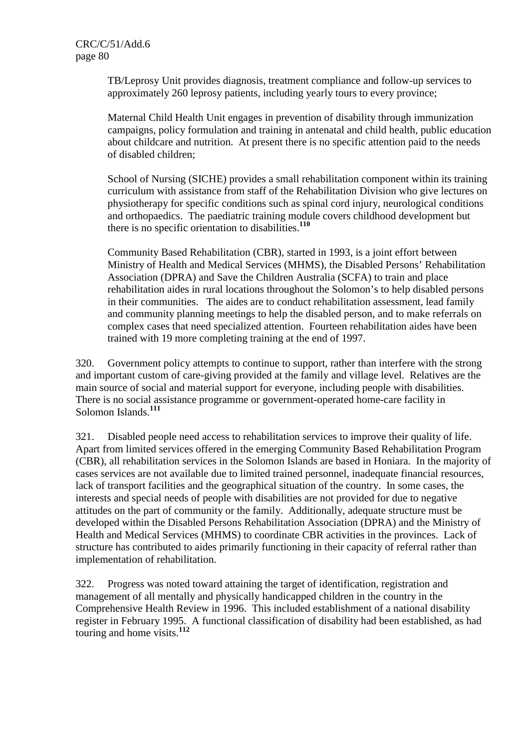TB/Leprosy Unit provides diagnosis, treatment compliance and follow-up services to approximately 260 leprosy patients, including yearly tours to every province;

Maternal Child Health Unit engages in prevention of disability through immunization campaigns, policy formulation and training in antenatal and child health, public education about childcare and nutrition. At present there is no specific attention paid to the needs of disabled children;

School of Nursing (SICHE) provides a small rehabilitation component within its training curriculum with assistance from staff of the Rehabilitation Division who give lectures on physiotherapy for specific conditions such as spinal cord injury, neurological conditions and orthopaedics. The paediatric training module covers childhood development but there is no specific orientation to disabilities.**<sup>110</sup>**

Community Based Rehabilitation (CBR), started in 1993, is a joint effort between Ministry of Health and Medical Services (MHMS), the Disabled Persons' Rehabilitation Association (DPRA) and Save the Children Australia (SCFA) to train and place rehabilitation aides in rural locations throughout the Solomon's to help disabled persons in their communities. The aides are to conduct rehabilitation assessment, lead family and community planning meetings to help the disabled person, and to make referrals on complex cases that need specialized attention. Fourteen rehabilitation aides have been trained with 19 more completing training at the end of 1997.

320. Government policy attempts to continue to support, rather than interfere with the strong and important custom of care-giving provided at the family and village level. Relatives are the main source of social and material support for everyone, including people with disabilities. There is no social assistance programme or government-operated home-care facility in Solomon Islands.**<sup>111</sup>**

321. Disabled people need access to rehabilitation services to improve their quality of life. Apart from limited services offered in the emerging Community Based Rehabilitation Program (CBR), all rehabilitation services in the Solomon Islands are based in Honiara. In the majority of cases services are not available due to limited trained personnel, inadequate financial resources, lack of transport facilities and the geographical situation of the country. In some cases, the interests and special needs of people with disabilities are not provided for due to negative attitudes on the part of community or the family. Additionally, adequate structure must be developed within the Disabled Persons Rehabilitation Association (DPRA) and the Ministry of Health and Medical Services (MHMS) to coordinate CBR activities in the provinces. Lack of structure has contributed to aides primarily functioning in their capacity of referral rather than implementation of rehabilitation.

322. Progress was noted toward attaining the target of identification, registration and management of all mentally and physically handicapped children in the country in the Comprehensive Health Review in 1996. This included establishment of a national disability register in February 1995. A functional classification of disability had been established, as had touring and home visits.**<sup>112</sup>**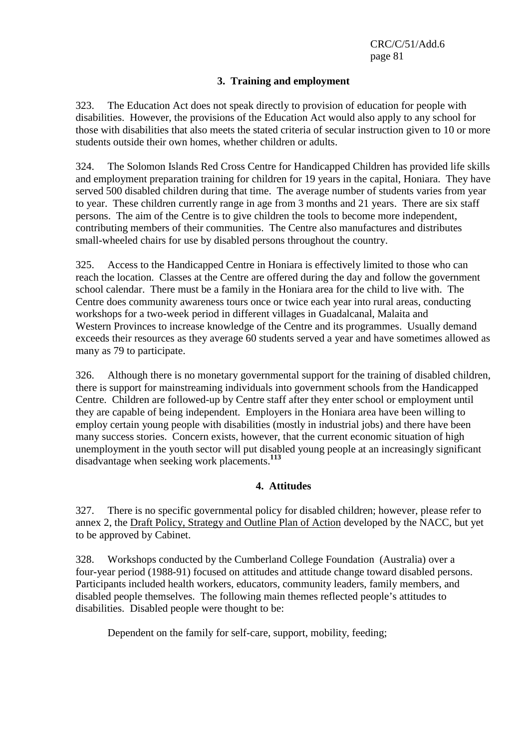## **3. Training and employment**

323. The Education Act does not speak directly to provision of education for people with disabilities. However, the provisions of the Education Act would also apply to any school for those with disabilities that also meets the stated criteria of secular instruction given to 10 or more students outside their own homes, whether children or adults.

324. The Solomon Islands Red Cross Centre for Handicapped Children has provided life skills and employment preparation training for children for 19 years in the capital, Honiara. They have served 500 disabled children during that time. The average number of students varies from year to year. These children currently range in age from 3 months and 21 years. There are six staff persons. The aim of the Centre is to give children the tools to become more independent, contributing members of their communities. The Centre also manufactures and distributes small-wheeled chairs for use by disabled persons throughout the country.

325. Access to the Handicapped Centre in Honiara is effectively limited to those who can reach the location. Classes at the Centre are offered during the day and follow the government school calendar. There must be a family in the Honiara area for the child to live with. The Centre does community awareness tours once or twice each year into rural areas, conducting workshops for a two-week period in different villages in Guadalcanal, Malaita and Western Provinces to increase knowledge of the Centre and its programmes. Usually demand exceeds their resources as they average 60 students served a year and have sometimes allowed as many as 79 to participate.

326. Although there is no monetary governmental support for the training of disabled children, there is support for mainstreaming individuals into government schools from the Handicapped Centre. Children are followed-up by Centre staff after they enter school or employment until they are capable of being independent. Employers in the Honiara area have been willing to employ certain young people with disabilities (mostly in industrial jobs) and there have been many success stories. Concern exists, however, that the current economic situation of high unemployment in the youth sector will put disabled young people at an increasingly significant disadvantage when seeking work placements.**<sup>113</sup>**

#### **4. Attitudes**

327. There is no specific governmental policy for disabled children; however, please refer to annex 2, the Draft Policy, Strategy and Outline Plan of Action developed by the NACC, but yet to be approved by Cabinet.

328. Workshops conducted by the Cumberland College Foundation (Australia) over a four-year period (1988-91) focused on attitudes and attitude change toward disabled persons. Participants included health workers, educators, community leaders, family members, and disabled people themselves. The following main themes reflected people's attitudes to disabilities. Disabled people were thought to be:

Dependent on the family for self-care, support, mobility, feeding;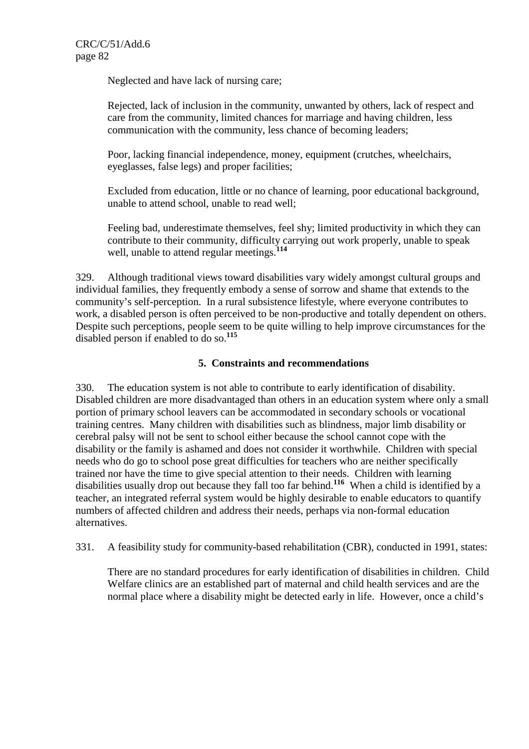Neglected and have lack of nursing care;

Rejected, lack of inclusion in the community, unwanted by others, lack of respect and care from the community, limited chances for marriage and having children, less communication with the community, less chance of becoming leaders;

Poor, lacking financial independence, money, equipment (crutches, wheelchairs, eyeglasses, false legs) and proper facilities;

Excluded from education, little or no chance of learning, poor educational background, unable to attend school, unable to read well;

Feeling bad, underestimate themselves, feel shy; limited productivity in which they can contribute to their community, difficulty carrying out work properly, unable to speak well, unable to attend regular meetings.**<sup>114</sup>**

329. Although traditional views toward disabilities vary widely amongst cultural groups and individual families, they frequently embody a sense of sorrow and shame that extends to the community's self-perception. In a rural subsistence lifestyle, where everyone contributes to work, a disabled person is often perceived to be non-productive and totally dependent on others. Despite such perceptions, people seem to be quite willing to help improve circumstances for the disabled person if enabled to do so.**<sup>115</sup>**

## **5. Constraints and recommendations**

330. The education system is not able to contribute to early identification of disability. Disabled children are more disadvantaged than others in an education system where only a small portion of primary school leavers can be accommodated in secondary schools or vocational training centres. Many children with disabilities such as blindness, major limb disability or cerebral palsy will not be sent to school either because the school cannot cope with the disability or the family is ashamed and does not consider it worthwhile. Children with special needs who do go to school pose great difficulties for teachers who are neither specifically trained nor have the time to give special attention to their needs. Children with learning disabilities usually drop out because they fall too far behind.**<sup>116</sup>** When a child is identified by a teacher, an integrated referral system would be highly desirable to enable educators to quantify numbers of affected children and address their needs, perhaps via non-formal education alternatives.

331. A feasibility study for community-based rehabilitation (CBR), conducted in 1991, states:

There are no standard procedures for early identification of disabilities in children. Child Welfare clinics are an established part of maternal and child health services and are the normal place where a disability might be detected early in life. However, once a child's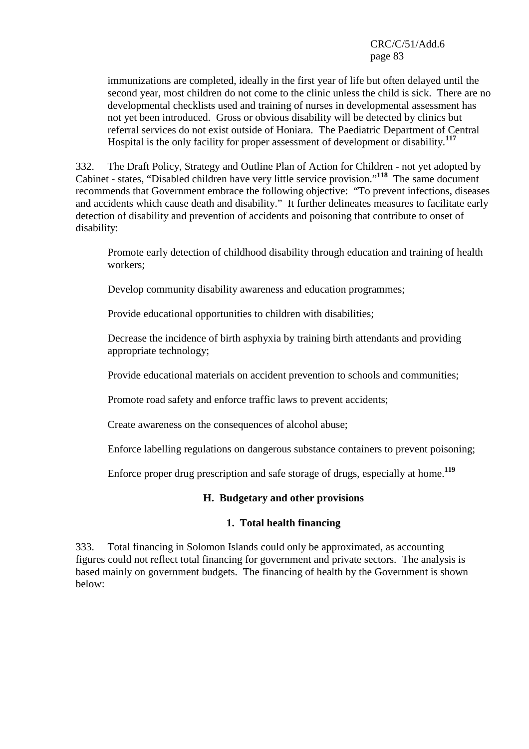immunizations are completed, ideally in the first year of life but often delayed until the second year, most children do not come to the clinic unless the child is sick. There are no developmental checklists used and training of nurses in developmental assessment has not yet been introduced. Gross or obvious disability will be detected by clinics but referral services do not exist outside of Honiara. The Paediatric Department of Central Hospital is the only facility for proper assessment of development or disability.**<sup>117</sup>**

332. The Draft Policy, Strategy and Outline Plan of Action for Children - not yet adopted by Cabinet - states, "Disabled children have very little service provision."**<sup>118</sup>** The same document recommends that Government embrace the following objective: "To prevent infections, diseases and accidents which cause death and disability." It further delineates measures to facilitate early detection of disability and prevention of accidents and poisoning that contribute to onset of disability:

Promote early detection of childhood disability through education and training of health workers;

Develop community disability awareness and education programmes;

Provide educational opportunities to children with disabilities;

Decrease the incidence of birth asphyxia by training birth attendants and providing appropriate technology;

Provide educational materials on accident prevention to schools and communities;

Promote road safety and enforce traffic laws to prevent accidents;

Create awareness on the consequences of alcohol abuse;

Enforce labelling regulations on dangerous substance containers to prevent poisoning;

Enforce proper drug prescription and safe storage of drugs, especially at home.**<sup>119</sup>**

## **H. Budgetary and other provisions**

#### **1. Total health financing**

333. Total financing in Solomon Islands could only be approximated, as accounting figures could not reflect total financing for government and private sectors. The analysis is based mainly on government budgets. The financing of health by the Government is shown below: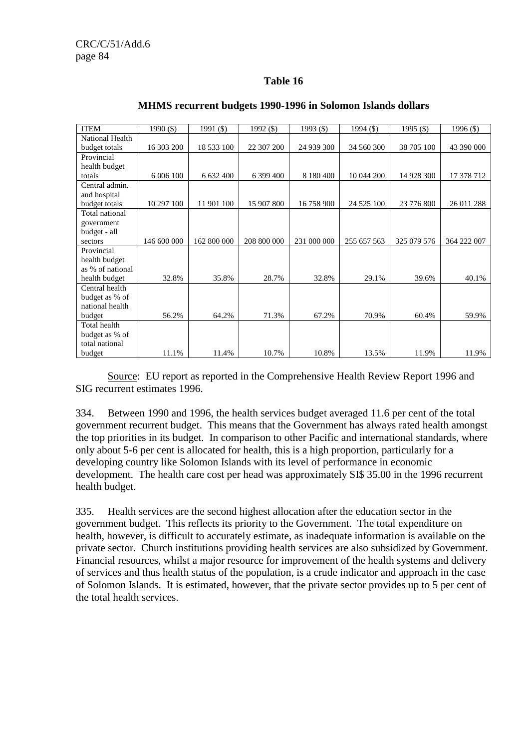### **Table 16**

| <b>ITEM</b>      | $1990($ \$) | 1991 (\$)   | 1992 (\$)   | 1993 (\$)   | 1994 $($)$  | 1995 $($ \$) | 1996 (\$)   |
|------------------|-------------|-------------|-------------|-------------|-------------|--------------|-------------|
| National Health  |             |             |             |             |             |              |             |
| budget totals    | 16 303 200  | 18 533 100  | 22 307 200  | 24 939 300  | 34 560 300  | 38 705 100   | 43 390 000  |
| Provincial       |             |             |             |             |             |              |             |
| health budget    |             |             |             |             |             |              |             |
| totals           | 6 006 100   | 6 632 400   | 6 399 400   | 8 180 400   | 10 044 200  | 14 928 300   | 17 378 712  |
| Central admin.   |             |             |             |             |             |              |             |
| and hospital     |             |             |             |             |             |              |             |
| budget totals    | 10 297 100  | 11 901 100  | 15 907 800  | 16758900    | 24 525 100  | 23 776 800   | 26 011 288  |
| Total national   |             |             |             |             |             |              |             |
| government       |             |             |             |             |             |              |             |
| budget - all     |             |             |             |             |             |              |             |
| sectors          | 146 600 000 | 162 800 000 | 208 800 000 | 231 000 000 | 255 657 563 | 325 079 576  | 364 222 007 |
| Provincial       |             |             |             |             |             |              |             |
| health budget    |             |             |             |             |             |              |             |
| as % of national |             |             |             |             |             |              |             |
| health budget    | 32.8%       | 35.8%       | 28.7%       | 32.8%       | 29.1%       | 39.6%        | 40.1%       |
| Central health   |             |             |             |             |             |              |             |
| budget as % of   |             |             |             |             |             |              |             |
| national health  |             |             |             |             |             |              |             |
| budget           | 56.2%       | 64.2%       | 71.3%       | 67.2%       | 70.9%       | 60.4%        | 59.9%       |
| Total health     |             |             |             |             |             |              |             |
| budget as % of   |             |             |             |             |             |              |             |
| total national   |             |             |             |             |             |              |             |
| budget           | 11.1%       | 11.4%       | 10.7%       | 10.8%       | 13.5%       | 11.9%        | 11.9%       |

#### **MHMS recurrent budgets 1990-1996 in Solomon Islands dollars**

 Source: EU report as reported in the Comprehensive Health Review Report 1996 and SIG recurrent estimates 1996.

334. Between 1990 and 1996, the health services budget averaged 11.6 per cent of the total government recurrent budget. This means that the Government has always rated health amongst the top priorities in its budget. In comparison to other Pacific and international standards, where only about 5-6 per cent is allocated for health, this is a high proportion, particularly for a developing country like Solomon Islands with its level of performance in economic development. The health care cost per head was approximately SI\$ 35.00 in the 1996 recurrent health budget.

335. Health services are the second highest allocation after the education sector in the government budget. This reflects its priority to the Government. The total expenditure on health, however, is difficult to accurately estimate, as inadequate information is available on the private sector. Church institutions providing health services are also subsidized by Government. Financial resources, whilst a major resource for improvement of the health systems and delivery of services and thus health status of the population, is a crude indicator and approach in the case of Solomon Islands. It is estimated, however, that the private sector provides up to 5 per cent of the total health services.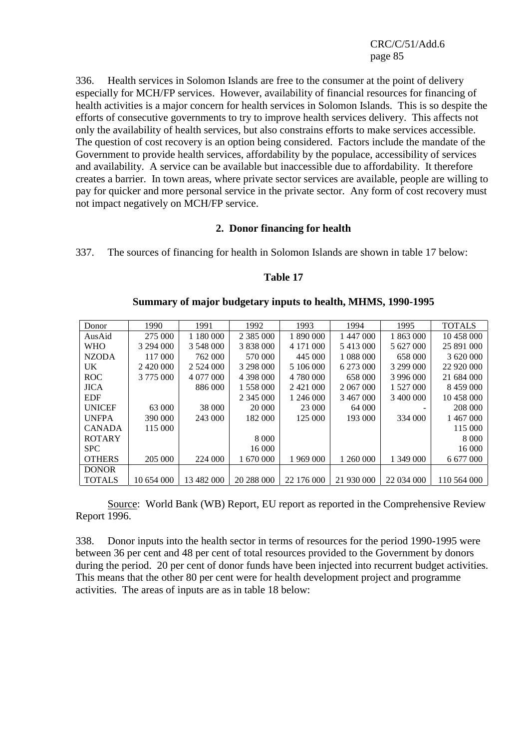336. Health services in Solomon Islands are free to the consumer at the point of delivery especially for MCH/FP services. However, availability of financial resources for financing of health activities is a major concern for health services in Solomon Islands. This is so despite the efforts of consecutive governments to try to improve health services delivery. This affects not only the availability of health services, but also constrains efforts to make services accessible. The question of cost recovery is an option being considered. Factors include the mandate of the Government to provide health services, affordability by the populace, accessibility of services and availability. A service can be available but inaccessible due to affordability. It therefore creates a barrier. In town areas, where private sector services are available, people are willing to pay for quicker and more personal service in the private sector. Any form of cost recovery must not impact negatively on MCH/FP service.

#### **2. Donor financing for health**

337. The sources of financing for health in Solomon Islands are shown in table 17 below:

#### **Table 17**

| Donor         | 1990       | 1991         | 1992            | 1993            | 1994       | 1995       | <b>TOTALS</b> |
|---------------|------------|--------------|-----------------|-----------------|------------|------------|---------------|
| AusAid        | 275 000    |              | 2 3 8 5 0 0 0 0 | 1 890 000       | 1 447 000  | 1 863 000  | 10 458 000    |
| <b>WHO</b>    | 3 294 000  | 3 548 000    | 3 838 000       | 4 1 7 1 0 0 0 0 | 5413000    | 5 627 000  | 25 891 000    |
| <b>NZODA</b>  | 117 000    | 762 000      | 570 000         | 445 000         | 1 088 000  | 658 000    | 3 620 000     |
| <b>UK</b>     | 2420 000   | 2 5 24 0 0 0 | 3 298 000       | 5 106 000       | 6 273 000  | 3 299 000  | 22 920 000    |
| <b>ROC</b>    | 3 775 000  | 4 077 000    | 4 398 000       | 4 780 000       | 658 000    | 3 996 000  | 21 684 000    |
| <b>JICA</b>   |            | 886 000      | 1 558 000       | 2421 000        | 2 067 000  | 1 527 000  | 8459000       |
| <b>EDF</b>    |            |              | 2 345 000       | 1 246 000       | 3467000    | 3 400 000  | 10 458 000    |
| <b>UNICEF</b> | 63 000     | 38 000       | 20 000          | 23 000          | 64 000     |            | 208 000       |
| <b>UNFPA</b>  | 390 000    | 243 000      | 182 000         | 125 000         | 193 000    | 334 000    | 1467000       |
| <b>CANADA</b> | 115 000    |              |                 |                 |            |            | 115 000       |
| <b>ROTARY</b> |            |              | 8 0 0 0         |                 |            |            | 8 0 0 0       |
| <b>SPC</b>    |            |              | 16 000          |                 |            |            | 16 000        |
| <b>OTHERS</b> | 205 000    | 224 000      | 1 670 000       | 1 969 000       | 1 260 000  | 1 349 000  | 6 677 000     |
| <b>DONOR</b>  |            |              |                 |                 |            |            |               |
| <b>TOTALS</b> | 10 654 000 | 13 482 000   | 20 288 000      | 22 176 000      | 21 930 000 | 22 034 000 | 110 564 000   |

#### **Summary of major budgetary inputs to health, MHMS, 1990-1995**

 Source: World Bank (WB) Report, EU report as reported in the Comprehensive Review Report 1996.

338. Donor inputs into the health sector in terms of resources for the period 1990-1995 were between 36 per cent and 48 per cent of total resources provided to the Government by donors during the period. 20 per cent of donor funds have been injected into recurrent budget activities. This means that the other 80 per cent were for health development project and programme activities. The areas of inputs are as in table 18 below: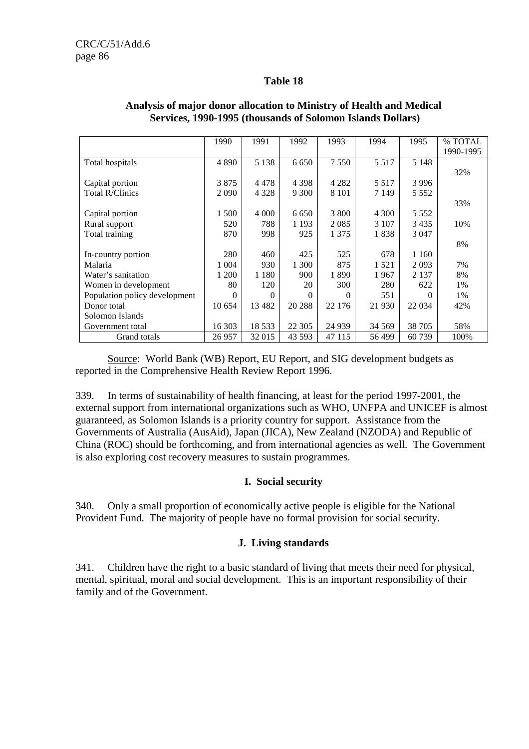#### **Table 18**

|                               | 1990     | 1991     | 1992    | 1993     | 1994    | 1995     | % TOTAL   |
|-------------------------------|----------|----------|---------|----------|---------|----------|-----------|
|                               |          |          |         |          |         |          | 1990-1995 |
| Total hospitals               | 4890     | 5 1 3 8  | 6 6 5 0 | 7 5 5 0  | 5 5 1 7 | 5 1 4 8  |           |
|                               |          |          |         |          |         |          | 32%       |
| Capital portion               | 3875     | 4478     | 4 3 9 8 | 4 2 8 2  | 5 5 1 7 | 3 9 9 6  |           |
| <b>Total R/Clinics</b>        | 2090     | 4 3 2 8  | 9 3 0 0 | 8 1 0 1  | 7 1 4 9 | 5 5 5 2  |           |
|                               |          |          |         |          |         |          | 33%       |
| Capital portion               | 1 500    | 4 0 0 0  | 6 6 5 0 | 3 800    | 4 300   | 5 5 5 2  |           |
| Rural support                 | 520      | 788      | 1 1 9 3 | 2085     | 3 107   | 3435     | 10%       |
| Total training                | 870      | 998      | 925     | 1 3 7 5  | 1838    | 3 0 4 7  |           |
|                               |          |          |         |          |         |          | 8%        |
| In-country portion            | 280      | 460      | 425     | 525      | 678     | 1 1 6 0  |           |
| Malaria                       | 1 0 0 4  | 930      | 1 300   | 875      | 1 5 2 1 | 2093     | 7%        |
| Water's sanitation            | 200      | 1 1 8 0  | 900     | 1890     | 1967    | 2 1 3 7  | 8%        |
| Women in development          | 80       | 120      | 20      | 300      | 280     | 622      | 1%        |
| Population policy development | $\theta$ | $\Omega$ | 0       | $\Omega$ | 551     | $\Omega$ | 1%        |
| Donor total                   | 10 654   | 13 4 82  | 20 288  | 22 176   | 21 930  | 22 0 34  | 42%       |
| Solomon Islands               |          |          |         |          |         |          |           |
| Government total              | 16 303   | 18 5 33  | 22 30 5 | 24 9 39  | 34 5 69 | 38 705   | 58%       |
| Grand totals                  | 26 957   | 32 015   | 43 593  | 47 115   | 56499   | 60739    | 100%      |

#### **Analysis of major donor allocation to Ministry of Health and Medical Services, 1990-1995 (thousands of Solomon Islands Dollars)**

 Source: World Bank (WB) Report, EU Report, and SIG development budgets as reported in the Comprehensive Health Review Report 1996.

339. In terms of sustainability of health financing, at least for the period 1997-2001, the external support from international organizations such as WHO, UNFPA and UNICEF is almost guaranteed, as Solomon Islands is a priority country for support. Assistance from the Governments of Australia (AusAid), Japan (JICA), New Zealand (NZODA) and Republic of China (ROC) should be forthcoming, and from international agencies as well. The Government is also exploring cost recovery measures to sustain programmes.

## **I. Social security**

340. Only a small proportion of economically active people is eligible for the National Provident Fund. The majority of people have no formal provision for social security.

## **J. Living standards**

341. Children have the right to a basic standard of living that meets their need for physical, mental, spiritual, moral and social development. This is an important responsibility of their family and of the Government.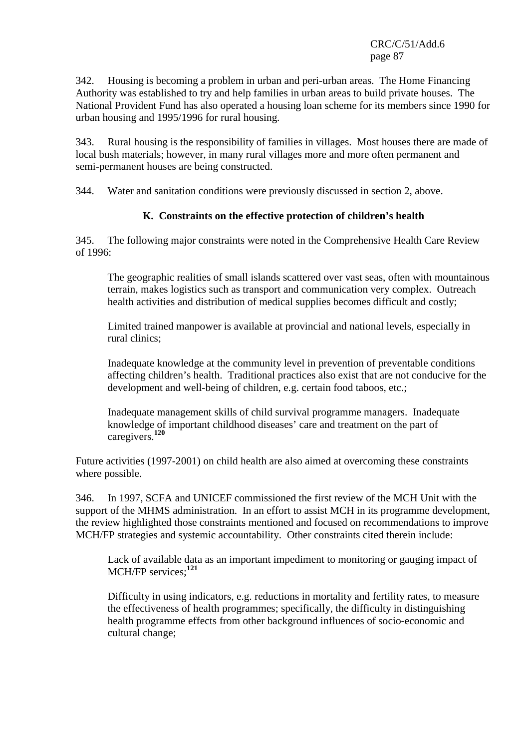342. Housing is becoming a problem in urban and peri-urban areas. The Home Financing Authority was established to try and help families in urban areas to build private houses. The National Provident Fund has also operated a housing loan scheme for its members since 1990 for urban housing and 1995/1996 for rural housing.

343. Rural housing is the responsibility of families in villages. Most houses there are made of local bush materials; however, in many rural villages more and more often permanent and semi-permanent houses are being constructed.

344. Water and sanitation conditions were previously discussed in section 2, above.

## **K. Constraints on the effective protection of children's health**

345. The following major constraints were noted in the Comprehensive Health Care Review of 1996:

The geographic realities of small islands scattered over vast seas, often with mountainous terrain, makes logistics such as transport and communication very complex. Outreach health activities and distribution of medical supplies becomes difficult and costly;

Limited trained manpower is available at provincial and national levels, especially in rural clinics;

Inadequate knowledge at the community level in prevention of preventable conditions affecting children's health. Traditional practices also exist that are not conducive for the development and well-being of children, e.g. certain food taboos, etc.;

Inadequate management skills of child survival programme managers. Inadequate knowledge of important childhood diseases' care and treatment on the part of caregivers.**<sup>120</sup>**

Future activities (1997-2001) on child health are also aimed at overcoming these constraints where possible.

346. In 1997, SCFA and UNICEF commissioned the first review of the MCH Unit with the support of the MHMS administration. In an effort to assist MCH in its programme development, the review highlighted those constraints mentioned and focused on recommendations to improve MCH/FP strategies and systemic accountability. Other constraints cited therein include:

Lack of available data as an important impediment to monitoring or gauging impact of MCH/FP services;**<sup>121</sup>**

Difficulty in using indicators, e.g. reductions in mortality and fertility rates, to measure the effectiveness of health programmes; specifically, the difficulty in distinguishing health programme effects from other background influences of socio-economic and cultural change;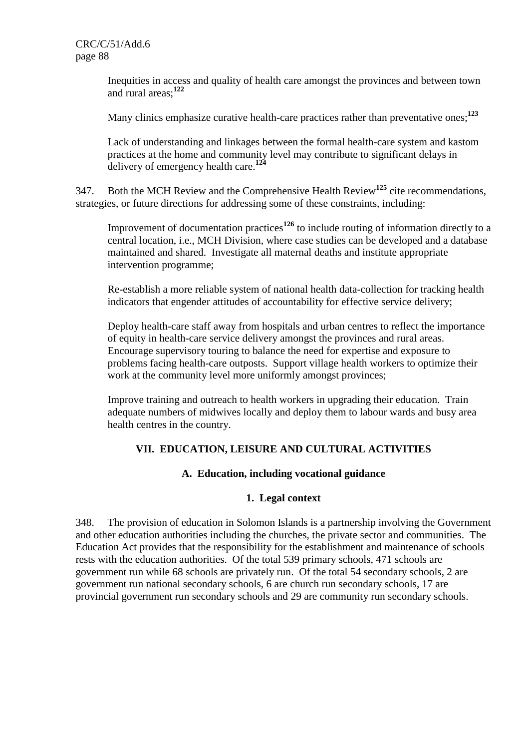Inequities in access and quality of health care amongst the provinces and between town and rural areas;**<sup>122</sup>**

Many clinics emphasize curative health-care practices rather than preventative ones;**<sup>123</sup>**

Lack of understanding and linkages between the formal health-care system and kastom practices at the home and community level may contribute to significant delays in delivery of emergency health care.**<sup>124</sup>**

347. Both the MCH Review and the Comprehensive Health Review**<sup>125</sup>** cite recommendations, strategies, or future directions for addressing some of these constraints, including:

Improvement of documentation practices**<sup>126</sup>** to include routing of information directly to a central location, i.e., MCH Division, where case studies can be developed and a database maintained and shared. Investigate all maternal deaths and institute appropriate intervention programme;

Re-establish a more reliable system of national health data-collection for tracking health indicators that engender attitudes of accountability for effective service delivery;

Deploy health-care staff away from hospitals and urban centres to reflect the importance of equity in health-care service delivery amongst the provinces and rural areas. Encourage supervisory touring to balance the need for expertise and exposure to problems facing health-care outposts. Support village health workers to optimize their work at the community level more uniformly amongst provinces;

Improve training and outreach to health workers in upgrading their education. Train adequate numbers of midwives locally and deploy them to labour wards and busy area health centres in the country.

# **VII. EDUCATION, LEISURE AND CULTURAL ACTIVITIES**

## **A. Education, including vocational guidance**

## **1. Legal context**

348. The provision of education in Solomon Islands is a partnership involving the Government and other education authorities including the churches, the private sector and communities. The Education Act provides that the responsibility for the establishment and maintenance of schools rests with the education authorities. Of the total 539 primary schools, 471 schools are government run while 68 schools are privately run. Of the total 54 secondary schools, 2 are government run national secondary schools, 6 are church run secondary schools, 17 are provincial government run secondary schools and 29 are community run secondary schools.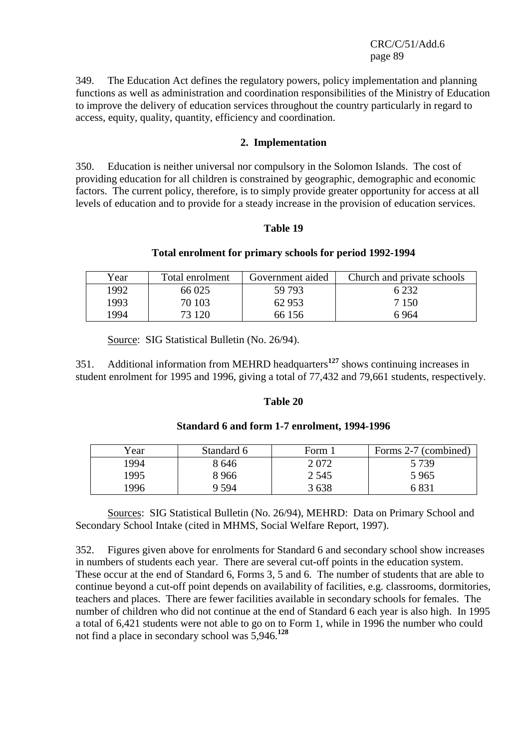349. The Education Act defines the regulatory powers, policy implementation and planning functions as well as administration and coordination responsibilities of the Ministry of Education to improve the delivery of education services throughout the country particularly in regard to access, equity, quality, quantity, efficiency and coordination.

#### **2. Implementation**

350. Education is neither universal nor compulsory in the Solomon Islands. The cost of providing education for all children is constrained by geographic, demographic and economic factors. The current policy, therefore, is to simply provide greater opportunity for access at all levels of education and to provide for a steady increase in the provision of education services.

#### **Table 19**

#### **Total enrolment for primary schools for period 1992-1994**

| Year | Total enrolment | Government aided | Church and private schools |
|------|-----------------|------------------|----------------------------|
| 1992 | 66 025          | 59 793           | 6 2 3 2                    |
| 1993 | 70 103          | 62 953           | 7 1 5 0                    |
| 1994 | 73 120          | 66 156           | 6 964                      |

Source: SIG Statistical Bulletin (No. 26/94).

351. Additional information from MEHRD headquarters**<sup>127</sup>** shows continuing increases in student enrolment for 1995 and 1996, giving a total of 77,432 and 79,661 students, respectively.

#### **Table 20**

#### **Standard 6 and form 1-7 enrolment, 1994-1996**

| Year | Standard 6 | Form 1  | Forms 2-7 (combined) |
|------|------------|---------|----------------------|
| 1994 | 8646       | 2072    | 5 739                |
| 1995 | 8966       | 2 5 4 5 | 5965                 |
| 1996 | 9.594      | 3638    | 6 831                |

 Sources: SIG Statistical Bulletin (No. 26/94), MEHRD: Data on Primary School and Secondary School Intake (cited in MHMS, Social Welfare Report, 1997).

352. Figures given above for enrolments for Standard 6 and secondary school show increases in numbers of students each year. There are several cut-off points in the education system. These occur at the end of Standard 6, Forms 3, 5 and 6. The number of students that are able to continue beyond a cut-off point depends on availability of facilities, e.g. classrooms, dormitories, teachers and places. There are fewer facilities available in secondary schools for females. The number of children who did not continue at the end of Standard 6 each year is also high. In 1995 a total of 6,421 students were not able to go on to Form 1, while in 1996 the number who could not find a place in secondary school was 5,946.**<sup>128</sup>**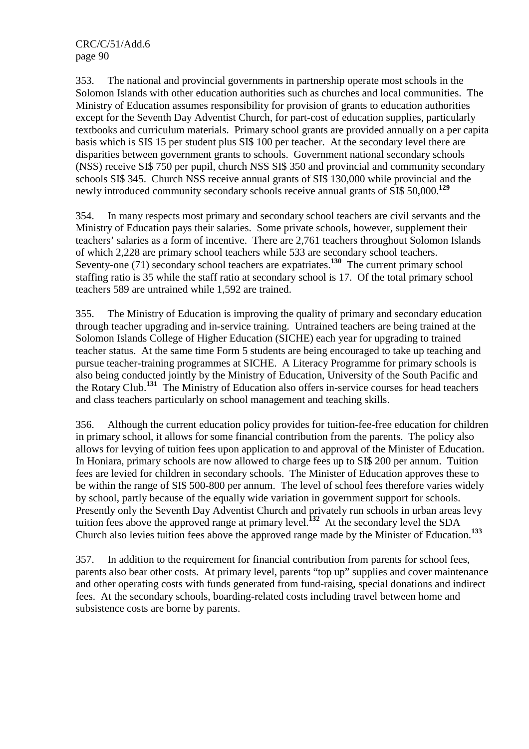353. The national and provincial governments in partnership operate most schools in the Solomon Islands with other education authorities such as churches and local communities. The Ministry of Education assumes responsibility for provision of grants to education authorities except for the Seventh Day Adventist Church, for part-cost of education supplies, particularly textbooks and curriculum materials. Primary school grants are provided annually on a per capita basis which is SI\$ 15 per student plus SI\$ 100 per teacher. At the secondary level there are disparities between government grants to schools. Government national secondary schools (NSS) receive SI\$ 750 per pupil, church NSS SI\$ 350 and provincial and community secondary schools SI\$ 345. Church NSS receive annual grants of SI\$ 130,000 while provincial and the newly introduced community secondary schools receive annual grants of SI\$ 50,000.**<sup>129</sup>**

354. In many respects most primary and secondary school teachers are civil servants and the Ministry of Education pays their salaries. Some private schools, however, supplement their teachers' salaries as a form of incentive. There are 2,761 teachers throughout Solomon Islands of which 2,228 are primary school teachers while 533 are secondary school teachers. Seventy-one (71) secondary school teachers are expatriates.<sup>130</sup> The current primary school staffing ratio is 35 while the staff ratio at secondary school is 17. Of the total primary school teachers 589 are untrained while 1,592 are trained.

355. The Ministry of Education is improving the quality of primary and secondary education through teacher upgrading and in-service training. Untrained teachers are being trained at the Solomon Islands College of Higher Education (SICHE) each year for upgrading to trained teacher status. At the same time Form 5 students are being encouraged to take up teaching and pursue teacher-training programmes at SICHE. A Literacy Programme for primary schools is also being conducted jointly by the Ministry of Education, University of the South Pacific and the Rotary Club.**<sup>131</sup>** The Ministry of Education also offers in-service courses for head teachers and class teachers particularly on school management and teaching skills.

356. Although the current education policy provides for tuition-fee-free education for children in primary school, it allows for some financial contribution from the parents. The policy also allows for levying of tuition fees upon application to and approval of the Minister of Education. In Honiara, primary schools are now allowed to charge fees up to SI\$ 200 per annum. Tuition fees are levied for children in secondary schools. The Minister of Education approves these to be within the range of SI\$ 500-800 per annum. The level of school fees therefore varies widely by school, partly because of the equally wide variation in government support for schools. Presently only the Seventh Day Adventist Church and privately run schools in urban areas levy tuition fees above the approved range at primary level.**<sup>132</sup>** At the secondary level the SDA Church also levies tuition fees above the approved range made by the Minister of Education.**<sup>133</sup>**

357. In addition to the requirement for financial contribution from parents for school fees, parents also bear other costs. At primary level, parents "top up" supplies and cover maintenance and other operating costs with funds generated from fund-raising, special donations and indirect fees. At the secondary schools, boarding-related costs including travel between home and subsistence costs are borne by parents.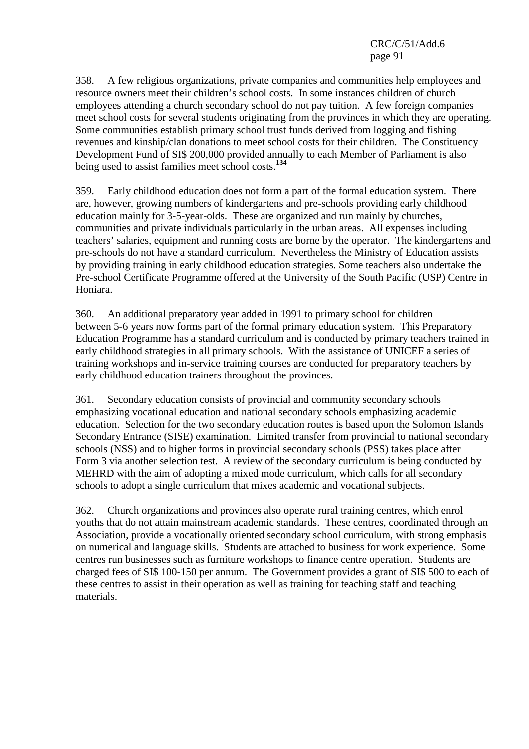358. A few religious organizations, private companies and communities help employees and resource owners meet their children's school costs. In some instances children of church employees attending a church secondary school do not pay tuition. A few foreign companies meet school costs for several students originating from the provinces in which they are operating. Some communities establish primary school trust funds derived from logging and fishing revenues and kinship/clan donations to meet school costs for their children. The Constituency Development Fund of SI\$ 200,000 provided annually to each Member of Parliament is also being used to assist families meet school costs.**<sup>134</sup>**

359. Early childhood education does not form a part of the formal education system. There are, however, growing numbers of kindergartens and pre-schools providing early childhood education mainly for 3-5-year-olds. These are organized and run mainly by churches, communities and private individuals particularly in the urban areas. All expenses including teachers' salaries, equipment and running costs are borne by the operator. The kindergartens and pre-schools do not have a standard curriculum. Nevertheless the Ministry of Education assists by providing training in early childhood education strategies. Some teachers also undertake the Pre-school Certificate Programme offered at the University of the South Pacific (USP) Centre in Honiara.

360. An additional preparatory year added in 1991 to primary school for children between 5-6 years now forms part of the formal primary education system. This Preparatory Education Programme has a standard curriculum and is conducted by primary teachers trained in early childhood strategies in all primary schools. With the assistance of UNICEF a series of training workshops and in-service training courses are conducted for preparatory teachers by early childhood education trainers throughout the provinces.

361. Secondary education consists of provincial and community secondary schools emphasizing vocational education and national secondary schools emphasizing academic education. Selection for the two secondary education routes is based upon the Solomon Islands Secondary Entrance (SISE) examination. Limited transfer from provincial to national secondary schools (NSS) and to higher forms in provincial secondary schools (PSS) takes place after Form 3 via another selection test. A review of the secondary curriculum is being conducted by MEHRD with the aim of adopting a mixed mode curriculum, which calls for all secondary schools to adopt a single curriculum that mixes academic and vocational subjects.

362. Church organizations and provinces also operate rural training centres, which enrol youths that do not attain mainstream academic standards. These centres, coordinated through an Association, provide a vocationally oriented secondary school curriculum, with strong emphasis on numerical and language skills. Students are attached to business for work experience. Some centres run businesses such as furniture workshops to finance centre operation. Students are charged fees of SI\$ 100-150 per annum. The Government provides a grant of SI\$ 500 to each of these centres to assist in their operation as well as training for teaching staff and teaching materials.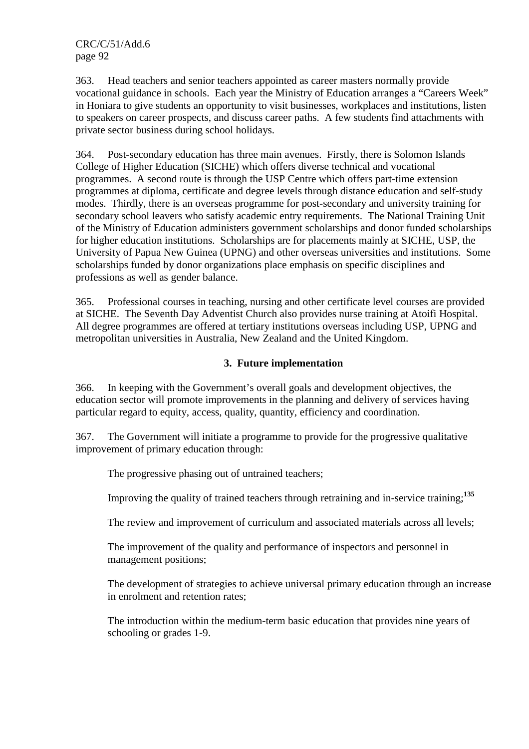363. Head teachers and senior teachers appointed as career masters normally provide vocational guidance in schools. Each year the Ministry of Education arranges a "Careers Week" in Honiara to give students an opportunity to visit businesses, workplaces and institutions, listen to speakers on career prospects, and discuss career paths. A few students find attachments with private sector business during school holidays.

364. Post-secondary education has three main avenues. Firstly, there is Solomon Islands College of Higher Education (SICHE) which offers diverse technical and vocational programmes. A second route is through the USP Centre which offers part-time extension programmes at diploma, certificate and degree levels through distance education and self-study modes. Thirdly, there is an overseas programme for post-secondary and university training for secondary school leavers who satisfy academic entry requirements. The National Training Unit of the Ministry of Education administers government scholarships and donor funded scholarships for higher education institutions. Scholarships are for placements mainly at SICHE, USP, the University of Papua New Guinea (UPNG) and other overseas universities and institutions. Some scholarships funded by donor organizations place emphasis on specific disciplines and professions as well as gender balance.

365. Professional courses in teaching, nursing and other certificate level courses are provided at SICHE. The Seventh Day Adventist Church also provides nurse training at Atoifi Hospital. All degree programmes are offered at tertiary institutions overseas including USP, UPNG and metropolitan universities in Australia, New Zealand and the United Kingdom.

#### **3. Future implementation**

366. In keeping with the Government's overall goals and development objectives, the education sector will promote improvements in the planning and delivery of services having particular regard to equity, access, quality, quantity, efficiency and coordination.

367. The Government will initiate a programme to provide for the progressive qualitative improvement of primary education through:

The progressive phasing out of untrained teachers;

Improving the quality of trained teachers through retraining and in-service training;**<sup>135</sup>**

The review and improvement of curriculum and associated materials across all levels;

The improvement of the quality and performance of inspectors and personnel in management positions;

The development of strategies to achieve universal primary education through an increase in enrolment and retention rates;

The introduction within the medium-term basic education that provides nine years of schooling or grades 1-9.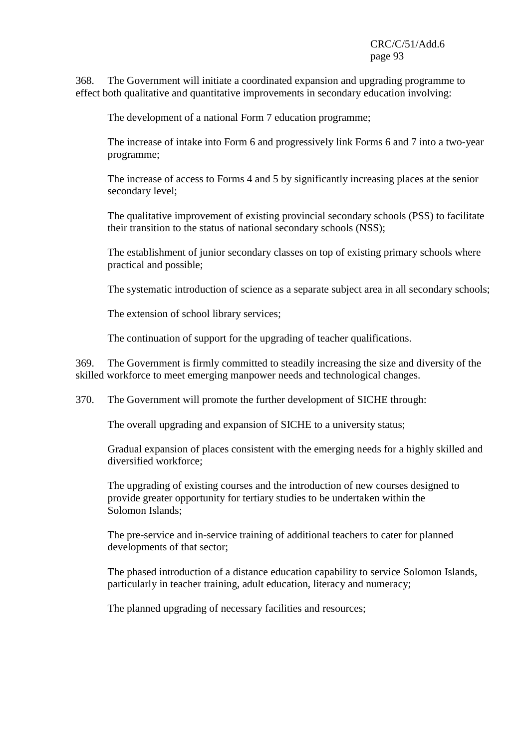368. The Government will initiate a coordinated expansion and upgrading programme to effect both qualitative and quantitative improvements in secondary education involving:

The development of a national Form 7 education programme;

The increase of intake into Form 6 and progressively link Forms 6 and 7 into a two-year programme;

The increase of access to Forms 4 and 5 by significantly increasing places at the senior secondary level;

The qualitative improvement of existing provincial secondary schools (PSS) to facilitate their transition to the status of national secondary schools (NSS);

The establishment of junior secondary classes on top of existing primary schools where practical and possible;

The systematic introduction of science as a separate subject area in all secondary schools;

The extension of school library services;

The continuation of support for the upgrading of teacher qualifications.

369. The Government is firmly committed to steadily increasing the size and diversity of the skilled workforce to meet emerging manpower needs and technological changes.

370. The Government will promote the further development of SICHE through:

The overall upgrading and expansion of SICHE to a university status;

Gradual expansion of places consistent with the emerging needs for a highly skilled and diversified workforce;

The upgrading of existing courses and the introduction of new courses designed to provide greater opportunity for tertiary studies to be undertaken within the Solomon Islands;

The pre-service and in-service training of additional teachers to cater for planned developments of that sector;

The phased introduction of a distance education capability to service Solomon Islands, particularly in teacher training, adult education, literacy and numeracy;

The planned upgrading of necessary facilities and resources;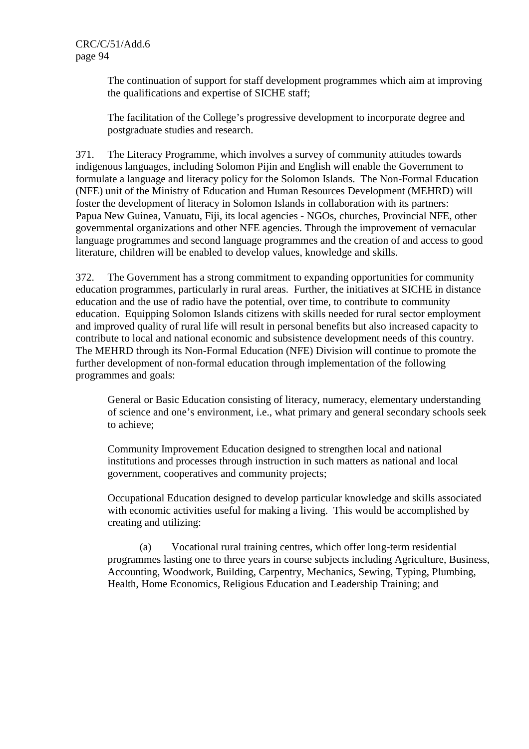The continuation of support for staff development programmes which aim at improving the qualifications and expertise of SICHE staff;

The facilitation of the College's progressive development to incorporate degree and postgraduate studies and research.

371. The Literacy Programme, which involves a survey of community attitudes towards indigenous languages, including Solomon Pijin and English will enable the Government to formulate a language and literacy policy for the Solomon Islands. The Non-Formal Education (NFE) unit of the Ministry of Education and Human Resources Development (MEHRD) will foster the development of literacy in Solomon Islands in collaboration with its partners: Papua New Guinea, Vanuatu, Fiji, its local agencies - NGOs, churches, Provincial NFE, other governmental organizations and other NFE agencies. Through the improvement of vernacular language programmes and second language programmes and the creation of and access to good literature, children will be enabled to develop values, knowledge and skills.

372. The Government has a strong commitment to expanding opportunities for community education programmes, particularly in rural areas. Further, the initiatives at SICHE in distance education and the use of radio have the potential, over time, to contribute to community education. Equipping Solomon Islands citizens with skills needed for rural sector employment and improved quality of rural life will result in personal benefits but also increased capacity to contribute to local and national economic and subsistence development needs of this country. The MEHRD through its Non-Formal Education (NFE) Division will continue to promote the further development of non-formal education through implementation of the following programmes and goals:

General or Basic Education consisting of literacy, numeracy, elementary understanding of science and one's environment, i.e., what primary and general secondary schools seek to achieve;

Community Improvement Education designed to strengthen local and national institutions and processes through instruction in such matters as national and local government, cooperatives and community projects;

Occupational Education designed to develop particular knowledge and skills associated with economic activities useful for making a living. This would be accomplished by creating and utilizing:

 (a) Vocational rural training centres, which offer long-term residential programmes lasting one to three years in course subjects including Agriculture, Business, Accounting, Woodwork, Building, Carpentry, Mechanics, Sewing, Typing, Plumbing, Health, Home Economics, Religious Education and Leadership Training; and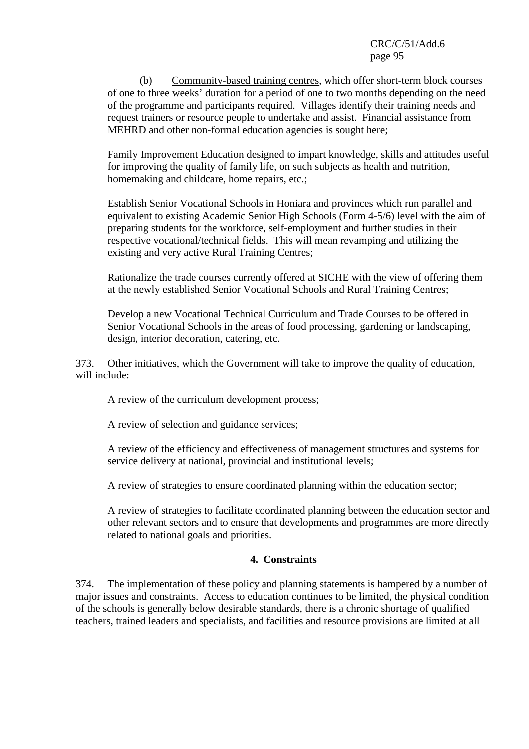(b) Community-based training centres, which offer short-term block courses of one to three weeks' duration for a period of one to two months depending on the need of the programme and participants required. Villages identify their training needs and request trainers or resource people to undertake and assist. Financial assistance from MEHRD and other non-formal education agencies is sought here;

Family Improvement Education designed to impart knowledge, skills and attitudes useful for improving the quality of family life, on such subjects as health and nutrition, homemaking and childcare, home repairs, etc.;

Establish Senior Vocational Schools in Honiara and provinces which run parallel and equivalent to existing Academic Senior High Schools (Form 4-5/6) level with the aim of preparing students for the workforce, self-employment and further studies in their respective vocational/technical fields. This will mean revamping and utilizing the existing and very active Rural Training Centres;

Rationalize the trade courses currently offered at SICHE with the view of offering them at the newly established Senior Vocational Schools and Rural Training Centres;

Develop a new Vocational Technical Curriculum and Trade Courses to be offered in Senior Vocational Schools in the areas of food processing, gardening or landscaping, design, interior decoration, catering, etc.

373. Other initiatives, which the Government will take to improve the quality of education, will include:

A review of the curriculum development process;

A review of selection and guidance services;

A review of the efficiency and effectiveness of management structures and systems for service delivery at national, provincial and institutional levels;

A review of strategies to ensure coordinated planning within the education sector;

A review of strategies to facilitate coordinated planning between the education sector and other relevant sectors and to ensure that developments and programmes are more directly related to national goals and priorities.

## **4. Constraints**

374. The implementation of these policy and planning statements is hampered by a number of major issues and constraints. Access to education continues to be limited, the physical condition of the schools is generally below desirable standards, there is a chronic shortage of qualified teachers, trained leaders and specialists, and facilities and resource provisions are limited at all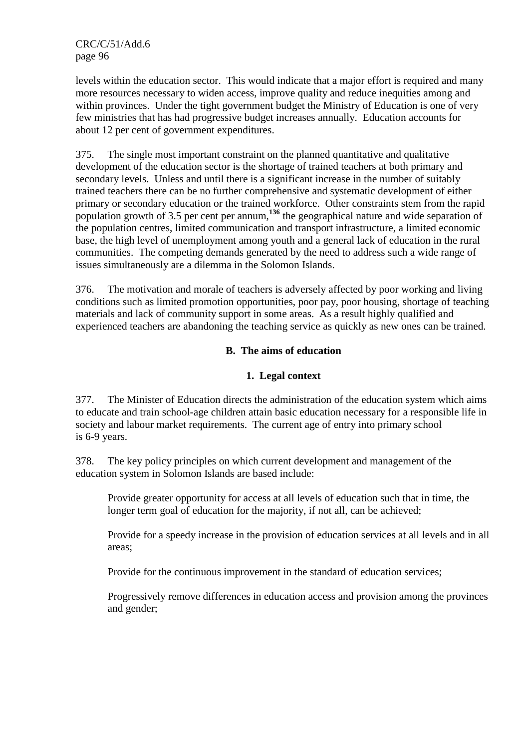levels within the education sector. This would indicate that a major effort is required and many more resources necessary to widen access, improve quality and reduce inequities among and within provinces. Under the tight government budget the Ministry of Education is one of very few ministries that has had progressive budget increases annually. Education accounts for about 12 per cent of government expenditures.

375. The single most important constraint on the planned quantitative and qualitative development of the education sector is the shortage of trained teachers at both primary and secondary levels. Unless and until there is a significant increase in the number of suitably trained teachers there can be no further comprehensive and systematic development of either primary or secondary education or the trained workforce. Other constraints stem from the rapid population growth of 3.5 per cent per annum,**<sup>136</sup>** the geographical nature and wide separation of the population centres, limited communication and transport infrastructure, a limited economic base, the high level of unemployment among youth and a general lack of education in the rural communities. The competing demands generated by the need to address such a wide range of issues simultaneously are a dilemma in the Solomon Islands.

376. The motivation and morale of teachers is adversely affected by poor working and living conditions such as limited promotion opportunities, poor pay, poor housing, shortage of teaching materials and lack of community support in some areas. As a result highly qualified and experienced teachers are abandoning the teaching service as quickly as new ones can be trained.

# **B. The aims of education**

## **1. Legal context**

377. The Minister of Education directs the administration of the education system which aims to educate and train school-age children attain basic education necessary for a responsible life in society and labour market requirements. The current age of entry into primary school is 6-9 years.

378. The key policy principles on which current development and management of the education system in Solomon Islands are based include:

Provide greater opportunity for access at all levels of education such that in time, the longer term goal of education for the majority, if not all, can be achieved;

Provide for a speedy increase in the provision of education services at all levels and in all areas;

Provide for the continuous improvement in the standard of education services;

Progressively remove differences in education access and provision among the provinces and gender;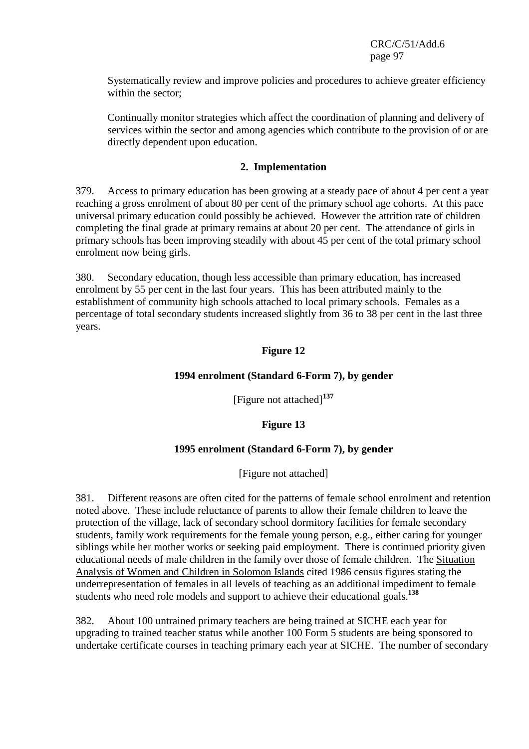Systematically review and improve policies and procedures to achieve greater efficiency within the sector;

Continually monitor strategies which affect the coordination of planning and delivery of services within the sector and among agencies which contribute to the provision of or are directly dependent upon education.

#### **2. Implementation**

379. Access to primary education has been growing at a steady pace of about 4 per cent a year reaching a gross enrolment of about 80 per cent of the primary school age cohorts. At this pace universal primary education could possibly be achieved. However the attrition rate of children completing the final grade at primary remains at about 20 per cent. The attendance of girls in primary schools has been improving steadily with about 45 per cent of the total primary school enrolment now being girls.

380. Secondary education, though less accessible than primary education, has increased enrolment by 55 per cent in the last four years. This has been attributed mainly to the establishment of community high schools attached to local primary schools. Females as a percentage of total secondary students increased slightly from 36 to 38 per cent in the last three years.

# **Figure 12**

## **1994 enrolment (Standard 6-Form 7), by gender**

[Figure not attached]**<sup>137</sup>**

## **Figure 13**

#### **1995 enrolment (Standard 6-Form 7), by gender**

[Figure not attached]

381. Different reasons are often cited for the patterns of female school enrolment and retention noted above. These include reluctance of parents to allow their female children to leave the protection of the village, lack of secondary school dormitory facilities for female secondary students, family work requirements for the female young person, e.g., either caring for younger siblings while her mother works or seeking paid employment. There is continued priority given educational needs of male children in the family over those of female children. The Situation Analysis of Women and Children in Solomon Islands cited 1986 census figures stating the underrepresentation of females in all levels of teaching as an additional impediment to female students who need role models and support to achieve their educational goals.**<sup>138</sup>**

382. About 100 untrained primary teachers are being trained at SICHE each year for upgrading to trained teacher status while another 100 Form 5 students are being sponsored to undertake certificate courses in teaching primary each year at SICHE. The number of secondary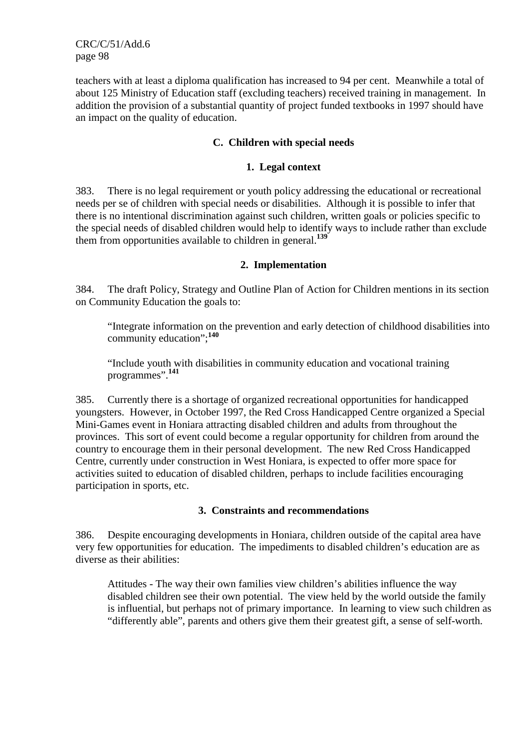teachers with at least a diploma qualification has increased to 94 per cent. Meanwhile a total of about 125 Ministry of Education staff (excluding teachers) received training in management. In addition the provision of a substantial quantity of project funded textbooks in 1997 should have an impact on the quality of education.

### **C. Children with special needs**

#### **1. Legal context**

383. There is no legal requirement or youth policy addressing the educational or recreational needs per se of children with special needs or disabilities. Although it is possible to infer that there is no intentional discrimination against such children, written goals or policies specific to the special needs of disabled children would help to identify ways to include rather than exclude them from opportunities available to children in general.**<sup>139</sup>**

#### **2. Implementation**

384. The draft Policy, Strategy and Outline Plan of Action for Children mentions in its section on Community Education the goals to:

"Integrate information on the prevention and early detection of childhood disabilities into community education";**<sup>140</sup>**

"Include youth with disabilities in community education and vocational training programmes".**<sup>141</sup>**

385. Currently there is a shortage of organized recreational opportunities for handicapped youngsters. However, in October 1997, the Red Cross Handicapped Centre organized a Special Mini-Games event in Honiara attracting disabled children and adults from throughout the provinces. This sort of event could become a regular opportunity for children from around the country to encourage them in their personal development. The new Red Cross Handicapped Centre, currently under construction in West Honiara, is expected to offer more space for activities suited to education of disabled children, perhaps to include facilities encouraging participation in sports, etc.

#### **3. Constraints and recommendations**

386. Despite encouraging developments in Honiara, children outside of the capital area have very few opportunities for education. The impediments to disabled children's education are as diverse as their abilities:

Attitudes - The way their own families view children's abilities influence the way disabled children see their own potential. The view held by the world outside the family is influential, but perhaps not of primary importance. In learning to view such children as "differently able", parents and others give them their greatest gift, a sense of self-worth.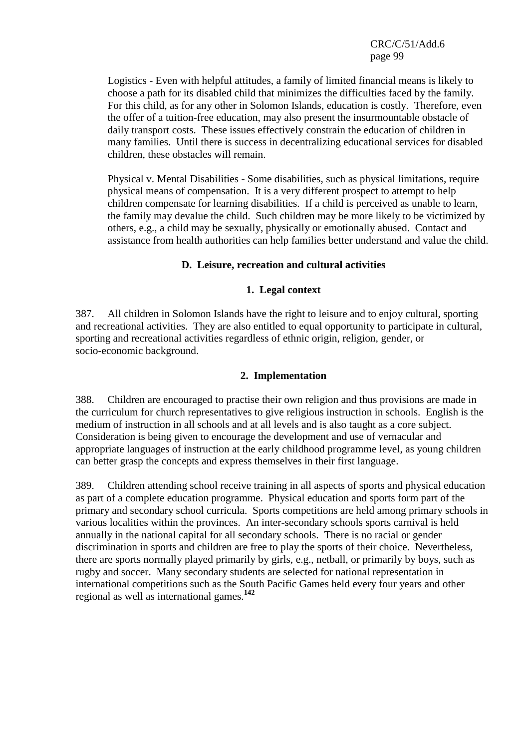Logistics - Even with helpful attitudes, a family of limited financial means is likely to choose a path for its disabled child that minimizes the difficulties faced by the family. For this child, as for any other in Solomon Islands, education is costly. Therefore, even the offer of a tuition-free education, may also present the insurmountable obstacle of daily transport costs. These issues effectively constrain the education of children in many families. Until there is success in decentralizing educational services for disabled children, these obstacles will remain.

Physical v. Mental Disabilities - Some disabilities, such as physical limitations, require physical means of compensation. It is a very different prospect to attempt to help children compensate for learning disabilities. If a child is perceived as unable to learn, the family may devalue the child. Such children may be more likely to be victimized by others, e.g., a child may be sexually, physically or emotionally abused. Contact and assistance from health authorities can help families better understand and value the child.

## **D. Leisure, recreation and cultural activities**

#### **1. Legal context**

387. All children in Solomon Islands have the right to leisure and to enjoy cultural, sporting and recreational activities. They are also entitled to equal opportunity to participate in cultural, sporting and recreational activities regardless of ethnic origin, religion, gender, or socio-economic background.

#### **2. Implementation**

388. Children are encouraged to practise their own religion and thus provisions are made in the curriculum for church representatives to give religious instruction in schools. English is the medium of instruction in all schools and at all levels and is also taught as a core subject. Consideration is being given to encourage the development and use of vernacular and appropriate languages of instruction at the early childhood programme level, as young children can better grasp the concepts and express themselves in their first language.

389. Children attending school receive training in all aspects of sports and physical education as part of a complete education programme. Physical education and sports form part of the primary and secondary school curricula. Sports competitions are held among primary schools in various localities within the provinces. An inter-secondary schools sports carnival is held annually in the national capital for all secondary schools. There is no racial or gender discrimination in sports and children are free to play the sports of their choice. Nevertheless, there are sports normally played primarily by girls, e.g., netball, or primarily by boys, such as rugby and soccer. Many secondary students are selected for national representation in international competitions such as the South Pacific Games held every four years and other regional as well as international games.**<sup>142</sup>**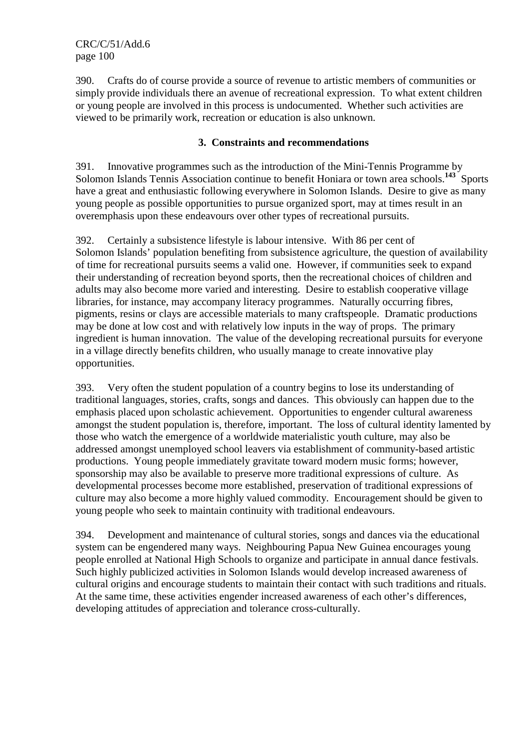390. Crafts do of course provide a source of revenue to artistic members of communities or simply provide individuals there an avenue of recreational expression. To what extent children or young people are involved in this process is undocumented. Whether such activities are viewed to be primarily work, recreation or education is also unknown.

## **3. Constraints and recommendations**

391. Innovative programmes such as the introduction of the Mini-Tennis Programme by Solomon Islands Tennis Association continue to benefit Honiara or town area schools.<sup>143</sup> Sports have a great and enthusiastic following everywhere in Solomon Islands. Desire to give as many young people as possible opportunities to pursue organized sport, may at times result in an overemphasis upon these endeavours over other types of recreational pursuits.

392. Certainly a subsistence lifestyle is labour intensive. With 86 per cent of Solomon Islands' population benefiting from subsistence agriculture, the question of availability of time for recreational pursuits seems a valid one. However, if communities seek to expand their understanding of recreation beyond sports, then the recreational choices of children and adults may also become more varied and interesting. Desire to establish cooperative village libraries, for instance, may accompany literacy programmes. Naturally occurring fibres, pigments, resins or clays are accessible materials to many craftspeople. Dramatic productions may be done at low cost and with relatively low inputs in the way of props. The primary ingredient is human innovation. The value of the developing recreational pursuits for everyone in a village directly benefits children, who usually manage to create innovative play opportunities.

393. Very often the student population of a country begins to lose its understanding of traditional languages, stories, crafts, songs and dances. This obviously can happen due to the emphasis placed upon scholastic achievement. Opportunities to engender cultural awareness amongst the student population is, therefore, important. The loss of cultural identity lamented by those who watch the emergence of a worldwide materialistic youth culture, may also be addressed amongst unemployed school leavers via establishment of community-based artistic productions. Young people immediately gravitate toward modern music forms; however, sponsorship may also be available to preserve more traditional expressions of culture. As developmental processes become more established, preservation of traditional expressions of culture may also become a more highly valued commodity. Encouragement should be given to young people who seek to maintain continuity with traditional endeavours.

394. Development and maintenance of cultural stories, songs and dances via the educational system can be engendered many ways. Neighbouring Papua New Guinea encourages young people enrolled at National High Schools to organize and participate in annual dance festivals. Such highly publicized activities in Solomon Islands would develop increased awareness of cultural origins and encourage students to maintain their contact with such traditions and rituals. At the same time, these activities engender increased awareness of each other's differences, developing attitudes of appreciation and tolerance cross-culturally.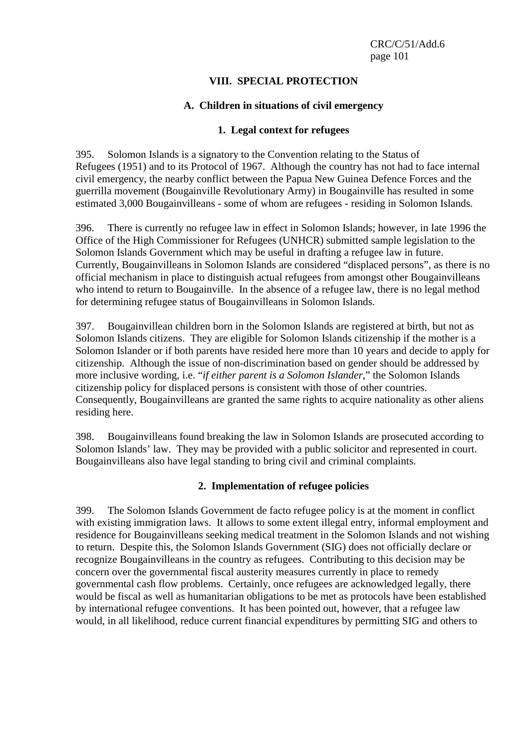# **VIII. SPECIAL PROTECTION**

### **A. Children in situations of civil emergency**

#### **1. Legal context for refugees**

395. Solomon Islands is a signatory to the Convention relating to the Status of Refugees (1951) and to its Protocol of 1967. Although the country has not had to face internal civil emergency, the nearby conflict between the Papua New Guinea Defence Forces and the guerrilla movement (Bougainville Revolutionary Army) in Bougainville has resulted in some estimated 3,000 Bougainvilleans - some of whom are refugees - residing in Solomon Islands.

396. There is currently no refugee law in effect in Solomon Islands; however, in late 1996 the Office of the High Commissioner for Refugees (UNHCR) submitted sample legislation to the Solomon Islands Government which may be useful in drafting a refugee law in future. Currently, Bougainvilleans in Solomon Islands are considered "displaced persons", as there is no official mechanism in place to distinguish actual refugees from amongst other Bougainvilleans who intend to return to Bougainville. In the absence of a refugee law, there is no legal method for determining refugee status of Bougainvilleans in Solomon Islands.

397. Bougainvillean children born in the Solomon Islands are registered at birth, but not as Solomon Islands citizens. They are eligible for Solomon Islands citizenship if the mother is a Solomon Islander or if both parents have resided here more than 10 years and decide to apply for citizenship. Although the issue of non-discrimination based on gender should be addressed by more inclusive wording, i.e. "*if either parent is a Solomon Islander*," the Solomon Islands citizenship policy for displaced persons is consistent with those of other countries. Consequently, Bougainvilleans are granted the same rights to acquire nationality as other aliens residing here.

398. Bougainvilleans found breaking the law in Solomon Islands are prosecuted according to Solomon Islands' law. They may be provided with a public solicitor and represented in court. Bougainvilleans also have legal standing to bring civil and criminal complaints.

## **2. Implementation of refugee policies**

399. The Solomon Islands Government de facto refugee policy is at the moment in conflict with existing immigration laws. It allows to some extent illegal entry, informal employment and residence for Bougainvilleans seeking medical treatment in the Solomon Islands and not wishing to return. Despite this, the Solomon Islands Government (SIG) does not officially declare or recognize Bougainvilleans in the country as refugees. Contributing to this decision may be concern over the governmental fiscal austerity measures currently in place to remedy governmental cash flow problems. Certainly, once refugees are acknowledged legally, there would be fiscal as well as humanitarian obligations to be met as protocols have been established by international refugee conventions. It has been pointed out, however, that a refugee law would, in all likelihood, reduce current financial expenditures by permitting SIG and others to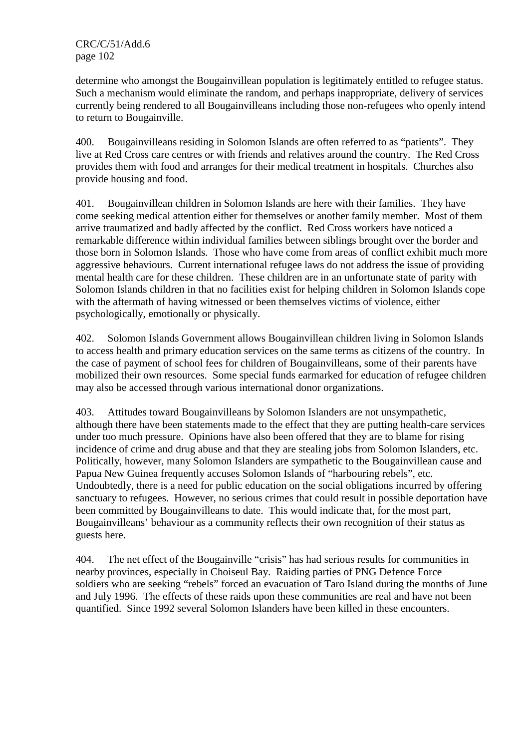determine who amongst the Bougainvillean population is legitimately entitled to refugee status. Such a mechanism would eliminate the random, and perhaps inappropriate, delivery of services currently being rendered to all Bougainvilleans including those non-refugees who openly intend to return to Bougainville.

400. Bougainvilleans residing in Solomon Islands are often referred to as "patients". They live at Red Cross care centres or with friends and relatives around the country. The Red Cross provides them with food and arranges for their medical treatment in hospitals. Churches also provide housing and food.

401. Bougainvillean children in Solomon Islands are here with their families. They have come seeking medical attention either for themselves or another family member. Most of them arrive traumatized and badly affected by the conflict. Red Cross workers have noticed a remarkable difference within individual families between siblings brought over the border and those born in Solomon Islands. Those who have come from areas of conflict exhibit much more aggressive behaviours. Current international refugee laws do not address the issue of providing mental health care for these children. These children are in an unfortunate state of parity with Solomon Islands children in that no facilities exist for helping children in Solomon Islands cope with the aftermath of having witnessed or been themselves victims of violence, either psychologically, emotionally or physically.

402. Solomon Islands Government allows Bougainvillean children living in Solomon Islands to access health and primary education services on the same terms as citizens of the country. In the case of payment of school fees for children of Bougainvilleans, some of their parents have mobilized their own resources. Some special funds earmarked for education of refugee children may also be accessed through various international donor organizations.

403. Attitudes toward Bougainvilleans by Solomon Islanders are not unsympathetic, although there have been statements made to the effect that they are putting health-care services under too much pressure. Opinions have also been offered that they are to blame for rising incidence of crime and drug abuse and that they are stealing jobs from Solomon Islanders, etc. Politically, however, many Solomon Islanders are sympathetic to the Bougainvillean cause and Papua New Guinea frequently accuses Solomon Islands of "harbouring rebels", etc. Undoubtedly, there is a need for public education on the social obligations incurred by offering sanctuary to refugees. However, no serious crimes that could result in possible deportation have been committed by Bougainvilleans to date. This would indicate that, for the most part, Bougainvilleans' behaviour as a community reflects their own recognition of their status as guests here.

404. The net effect of the Bougainville "crisis" has had serious results for communities in nearby provinces, especially in Choiseul Bay. Raiding parties of PNG Defence Force soldiers who are seeking "rebels" forced an evacuation of Taro Island during the months of June and July 1996. The effects of these raids upon these communities are real and have not been quantified. Since 1992 several Solomon Islanders have been killed in these encounters.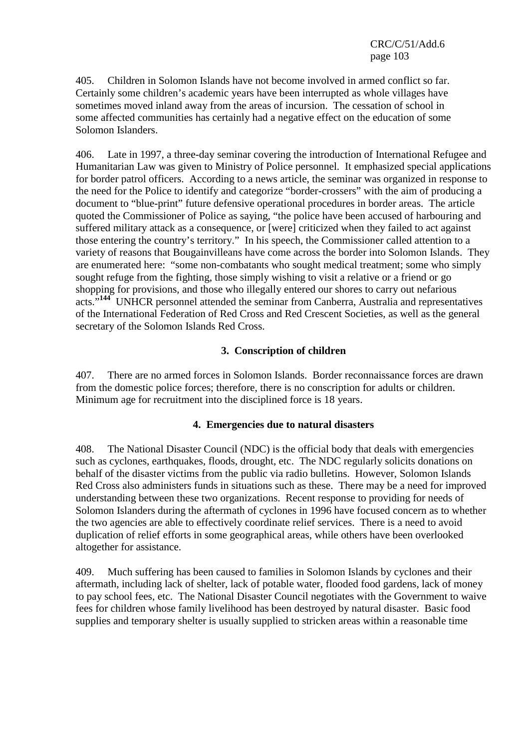405. Children in Solomon Islands have not become involved in armed conflict so far. Certainly some children's academic years have been interrupted as whole villages have sometimes moved inland away from the areas of incursion. The cessation of school in some affected communities has certainly had a negative effect on the education of some Solomon Islanders.

406. Late in 1997, a three-day seminar covering the introduction of International Refugee and Humanitarian Law was given to Ministry of Police personnel. It emphasized special applications for border patrol officers. According to a news article, the seminar was organized in response to the need for the Police to identify and categorize "border-crossers" with the aim of producing a document to "blue-print" future defensive operational procedures in border areas. The article quoted the Commissioner of Police as saying, "the police have been accused of harbouring and suffered military attack as a consequence, or [were] criticized when they failed to act against those entering the country's territory." In his speech, the Commissioner called attention to a variety of reasons that Bougainvilleans have come across the border into Solomon Islands. They are enumerated here: "some non-combatants who sought medical treatment; some who simply sought refuge from the fighting, those simply wishing to visit a relative or a friend or go shopping for provisions, and those who illegally entered our shores to carry out nefarious acts."<sup>144</sup> UNHCR personnel attended the seminar from Canberra, Australia and representatives of the International Federation of Red Cross and Red Crescent Societies, as well as the general secretary of the Solomon Islands Red Cross.

## **3. Conscription of children**

407. There are no armed forces in Solomon Islands. Border reconnaissance forces are drawn from the domestic police forces; therefore, there is no conscription for adults or children. Minimum age for recruitment into the disciplined force is 18 years.

## **4. Emergencies due to natural disasters**

408. The National Disaster Council (NDC) is the official body that deals with emergencies such as cyclones, earthquakes, floods, drought, etc. The NDC regularly solicits donations on behalf of the disaster victims from the public via radio bulletins. However, Solomon Islands Red Cross also administers funds in situations such as these. There may be a need for improved understanding between these two organizations. Recent response to providing for needs of Solomon Islanders during the aftermath of cyclones in 1996 have focused concern as to whether the two agencies are able to effectively coordinate relief services. There is a need to avoid duplication of relief efforts in some geographical areas, while others have been overlooked altogether for assistance.

409. Much suffering has been caused to families in Solomon Islands by cyclones and their aftermath, including lack of shelter, lack of potable water, flooded food gardens, lack of money to pay school fees, etc. The National Disaster Council negotiates with the Government to waive fees for children whose family livelihood has been destroyed by natural disaster. Basic food supplies and temporary shelter is usually supplied to stricken areas within a reasonable time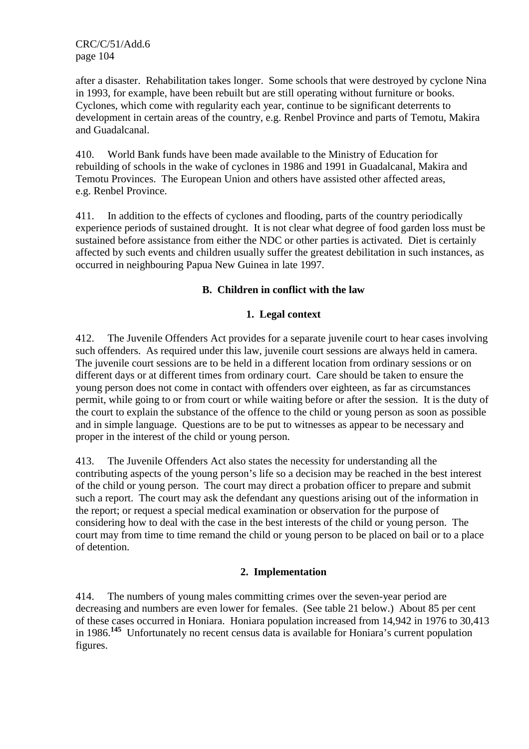after a disaster. Rehabilitation takes longer. Some schools that were destroyed by cyclone Nina in 1993, for example, have been rebuilt but are still operating without furniture or books. Cyclones, which come with regularity each year, continue to be significant deterrents to development in certain areas of the country, e.g. Renbel Province and parts of Temotu, Makira and Guadalcanal.

410. World Bank funds have been made available to the Ministry of Education for rebuilding of schools in the wake of cyclones in 1986 and 1991 in Guadalcanal, Makira and Temotu Provinces. The European Union and others have assisted other affected areas, e.g. Renbel Province.

411. In addition to the effects of cyclones and flooding, parts of the country periodically experience periods of sustained drought. It is not clear what degree of food garden loss must be sustained before assistance from either the NDC or other parties is activated. Diet is certainly affected by such events and children usually suffer the greatest debilitation in such instances, as occurred in neighbouring Papua New Guinea in late 1997.

# **B. Children in conflict with the law**

## **1. Legal context**

412. The Juvenile Offenders Act provides for a separate juvenile court to hear cases involving such offenders. As required under this law, juvenile court sessions are always held in camera. The juvenile court sessions are to be held in a different location from ordinary sessions or on different days or at different times from ordinary court. Care should be taken to ensure the young person does not come in contact with offenders over eighteen, as far as circumstances permit, while going to or from court or while waiting before or after the session. It is the duty of the court to explain the substance of the offence to the child or young person as soon as possible and in simple language. Questions are to be put to witnesses as appear to be necessary and proper in the interest of the child or young person.

413. The Juvenile Offenders Act also states the necessity for understanding all the contributing aspects of the young person's life so a decision may be reached in the best interest of the child or young person. The court may direct a probation officer to prepare and submit such a report. The court may ask the defendant any questions arising out of the information in the report; or request a special medical examination or observation for the purpose of considering how to deal with the case in the best interests of the child or young person. The court may from time to time remand the child or young person to be placed on bail or to a place of detention.

## **2. Implementation**

414. The numbers of young males committing crimes over the seven-year period are decreasing and numbers are even lower for females. (See table 21 below.) About 85 per cent of these cases occurred in Honiara. Honiara population increased from 14,942 in 1976 to 30,413 in 1986.**<sup>145</sup>** Unfortunately no recent census data is available for Honiara's current population figures.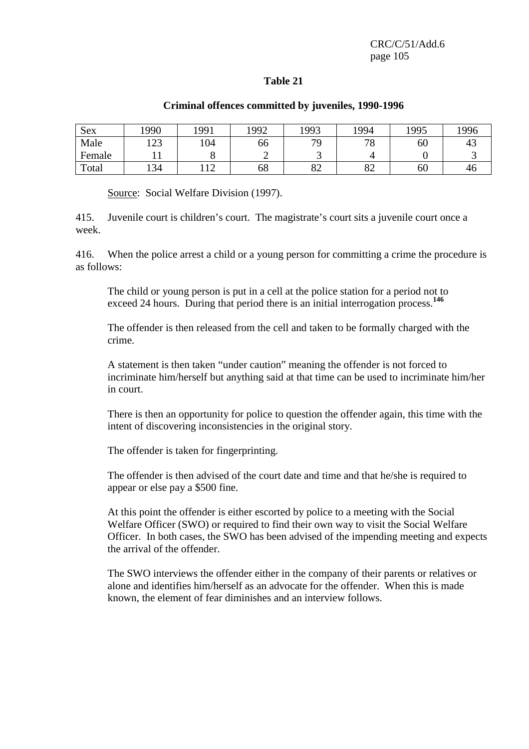#### **Table 21**

#### **Criminal offences committed by juveniles, 1990-1996**

| Sex    | '990                    | 1991                  | 992 | 1993     | 1994                | 1995 | 1996 |
|--------|-------------------------|-----------------------|-----|----------|---------------------|------|------|
| Male   | $\overline{102}$<br>149 | 104                   | 66  | 70       | 70<br>$^{\prime}$ O | 60   | 43   |
| Female |                         |                       | ∽   |          |                     |      |      |
| Total  | 134                     | $\overline{1}$<br>.⊥∠ | 68  | റി<br>o∠ | $\Omega$<br>٥Ź      | 60   | 40   |

Source: Social Welfare Division (1997).

415. Juvenile court is children's court. The magistrate's court sits a juvenile court once a week.

416. When the police arrest a child or a young person for committing a crime the procedure is as follows:

The child or young person is put in a cell at the police station for a period not to exceed 24 hours. During that period there is an initial interrogation process.<sup>146</sup>

The offender is then released from the cell and taken to be formally charged with the crime.

A statement is then taken "under caution" meaning the offender is not forced to incriminate him/herself but anything said at that time can be used to incriminate him/her in court.

There is then an opportunity for police to question the offender again, this time with the intent of discovering inconsistencies in the original story.

The offender is taken for fingerprinting.

The offender is then advised of the court date and time and that he/she is required to appear or else pay a \$500 fine.

At this point the offender is either escorted by police to a meeting with the Social Welfare Officer (SWO) or required to find their own way to visit the Social Welfare Officer. In both cases, the SWO has been advised of the impending meeting and expects the arrival of the offender.

The SWO interviews the offender either in the company of their parents or relatives or alone and identifies him/herself as an advocate for the offender. When this is made known, the element of fear diminishes and an interview follows.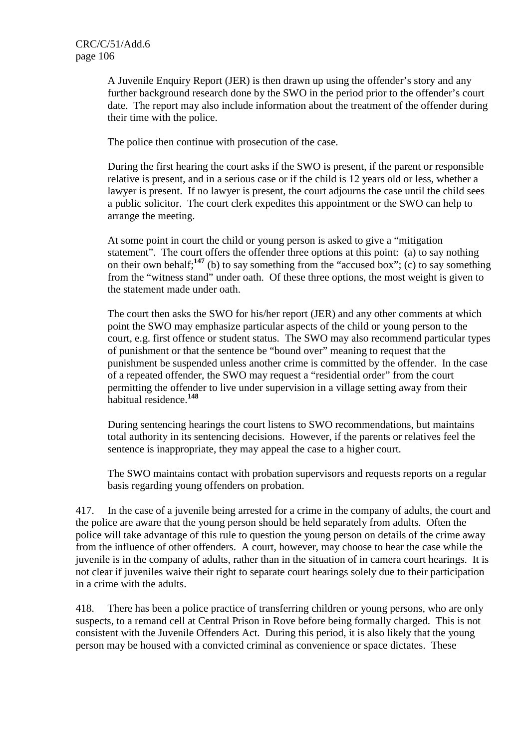A Juvenile Enquiry Report (JER) is then drawn up using the offender's story and any further background research done by the SWO in the period prior to the offender's court date. The report may also include information about the treatment of the offender during their time with the police.

The police then continue with prosecution of the case.

During the first hearing the court asks if the SWO is present, if the parent or responsible relative is present, and in a serious case or if the child is 12 years old or less, whether a lawyer is present. If no lawyer is present, the court adjourns the case until the child sees a public solicitor. The court clerk expedites this appointment or the SWO can help to arrange the meeting.

At some point in court the child or young person is asked to give a "mitigation statement". The court offers the offender three options at this point: (a) to say nothing on their own behalf;<sup>147</sup> (b) to say something from the "accused box"; (c) to say something from the "witness stand" under oath. Of these three options, the most weight is given to the statement made under oath.

The court then asks the SWO for his/her report (JER) and any other comments at which point the SWO may emphasize particular aspects of the child or young person to the court, e.g. first offence or student status. The SWO may also recommend particular types of punishment or that the sentence be "bound over" meaning to request that the punishment be suspended unless another crime is committed by the offender. In the case of a repeated offender, the SWO may request a "residential order" from the court permitting the offender to live under supervision in a village setting away from their habitual residence.**<sup>148</sup>**

During sentencing hearings the court listens to SWO recommendations, but maintains total authority in its sentencing decisions. However, if the parents or relatives feel the sentence is inappropriate, they may appeal the case to a higher court.

The SWO maintains contact with probation supervisors and requests reports on a regular basis regarding young offenders on probation.

417. In the case of a juvenile being arrested for a crime in the company of adults, the court and the police are aware that the young person should be held separately from adults. Often the police will take advantage of this rule to question the young person on details of the crime away from the influence of other offenders. A court, however, may choose to hear the case while the juvenile is in the company of adults, rather than in the situation of in camera court hearings. It is not clear if juveniles waive their right to separate court hearings solely due to their participation in a crime with the adults.

418. There has been a police practice of transferring children or young persons, who are only suspects, to a remand cell at Central Prison in Rove before being formally charged. This is not consistent with the Juvenile Offenders Act. During this period, it is also likely that the young person may be housed with a convicted criminal as convenience or space dictates. These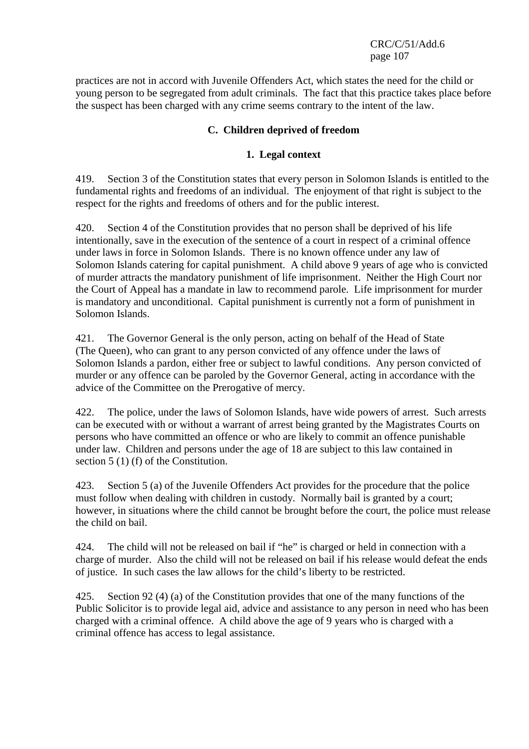practices are not in accord with Juvenile Offenders Act, which states the need for the child or young person to be segregated from adult criminals. The fact that this practice takes place before the suspect has been charged with any crime seems contrary to the intent of the law.

# **C. Children deprived of freedom**

### **1. Legal context**

419. Section 3 of the Constitution states that every person in Solomon Islands is entitled to the fundamental rights and freedoms of an individual. The enjoyment of that right is subject to the respect for the rights and freedoms of others and for the public interest.

420. Section 4 of the Constitution provides that no person shall be deprived of his life intentionally, save in the execution of the sentence of a court in respect of a criminal offence under laws in force in Solomon Islands. There is no known offence under any law of Solomon Islands catering for capital punishment. A child above 9 years of age who is convicted of murder attracts the mandatory punishment of life imprisonment. Neither the High Court nor the Court of Appeal has a mandate in law to recommend parole. Life imprisonment for murder is mandatory and unconditional. Capital punishment is currently not a form of punishment in Solomon Islands.

421. The Governor General is the only person, acting on behalf of the Head of State (The Queen), who can grant to any person convicted of any offence under the laws of Solomon Islands a pardon, either free or subject to lawful conditions. Any person convicted of murder or any offence can be paroled by the Governor General, acting in accordance with the advice of the Committee on the Prerogative of mercy.

422. The police, under the laws of Solomon Islands, have wide powers of arrest. Such arrests can be executed with or without a warrant of arrest being granted by the Magistrates Courts on persons who have committed an offence or who are likely to commit an offence punishable under law. Children and persons under the age of 18 are subject to this law contained in section 5 (1) (f) of the Constitution.

423. Section 5 (a) of the Juvenile Offenders Act provides for the procedure that the police must follow when dealing with children in custody. Normally bail is granted by a court; however, in situations where the child cannot be brought before the court, the police must release the child on bail.

424. The child will not be released on bail if "he" is charged or held in connection with a charge of murder. Also the child will not be released on bail if his release would defeat the ends of justice. In such cases the law allows for the child's liberty to be restricted.

425. Section 92 (4) (a) of the Constitution provides that one of the many functions of the Public Solicitor is to provide legal aid, advice and assistance to any person in need who has been charged with a criminal offence. A child above the age of 9 years who is charged with a criminal offence has access to legal assistance.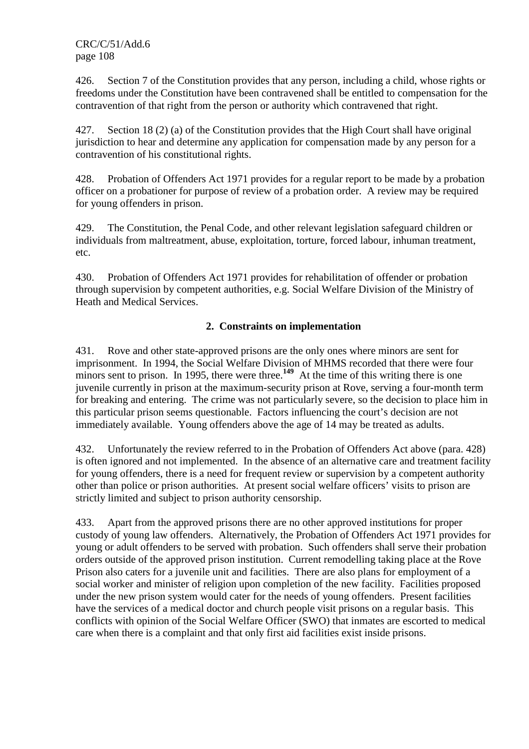426. Section 7 of the Constitution provides that any person, including a child, whose rights or freedoms under the Constitution have been contravened shall be entitled to compensation for the contravention of that right from the person or authority which contravened that right.

427. Section 18 (2) (a) of the Constitution provides that the High Court shall have original jurisdiction to hear and determine any application for compensation made by any person for a contravention of his constitutional rights.

428. Probation of Offenders Act 1971 provides for a regular report to be made by a probation officer on a probationer for purpose of review of a probation order. A review may be required for young offenders in prison.

429. The Constitution, the Penal Code, and other relevant legislation safeguard children or individuals from maltreatment, abuse, exploitation, torture, forced labour, inhuman treatment, etc.

430. Probation of Offenders Act 1971 provides for rehabilitation of offender or probation through supervision by competent authorities, e.g. Social Welfare Division of the Ministry of Heath and Medical Services.

# **2. Constraints on implementation**

431. Rove and other state-approved prisons are the only ones where minors are sent for imprisonment. In 1994, the Social Welfare Division of MHMS recorded that there were four minors sent to prison. In 1995, there were three.<sup>149</sup> At the time of this writing there is one juvenile currently in prison at the maximum-security prison at Rove, serving a four-month term for breaking and entering. The crime was not particularly severe, so the decision to place him in this particular prison seems questionable. Factors influencing the court's decision are not immediately available. Young offenders above the age of 14 may be treated as adults.

432. Unfortunately the review referred to in the Probation of Offenders Act above (para. 428) is often ignored and not implemented. In the absence of an alternative care and treatment facility for young offenders, there is a need for frequent review or supervision by a competent authority other than police or prison authorities. At present social welfare officers' visits to prison are strictly limited and subject to prison authority censorship.

433. Apart from the approved prisons there are no other approved institutions for proper custody of young law offenders. Alternatively, the Probation of Offenders Act 1971 provides for young or adult offenders to be served with probation. Such offenders shall serve their probation orders outside of the approved prison institution. Current remodelling taking place at the Rove Prison also caters for a juvenile unit and facilities. There are also plans for employment of a social worker and minister of religion upon completion of the new facility. Facilities proposed under the new prison system would cater for the needs of young offenders. Present facilities have the services of a medical doctor and church people visit prisons on a regular basis. This conflicts with opinion of the Social Welfare Officer (SWO) that inmates are escorted to medical care when there is a complaint and that only first aid facilities exist inside prisons.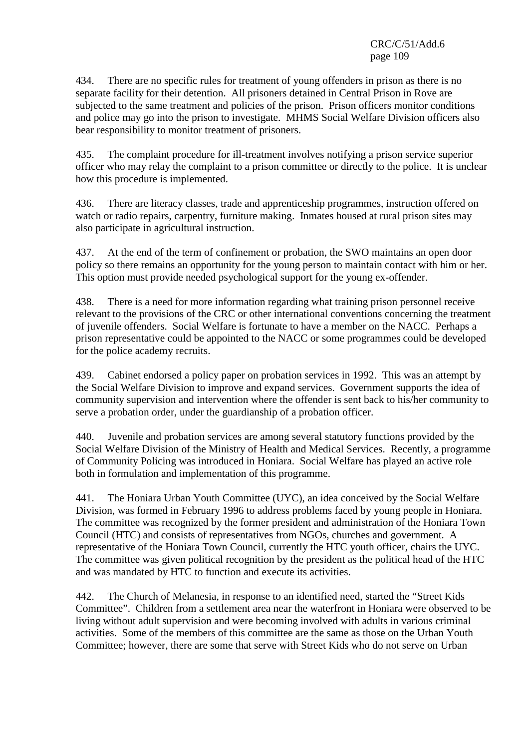434. There are no specific rules for treatment of young offenders in prison as there is no separate facility for their detention. All prisoners detained in Central Prison in Rove are subjected to the same treatment and policies of the prison. Prison officers monitor conditions and police may go into the prison to investigate. MHMS Social Welfare Division officers also bear responsibility to monitor treatment of prisoners.

435. The complaint procedure for ill-treatment involves notifying a prison service superior officer who may relay the complaint to a prison committee or directly to the police. It is unclear how this procedure is implemented.

436. There are literacy classes, trade and apprenticeship programmes, instruction offered on watch or radio repairs, carpentry, furniture making. Inmates housed at rural prison sites may also participate in agricultural instruction.

437. At the end of the term of confinement or probation, the SWO maintains an open door policy so there remains an opportunity for the young person to maintain contact with him or her. This option must provide needed psychological support for the young ex-offender.

438. There is a need for more information regarding what training prison personnel receive relevant to the provisions of the CRC or other international conventions concerning the treatment of juvenile offenders. Social Welfare is fortunate to have a member on the NACC. Perhaps a prison representative could be appointed to the NACC or some programmes could be developed for the police academy recruits.

439. Cabinet endorsed a policy paper on probation services in 1992. This was an attempt by the Social Welfare Division to improve and expand services. Government supports the idea of community supervision and intervention where the offender is sent back to his/her community to serve a probation order, under the guardianship of a probation officer.

440. Juvenile and probation services are among several statutory functions provided by the Social Welfare Division of the Ministry of Health and Medical Services. Recently, a programme of Community Policing was introduced in Honiara. Social Welfare has played an active role both in formulation and implementation of this programme.

441. The Honiara Urban Youth Committee (UYC), an idea conceived by the Social Welfare Division, was formed in February 1996 to address problems faced by young people in Honiara. The committee was recognized by the former president and administration of the Honiara Town Council (HTC) and consists of representatives from NGOs, churches and government. A representative of the Honiara Town Council, currently the HTC youth officer, chairs the UYC. The committee was given political recognition by the president as the political head of the HTC and was mandated by HTC to function and execute its activities.

442. The Church of Melanesia, in response to an identified need, started the "Street Kids Committee". Children from a settlement area near the waterfront in Honiara were observed to be living without adult supervision and were becoming involved with adults in various criminal activities. Some of the members of this committee are the same as those on the Urban Youth Committee; however, there are some that serve with Street Kids who do not serve on Urban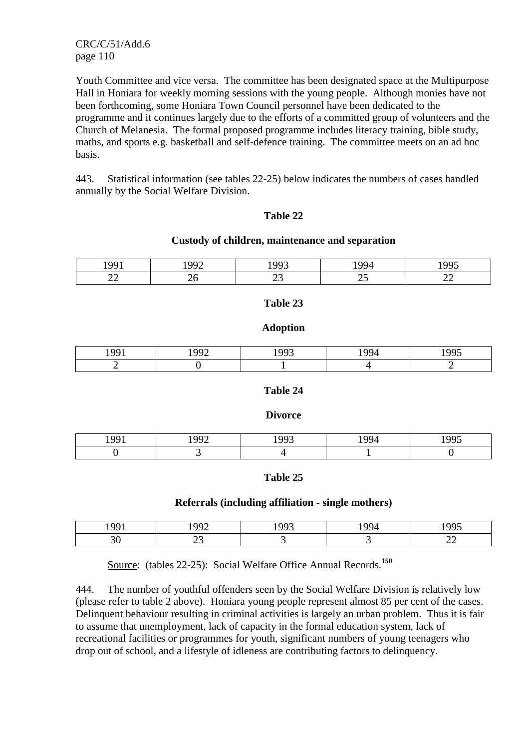Youth Committee and vice versa. The committee has been designated space at the Multipurpose Hall in Honiara for weekly morning sessions with the young people. Although monies have not been forthcoming, some Honiara Town Council personnel have been dedicated to the programme and it continues largely due to the efforts of a committed group of volunteers and the Church of Melanesia. The formal proposed programme includes literacy training, bible study, maths, and sports e.g. basketball and self-defence training. The committee meets on an ad hoc basis.

443. Statistical information (see tables 22-25) below indicates the numbers of cases handled annually by the Social Welfare Division.

### **Table 22**

#### **Custody of children, maintenance and separation**

| -                        |     |             |              | --                       |
|--------------------------|-----|-------------|--------------|--------------------------|
| $\overline{\phantom{m}}$ | $-$ | $-\!\!\sim$ | --<br>$\sim$ | $\overline{\phantom{m}}$ |

### **Table 23**

#### **Adoption**

| $190^\circ$ | $\Omega$ | 100 <sup>7</sup> | $\Omega$ | 100 <sup>5</sup> |
|-------------|----------|------------------|----------|------------------|
| . .         |          |                  |          |                  |

### **Table 24**

### **Divorce**

| $\Omega$<br>чч<br><b>*</b> <i>* *</i> | $\alpha\alpha$<br>$\overline{\phantom{a}}$ | 100 <sup>7</sup> | ΩO | $-0.05$<br><u>.</u> |
|---------------------------------------|--------------------------------------------|------------------|----|---------------------|
|                                       |                                            |                  |    |                     |

### **Table 25**

### **Referrals (including affiliation - single mothers)**

|  |  | .               |
|--|--|-----------------|
|  |  | --<br><u>——</u> |

Source: (tables 22-25): Social Welfare Office Annual Records.**<sup>150</sup>**

444. The number of youthful offenders seen by the Social Welfare Division is relatively low (please refer to table 2 above). Honiara young people represent almost 85 per cent of the cases. Delinquent behaviour resulting in criminal activities is largely an urban problem. Thus it is fair to assume that unemployment, lack of capacity in the formal education system, lack of recreational facilities or programmes for youth, significant numbers of young teenagers who drop out of school, and a lifestyle of idleness are contributing factors to delinquency.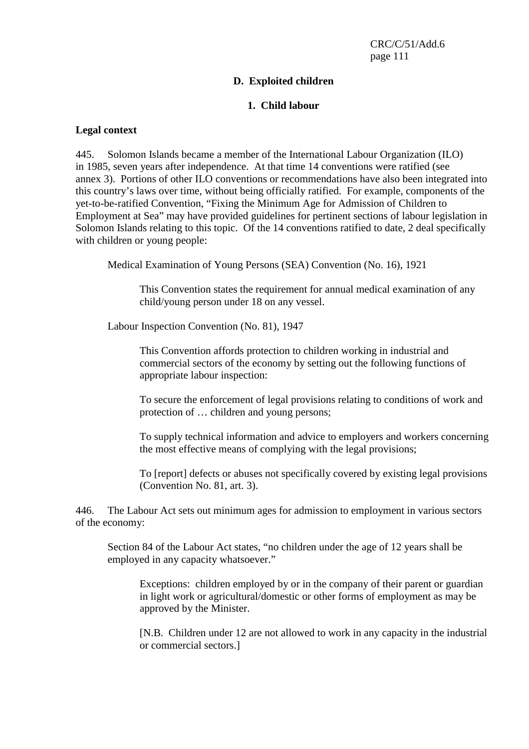# **D. Exploited children**

# **1. Child labour**

## **Legal context**

445. Solomon Islands became a member of the International Labour Organization (ILO) in 1985, seven years after independence. At that time 14 conventions were ratified (see annex 3). Portions of other ILO conventions or recommendations have also been integrated into this country's laws over time, without being officially ratified. For example, components of the yet-to-be-ratified Convention, "Fixing the Minimum Age for Admission of Children to Employment at Sea" may have provided guidelines for pertinent sections of labour legislation in Solomon Islands relating to this topic. Of the 14 conventions ratified to date, 2 deal specifically with children or young people:

Medical Examination of Young Persons (SEA) Convention (No. 16), 1921

This Convention states the requirement for annual medical examination of any child/young person under 18 on any vessel.

Labour Inspection Convention (No. 81), 1947

This Convention affords protection to children working in industrial and commercial sectors of the economy by setting out the following functions of appropriate labour inspection:

To secure the enforcement of legal provisions relating to conditions of work and protection of … children and young persons;

To supply technical information and advice to employers and workers concerning the most effective means of complying with the legal provisions;

To [report] defects or abuses not specifically covered by existing legal provisions (Convention No. 81, art. 3).

446. The Labour Act sets out minimum ages for admission to employment in various sectors of the economy:

Section 84 of the Labour Act states, "no children under the age of 12 years shall be employed in any capacity whatsoever."

Exceptions: children employed by or in the company of their parent or guardian in light work or agricultural/domestic or other forms of employment as may be approved by the Minister.

[N.B. Children under 12 are not allowed to work in any capacity in the industrial or commercial sectors.]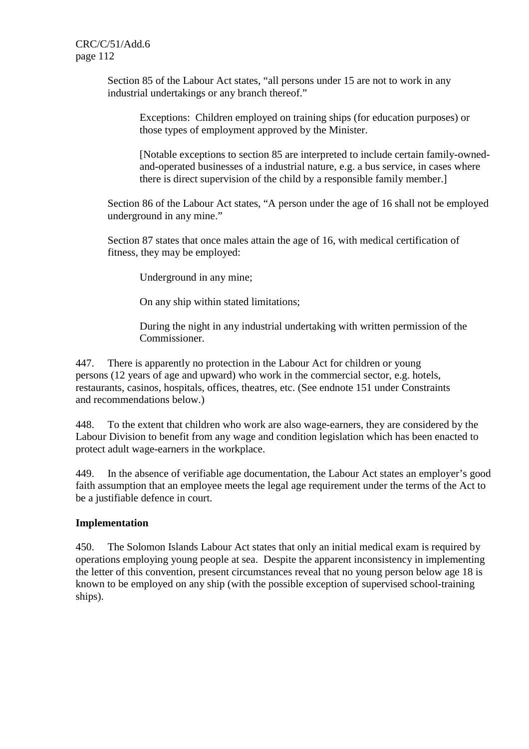> Section 85 of the Labour Act states, "all persons under 15 are not to work in any industrial undertakings or any branch thereof."

Exceptions: Children employed on training ships (for education purposes) or those types of employment approved by the Minister.

[Notable exceptions to section 85 are interpreted to include certain family-ownedand-operated businesses of a industrial nature, e.g. a bus service, in cases where there is direct supervision of the child by a responsible family member.]

Section 86 of the Labour Act states, "A person under the age of 16 shall not be employed underground in any mine."

Section 87 states that once males attain the age of 16, with medical certification of fitness, they may be employed:

Underground in any mine;

On any ship within stated limitations;

During the night in any industrial undertaking with written permission of the Commissioner.

447. There is apparently no protection in the Labour Act for children or young persons (12 years of age and upward) who work in the commercial sector, e.g. hotels, restaurants, casinos, hospitals, offices, theatres, etc. (See endnote 151 under Constraints and recommendations below.)

448. To the extent that children who work are also wage-earners, they are considered by the Labour Division to benefit from any wage and condition legislation which has been enacted to protect adult wage-earners in the workplace.

449. In the absence of verifiable age documentation, the Labour Act states an employer's good faith assumption that an employee meets the legal age requirement under the terms of the Act to be a justifiable defence in court.

### **Implementation**

450. The Solomon Islands Labour Act states that only an initial medical exam is required by operations employing young people at sea. Despite the apparent inconsistency in implementing the letter of this convention, present circumstances reveal that no young person below age 18 is known to be employed on any ship (with the possible exception of supervised school-training ships).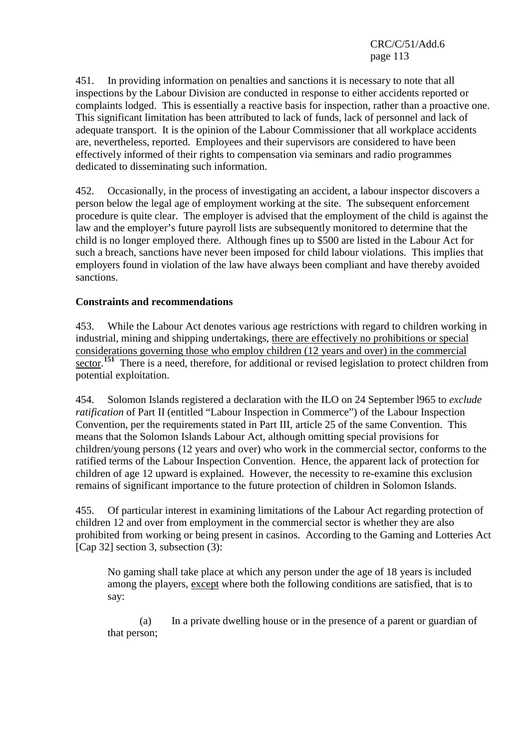451. In providing information on penalties and sanctions it is necessary to note that all inspections by the Labour Division are conducted in response to either accidents reported or complaints lodged. This is essentially a reactive basis for inspection, rather than a proactive one. This significant limitation has been attributed to lack of funds, lack of personnel and lack of adequate transport. It is the opinion of the Labour Commissioner that all workplace accidents are, nevertheless, reported. Employees and their supervisors are considered to have been effectively informed of their rights to compensation via seminars and radio programmes dedicated to disseminating such information.

452. Occasionally, in the process of investigating an accident, a labour inspector discovers a person below the legal age of employment working at the site. The subsequent enforcement procedure is quite clear. The employer is advised that the employment of the child is against the law and the employer's future payroll lists are subsequently monitored to determine that the child is no longer employed there. Although fines up to \$500 are listed in the Labour Act for such a breach, sanctions have never been imposed for child labour violations. This implies that employers found in violation of the law have always been compliant and have thereby avoided sanctions.

## **Constraints and recommendations**

453. While the Labour Act denotes various age restrictions with regard to children working in industrial, mining and shipping undertakings, there are effectively no prohibitions or special considerations governing those who employ children (12 years and over) in the commercial sector.<sup>151</sup> There is a need, therefore, for additional or revised legislation to protect children from potential exploitation.

454. Solomon Islands registered a declaration with the ILO on 24 September l965 to *exclude ratification* of Part II (entitled "Labour Inspection in Commerce") of the Labour Inspection Convention, per the requirements stated in Part III, article 25 of the same Convention. This means that the Solomon Islands Labour Act, although omitting special provisions for children/young persons (12 years and over) who work in the commercial sector, conforms to the ratified terms of the Labour Inspection Convention. Hence, the apparent lack of protection for children of age 12 upward is explained. However, the necessity to re-examine this exclusion remains of significant importance to the future protection of children in Solomon Islands.

455. Of particular interest in examining limitations of the Labour Act regarding protection of children 12 and over from employment in the commercial sector is whether they are also prohibited from working or being present in casinos. According to the Gaming and Lotteries Act [Cap 32] section 3, subsection (3):

No gaming shall take place at which any person under the age of 18 years is included among the players, except where both the following conditions are satisfied, that is to say:

 (a) In a private dwelling house or in the presence of a parent or guardian of that person;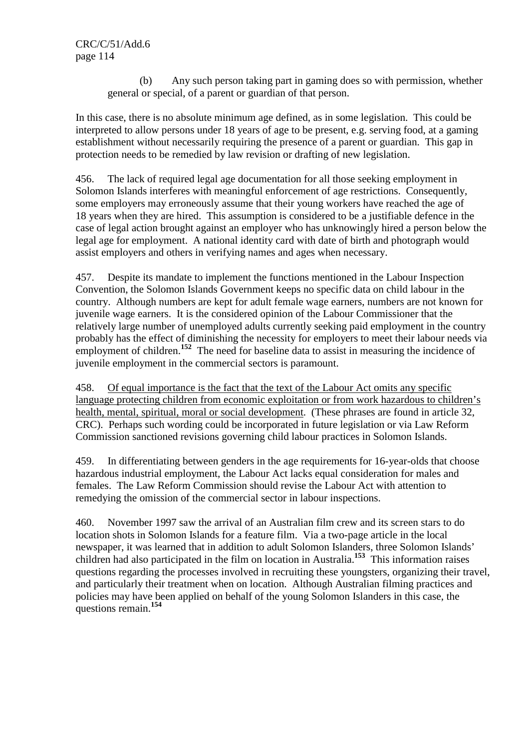(b) Any such person taking part in gaming does so with permission, whether general or special, of a parent or guardian of that person.

In this case, there is no absolute minimum age defined, as in some legislation. This could be interpreted to allow persons under 18 years of age to be present, e.g. serving food, at a gaming establishment without necessarily requiring the presence of a parent or guardian. This gap in protection needs to be remedied by law revision or drafting of new legislation.

456. The lack of required legal age documentation for all those seeking employment in Solomon Islands interferes with meaningful enforcement of age restrictions. Consequently, some employers may erroneously assume that their young workers have reached the age of 18 years when they are hired. This assumption is considered to be a justifiable defence in the case of legal action brought against an employer who has unknowingly hired a person below the legal age for employment. A national identity card with date of birth and photograph would assist employers and others in verifying names and ages when necessary.

457. Despite its mandate to implement the functions mentioned in the Labour Inspection Convention, the Solomon Islands Government keeps no specific data on child labour in the country. Although numbers are kept for adult female wage earners, numbers are not known for juvenile wage earners. It is the considered opinion of the Labour Commissioner that the relatively large number of unemployed adults currently seeking paid employment in the country probably has the effect of diminishing the necessity for employers to meet their labour needs via employment of children.<sup>152</sup> The need for baseline data to assist in measuring the incidence of juvenile employment in the commercial sectors is paramount.

458. Of equal importance is the fact that the text of the Labour Act omits any specific language protecting children from economic exploitation or from work hazardous to children's health, mental, spiritual, moral or social development. (These phrases are found in article 32, CRC). Perhaps such wording could be incorporated in future legislation or via Law Reform Commission sanctioned revisions governing child labour practices in Solomon Islands.

459. In differentiating between genders in the age requirements for 16-year-olds that choose hazardous industrial employment, the Labour Act lacks equal consideration for males and females. The Law Reform Commission should revise the Labour Act with attention to remedying the omission of the commercial sector in labour inspections.

460. November 1997 saw the arrival of an Australian film crew and its screen stars to do location shots in Solomon Islands for a feature film. Via a two-page article in the local newspaper, it was learned that in addition to adult Solomon Islanders, three Solomon Islands' children had also participated in the film on location in Australia.**<sup>153</sup>** This information raises questions regarding the processes involved in recruiting these youngsters, organizing their travel, and particularly their treatment when on location. Although Australian filming practices and policies may have been applied on behalf of the young Solomon Islanders in this case, the questions remain.**<sup>154</sup>**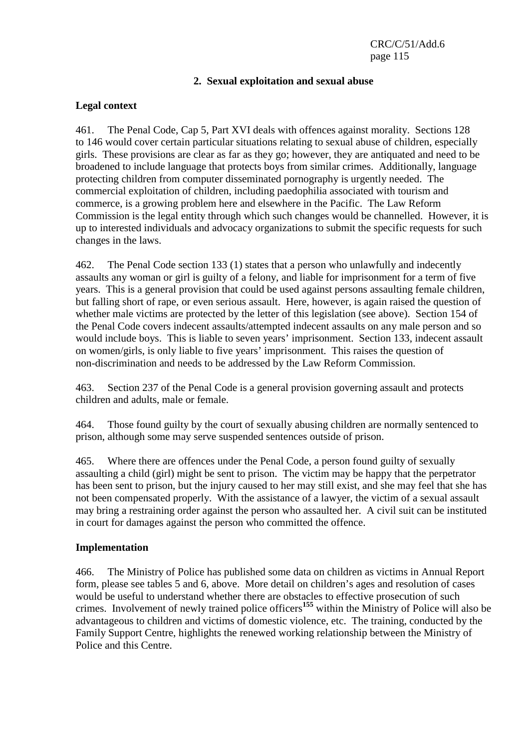## **2. Sexual exploitation and sexual abuse**

### **Legal context**

461. The Penal Code, Cap 5, Part XVI deals with offences against morality. Sections 128 to 146 would cover certain particular situations relating to sexual abuse of children, especially girls. These provisions are clear as far as they go; however, they are antiquated and need to be broadened to include language that protects boys from similar crimes. Additionally, language protecting children from computer disseminated pornography is urgently needed. The commercial exploitation of children, including paedophilia associated with tourism and commerce, is a growing problem here and elsewhere in the Pacific. The Law Reform Commission is the legal entity through which such changes would be channelled. However, it is up to interested individuals and advocacy organizations to submit the specific requests for such changes in the laws.

462. The Penal Code section 133 (1) states that a person who unlawfully and indecently assaults any woman or girl is guilty of a felony, and liable for imprisonment for a term of five years. This is a general provision that could be used against persons assaulting female children, but falling short of rape, or even serious assault. Here, however, is again raised the question of whether male victims are protected by the letter of this legislation (see above). Section 154 of the Penal Code covers indecent assaults/attempted indecent assaults on any male person and so would include boys. This is liable to seven years' imprisonment. Section 133, indecent assault on women/girls, is only liable to five years' imprisonment. This raises the question of non-discrimination and needs to be addressed by the Law Reform Commission.

463. Section 237 of the Penal Code is a general provision governing assault and protects children and adults, male or female.

464. Those found guilty by the court of sexually abusing children are normally sentenced to prison, although some may serve suspended sentences outside of prison.

465. Where there are offences under the Penal Code, a person found guilty of sexually assaulting a child (girl) might be sent to prison. The victim may be happy that the perpetrator has been sent to prison, but the injury caused to her may still exist, and she may feel that she has not been compensated properly. With the assistance of a lawyer, the victim of a sexual assault may bring a restraining order against the person who assaulted her. A civil suit can be instituted in court for damages against the person who committed the offence.

### **Implementation**

466. The Ministry of Police has published some data on children as victims in Annual Report form, please see tables 5 and 6, above. More detail on children's ages and resolution of cases would be useful to understand whether there are obstacles to effective prosecution of such crimes. Involvement of newly trained police officers**<sup>155</sup>** within the Ministry of Police will also be advantageous to children and victims of domestic violence, etc. The training, conducted by the Family Support Centre, highlights the renewed working relationship between the Ministry of Police and this Centre.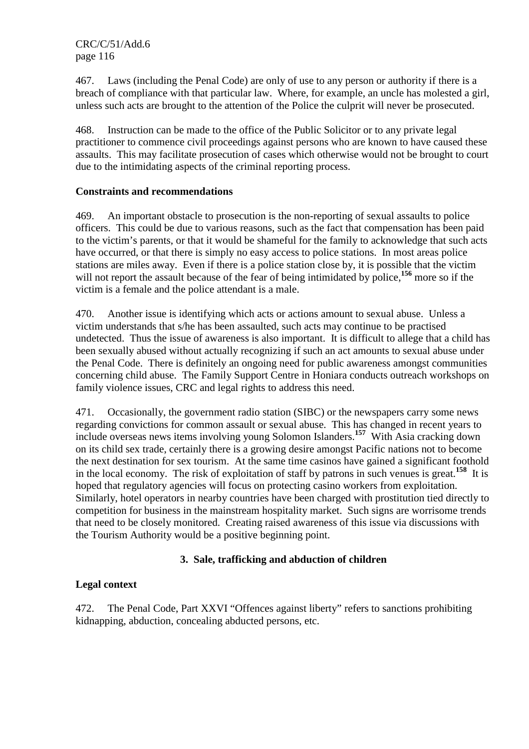467. Laws (including the Penal Code) are only of use to any person or authority if there is a breach of compliance with that particular law. Where, for example, an uncle has molested a girl, unless such acts are brought to the attention of the Police the culprit will never be prosecuted.

468. Instruction can be made to the office of the Public Solicitor or to any private legal practitioner to commence civil proceedings against persons who are known to have caused these assaults. This may facilitate prosecution of cases which otherwise would not be brought to court due to the intimidating aspects of the criminal reporting process.

## **Constraints and recommendations**

469. An important obstacle to prosecution is the non-reporting of sexual assaults to police officers. This could be due to various reasons, such as the fact that compensation has been paid to the victim's parents, or that it would be shameful for the family to acknowledge that such acts have occurred, or that there is simply no easy access to police stations. In most areas police stations are miles away. Even if there is a police station close by, it is possible that the victim will not report the assault because of the fear of being intimidated by police,**<sup>156</sup>** more so if the victim is a female and the police attendant is a male.

470. Another issue is identifying which acts or actions amount to sexual abuse. Unless a victim understands that s/he has been assaulted, such acts may continue to be practised undetected. Thus the issue of awareness is also important. It is difficult to allege that a child has been sexually abused without actually recognizing if such an act amounts to sexual abuse under the Penal Code. There is definitely an ongoing need for public awareness amongst communities concerning child abuse. The Family Support Centre in Honiara conducts outreach workshops on family violence issues, CRC and legal rights to address this need.

471. Occasionally, the government radio station (SIBC) or the newspapers carry some news regarding convictions for common assault or sexual abuse. This has changed in recent years to include overseas news items involving young Solomon Islanders.**<sup>157</sup>** With Asia cracking down on its child sex trade, certainly there is a growing desire amongst Pacific nations not to become the next destination for sex tourism. At the same time casinos have gained a significant foothold in the local economy. The risk of exploitation of staff by patrons in such venues is great.**<sup>158</sup>** It is hoped that regulatory agencies will focus on protecting casino workers from exploitation. Similarly, hotel operators in nearby countries have been charged with prostitution tied directly to competition for business in the mainstream hospitality market. Such signs are worrisome trends that need to be closely monitored. Creating raised awareness of this issue via discussions with the Tourism Authority would be a positive beginning point.

# **3. Sale, trafficking and abduction of children**

# **Legal context**

472. The Penal Code, Part XXVI "Offences against liberty" refers to sanctions prohibiting kidnapping, abduction, concealing abducted persons, etc.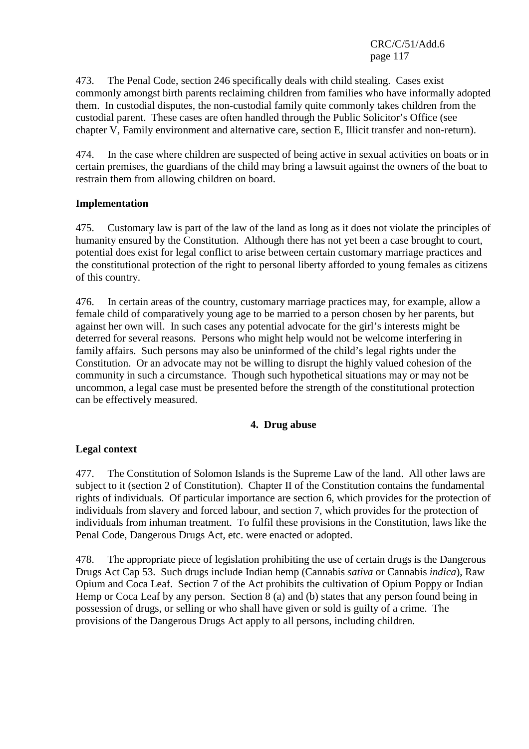473. The Penal Code, section 246 specifically deals with child stealing. Cases exist commonly amongst birth parents reclaiming children from families who have informally adopted them. In custodial disputes, the non-custodial family quite commonly takes children from the custodial parent. These cases are often handled through the Public Solicitor's Office (see chapter V, Family environment and alternative care, section E, Illicit transfer and non-return).

474. In the case where children are suspected of being active in sexual activities on boats or in certain premises, the guardians of the child may bring a lawsuit against the owners of the boat to restrain them from allowing children on board.

# **Implementation**

475. Customary law is part of the law of the land as long as it does not violate the principles of humanity ensured by the Constitution. Although there has not yet been a case brought to court, potential does exist for legal conflict to arise between certain customary marriage practices and the constitutional protection of the right to personal liberty afforded to young females as citizens of this country.

476. In certain areas of the country, customary marriage practices may, for example, allow a female child of comparatively young age to be married to a person chosen by her parents, but against her own will. In such cases any potential advocate for the girl's interests might be deterred for several reasons. Persons who might help would not be welcome interfering in family affairs. Such persons may also be uninformed of the child's legal rights under the Constitution. Or an advocate may not be willing to disrupt the highly valued cohesion of the community in such a circumstance. Though such hypothetical situations may or may not be uncommon, a legal case must be presented before the strength of the constitutional protection can be effectively measured.

### **4. Drug abuse**

# **Legal context**

477. The Constitution of Solomon Islands is the Supreme Law of the land. All other laws are subject to it (section 2 of Constitution). Chapter II of the Constitution contains the fundamental rights of individuals. Of particular importance are section 6, which provides for the protection of individuals from slavery and forced labour, and section 7, which provides for the protection of individuals from inhuman treatment. To fulfil these provisions in the Constitution, laws like the Penal Code, Dangerous Drugs Act, etc. were enacted or adopted.

478. The appropriate piece of legislation prohibiting the use of certain drugs is the Dangerous Drugs Act Cap 53. Such drugs include Indian hemp (Cannabis *sativa* or Cannabis *indica*), Raw Opium and Coca Leaf. Section 7 of the Act prohibits the cultivation of Opium Poppy or Indian Hemp or Coca Leaf by any person. Section 8 (a) and (b) states that any person found being in possession of drugs, or selling or who shall have given or sold is guilty of a crime. The provisions of the Dangerous Drugs Act apply to all persons, including children.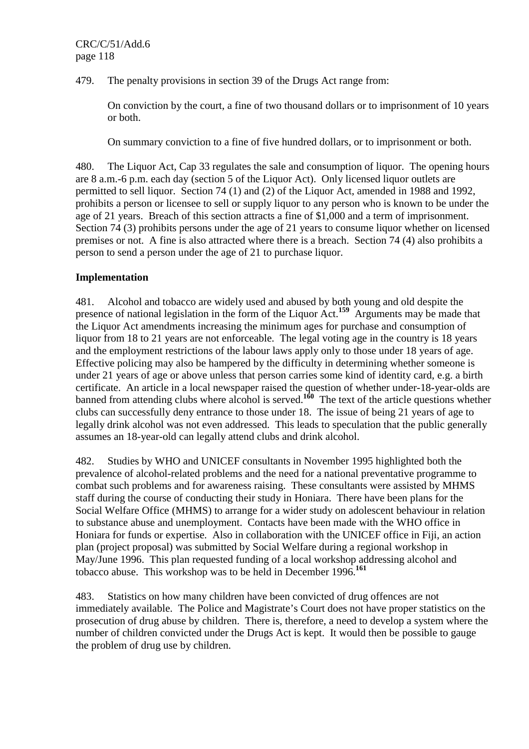479. The penalty provisions in section 39 of the Drugs Act range from:

On conviction by the court, a fine of two thousand dollars or to imprisonment of 10 years or both.

On summary conviction to a fine of five hundred dollars, or to imprisonment or both.

480. The Liquor Act, Cap 33 regulates the sale and consumption of liquor. The opening hours are 8 a.m.-6 p.m. each day (section 5 of the Liquor Act). Only licensed liquor outlets are permitted to sell liquor. Section 74 (1) and (2) of the Liquor Act, amended in 1988 and 1992, prohibits a person or licensee to sell or supply liquor to any person who is known to be under the age of 21 years. Breach of this section attracts a fine of \$1,000 and a term of imprisonment. Section 74 (3) prohibits persons under the age of 21 years to consume liquor whether on licensed premises or not. A fine is also attracted where there is a breach. Section 74 (4) also prohibits a person to send a person under the age of 21 to purchase liquor.

# **Implementation**

481. Alcohol and tobacco are widely used and abused by both young and old despite the presence of national legislation in the form of the Liquor Act.**<sup>159</sup>** Arguments may be made that the Liquor Act amendments increasing the minimum ages for purchase and consumption of liquor from 18 to 21 years are not enforceable. The legal voting age in the country is 18 years and the employment restrictions of the labour laws apply only to those under 18 years of age. Effective policing may also be hampered by the difficulty in determining whether someone is under 21 years of age or above unless that person carries some kind of identity card, e.g. a birth certificate. An article in a local newspaper raised the question of whether under-18-year-olds are banned from attending clubs where alcohol is served.**<sup>160</sup>** The text of the article questions whether clubs can successfully deny entrance to those under 18. The issue of being 21 years of age to legally drink alcohol was not even addressed. This leads to speculation that the public generally assumes an 18-year-old can legally attend clubs and drink alcohol.

482. Studies by WHO and UNICEF consultants in November 1995 highlighted both the prevalence of alcohol-related problems and the need for a national preventative programme to combat such problems and for awareness raising. These consultants were assisted by MHMS staff during the course of conducting their study in Honiara. There have been plans for the Social Welfare Office (MHMS) to arrange for a wider study on adolescent behaviour in relation to substance abuse and unemployment. Contacts have been made with the WHO office in Honiara for funds or expertise. Also in collaboration with the UNICEF office in Fiji, an action plan (project proposal) was submitted by Social Welfare during a regional workshop in May/June 1996. This plan requested funding of a local workshop addressing alcohol and tobacco abuse. This workshop was to be held in December 1996.**<sup>161</sup>**

483. Statistics on how many children have been convicted of drug offences are not immediately available. The Police and Magistrate's Court does not have proper statistics on the prosecution of drug abuse by children. There is, therefore, a need to develop a system where the number of children convicted under the Drugs Act is kept. It would then be possible to gauge the problem of drug use by children.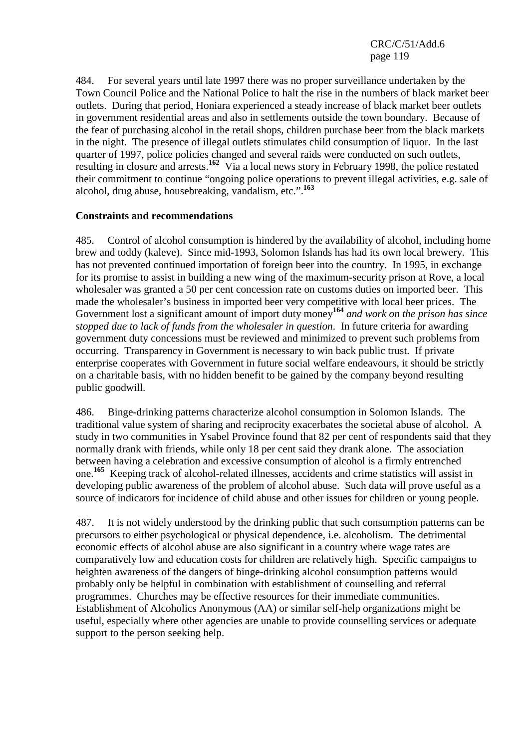484. For several years until late 1997 there was no proper surveillance undertaken by the Town Council Police and the National Police to halt the rise in the numbers of black market beer outlets. During that period, Honiara experienced a steady increase of black market beer outlets in government residential areas and also in settlements outside the town boundary. Because of the fear of purchasing alcohol in the retail shops, children purchase beer from the black markets in the night. The presence of illegal outlets stimulates child consumption of liquor. In the last quarter of 1997, police policies changed and several raids were conducted on such outlets, resulting in closure and arrests.**<sup>162</sup>** Via a local news story in February 1998, the police restated their commitment to continue "ongoing police operations to prevent illegal activities, e.g. sale of alcohol, drug abuse, housebreaking, vandalism, etc.".**<sup>163</sup>**

## **Constraints and recommendations**

485. Control of alcohol consumption is hindered by the availability of alcohol, including home brew and toddy (kaleve). Since mid-1993, Solomon Islands has had its own local brewery. This has not prevented continued importation of foreign beer into the country. In 1995, in exchange for its promise to assist in building a new wing of the maximum-security prison at Rove, a local wholesaler was granted a 50 per cent concession rate on customs duties on imported beer. This made the wholesaler's business in imported beer very competitive with local beer prices. The Government lost a significant amount of import duty money<sup>164</sup> *and work on the prison has since stopped due to lack of funds from the wholesaler in question*. In future criteria for awarding government duty concessions must be reviewed and minimized to prevent such problems from occurring. Transparency in Government is necessary to win back public trust. If private enterprise cooperates with Government in future social welfare endeavours, it should be strictly on a charitable basis, with no hidden benefit to be gained by the company beyond resulting public goodwill.

486. Binge-drinking patterns characterize alcohol consumption in Solomon Islands. The traditional value system of sharing and reciprocity exacerbates the societal abuse of alcohol. A study in two communities in Ysabel Province found that 82 per cent of respondents said that they normally drank with friends, while only 18 per cent said they drank alone. The association between having a celebration and excessive consumption of alcohol is a firmly entrenched one.**<sup>165</sup>** Keeping track of alcohol-related illnesses, accidents and crime statistics will assist in developing public awareness of the problem of alcohol abuse. Such data will prove useful as a source of indicators for incidence of child abuse and other issues for children or young people.

487. It is not widely understood by the drinking public that such consumption patterns can be precursors to either psychological or physical dependence, i.e. alcoholism. The detrimental economic effects of alcohol abuse are also significant in a country where wage rates are comparatively low and education costs for children are relatively high. Specific campaigns to heighten awareness of the dangers of binge-drinking alcohol consumption patterns would probably only be helpful in combination with establishment of counselling and referral programmes. Churches may be effective resources for their immediate communities. Establishment of Alcoholics Anonymous (AA) or similar self-help organizations might be useful, especially where other agencies are unable to provide counselling services or adequate support to the person seeking help.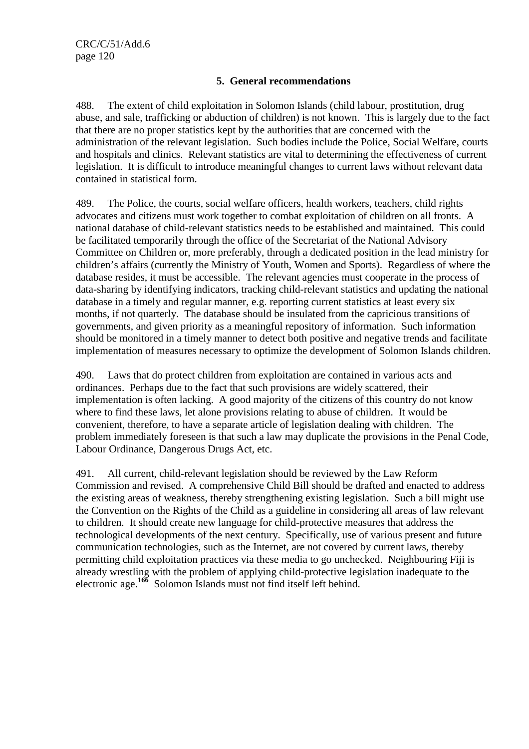# **5. General recommendations**

488. The extent of child exploitation in Solomon Islands (child labour, prostitution, drug abuse, and sale, trafficking or abduction of children) is not known. This is largely due to the fact that there are no proper statistics kept by the authorities that are concerned with the administration of the relevant legislation. Such bodies include the Police, Social Welfare, courts and hospitals and clinics. Relevant statistics are vital to determining the effectiveness of current legislation. It is difficult to introduce meaningful changes to current laws without relevant data contained in statistical form.

489. The Police, the courts, social welfare officers, health workers, teachers, child rights advocates and citizens must work together to combat exploitation of children on all fronts. A national database of child-relevant statistics needs to be established and maintained. This could be facilitated temporarily through the office of the Secretariat of the National Advisory Committee on Children or, more preferably, through a dedicated position in the lead ministry for children's affairs (currently the Ministry of Youth, Women and Sports). Regardless of where the database resides, it must be accessible. The relevant agencies must cooperate in the process of data-sharing by identifying indicators, tracking child-relevant statistics and updating the national database in a timely and regular manner, e.g. reporting current statistics at least every six months, if not quarterly. The database should be insulated from the capricious transitions of governments, and given priority as a meaningful repository of information. Such information should be monitored in a timely manner to detect both positive and negative trends and facilitate implementation of measures necessary to optimize the development of Solomon Islands children.

490. Laws that do protect children from exploitation are contained in various acts and ordinances. Perhaps due to the fact that such provisions are widely scattered, their implementation is often lacking. A good majority of the citizens of this country do not know where to find these laws, let alone provisions relating to abuse of children. It would be convenient, therefore, to have a separate article of legislation dealing with children. The problem immediately foreseen is that such a law may duplicate the provisions in the Penal Code, Labour Ordinance, Dangerous Drugs Act, etc.

491. All current, child-relevant legislation should be reviewed by the Law Reform Commission and revised. A comprehensive Child Bill should be drafted and enacted to address the existing areas of weakness, thereby strengthening existing legislation. Such a bill might use the Convention on the Rights of the Child as a guideline in considering all areas of law relevant to children. It should create new language for child-protective measures that address the technological developments of the next century. Specifically, use of various present and future communication technologies, such as the Internet, are not covered by current laws, thereby permitting child exploitation practices via these media to go unchecked. Neighbouring Fiji is already wrestling with the problem of applying child-protective legislation inadequate to the electronic age.**<sup>166</sup>** Solomon Islands must not find itself left behind.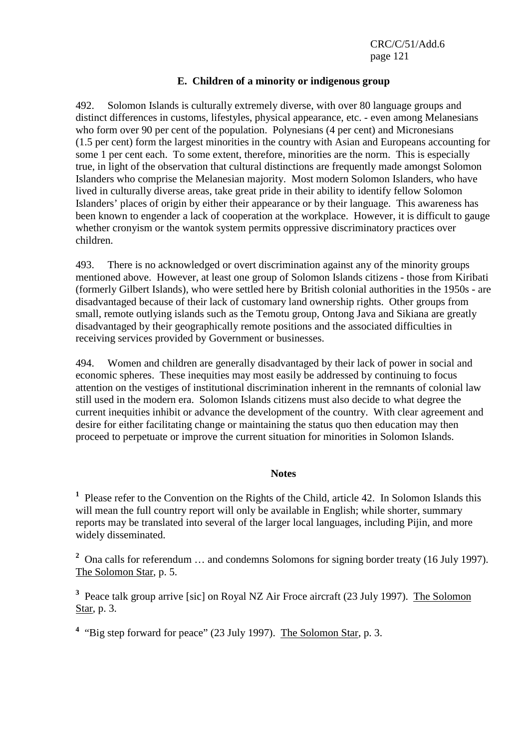## **E. Children of a minority or indigenous group**

492. Solomon Islands is culturally extremely diverse, with over 80 language groups and distinct differences in customs, lifestyles, physical appearance, etc. - even among Melanesians who form over 90 per cent of the population. Polynesians (4 per cent) and Micronesians (1.5 per cent) form the largest minorities in the country with Asian and Europeans accounting for some 1 per cent each. To some extent, therefore, minorities are the norm. This is especially true, in light of the observation that cultural distinctions are frequently made amongst Solomon Islanders who comprise the Melanesian majority. Most modern Solomon Islanders, who have lived in culturally diverse areas, take great pride in their ability to identify fellow Solomon Islanders' places of origin by either their appearance or by their language. This awareness has been known to engender a lack of cooperation at the workplace. However, it is difficult to gauge whether cronyism or the wantok system permits oppressive discriminatory practices over children.

493. There is no acknowledged or overt discrimination against any of the minority groups mentioned above. However, at least one group of Solomon Islands citizens - those from Kiribati (formerly Gilbert Islands), who were settled here by British colonial authorities in the 1950s - are disadvantaged because of their lack of customary land ownership rights. Other groups from small, remote outlying islands such as the Temotu group, Ontong Java and Sikiana are greatly disadvantaged by their geographically remote positions and the associated difficulties in receiving services provided by Government or businesses.

494. Women and children are generally disadvantaged by their lack of power in social and economic spheres. These inequities may most easily be addressed by continuing to focus attention on the vestiges of institutional discrimination inherent in the remnants of colonial law still used in the modern era. Solomon Islands citizens must also decide to what degree the current inequities inhibit or advance the development of the country. With clear agreement and desire for either facilitating change or maintaining the status quo then education may then proceed to perpetuate or improve the current situation for minorities in Solomon Islands.

### **Notes**

<sup>1</sup> Please refer to the Convention on the Rights of the Child, article 42. In Solomon Islands this will mean the full country report will only be available in English; while shorter, summary reports may be translated into several of the larger local languages, including Pijin, and more widely disseminated.

<sup>2</sup> Ona calls for referendum ... and condemns Solomons for signing border treaty (16 July 1997). The Solomon Star, p. 5.

<sup>3</sup> Peace talk group arrive [sic] on Royal NZ Air Froce aircraft (23 July 1997). The Solomon Star, p. 3.

<sup>4</sup> "Big step forward for peace" (23 July 1997). The Solomon Star, p. 3.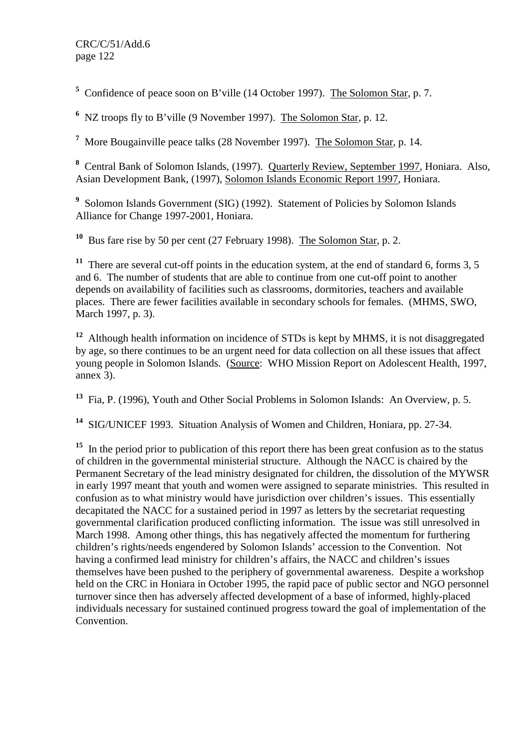<sup>5</sup> Confidence of peace soon on B'ville (14 October 1997). The Solomon Star, p. 7.

<sup>6</sup> NZ troops fly to B'ville (9 November 1997). The Solomon Star, p. 12.

<sup>7</sup> More Bougainville peace talks (28 November 1997). The Solomon Star, p. 14.

**8** Central Bank of Solomon Islands, (1997). Quarterly Review, September 1997, Honiara. Also, Asian Development Bank, (1997), Solomon Islands Economic Report 1997, Honiara.

<sup>9</sup> Solomon Islands Government (SIG) (1992). Statement of Policies by Solomon Islands Alliance for Change 1997-2001, Honiara.

**<sup>10</sup>** Bus fare rise by 50 per cent (27 February 1998). The Solomon Star, p. 2.

<sup>11</sup> There are several cut-off points in the education system, at the end of standard 6, forms 3, 5 and 6. The number of students that are able to continue from one cut-off point to another depends on availability of facilities such as classrooms, dormitories, teachers and available places. There are fewer facilities available in secondary schools for females. (MHMS, SWO, March 1997, p. 3).

**<sup>12</sup>** Although health information on incidence of STDs is kept by MHMS, it is not disaggregated by age, so there continues to be an urgent need for data collection on all these issues that affect young people in Solomon Islands. (Source: WHO Mission Report on Adolescent Health, 1997, annex 3).

**<sup>13</sup>** Fia, P. (1996), Youth and Other Social Problems in Solomon Islands: An Overview, p. 5.

**<sup>14</sup>** SIG/UNICEF 1993. Situation Analysis of Women and Children, Honiara, pp. 27-34.

<sup>15</sup> In the period prior to publication of this report there has been great confusion as to the status of children in the governmental ministerial structure. Although the NACC is chaired by the Permanent Secretary of the lead ministry designated for children, the dissolution of the MYWSR in early 1997 meant that youth and women were assigned to separate ministries. This resulted in confusion as to what ministry would have jurisdiction over children's issues. This essentially decapitated the NACC for a sustained period in 1997 as letters by the secretariat requesting governmental clarification produced conflicting information. The issue was still unresolved in March 1998. Among other things, this has negatively affected the momentum for furthering children's rights/needs engendered by Solomon Islands' accession to the Convention. Not having a confirmed lead ministry for children's affairs, the NACC and children's issues themselves have been pushed to the periphery of governmental awareness. Despite a workshop held on the CRC in Honiara in October 1995, the rapid pace of public sector and NGO personnel turnover since then has adversely affected development of a base of informed, highly-placed individuals necessary for sustained continued progress toward the goal of implementation of the Convention.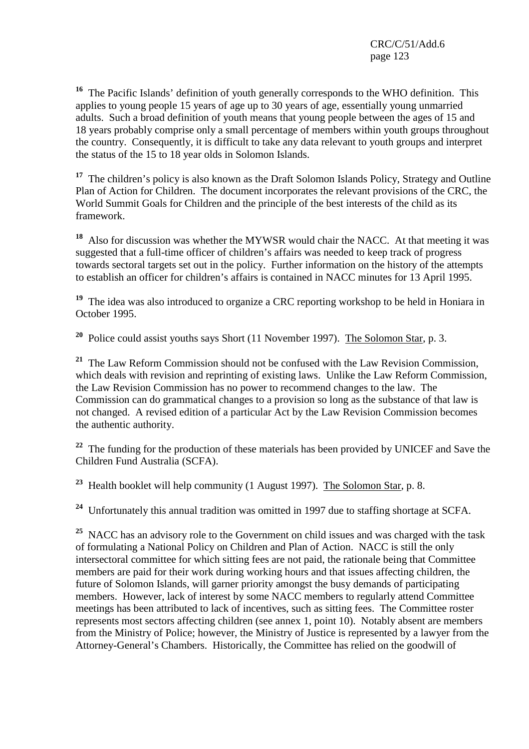**<sup>16</sup>** The Pacific Islands' definition of youth generally corresponds to the WHO definition. This applies to young people 15 years of age up to 30 years of age, essentially young unmarried adults. Such a broad definition of youth means that young people between the ages of 15 and 18 years probably comprise only a small percentage of members within youth groups throughout the country. Consequently, it is difficult to take any data relevant to youth groups and interpret the status of the 15 to 18 year olds in Solomon Islands.

<sup>17</sup> The children's policy is also known as the Draft Solomon Islands Policy, Strategy and Outline Plan of Action for Children. The document incorporates the relevant provisions of the CRC, the World Summit Goals for Children and the principle of the best interests of the child as its framework.

**<sup>18</sup>** Also for discussion was whether the MYWSR would chair the NACC. At that meeting it was suggested that a full-time officer of children's affairs was needed to keep track of progress towards sectoral targets set out in the policy. Further information on the history of the attempts to establish an officer for children's affairs is contained in NACC minutes for 13 April 1995.

<sup>19</sup> The idea was also introduced to organize a CRC reporting workshop to be held in Honiara in October 1995.

**<sup>20</sup>** Police could assist youths says Short (11 November 1997). The Solomon Star, p. 3.

**<sup>21</sup>** The Law Reform Commission should not be confused with the Law Revision Commission, which deals with revision and reprinting of existing laws. Unlike the Law Reform Commission, the Law Revision Commission has no power to recommend changes to the law. The Commission can do grammatical changes to a provision so long as the substance of that law is not changed. A revised edition of a particular Act by the Law Revision Commission becomes the authentic authority.

<sup>22</sup> The funding for the production of these materials has been provided by UNICEF and Save the Children Fund Australia (SCFA).

**<sup>23</sup>** Health booklet will help community (1 August 1997). The Solomon Star, p. 8.

**<sup>24</sup>** Unfortunately this annual tradition was omitted in 1997 due to staffing shortage at SCFA.

<sup>25</sup> NACC has an advisory role to the Government on child issues and was charged with the task of formulating a National Policy on Children and Plan of Action. NACC is still the only intersectoral committee for which sitting fees are not paid, the rationale being that Committee members are paid for their work during working hours and that issues affecting children, the future of Solomon Islands, will garner priority amongst the busy demands of participating members. However, lack of interest by some NACC members to regularly attend Committee meetings has been attributed to lack of incentives, such as sitting fees. The Committee roster represents most sectors affecting children (see annex 1, point 10). Notably absent are members from the Ministry of Police; however, the Ministry of Justice is represented by a lawyer from the Attorney-General's Chambers. Historically, the Committee has relied on the goodwill of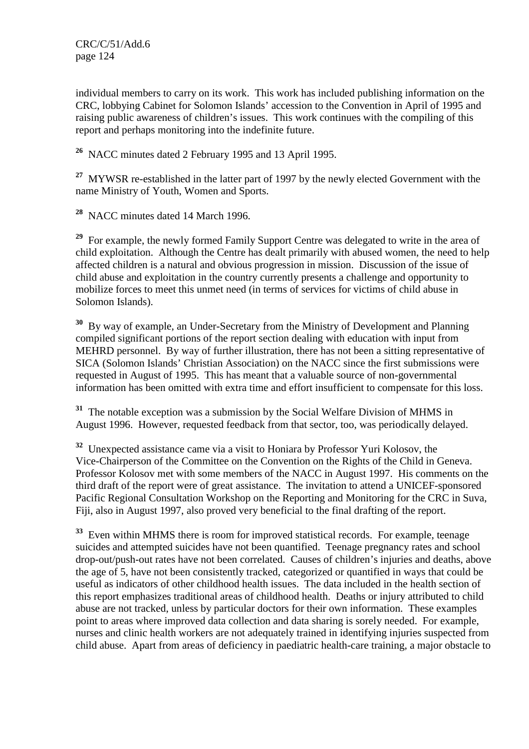individual members to carry on its work. This work has included publishing information on the CRC, lobbying Cabinet for Solomon Islands' accession to the Convention in April of 1995 and raising public awareness of children's issues. This work continues with the compiling of this report and perhaps monitoring into the indefinite future.

**<sup>26</sup>** NACC minutes dated 2 February 1995 and 13 April 1995.

<sup>27</sup> MYWSR re-established in the latter part of 1997 by the newly elected Government with the name Ministry of Youth, Women and Sports.

**<sup>28</sup>** NACC minutes dated 14 March 1996.

<sup>29</sup> For example, the newly formed Family Support Centre was delegated to write in the area of child exploitation. Although the Centre has dealt primarily with abused women, the need to help affected children is a natural and obvious progression in mission. Discussion of the issue of child abuse and exploitation in the country currently presents a challenge and opportunity to mobilize forces to meet this unmet need (in terms of services for victims of child abuse in Solomon Islands).

**<sup>30</sup>** By way of example, an Under-Secretary from the Ministry of Development and Planning compiled significant portions of the report section dealing with education with input from MEHRD personnel. By way of further illustration, there has not been a sitting representative of SICA (Solomon Islands' Christian Association) on the NACC since the first submissions were requested in August of 1995. This has meant that a valuable source of non-governmental information has been omitted with extra time and effort insufficient to compensate for this loss.

**<sup>31</sup>** The notable exception was a submission by the Social Welfare Division of MHMS in August 1996. However, requested feedback from that sector, too, was periodically delayed.

**<sup>32</sup>** Unexpected assistance came via a visit to Honiara by Professor Yuri Kolosov, the Vice-Chairperson of the Committee on the Convention on the Rights of the Child in Geneva. Professor Kolosov met with some members of the NACC in August 1997. His comments on the third draft of the report were of great assistance. The invitation to attend a UNICEF-sponsored Pacific Regional Consultation Workshop on the Reporting and Monitoring for the CRC in Suva, Fiji, also in August 1997, also proved very beneficial to the final drafting of the report.

**<sup>33</sup>** Even within MHMS there is room for improved statistical records. For example, teenage suicides and attempted suicides have not been quantified. Teenage pregnancy rates and school drop-out/push-out rates have not been correlated. Causes of children's injuries and deaths, above the age of 5, have not been consistently tracked, categorized or quantified in ways that could be useful as indicators of other childhood health issues. The data included in the health section of this report emphasizes traditional areas of childhood health. Deaths or injury attributed to child abuse are not tracked, unless by particular doctors for their own information. These examples point to areas where improved data collection and data sharing is sorely needed. For example, nurses and clinic health workers are not adequately trained in identifying injuries suspected from child abuse. Apart from areas of deficiency in paediatric health-care training, a major obstacle to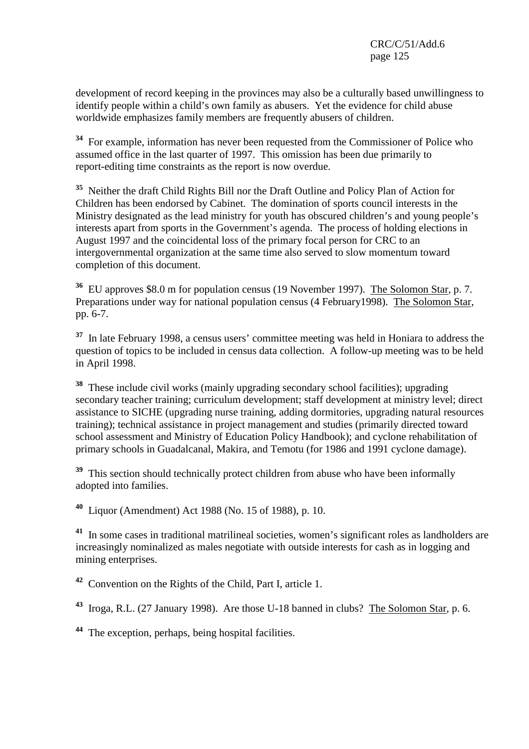development of record keeping in the provinces may also be a culturally based unwillingness to identify people within a child's own family as abusers. Yet the evidence for child abuse worldwide emphasizes family members are frequently abusers of children.

**<sup>34</sup>** For example, information has never been requested from the Commissioner of Police who assumed office in the last quarter of 1997. This omission has been due primarily to report-editing time constraints as the report is now overdue.

**<sup>35</sup>** Neither the draft Child Rights Bill nor the Draft Outline and Policy Plan of Action for Children has been endorsed by Cabinet. The domination of sports council interests in the Ministry designated as the lead ministry for youth has obscured children's and young people's interests apart from sports in the Government's agenda. The process of holding elections in August 1997 and the coincidental loss of the primary focal person for CRC to an intergovernmental organization at the same time also served to slow momentum toward completion of this document.

**<sup>36</sup>** EU approves \$8.0 m for population census (19 November 1997). The Solomon Star, p. 7. Preparations under way for national population census (4 February1998). The Solomon Star, pp. 6-7.

**<sup>37</sup>** In late February 1998, a census users' committee meeting was held in Honiara to address the question of topics to be included in census data collection. A follow-up meeting was to be held in April 1998.

**<sup>38</sup>** These include civil works (mainly upgrading secondary school facilities); upgrading secondary teacher training; curriculum development; staff development at ministry level; direct assistance to SICHE (upgrading nurse training, adding dormitories, upgrading natural resources training); technical assistance in project management and studies (primarily directed toward school assessment and Ministry of Education Policy Handbook); and cyclone rehabilitation of primary schools in Guadalcanal, Makira, and Temotu (for 1986 and 1991 cyclone damage).

<sup>39</sup> This section should technically protect children from abuse who have been informally adopted into families.

**<sup>40</sup>** Liquor (Amendment) Act 1988 (No. 15 of 1988), p. 10.

**<sup>41</sup>** In some cases in traditional matrilineal societies, women's significant roles as landholders are increasingly nominalized as males negotiate with outside interests for cash as in logging and mining enterprises.

**<sup>42</sup>** Convention on the Rights of the Child, Part I, article 1.

**<sup>43</sup>** Iroga, R.L. (27 January 1998). Are those U-18 banned in clubs? The Solomon Star, p. 6.

**<sup>44</sup>** The exception, perhaps, being hospital facilities.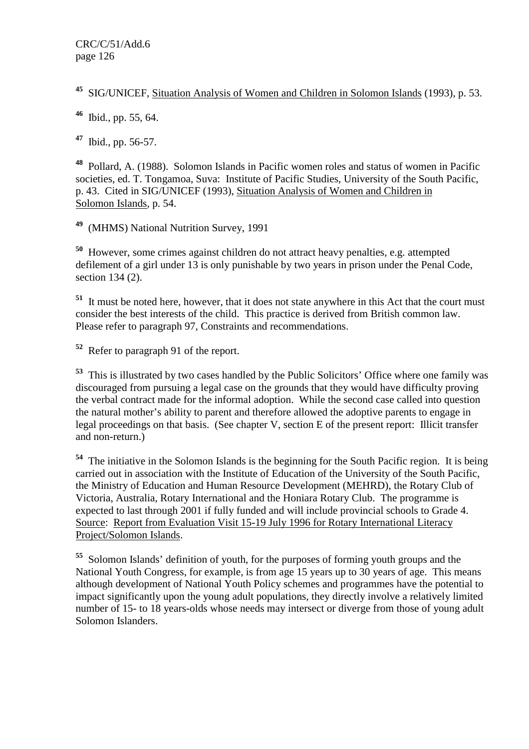**<sup>45</sup>** SIG/UNICEF, Situation Analysis of Women and Children in Solomon Islands (1993), p. 53.

**<sup>46</sup>** Ibid., pp. 55, 64.

**<sup>47</sup>** Ibid., pp. 56-57.

**<sup>48</sup>** Pollard, A. (1988). Solomon Islands in Pacific women roles and status of women in Pacific societies, ed. T. Tongamoa, Suva: Institute of Pacific Studies, University of the South Pacific, p. 43. Cited in SIG/UNICEF (1993), Situation Analysis of Women and Children in Solomon Islands, p. 54.

**<sup>49</sup>** (MHMS) National Nutrition Survey, 1991

**<sup>50</sup>** However, some crimes against children do not attract heavy penalties, e.g. attempted defilement of a girl under 13 is only punishable by two vears in prison under the Penal Code. section 134 (2).

**<sup>51</sup>** It must be noted here, however, that it does not state anywhere in this Act that the court must consider the best interests of the child. This practice is derived from British common law. Please refer to paragraph 97, Constraints and recommendations.

**<sup>52</sup>** Refer to paragraph 91 of the report.

**<sup>53</sup>** This is illustrated by two cases handled by the Public Solicitors' Office where one family was discouraged from pursuing a legal case on the grounds that they would have difficulty proving the verbal contract made for the informal adoption. While the second case called into question the natural mother's ability to parent and therefore allowed the adoptive parents to engage in legal proceedings on that basis. (See chapter V, section E of the present report: Illicit transfer and non-return.)

**<sup>54</sup>** The initiative in the Solomon Islands is the beginning for the South Pacific region. It is being carried out in association with the Institute of Education of the University of the South Pacific, the Ministry of Education and Human Resource Development (MEHRD), the Rotary Club of Victoria, Australia, Rotary International and the Honiara Rotary Club. The programme is expected to last through 2001 if fully funded and will include provincial schools to Grade 4. Source: Report from Evaluation Visit 15-19 July 1996 for Rotary International Literacy Project/Solomon Islands.

**<sup>55</sup>** Solomon Islands' definition of youth, for the purposes of forming youth groups and the National Youth Congress, for example, is from age 15 years up to 30 years of age. This means although development of National Youth Policy schemes and programmes have the potential to impact significantly upon the young adult populations, they directly involve a relatively limited number of 15- to 18 years-olds whose needs may intersect or diverge from those of young adult Solomon Islanders.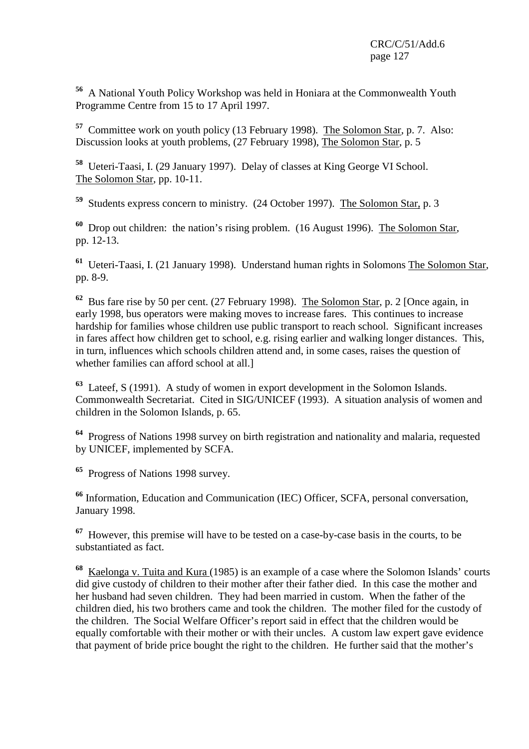**<sup>56</sup>** A National Youth Policy Workshop was held in Honiara at the Commonwealth Youth Programme Centre from 15 to 17 April 1997.

**<sup>57</sup>** Committee work on youth policy (13 February 1998). The Solomon Star, p. 7. Also: Discussion looks at youth problems, (27 February 1998), The Solomon Star, p. 5

**<sup>58</sup>** Ueteri-Taasi, I. (29 January 1997). Delay of classes at King George VI School. The Solomon Star, pp. 10-11.

**<sup>59</sup>** Students express concern to ministry. (24 October 1997). The Solomon Star, p. 3

**<sup>60</sup>** Drop out children: the nation's rising problem. (16 August 1996). The Solomon Star, pp. 12-13.

**<sup>61</sup>** Ueteri-Taasi, I. (21 January 1998). Understand human rights in Solomons The Solomon Star, pp. 8-9.

**<sup>62</sup>** Bus fare rise by 50 per cent. (27 February 1998). The Solomon Star, p. 2 [Once again, in early 1998, bus operators were making moves to increase fares. This continues to increase hardship for families whose children use public transport to reach school. Significant increases in fares affect how children get to school, e.g. rising earlier and walking longer distances. This, in turn, influences which schools children attend and, in some cases, raises the question of whether families can afford school at all.]

**<sup>63</sup>** Lateef, S (1991). A study of women in export development in the Solomon Islands. Commonwealth Secretariat. Cited in SIG/UNICEF (1993). A situation analysis of women and children in the Solomon Islands, p. 65.

**<sup>64</sup>** Progress of Nations 1998 survey on birth registration and nationality and malaria, requested by UNICEF, implemented by SCFA.

**<sup>65</sup>** Progress of Nations 1998 survey.

**<sup>66</sup>** Information, Education and Communication (IEC) Officer, SCFA, personal conversation, January 1998.

**<sup>67</sup>** However, this premise will have to be tested on a case-by-case basis in the courts, to be substantiated as fact.

**<sup>68</sup>** Kaelonga v. Tuita and Kura (1985) is an example of a case where the Solomon Islands' courts did give custody of children to their mother after their father died. In this case the mother and her husband had seven children. They had been married in custom. When the father of the children died, his two brothers came and took the children. The mother filed for the custody of the children. The Social Welfare Officer's report said in effect that the children would be equally comfortable with their mother or with their uncles. A custom law expert gave evidence that payment of bride price bought the right to the children. He further said that the mother's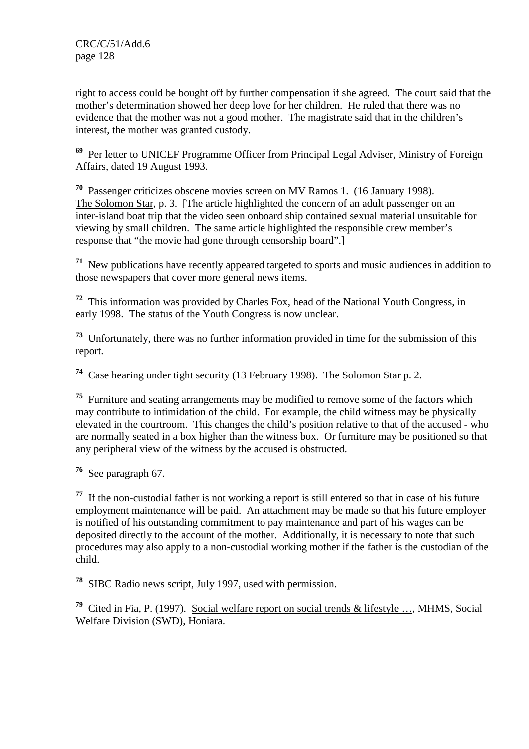right to access could be bought off by further compensation if she agreed. The court said that the mother's determination showed her deep love for her children. He ruled that there was no evidence that the mother was not a good mother. The magistrate said that in the children's interest, the mother was granted custody.

**<sup>69</sup>** Per letter to UNICEF Programme Officer from Principal Legal Adviser, Ministry of Foreign Affairs, dated 19 August 1993.

**<sup>70</sup>** Passenger criticizes obscene movies screen on MV Ramos 1. (16 January 1998). The Solomon Star, p. 3. [The article highlighted the concern of an adult passenger on an inter-island boat trip that the video seen onboard ship contained sexual material unsuitable for viewing by small children. The same article highlighted the responsible crew member's response that "the movie had gone through censorship board".]

**<sup>71</sup>** New publications have recently appeared targeted to sports and music audiences in addition to those newspapers that cover more general news items.

**<sup>72</sup>** This information was provided by Charles Fox, head of the National Youth Congress, in early 1998. The status of the Youth Congress is now unclear.

**<sup>73</sup>** Unfortunately, there was no further information provided in time for the submission of this report.

**<sup>74</sup>** Case hearing under tight security (13 February 1998). The Solomon Star p. 2.

**<sup>75</sup>** Furniture and seating arrangements may be modified to remove some of the factors which may contribute to intimidation of the child. For example, the child witness may be physically elevated in the courtroom. This changes the child's position relative to that of the accused - who are normally seated in a box higher than the witness box. Or furniture may be positioned so that any peripheral view of the witness by the accused is obstructed.

**<sup>76</sup>** See paragraph 67.

**<sup>77</sup>** If the non-custodial father is not working a report is still entered so that in case of his future employment maintenance will be paid. An attachment may be made so that his future employer is notified of his outstanding commitment to pay maintenance and part of his wages can be deposited directly to the account of the mother. Additionally, it is necessary to note that such procedures may also apply to a non-custodial working mother if the father is the custodian of the child.

**<sup>78</sup>** SIBC Radio news script, July 1997, used with permission.

**<sup>79</sup>** Cited in Fia, P. (1997). Social welfare report on social trends & lifestyle …, MHMS, Social Welfare Division (SWD), Honiara.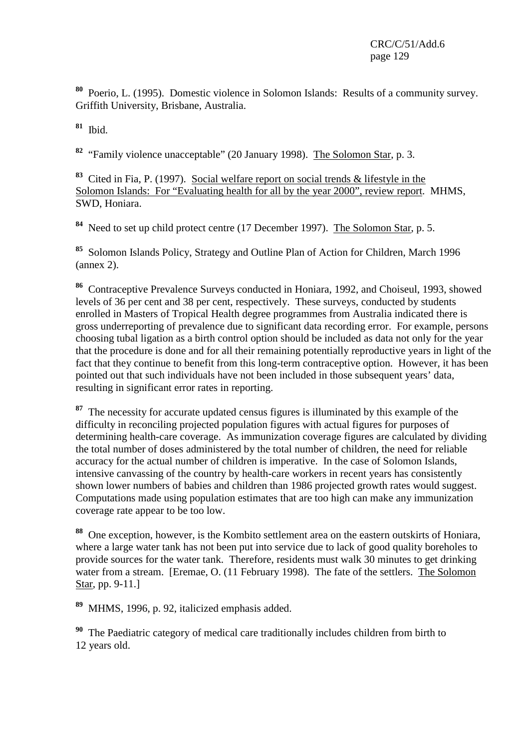**<sup>80</sup>** Poerio, L. (1995). Domestic violence in Solomon Islands: Results of a community survey. Griffith University, Brisbane, Australia.

**<sup>81</sup>** Ibid.

**<sup>82</sup>** "Family violence unacceptable" (20 January 1998). The Solomon Star, p. 3.

**<sup>83</sup>** Cited in Fia, P. (1997). Social welfare report on social trends & lifestyle in the Solomon Islands: For "Evaluating health for all by the year 2000", review report. MHMS, SWD, Honiara.

**<sup>84</sup>** Need to set up child protect centre (17 December 1997). The Solomon Star, p. 5.

**<sup>85</sup>** Solomon Islands Policy, Strategy and Outline Plan of Action for Children, March 1996 (annex 2).

**<sup>86</sup>** Contraceptive Prevalence Surveys conducted in Honiara, 1992, and Choiseul, 1993, showed levels of 36 per cent and 38 per cent, respectively. These surveys, conducted by students enrolled in Masters of Tropical Health degree programmes from Australia indicated there is gross underreporting of prevalence due to significant data recording error. For example, persons choosing tubal ligation as a birth control option should be included as data not only for the year that the procedure is done and for all their remaining potentially reproductive years in light of the fact that they continue to benefit from this long-term contraceptive option. However, it has been pointed out that such individuals have not been included in those subsequent years' data, resulting in significant error rates in reporting.

**<sup>87</sup>** The necessity for accurate updated census figures is illuminated by this example of the difficulty in reconciling projected population figures with actual figures for purposes of determining health-care coverage. As immunization coverage figures are calculated by dividing the total number of doses administered by the total number of children, the need for reliable accuracy for the actual number of children is imperative. In the case of Solomon Islands, intensive canvassing of the country by health-care workers in recent years has consistently shown lower numbers of babies and children than 1986 projected growth rates would suggest. Computations made using population estimates that are too high can make any immunization coverage rate appear to be too low.

**<sup>88</sup>** One exception, however, is the Kombito settlement area on the eastern outskirts of Honiara, where a large water tank has not been put into service due to lack of good quality boreholes to provide sources for the water tank. Therefore, residents must walk 30 minutes to get drinking water from a stream. [Eremae, O. (11 February 1998). The fate of the settlers. The Solomon Star, pp. 9-11.]

MHMS, 1996, p. 92, italicized emphasis added.

**<sup>90</sup>** The Paediatric category of medical care traditionally includes children from birth to 12 years old.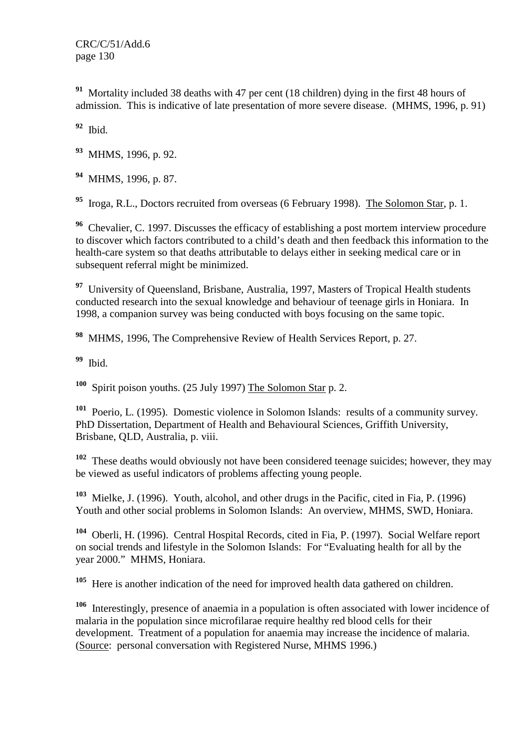**<sup>91</sup>** Mortality included 38 deaths with 47 per cent (18 children) dying in the first 48 hours of admission. This is indicative of late presentation of more severe disease. (MHMS, 1996, p. 91)

**<sup>92</sup>** Ibid.

**<sup>93</sup>** MHMS, 1996, p. 92.

**<sup>94</sup>** MHMS, 1996, p. 87.

**<sup>95</sup>** Iroga, R.L., Doctors recruited from overseas (6 February 1998). The Solomon Star, p. 1.

<sup>96</sup> Chevalier, C. 1997. Discusses the efficacy of establishing a post mortem interview procedure to discover which factors contributed to a child's death and then feedback this information to the health-care system so that deaths attributable to delays either in seeking medical care or in subsequent referral might be minimized.

<sup>97</sup> University of Queensland, Brisbane, Australia, 1997, Masters of Tropical Health students conducted research into the sexual knowledge and behaviour of teenage girls in Honiara. In 1998, a companion survey was being conducted with boys focusing on the same topic.

**<sup>98</sup>** MHMS, 1996, The Comprehensive Review of Health Services Report, p. 27.

**<sup>99</sup>** Ibid.

**<sup>100</sup>** Spirit poison youths. (25 July 1997) The Solomon Star p. 2.

**<sup>101</sup>** Poerio, L. (1995). Domestic violence in Solomon Islands: results of a community survey. PhD Dissertation, Department of Health and Behavioural Sciences, Griffith University, Brisbane, QLD, Australia, p. viii.

**<sup>102</sup>** These deaths would obviously not have been considered teenage suicides; however, they may be viewed as useful indicators of problems affecting young people.

**<sup>103</sup>** Mielke, J. (1996). Youth, alcohol, and other drugs in the Pacific, cited in Fia, P. (1996) Youth and other social problems in Solomon Islands: An overview, MHMS, SWD, Honiara.

**<sup>104</sup>** Oberli, H. (1996). Central Hospital Records, cited in Fia, P. (1997). Social Welfare report on social trends and lifestyle in the Solomon Islands: For "Evaluating health for all by the year 2000." MHMS, Honiara.

**<sup>105</sup>** Here is another indication of the need for improved health data gathered on children.

**<sup>106</sup>** Interestingly, presence of anaemia in a population is often associated with lower incidence of malaria in the population since microfilarae require healthy red blood cells for their development. Treatment of a population for anaemia may increase the incidence of malaria. (Source: personal conversation with Registered Nurse, MHMS 1996.)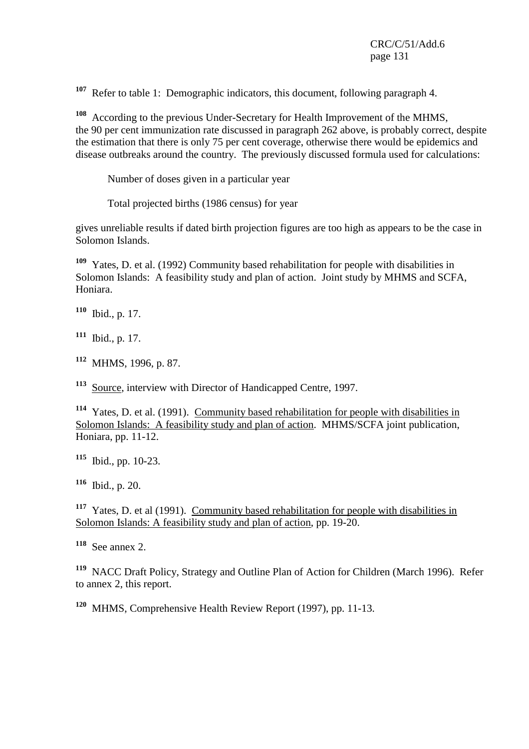**<sup>107</sup>** Refer to table 1: Demographic indicators, this document, following paragraph 4.

According to the previous Under-Secretary for Health Improvement of the MHMS, the 90 per cent immunization rate discussed in paragraph 262 above, is probably correct, despite the estimation that there is only 75 per cent coverage, otherwise there would be epidemics and disease outbreaks around the country. The previously discussed formula used for calculations:

Number of doses given in a particular year

Total projected births (1986 census) for year

gives unreliable results if dated birth projection figures are too high as appears to be the case in Solomon Islands.

**<sup>109</sup>** Yates, D. et al. (1992) Community based rehabilitation for people with disabilities in Solomon Islands: A feasibility study and plan of action. Joint study by MHMS and SCFA, Honiara.

**<sup>110</sup>** Ibid., p. 17.

**<sup>111</sup>** Ibid., p. 17.

**<sup>112</sup>** MHMS, 1996, p. 87.

**<sup>113</sup>** Source, interview with Director of Handicapped Centre, 1997.

**<sup>114</sup>** Yates, D. et al. (1991). Community based rehabilitation for people with disabilities in Solomon Islands: A feasibility study and plan of action. MHMS/SCFA joint publication, Honiara, pp. 11-12.

**<sup>115</sup>** Ibid., pp. 10-23.

**<sup>116</sup>** Ibid., p. 20.

**<sup>117</sup>** Yates, D. et al (1991). Community based rehabilitation for people with disabilities in Solomon Islands: A feasibility study and plan of action, pp. 19-20.

**<sup>118</sup>** See annex 2.

**<sup>119</sup>** NACC Draft Policy, Strategy and Outline Plan of Action for Children (March 1996). Refer to annex 2, this report.

**<sup>120</sup>** MHMS, Comprehensive Health Review Report (1997), pp. 11-13.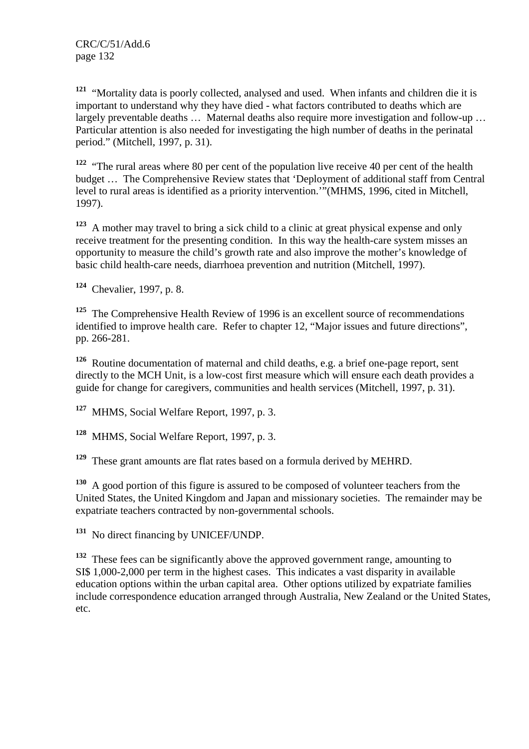**<sup>121</sup>** "Mortality data is poorly collected, analysed and used. When infants and children die it is important to understand why they have died - what factors contributed to deaths which are largely preventable deaths … Maternal deaths also require more investigation and follow-up … Particular attention is also needed for investigating the high number of deaths in the perinatal period." (Mitchell, 1997, p. 31).

**<sup>122</sup>** "The rural areas where 80 per cent of the population live receive 40 per cent of the health budget … The Comprehensive Review states that 'Deployment of additional staff from Central level to rural areas is identified as a priority intervention.'"(MHMS, 1996, cited in Mitchell, 1997).

**<sup>123</sup>** A mother may travel to bring a sick child to a clinic at great physical expense and only receive treatment for the presenting condition. In this way the health-care system misses an opportunity to measure the child's growth rate and also improve the mother's knowledge of basic child health-care needs, diarrhoea prevention and nutrition (Mitchell, 1997).

**<sup>124</sup>** Chevalier, 1997, p. 8.

<sup>125</sup> The Comprehensive Health Review of 1996 is an excellent source of recommendations identified to improve health care. Refer to chapter 12, "Major issues and future directions", pp. 266-281.

**<sup>126</sup>** Routine documentation of maternal and child deaths, e.g. a brief one-page report, sent directly to the MCH Unit, is a low-cost first measure which will ensure each death provides a guide for change for caregivers, communities and health services (Mitchell, 1997, p. 31).

**<sup>127</sup>** MHMS, Social Welfare Report, 1997, p. 3.

**<sup>128</sup>** MHMS, Social Welfare Report, 1997, p. 3.

**<sup>129</sup>** These grant amounts are flat rates based on a formula derived by MEHRD.

**<sup>130</sup>** A good portion of this figure is assured to be composed of volunteer teachers from the United States, the United Kingdom and Japan and missionary societies. The remainder may be expatriate teachers contracted by non-governmental schools.

**<sup>131</sup>** No direct financing by UNICEF/UNDP.

**<sup>132</sup>** These fees can be significantly above the approved government range, amounting to SI\$ 1,000-2,000 per term in the highest cases. This indicates a vast disparity in available education options within the urban capital area. Other options utilized by expatriate families include correspondence education arranged through Australia, New Zealand or the United States, etc.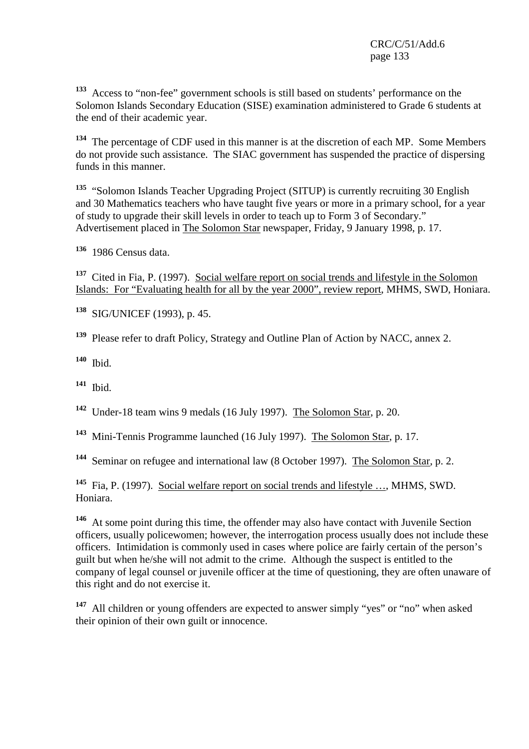**<sup>133</sup>** Access to "non-fee" government schools is still based on students' performance on the Solomon Islands Secondary Education (SISE) examination administered to Grade 6 students at the end of their academic year.

**<sup>134</sup>** The percentage of CDF used in this manner is at the discretion of each MP. Some Members do not provide such assistance. The SIAC government has suspended the practice of dispersing funds in this manner.

**<sup>135</sup>** "Solomon Islands Teacher Upgrading Project (SITUP) is currently recruiting 30 English and 30 Mathematics teachers who have taught five years or more in a primary school, for a year of study to upgrade their skill levels in order to teach up to Form 3 of Secondary." Advertisement placed in The Solomon Star newspaper, Friday, 9 January 1998, p. 17.

**<sup>136</sup>** 1986 Census data.

**<sup>137</sup>** Cited in Fia, P. (1997). Social welfare report on social trends and lifestyle in the Solomon Islands: For "Evaluating health for all by the year 2000", review report, MHMS, SWD, Honiara.

**<sup>138</sup>** SIG/UNICEF (1993), p. 45.

**<sup>139</sup>** Please refer to draft Policy, Strategy and Outline Plan of Action by NACC, annex 2.

**<sup>140</sup>** Ibid.

**<sup>141</sup>** Ibid.

**<sup>142</sup>** Under-18 team wins 9 medals (16 July 1997). The Solomon Star, p. 20.

**<sup>143</sup>** Mini-Tennis Programme launched (16 July 1997). The Solomon Star, p. 17.

**<sup>144</sup>** Seminar on refugee and international law (8 October 1997). The Solomon Star, p. 2.

**<sup>145</sup>** Fia, P. (1997). Social welfare report on social trends and lifestyle …, MHMS, SWD. Honiara.

**<sup>146</sup>** At some point during this time, the offender may also have contact with Juvenile Section officers, usually policewomen; however, the interrogation process usually does not include these officers. Intimidation is commonly used in cases where police are fairly certain of the person's guilt but when he/she will not admit to the crime. Although the suspect is entitled to the company of legal counsel or juvenile officer at the time of questioning, they are often unaware of this right and do not exercise it.

**<sup>147</sup>** All children or young offenders are expected to answer simply "yes" or "no" when asked their opinion of their own guilt or innocence.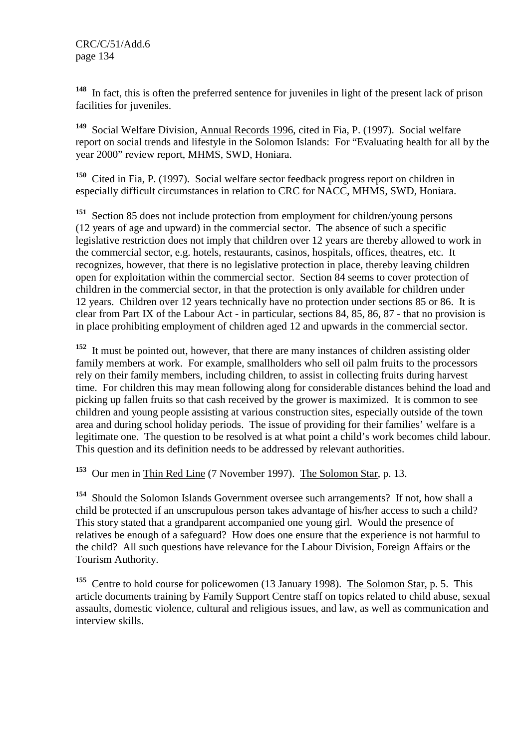**<sup>148</sup>** In fact, this is often the preferred sentence for juveniles in light of the present lack of prison facilities for juveniles.

**<sup>149</sup>** Social Welfare Division, Annual Records 1996, cited in Fia, P. (1997). Social welfare report on social trends and lifestyle in the Solomon Islands: For "Evaluating health for all by the year 2000" review report, MHMS, SWD, Honiara.

**<sup>150</sup>** Cited in Fia, P. (1997). Social welfare sector feedback progress report on children in especially difficult circumstances in relation to CRC for NACC, MHMS, SWD, Honiara.

**<sup>151</sup>** Section 85 does not include protection from employment for children/young persons (12 years of age and upward) in the commercial sector. The absence of such a specific legislative restriction does not imply that children over 12 years are thereby allowed to work in the commercial sector, e.g. hotels, restaurants, casinos, hospitals, offices, theatres, etc. It recognizes, however, that there is no legislative protection in place, thereby leaving children open for exploitation within the commercial sector. Section 84 seems to cover protection of children in the commercial sector, in that the protection is only available for children under 12 years. Children over 12 years technically have no protection under sections 85 or 86. It is clear from Part IX of the Labour Act - in particular, sections 84, 85, 86, 87 - that no provision is in place prohibiting employment of children aged 12 and upwards in the commercial sector.

**<sup>152</sup>** It must be pointed out, however, that there are many instances of children assisting older family members at work. For example, smallholders who sell oil palm fruits to the processors rely on their family members, including children, to assist in collecting fruits during harvest time. For children this may mean following along for considerable distances behind the load and picking up fallen fruits so that cash received by the grower is maximized. It is common to see children and young people assisting at various construction sites, especially outside of the town area and during school holiday periods. The issue of providing for their families' welfare is a legitimate one. The question to be resolved is at what point a child's work becomes child labour. This question and its definition needs to be addressed by relevant authorities.

**<sup>153</sup>** Our men in Thin Red Line (7 November 1997). The Solomon Star, p. 13.

**<sup>154</sup>** Should the Solomon Islands Government oversee such arrangements? If not, how shall a child be protected if an unscrupulous person takes advantage of his/her access to such a child? This story stated that a grandparent accompanied one young girl. Would the presence of relatives be enough of a safeguard? How does one ensure that the experience is not harmful to the child? All such questions have relevance for the Labour Division, Foreign Affairs or the Tourism Authority.

<sup>155</sup> Centre to hold course for policewomen (13 January 1998). The Solomon Star, p. 5. This article documents training by Family Support Centre staff on topics related to child abuse, sexual assaults, domestic violence, cultural and religious issues, and law, as well as communication and interview skills.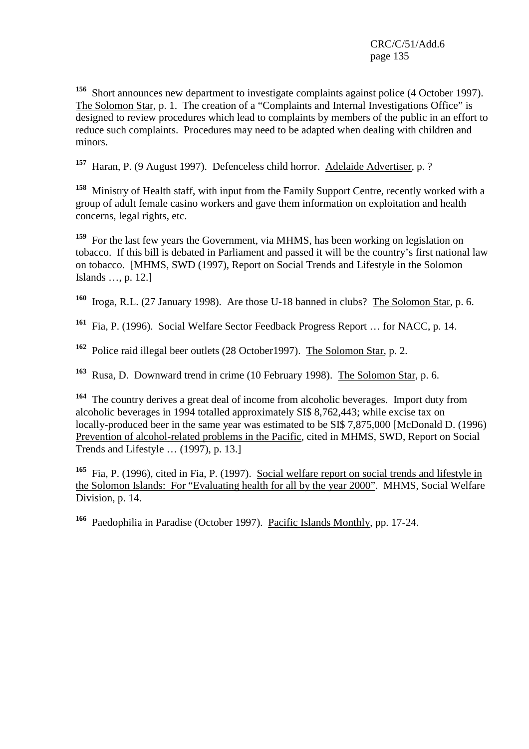**<sup>156</sup>** Short announces new department to investigate complaints against police (4 October 1997). The Solomon Star, p. 1. The creation of a "Complaints and Internal Investigations Office" is designed to review procedures which lead to complaints by members of the public in an effort to reduce such complaints. Procedures may need to be adapted when dealing with children and minors.

**<sup>157</sup>** Haran, P. (9 August 1997). Defenceless child horror. Adelaide Advertiser, p. ?

**<sup>158</sup>** Ministry of Health staff, with input from the Family Support Centre, recently worked with a group of adult female casino workers and gave them information on exploitation and health concerns, legal rights, etc.

**<sup>159</sup>** For the last few years the Government, via MHMS, has been working on legislation on tobacco. If this bill is debated in Parliament and passed it will be the country's first national law on tobacco. [MHMS, SWD (1997), Report on Social Trends and Lifestyle in the Solomon Islands …, p. 12.]

**<sup>160</sup>** Iroga, R.L. (27 January 1998). Are those U-18 banned in clubs? The Solomon Star, p. 6.

**<sup>161</sup>** Fia, P. (1996). Social Welfare Sector Feedback Progress Report … for NACC, p. 14.

**<sup>162</sup>** Police raid illegal beer outlets (28 October1997). The Solomon Star, p. 2.

**<sup>163</sup>** Rusa, D. Downward trend in crime (10 February 1998). The Solomon Star, p. 6.

**<sup>164</sup>** The country derives a great deal of income from alcoholic beverages. Import duty from alcoholic beverages in 1994 totalled approximately SI\$ 8,762,443; while excise tax on locally-produced beer in the same year was estimated to be SI\$ 7,875,000 [McDonald D. (1996) Prevention of alcohol-related problems in the Pacific, cited in MHMS, SWD, Report on Social Trends and Lifestyle … (1997), p. 13.]

**<sup>165</sup>** Fia, P. (1996), cited in Fia, P. (1997). Social welfare report on social trends and lifestyle in the Solomon Islands: For "Evaluating health for all by the year 2000". MHMS, Social Welfare Division, p. 14.

**<sup>166</sup>** Paedophilia in Paradise (October 1997). Pacific Islands Monthly, pp. 17-24.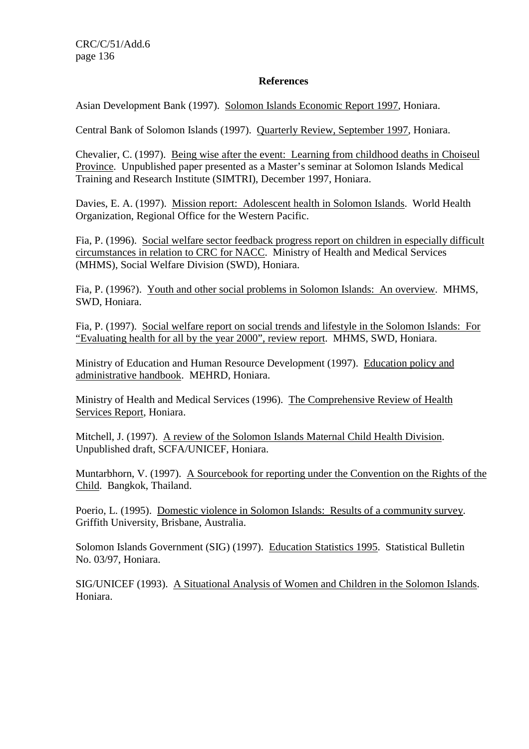### **References**

Asian Development Bank (1997). Solomon Islands Economic Report 1997, Honiara.

Central Bank of Solomon Islands (1997). Quarterly Review, September 1997, Honiara.

Chevalier, C. (1997). Being wise after the event: Learning from childhood deaths in Choiseul Province. Unpublished paper presented as a Master's seminar at Solomon Islands Medical Training and Research Institute (SIMTRI), December 1997, Honiara.

Davies, E. A. (1997). Mission report: Adolescent health in Solomon Islands. World Health Organization, Regional Office for the Western Pacific.

Fia, P. (1996). Social welfare sector feedback progress report on children in especially difficult circumstances in relation to CRC for NACC. Ministry of Health and Medical Services (MHMS), Social Welfare Division (SWD), Honiara.

Fia, P. (1996?). Youth and other social problems in Solomon Islands: An overview. MHMS, SWD, Honiara.

Fia, P. (1997). Social welfare report on social trends and lifestyle in the Solomon Islands: For "Evaluating health for all by the year 2000", review report. MHMS, SWD, Honiara.

Ministry of Education and Human Resource Development (1997). Education policy and administrative handbook. MEHRD, Honiara.

Ministry of Health and Medical Services (1996). The Comprehensive Review of Health Services Report, Honiara.

Mitchell, J. (1997). A review of the Solomon Islands Maternal Child Health Division. Unpublished draft, SCFA/UNICEF, Honiara.

Muntarbhorn, V. (1997). A Sourcebook for reporting under the Convention on the Rights of the Child. Bangkok, Thailand.

Poerio, L. (1995). Domestic violence in Solomon Islands: Results of a community survey. Griffith University, Brisbane, Australia.

Solomon Islands Government (SIG) (1997). Education Statistics 1995. Statistical Bulletin No. 03/97, Honiara.

SIG/UNICEF (1993). A Situational Analysis of Women and Children in the Solomon Islands. Honiara.